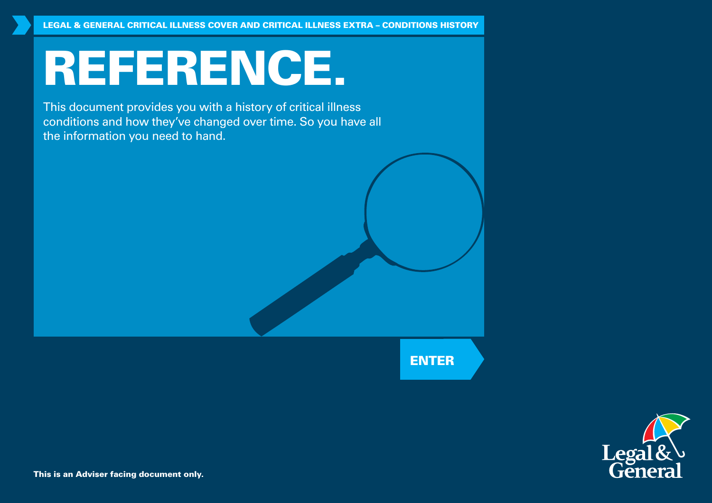# REFERENCE.

This document provides you with a history of critical illness conditions and how they've changed over time. So you have all the information you need to hand.

ENTER



This is an Adviser facing document only.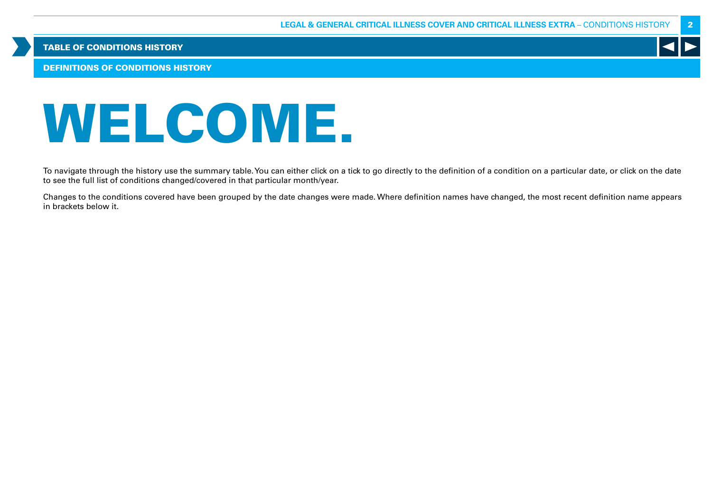DEFINITIONS OF CONDITIONS HISTORY

# WELCOME.

To navigate through the history use the summary table. You can either click on a tick to go directly to the definition of a condition on a particular date, or click on the date to see the full list of conditions changed/covered in that particular month/year.

Changes to the conditions covered have been grouped by the date changes were made. Where definition names have changed, the most recent definition name appears in brackets below it.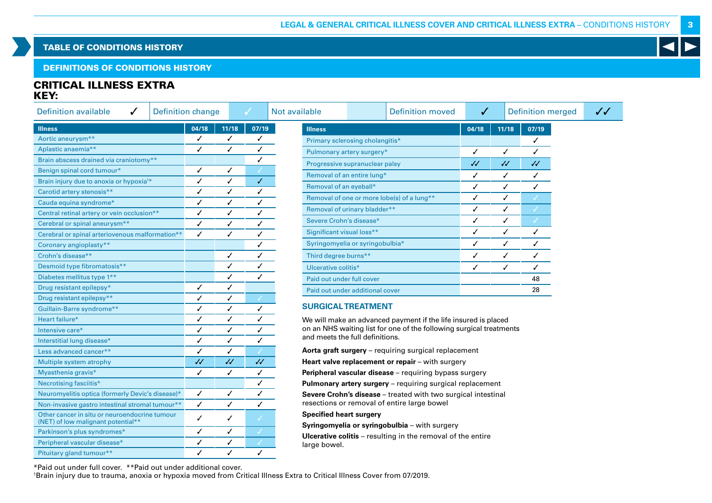# DEFINITIONS OF CONDITIONS HISTORY

# CRITICAL ILLNESS EXTRA KEY:

| <b>Definition available</b><br><b>Definition change</b><br>✓                        |           |              | ✓            | Not available                  |                                                                     | <b>Definition moved</b> | $\checkmark$ |              | <b>Definition merged</b> | $\checkmark$ |
|-------------------------------------------------------------------------------------|-----------|--------------|--------------|--------------------------------|---------------------------------------------------------------------|-------------------------|--------------|--------------|--------------------------|--------------|
| <b>Illness</b>                                                                      | 04/18     | 11/18        | 07/19        | <b>Illness</b>                 |                                                                     |                         | 04/18        | 11/18        | 07/19                    |              |
| Aortic aneurysm**                                                                   | ✓         | $\checkmark$ | ✓            |                                | Primary sclerosing cholangitis*                                     |                         |              |              | $\checkmark$             |              |
| Aplastic anaemia**                                                                  | ✓         | $\checkmark$ | ✓            |                                | Pulmonary artery surgery*                                           |                         | $\checkmark$ | $\checkmark$ | ✓                        |              |
| Brain abscess drained via craniotomy**                                              |           |              |              |                                | Progressive supranuclear palsy                                      |                         | $\checkmark$ | $\checkmark$ | $\checkmark$             |              |
| Benign spinal cord tumour*                                                          | ✓         | ✓            |              |                                | Removal of an entire lung*                                          |                         | ✓            | ✓            | ✓                        |              |
| Brain injury due to anoxia or hypoxia <sup>1*</sup>                                 | ✓         | ✓            | $\checkmark$ | Removal of an eyeball*         |                                                                     |                         | ✓            | ✓            | J                        |              |
| Carotid artery stenosis**                                                           | ✓         | $\checkmark$ | ✓            |                                |                                                                     |                         |              |              |                          |              |
| Cauda equina syndrome*                                                              | ✓         | ✓            | ✓            |                                | Removal of one or more lobe(s) of a lung**                          |                         | ✓            | ✓            |                          |              |
| Central retinal artery or vein occlusion**                                          | ✓         | $\checkmark$ | ✓            |                                | Removal of urinary bladder**                                        |                         | ✓            | ✓            |                          |              |
| Cerebral or spinal aneurysm**                                                       | ✓         | ✓            | ✓            | Severe Crohn's disease*        |                                                                     |                         | ✓            | ✓            |                          |              |
| Cerebral or spinal arteriovenous malformation**                                     | ✓         | ✓            | ✓            | Significant visual loss**      |                                                                     |                         | ✓            | ✓            | $\checkmark$             |              |
| Coronary angioplasty**                                                              |           |              | ✓            |                                | Syringomyelia or syringobulbia*                                     |                         | ✓            | ✓            | ✓                        |              |
| Crohn's disease**                                                                   |           | ✓            | ✓            | Third degree burns**           |                                                                     |                         | $\checkmark$ | $\checkmark$ | $\checkmark$             |              |
| Desmoid type fibromatosis**                                                         |           | ✓            |              | Ulcerative colitis*            |                                                                     |                         | ✓            | ✓            | ✓                        |              |
| Diabetes mellitus type 1**                                                          |           | ✓            | ✓            | Paid out under full cover      |                                                                     |                         |              |              | 48                       |              |
| Drug resistant epilepsy*                                                            | ✓         | ✓            |              |                                | Paid out under additional cover                                     |                         |              |              | 28                       |              |
| Drug resistant epilepsy**                                                           | ✓         | ✓            |              |                                |                                                                     |                         |              |              |                          |              |
| Guillain-Barre syndrome**                                                           | ✓         | $\checkmark$ | ✓            |                                | <b>SURGICAL TREATMENT</b>                                           |                         |              |              |                          |              |
| Heart failure*                                                                      | ✓         | $\checkmark$ | ✓            |                                | We will make an advanced payment if the life insured is placed      |                         |              |              |                          |              |
| Intensive care*                                                                     | ✓         | ✓            |              |                                | on an NHS waiting list for one of the following surgical treatments |                         |              |              |                          |              |
| Interstitial lung disease*                                                          | ✓         | ✓            | ✓            |                                | and meets the full definitions.                                     |                         |              |              |                          |              |
| Less advanced cancer**                                                              | ✓         | ✓            |              |                                | Aorta graft surgery - requiring surgical replacement                |                         |              |              |                          |              |
| Multiple system atrophy                                                             | $\cal{U}$ | $\sqrt{2}$   | $\checkmark$ |                                | Heart valve replacement or repair - with surgery                    |                         |              |              |                          |              |
| Myasthenia gravis*                                                                  | ✓         | ✓            | ✓            |                                | Peripheral vascular disease - requiring bypass surgery              |                         |              |              |                          |              |
| Necrotising fasciitis*                                                              |           |              | ✓            |                                | Pulmonary artery surgery - requiring surgical replacement           |                         |              |              |                          |              |
| Neuromyelitis optica (formerly Devic's disease)*                                    | ✓         | $\checkmark$ | ✓            |                                | Severe Crohn's disease - treated with two surgical intestinal       |                         |              |              |                          |              |
| Non-invasive gastro intestinal stromal tumour**                                     | ✓         | $\checkmark$ | ✓            |                                | resections or removal of entire large bowel                         |                         |              |              |                          |              |
| Other cancer in situ or neuroendocrine tumour<br>(NET) of low malignant potential** | ✓         | ✓            |              | <b>Specified heart surgery</b> | Syringomyelia or syringobulbia - with surgery                       |                         |              |              |                          |              |
| Parkinson's plus syndromes*                                                         | ✓         | $\checkmark$ |              |                                |                                                                     |                         |              |              |                          |              |
| Peripheral vascular disease*                                                        | ✓         | $\checkmark$ |              | large bowel.                   | <b>Ulcerative colitis</b> – resulting in the removal of the entire  |                         |              |              |                          |              |
| Pituitary gland tumour**                                                            | ✓         | ✓            |              |                                |                                                                     |                         |              |              |                          |              |

\*Paid out under full cover. \*\*Paid out under additional cover.

1 Brain injury due to trauma, anoxia or hypoxia moved from Critical Illness Extra to Critical Illness Cover from 07/2019.



3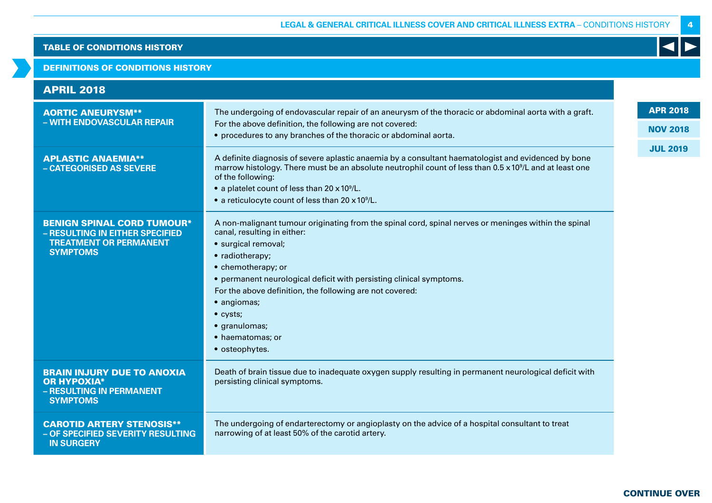### DEFINITIONS OF CONDITIONS HISTORY

| <b>APRIL 2018</b>                                                                                                        |                                                                                                                                                                                                                                                                                                                                                                                                                                  |                 |
|--------------------------------------------------------------------------------------------------------------------------|----------------------------------------------------------------------------------------------------------------------------------------------------------------------------------------------------------------------------------------------------------------------------------------------------------------------------------------------------------------------------------------------------------------------------------|-----------------|
| <b>AORTIC ANEURYSM**</b>                                                                                                 | The undergoing of endovascular repair of an aneurysm of the thoracic or abdominal aorta with a graft.                                                                                                                                                                                                                                                                                                                            | <b>APR 2018</b> |
| - WITH ENDOVASCULAR REPAIR                                                                                               | For the above definition, the following are not covered:                                                                                                                                                                                                                                                                                                                                                                         | <b>NOV 2018</b> |
|                                                                                                                          | • procedures to any branches of the thoracic or abdominal aorta.                                                                                                                                                                                                                                                                                                                                                                 |                 |
| <b>APLASTIC ANAEMIA**</b><br>- CATEGORISED AS SEVERE                                                                     | A definite diagnosis of severe aplastic anaemia by a consultant haematologist and evidenced by bone<br>marrow histology. There must be an absolute neutrophil count of less than $0.5 \times 10^9$ /L and at least one<br>of the following:<br>• a platelet count of less than 20 x 10 <sup>9</sup> /L.<br>• a reticulocyte count of less than $20 \times 10^9$ /L.                                                              | <b>JUL 2019</b> |
| <b>BENIGN SPINAL CORD TUMOUR*</b><br>- RESULTING IN EITHER SPECIFIED<br><b>TREATMENT OR PERMANENT</b><br><b>SYMPTOMS</b> | A non-malignant tumour originating from the spinal cord, spinal nerves or meninges within the spinal<br>canal, resulting in either:<br>· surgical removal;<br>• radiotherapy;<br>• chemotherapy; or<br>• permanent neurological deficit with persisting clinical symptoms.<br>For the above definition, the following are not covered:<br>· angiomas;<br>$\bullet$ cysts;<br>· granulomas;<br>• haematomas; or<br>• osteophytes. |                 |
| <b>BRAIN INJURY DUE TO ANOXIA</b><br><b>OR HYPOXIA*</b><br>- RESULTING IN PERMANENT<br><b>SYMPTOMS</b>                   | Death of brain tissue due to inadequate oxygen supply resulting in permanent neurological deficit with<br>persisting clinical symptoms.                                                                                                                                                                                                                                                                                          |                 |
| <b>CAROTID ARTERY STENOSIS**</b><br>- OF SPECIFIED SEVERITY RESULTING<br><b>IN SURGERY</b>                               | The undergoing of endarterectomy or angioplasty on the advice of a hospital consultant to treat<br>narrowing of at least 50% of the carotid artery.                                                                                                                                                                                                                                                                              |                 |

4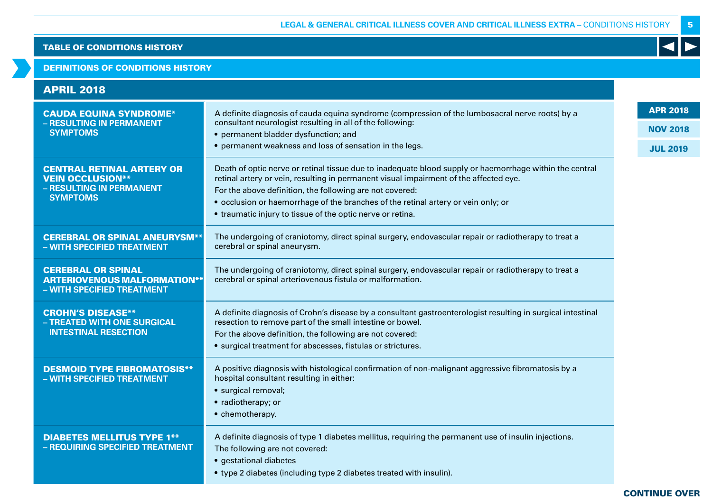### DEFINITIONS OF CONDITIONS HISTORY

| <b>APRIL 2018</b>                                                                                          |                                                                                                                                                                                                                                                                                                                                                                                                                 |                                    |
|------------------------------------------------------------------------------------------------------------|-----------------------------------------------------------------------------------------------------------------------------------------------------------------------------------------------------------------------------------------------------------------------------------------------------------------------------------------------------------------------------------------------------------------|------------------------------------|
| <b>CAUDA EQUINA SYNDROME*</b><br>- RESULTING IN PERMANENT<br><b>SYMPTOMS</b>                               | A definite diagnosis of cauda equina syndrome (compression of the lumbosacral nerve roots) by a<br>consultant neurologist resulting in all of the following:<br>• permanent bladder dysfunction; and                                                                                                                                                                                                            | <b>APR 2018</b><br><b>NOV 2018</b> |
|                                                                                                            | • permanent weakness and loss of sensation in the legs.                                                                                                                                                                                                                                                                                                                                                         | <b>JUL 2019</b>                    |
| <b>CENTRAL RETINAL ARTERY OR</b><br><b>VEIN OCCLUSION**</b><br>- RESULTING IN PERMANENT<br><b>SYMPTOMS</b> | Death of optic nerve or retinal tissue due to inadequate blood supply or haemorrhage within the central<br>retinal artery or vein, resulting in permanent visual impairment of the affected eye.<br>For the above definition, the following are not covered:<br>• occlusion or haemorrhage of the branches of the retinal artery or vein only; or<br>• traumatic injury to tissue of the optic nerve or retina. |                                    |
| <b>CEREBRAL OR SPINAL ANEURYSM**</b><br>- WITH SPECIFIED TREATMENT                                         | The undergoing of craniotomy, direct spinal surgery, endovascular repair or radiotherapy to treat a<br>cerebral or spinal aneurysm.                                                                                                                                                                                                                                                                             |                                    |
| <b>CEREBRAL OR SPINAL</b><br><b>ARTERIOVENOUS MALFORMATION**</b><br>- WITH SPECIFIED TREATMENT             | The undergoing of craniotomy, direct spinal surgery, endovascular repair or radiotherapy to treat a<br>cerebral or spinal arteriovenous fistula or malformation.                                                                                                                                                                                                                                                |                                    |
| <b>CROHN'S DISEASE**</b><br>- TREATED WITH ONE SURGICAL<br><b>INTESTINAL RESECTION</b>                     | A definite diagnosis of Crohn's disease by a consultant gastroenterologist resulting in surgical intestinal<br>resection to remove part of the small intestine or bowel.<br>For the above definition, the following are not covered:<br>· surgical treatment for abscesses, fistulas or strictures.                                                                                                             |                                    |
| <b>DESMOID TYPE FIBROMATOSIS**</b><br>- WITH SPECIFIED TREATMENT                                           | A positive diagnosis with histological confirmation of non-malignant aggressive fibromatosis by a<br>hospital consultant resulting in either:<br>· surgical removal;<br>• radiotherapy; or<br>• chemotherapy.                                                                                                                                                                                                   |                                    |
| <b>DIABETES MELLITUS TYPE 1**</b><br>- REQUIRING SPECIFIED TREATMENT                                       | A definite diagnosis of type 1 diabetes mellitus, requiring the permanent use of insulin injections.<br>The following are not covered:<br>· gestational diabetes<br>• type 2 diabetes (including type 2 diabetes treated with insulin).                                                                                                                                                                         |                                    |

# 5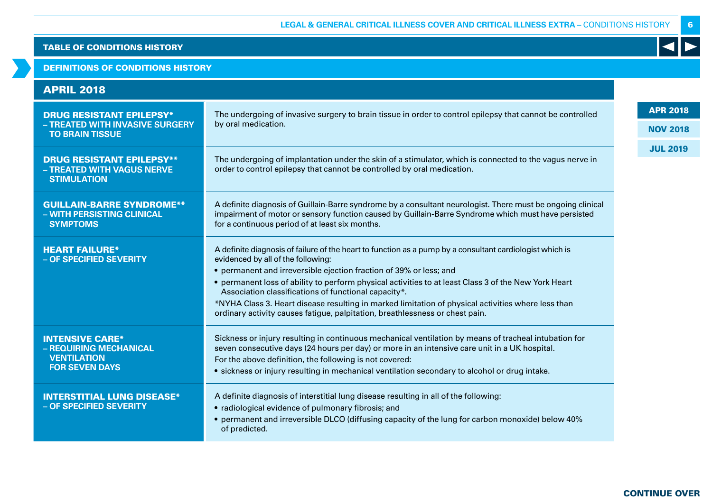# DEFINITIONS OF CONDITIONS HISTORY

| <b>APRIL 2018</b>                                                                               |                                                                                                                                                                                                                                                                                                                                                                                                                                                                                                                                                                            |                                    |
|-------------------------------------------------------------------------------------------------|----------------------------------------------------------------------------------------------------------------------------------------------------------------------------------------------------------------------------------------------------------------------------------------------------------------------------------------------------------------------------------------------------------------------------------------------------------------------------------------------------------------------------------------------------------------------------|------------------------------------|
| <b>DRUG RESISTANT EPILEPSY*</b><br>- TREATED WITH INVASIVE SURGERY<br><b>TO BRAIN TISSUE</b>    | The undergoing of invasive surgery to brain tissue in order to control epilepsy that cannot be controlled<br>by oral medication.                                                                                                                                                                                                                                                                                                                                                                                                                                           | <b>APR 2018</b><br><b>NOV 2018</b> |
| <b>DRUG RESISTANT EPILEPSY**</b><br>- TREATED WITH VAGUS NERVE<br><b>STIMULATION</b>            | The undergoing of implantation under the skin of a stimulator, which is connected to the vagus nerve in<br>order to control epilepsy that cannot be controlled by oral medication.                                                                                                                                                                                                                                                                                                                                                                                         | <b>JUL 2019</b>                    |
| <b>GUILLAIN-BARRE SYNDROME**</b><br>- WITH PERSISTING CLINICAL<br><b>SYMPTOMS</b>               | A definite diagnosis of Guillain-Barre syndrome by a consultant neurologist. There must be ongoing clinical<br>impairment of motor or sensory function caused by Guillain-Barre Syndrome which must have persisted<br>for a continuous period of at least six months.                                                                                                                                                                                                                                                                                                      |                                    |
| <b>HEART FAILURE*</b><br>- OF SPECIFIED SEVERITY                                                | A definite diagnosis of failure of the heart to function as a pump by a consultant cardiologist which is<br>evidenced by all of the following:<br>• permanent and irreversible ejection fraction of 39% or less; and<br>• permanent loss of ability to perform physical activities to at least Class 3 of the New York Heart<br>Association classifications of functional capacity*.<br>*NYHA Class 3. Heart disease resulting in marked limitation of physical activities where less than<br>ordinary activity causes fatigue, palpitation, breathlessness or chest pain. |                                    |
| <b>INTENSIVE CARE*</b><br>- REQUIRING MECHANICAL<br><b>VENTILATION</b><br><b>FOR SEVEN DAYS</b> | Sickness or injury resulting in continuous mechanical ventilation by means of tracheal intubation for<br>seven consecutive days (24 hours per day) or more in an intensive care unit in a UK hospital.<br>For the above definition, the following is not covered:<br>• sickness or injury resulting in mechanical ventilation secondary to alcohol or drug intake.                                                                                                                                                                                                         |                                    |
| <b>INTERSTITIAL LUNG DISEASE*</b><br>- OF SPECIFIED SEVERITY                                    | A definite diagnosis of interstitial lung disease resulting in all of the following:<br>• radiological evidence of pulmonary fibrosis; and<br>• permanent and irreversible DLCO (diffusing capacity of the lung for carbon monoxide) below 40%<br>of predicted.                                                                                                                                                                                                                                                                                                            |                                    |

6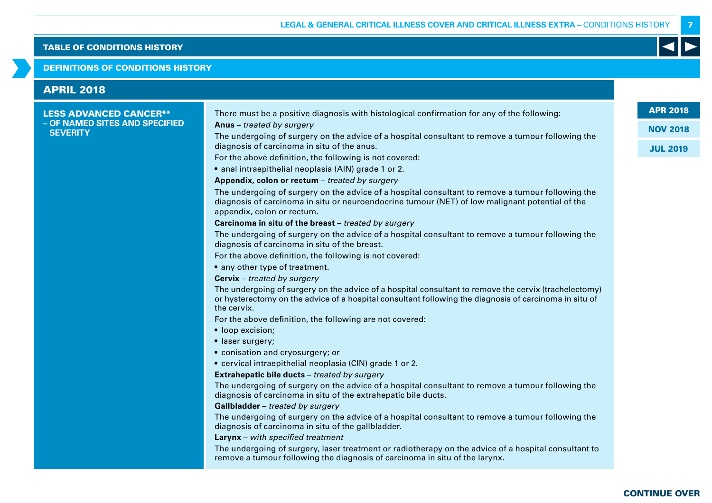### DEFINITIONS OF CONDITIONS HISTORY

| <b>LESS ADVANCED CANCER**</b>  | There must be a positive diagnosis with histological confirmation for any of the following:                                                                                                                                        | <b>APR 2018</b>                    |
|--------------------------------|------------------------------------------------------------------------------------------------------------------------------------------------------------------------------------------------------------------------------------|------------------------------------|
| - OF NAMED SITES AND SPECIFIED | Anus - treated by surgery                                                                                                                                                                                                          |                                    |
| <b>SEVERITY</b>                | The undergoing of surgery on the advice of a hospital consultant to remove a tumour following the<br>diagnosis of carcinoma in situ of the anus.                                                                                   | <b>NOV 2018</b><br><b>JUL 2019</b> |
|                                | For the above definition, the following is not covered:                                                                                                                                                                            |                                    |
|                                | · anal intraepithelial neoplasia (AIN) grade 1 or 2.                                                                                                                                                                               |                                    |
|                                | Appendix, colon or rectum - treated by surgery                                                                                                                                                                                     |                                    |
|                                | The undergoing of surgery on the advice of a hospital consultant to remove a tumour following the<br>diagnosis of carcinoma in situ or neuroendocrine tumour (NET) of low malignant potential of the<br>appendix, colon or rectum. |                                    |
|                                | Carcinoma in situ of the breast - treated by surgery                                                                                                                                                                               |                                    |
|                                | The undergoing of surgery on the advice of a hospital consultant to remove a tumour following the<br>diagnosis of carcinoma in situ of the breast.                                                                                 |                                    |
|                                | For the above definition, the following is not covered:                                                                                                                                                                            |                                    |
|                                | • any other type of treatment.                                                                                                                                                                                                     |                                    |
|                                | <b>Cervix</b> - treated by surgery                                                                                                                                                                                                 |                                    |
|                                | The undergoing of surgery on the advice of a hospital consultant to remove the cervix (trachelectomy)<br>or hysterectomy on the advice of a hospital consultant following the diagnosis of carcinoma in situ of<br>the cervix.     |                                    |
|                                | For the above definition, the following are not covered:                                                                                                                                                                           |                                    |
|                                | • loop excision;                                                                                                                                                                                                                   |                                    |
|                                | · laser surgery;                                                                                                                                                                                                                   |                                    |
|                                | · conisation and cryosurgery; or                                                                                                                                                                                                   |                                    |
|                                | • cervical intraepithelial neoplasia (CIN) grade 1 or 2.                                                                                                                                                                           |                                    |
|                                | Extrahepatic bile ducts - treated by surgery                                                                                                                                                                                       |                                    |
|                                | The undergoing of surgery on the advice of a hospital consultant to remove a tumour following the<br>diagnosis of carcinoma in situ of the extrahepatic bile ducts.                                                                |                                    |
|                                | Gallbladder - treated by surgery                                                                                                                                                                                                   |                                    |
|                                | The undergoing of surgery on the advice of a hospital consultant to remove a tumour following the<br>diagnosis of carcinoma in situ of the gallbladder.                                                                            |                                    |
|                                | Larynx - with specified treatment                                                                                                                                                                                                  |                                    |
|                                | The undergoing of surgery, laser treatment or radiotherapy on the advice of a hospital consultant to<br>remove a tumour following the diagnosis of carcinoma in situ of the larynx.                                                |                                    |

7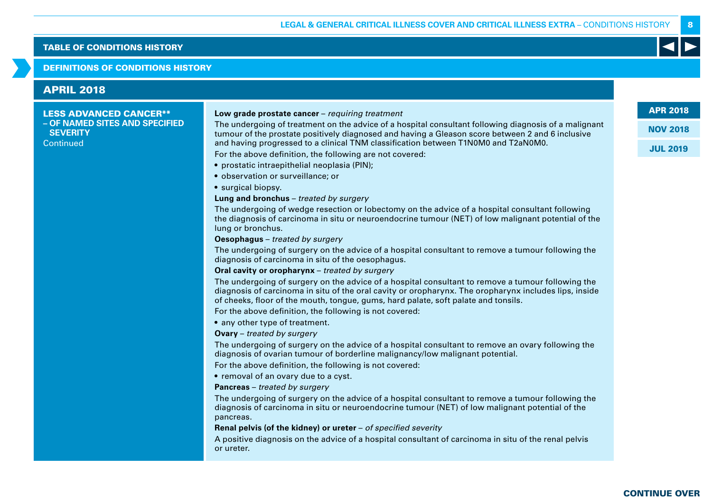### DEFINITIONS OF CONDITIONS HISTORY

# APRIL 2018

### LESS ADVANCED CANCER\*\* **– OF NAMED SITES AND SPECIFIED SEVERITY Continued**

### **Low grade prostate cancer** – requiring treatment

The undergoing of treatment on the advice of a hospital consultant following diagnosis of a malignant tumour of the prostate positively diagnosed and having a Gleason score between 2 and 6 inclusive and having progressed to a clinical TNM classification between T1N0M0 and T2aN0M0.

For the above definition, the following are not covered:

- prostatic intraepithelial neoplasia (PIN);
- observation or surveillance; or

• surgical biopsy.

### **Lung and bronchus** – treated by surgery

The undergoing of wedge resection or lobectomy on the advice of a hospital consultant following the diagnosis of carcinoma in situ or neuroendocrine tumour (NET) of low malignant potential of the lung or bronchus.

**Oesophagus** – treated by surgery

The undergoing of surgery on the advice of a hospital consultant to remove a tumour following the diagnosis of carcinoma in situ of the oesophagus.

### **Oral cavity or oropharynx** – treated by surgery

The undergoing of surgery on the advice of a hospital consultant to remove a tumour following the diagnosis of carcinoma in situ of the oral cavity or oropharynx. The oropharynx includes lips, inside of cheeks, floor of the mouth, tongue, gums, hard palate, soft palate and tonsils.

For the above definition, the following is not covered:

• any other type of treatment.

**Ovary** – treated by surgery

The undergoing of surgery on the advice of a hospital consultant to remove an ovary following the diagnosis of ovarian tumour of borderline malignancy/low malignant potential.

For the above definition, the following is not covered:

• removal of an ovary due to a cyst.

**Pancreas** – treated by surgery

The undergoing of surgery on the advice of a hospital consultant to remove a tumour following the diagnosis of carcinoma in situ or neuroendocrine tumour (NET) of low malignant potential of the pancreas.

**Renal pelvis (of the kidney) or ureter** – of specified severity

A positive diagnosis on the advice of a hospital consultant of carcinoma in situ of the renal pelvis or ureter.

APR 2018

NOV 2018

8

JUL 2019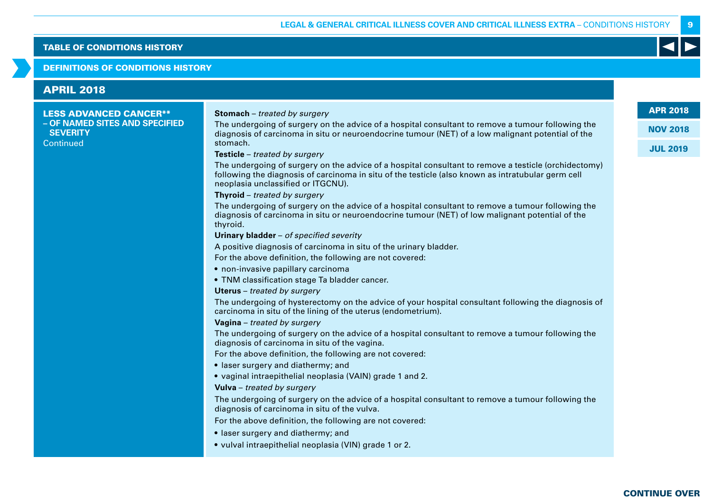### DEFINITIONS OF CONDITIONS HISTORY

# LESS ADVANCED CANCER\*\* **– OF NAMED SITES AND SPECIFIED SEVERITY Continued Stomach** – treated by surgery The undergoing of surgery on the advice of a hospital consultant to remove a tumour following the diagnosis of carcinoma in situ or neuroendocrine tumour (NET) of a low malignant potential of the stomach. **Testicle** – treated by surgery The undergoing of surgery on the advice of a hospital consultant to remove a testicle (orchidectomy) following the diagnosis of carcinoma in situ of the testicle (also known as intratubular germ cell neoplasia unclassified or ITGCNU). **Thyroid** – treated by surgery The undergoing of surgery on the advice of a hospital consultant to remove a tumour following the diagnosis of carcinoma in situ or neuroendocrine tumour (NET) of low malignant potential of the thyroid. **Urinary bladder** – of specified severity A positive diagnosis of carcinoma in situ of the urinary bladder. For the above definition, the following are not covered: • non-invasive papillary carcinoma • TNM classification stage Ta bladder cancer. **Uterus** – treated by surgery The undergoing of hysterectomy on the advice of your hospital consultant following the diagnosis of carcinoma in situ of the lining of the uterus (endometrium). **Vagina** – treated by surgery The undergoing of surgery on the advice of a hospital consultant to remove a tumour following the diagnosis of carcinoma in situ of the vagina. For the above definition, the following are not covered: • laser surgery and diathermy; and • vaginal intraepithelial neoplasia (VAIN) grade 1 and 2. **Vulva** – treated by surgery The undergoing of surgery on the advice of a hospital consultant to remove a tumour following the diagnosis of carcinoma in situ of the vulva. For the above definition, the following are not covered: • laser surgery and diathermy; and • vulval intraepithelial neoplasia (VIN) grade 1 or 2. APRIL 2018

9

APR 2018

NOV 2018

JUL 2019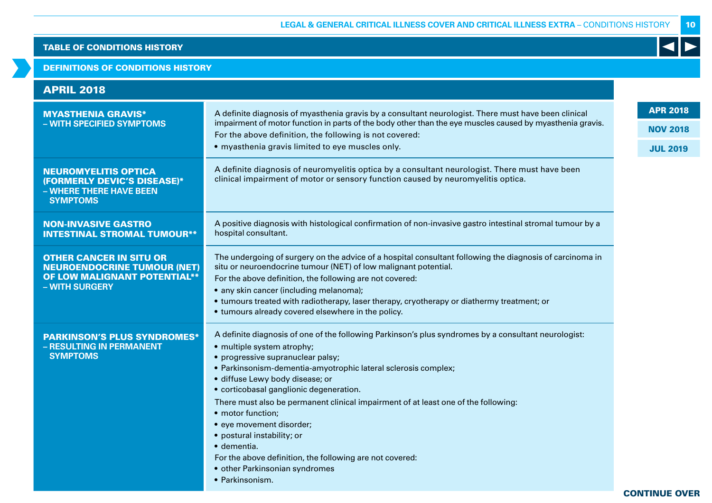# DEFINITIONS OF CONDITIONS HISTORY

| <b>APRIL 2018</b>                                                                                                             |                                                                                                                                                                                                                                                                                                                                                                                                                                                                                                                                                                                                                                      |                 |
|-------------------------------------------------------------------------------------------------------------------------------|--------------------------------------------------------------------------------------------------------------------------------------------------------------------------------------------------------------------------------------------------------------------------------------------------------------------------------------------------------------------------------------------------------------------------------------------------------------------------------------------------------------------------------------------------------------------------------------------------------------------------------------|-----------------|
| <b>MYASTHENIA GRAVIS*</b>                                                                                                     | A definite diagnosis of myasthenia gravis by a consultant neurologist. There must have been clinical                                                                                                                                                                                                                                                                                                                                                                                                                                                                                                                                 | <b>APR 2018</b> |
| - WITH SPECIFIED SYMPTOMS                                                                                                     | impairment of motor function in parts of the body other than the eye muscles caused by myasthenia gravis.                                                                                                                                                                                                                                                                                                                                                                                                                                                                                                                            | <b>NOV 2018</b> |
|                                                                                                                               | For the above definition, the following is not covered:<br>· myasthenia gravis limited to eye muscles only.                                                                                                                                                                                                                                                                                                                                                                                                                                                                                                                          | <b>JUL 2019</b> |
| <b>NEUROMYELITIS OPTICA</b><br>(FORMERLY DEVIC'S DISEASE)*<br>- WHERE THERE HAVE BEEN<br><b>SYMPTOMS</b>                      | A definite diagnosis of neuromyelitis optica by a consultant neurologist. There must have been<br>clinical impairment of motor or sensory function caused by neuromyelitis optica.                                                                                                                                                                                                                                                                                                                                                                                                                                                   |                 |
| <b>NON-INVASIVE GASTRO</b><br><b>INTESTINAL STROMAL TUMOUR**</b>                                                              | A positive diagnosis with histological confirmation of non-invasive gastro intestinal stromal tumour by a<br>hospital consultant.                                                                                                                                                                                                                                                                                                                                                                                                                                                                                                    |                 |
| <b>OTHER CANCER IN SITU OR</b><br><b>NEUROENDOCRINE TUMOUR (NET)</b><br><b>OF LOW MALIGNANT POTENTIAL**</b><br>- WITH SURGERY | The undergoing of surgery on the advice of a hospital consultant following the diagnosis of carcinoma in<br>situ or neuroendocrine tumour (NET) of low malignant potential.<br>For the above definition, the following are not covered:<br>• any skin cancer (including melanoma);<br>• tumours treated with radiotherapy, laser therapy, cryotherapy or diathermy treatment; or<br>• tumours already covered elsewhere in the policy.                                                                                                                                                                                               |                 |
| <b>PARKINSON'S PLUS SYNDROMES*</b><br>- RESULTING IN PERMANENT<br><b>SYMPTOMS</b>                                             | A definite diagnosis of one of the following Parkinson's plus syndromes by a consultant neurologist:<br>• multiple system atrophy;<br>• progressive supranuclear palsy;<br>• Parkinsonism-dementia-amyotrophic lateral sclerosis complex;<br>· diffuse Lewy body disease; or<br>• corticobasal ganglionic degeneration.<br>There must also be permanent clinical impairment of at least one of the following:<br>• motor function;<br>• eye movement disorder;<br>• postural instability; or<br>$\bullet$ dementia.<br>For the above definition, the following are not covered:<br>• other Parkinsonian syndromes<br>• Parkinsonism. |                 |

CONTINUE OVER

10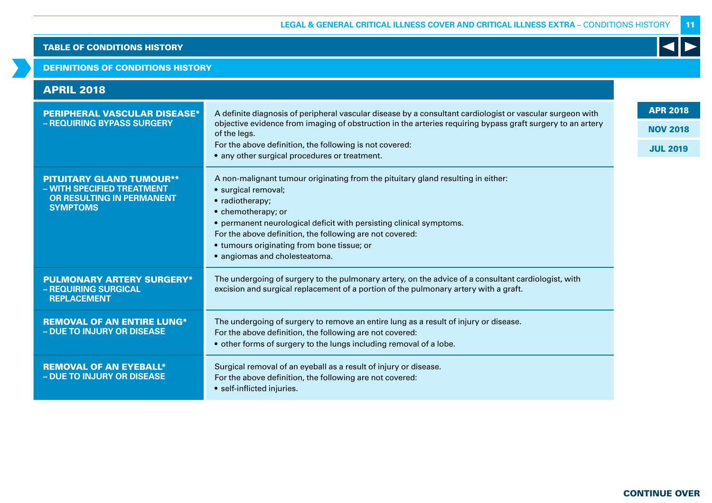### DEFINITIONS OF CONDITIONS HISTORY

| <b>APRIL 2018</b>                                                                                             |                                                                                                                                                                                                                                                                                                                                                                    |                                    |
|---------------------------------------------------------------------------------------------------------------|--------------------------------------------------------------------------------------------------------------------------------------------------------------------------------------------------------------------------------------------------------------------------------------------------------------------------------------------------------------------|------------------------------------|
| <b>PERIPHERAL VASCULAR DISEASE*</b><br>- REQUIRING BYPASS SURGERY                                             | A definite diagnosis of peripheral vascular disease by a consultant cardiologist or vascular surgeon with<br>objective evidence from imaging of obstruction in the arteries requiring bypass graft surgery to an artery<br>of the legs.<br>For the above definition, the following is not covered:                                                                 | <b>APR 2018</b><br><b>NOV 2018</b> |
|                                                                                                               | • any other surgical procedures or treatment.                                                                                                                                                                                                                                                                                                                      | <b>JUL 2019</b>                    |
| <b>PITUITARY GLAND TUMOUR**</b><br>- WITH SPECIFIED TREATMENT<br>OR RESULTING IN PERMANENT<br><b>SYMPTOMS</b> | A non-malignant tumour originating from the pituitary gland resulting in either:<br>· surgical removal;<br>• radiotherapy;<br>• chemotherapy; or<br>• permanent neurological deficit with persisting clinical symptoms.<br>For the above definition, the following are not covered:<br>• tumours originating from bone tissue; or<br>• angiomas and cholesteatoma. |                                    |
| <b>PULMONARY ARTERY SURGERY*</b><br>- REQUIRING SURGICAL<br><b>REPLACEMENT</b>                                | The undergoing of surgery to the pulmonary artery, on the advice of a consultant cardiologist, with<br>excision and surgical replacement of a portion of the pulmonary artery with a graft.                                                                                                                                                                        |                                    |
| <b>REMOVAL OF AN ENTIRE LUNG*</b><br>- DUE TO INJURY OR DISEASE                                               | The undergoing of surgery to remove an entire lung as a result of injury or disease.<br>For the above definition, the following are not covered:<br>• other forms of surgery to the lungs including removal of a lobe.                                                                                                                                             |                                    |
| <b>REMOVAL OF AN EYEBALL*</b><br>- DUE TO INJURY OR DISEASE                                                   | Surgical removal of an eyeball as a result of injury or disease.<br>For the above definition, the following are not covered:<br>• self-inflicted injuries.                                                                                                                                                                                                         |                                    |

11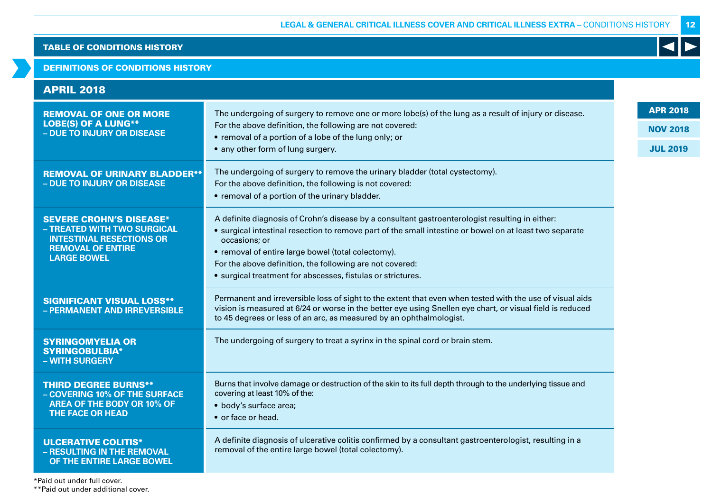# DEFINITIONS OF CONDITIONS HISTORY

| <b>APRIL 2018</b>                                                                                                                                  |                                                                                                                                                                                                                                                                                                                                                                                                              |                                                       |
|----------------------------------------------------------------------------------------------------------------------------------------------------|--------------------------------------------------------------------------------------------------------------------------------------------------------------------------------------------------------------------------------------------------------------------------------------------------------------------------------------------------------------------------------------------------------------|-------------------------------------------------------|
| <b>REMOVAL OF ONE OR MORE</b><br><b>LOBE(S) OF A LUNG**</b><br>- DUE TO INJURY OR DISEASE                                                          | The undergoing of surgery to remove one or more lobe(s) of the lung as a result of injury or disease.<br>For the above definition, the following are not covered:<br>• removal of a portion of a lobe of the lung only; or<br>• any other form of lung surgery.                                                                                                                                              | <b>APR 2018</b><br><b>NOV 2018</b><br><b>JUL 2019</b> |
| <b>REMOVAL OF URINARY BLADDER**</b><br>- DUE TO INJURY OR DISEASE                                                                                  | The undergoing of surgery to remove the urinary bladder (total cystectomy).<br>For the above definition, the following is not covered:<br>• removal of a portion of the urinary bladder.                                                                                                                                                                                                                     |                                                       |
| <b>SEVERE CROHN'S DISEASE*</b><br>- TREATED WITH TWO SURGICAL<br><b>INTESTINAL RESECTIONS OR</b><br><b>REMOVAL OF ENTIRE</b><br><b>LARGE BOWEL</b> | A definite diagnosis of Crohn's disease by a consultant gastroenterologist resulting in either:<br>• surgical intestinal resection to remove part of the small intestine or bowel on at least two separate<br>occasions; or<br>• removal of entire large bowel (total colectomy).<br>For the above definition, the following are not covered:<br>• surgical treatment for abscesses, fistulas or strictures. |                                                       |
| <b>SIGNIFICANT VISUAL LOSS**</b><br>- PERMANENT AND IRREVERSIBLE                                                                                   | Permanent and irreversible loss of sight to the extent that even when tested with the use of visual aids<br>vision is measured at 6/24 or worse in the better eye using Snellen eye chart, or visual field is reduced<br>to 45 degrees or less of an arc, as measured by an ophthalmologist.                                                                                                                 |                                                       |
| <b>SYRINGOMYELIA OR</b><br><b>SYRINGOBULBIA*</b><br>- WITH SURGERY                                                                                 | The undergoing of surgery to treat a syrinx in the spinal cord or brain stem.                                                                                                                                                                                                                                                                                                                                |                                                       |
| <b>THIRD DEGREE BURNS**</b><br>- COVERING 10% OF THE SURFACE<br><b>AREA OF THE BODY OR 10% OF</b><br><b>THE FACE OR HEAD</b>                       | Burns that involve damage or destruction of the skin to its full depth through to the underlying tissue and<br>covering at least 10% of the:<br>• body's surface area;<br>• or face or head.                                                                                                                                                                                                                 |                                                       |
| <b>ULCERATIVE COLITIS*</b><br>- RESULTING IN THE REMOVAL<br>OF THE ENTIRE LARGE BOWEL                                                              | A definite diagnosis of ulcerative colitis confirmed by a consultant gastroenterologist, resulting in a<br>removal of the entire large bowel (total colectomy).                                                                                                                                                                                                                                              |                                                       |

\*Paid out under full cover. \*\*Paid out under additional cover. 12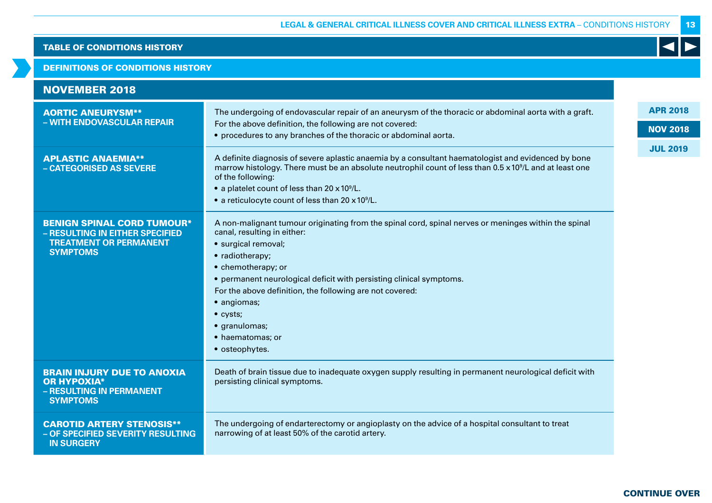### DEFINITIONS OF CONDITIONS HISTORY

| <b>NOVEMBER 2018</b>                                                                                                     |                                                                                                                                                                                                                                                                                                                                                                                                                          |                 |
|--------------------------------------------------------------------------------------------------------------------------|--------------------------------------------------------------------------------------------------------------------------------------------------------------------------------------------------------------------------------------------------------------------------------------------------------------------------------------------------------------------------------------------------------------------------|-----------------|
| <b>AORTIC ANEURYSM**</b><br>- WITH ENDOVASCULAR REPAIR                                                                   | The undergoing of endovascular repair of an aneurysm of the thoracic or abdominal aorta with a graft.<br>For the above definition, the following are not covered:                                                                                                                                                                                                                                                        | <b>APR 2018</b> |
|                                                                                                                          | • procedures to any branches of the thoracic or abdominal aorta.                                                                                                                                                                                                                                                                                                                                                         | <b>NOV 2018</b> |
| <b>APLASTIC ANAEMIA**</b><br>- CATEGORISED AS SEVERE                                                                     | A definite diagnosis of severe aplastic anaemia by a consultant haematologist and evidenced by bone<br>marrow histology. There must be an absolute neutrophil count of less than 0.5 x 10 <sup>9</sup> /L and at least one<br>of the following:<br>• a platelet count of less than 20 x 10 <sup>9</sup> /L.<br>• a reticulocyte count of less than 20 x 10 <sup>9</sup> /L.                                              | <b>JUL 2019</b> |
| <b>BENIGN SPINAL CORD TUMOUR*</b><br>- RESULTING IN EITHER SPECIFIED<br><b>TREATMENT OR PERMANENT</b><br><b>SYMPTOMS</b> | A non-malignant tumour originating from the spinal cord, spinal nerves or meninges within the spinal<br>canal, resulting in either:<br>· surgical removal;<br>• radiotherapy;<br>• chemotherapy; or<br>• permanent neurological deficit with persisting clinical symptoms.<br>For the above definition, the following are not covered:<br>• angiomas;<br>• cysts;<br>· granulomas;<br>• haematomas; or<br>• osteophytes. |                 |
| <b>BRAIN INJURY DUE TO ANOXIA</b><br><b>OR HYPOXIA*</b><br>- RESULTING IN PERMANENT<br><b>SYMPTOMS</b>                   | Death of brain tissue due to inadequate oxygen supply resulting in permanent neurological deficit with<br>persisting clinical symptoms.                                                                                                                                                                                                                                                                                  |                 |
| <b>CAROTID ARTERY STENOSIS**</b><br>- OF SPECIFIED SEVERITY RESULTING<br><b>IN SURGERY</b>                               | The undergoing of endarterectomy or angioplasty on the advice of a hospital consultant to treat<br>narrowing of at least 50% of the carotid artery.                                                                                                                                                                                                                                                                      |                 |

13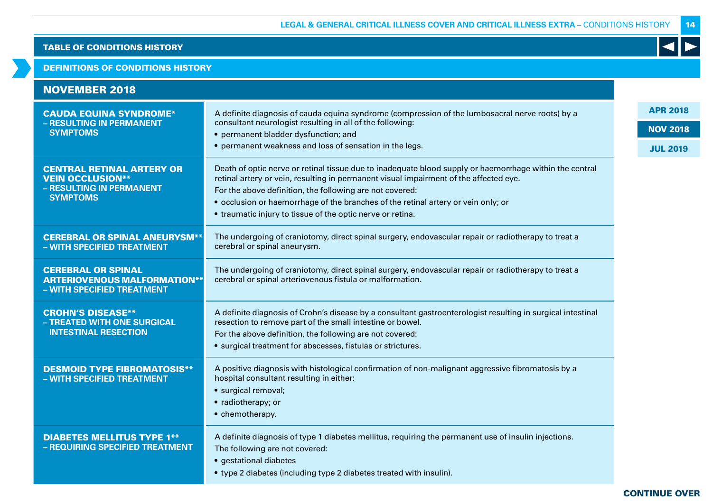### DEFINITIONS OF CONDITIONS HISTORY

| <b>NOVEMBER 2018</b>                                                                           |                                                                                                                                                                                                  |                 |
|------------------------------------------------------------------------------------------------|--------------------------------------------------------------------------------------------------------------------------------------------------------------------------------------------------|-----------------|
| <b>CAUDA EQUINA SYNDROME*</b>                                                                  | A definite diagnosis of cauda equina syndrome (compression of the lumbosacral nerve roots) by a                                                                                                  | <b>APR 2018</b> |
| - RESULTING IN PERMANENT<br><b>SYMPTOMS</b>                                                    | consultant neurologist resulting in all of the following:                                                                                                                                        | <b>NOV 2018</b> |
|                                                                                                | • permanent bladder dysfunction; and<br>• permanent weakness and loss of sensation in the legs.                                                                                                  | <b>JUL 2019</b> |
| <b>CENTRAL RETINAL ARTERY OR</b><br><b>VEIN OCCLUSION**</b><br>- RESULTING IN PERMANENT        | Death of optic nerve or retinal tissue due to inadequate blood supply or haemorrhage within the central<br>retinal artery or vein, resulting in permanent visual impairment of the affected eye. |                 |
| <b>SYMPTOMS</b>                                                                                | For the above definition, the following are not covered:<br>• occlusion or haemorrhage of the branches of the retinal artery or vein only; or                                                    |                 |
|                                                                                                | • traumatic injury to tissue of the optic nerve or retina.                                                                                                                                       |                 |
|                                                                                                |                                                                                                                                                                                                  |                 |
| <b>CEREBRAL OR SPINAL ANEURYSM**</b><br>- WITH SPECIFIED TREATMENT                             | The undergoing of craniotomy, direct spinal surgery, endovascular repair or radiotherapy to treat a<br>cerebral or spinal aneurysm.                                                              |                 |
| <b>CEREBRAL OR SPINAL</b><br><b>ARTERIOVENOUS MALFORMATION**</b><br>- WITH SPECIFIED TREATMENT | The undergoing of craniotomy, direct spinal surgery, endovascular repair or radiotherapy to treat a<br>cerebral or spinal arteriovenous fistula or malformation.                                 |                 |
| <b>CROHN'S DISEASE**</b><br>- TREATED WITH ONE SURGICAL                                        | A definite diagnosis of Crohn's disease by a consultant gastroenterologist resulting in surgical intestinal<br>resection to remove part of the small intestine or bowel.                         |                 |
| <b>INTESTINAL RESECTION</b>                                                                    | For the above definition, the following are not covered:                                                                                                                                         |                 |
|                                                                                                | • surgical treatment for abscesses, fistulas or strictures.                                                                                                                                      |                 |
| <b>DESMOID TYPE FIBROMATOSIS**</b><br>- WITH SPECIFIED TREATMENT                               | A positive diagnosis with histological confirmation of non-malignant aggressive fibromatosis by a<br>hospital consultant resulting in either:<br>· surgical removal;<br>• radiotherapy; or       |                 |
|                                                                                                | • chemotherapy.                                                                                                                                                                                  |                 |
| <b>DIABETES MELLITUS TYPE 1**</b><br>- REQUIRING SPECIFIED TREATMENT                           | A definite diagnosis of type 1 diabetes mellitus, requiring the permanent use of insulin injections.<br>The following are not covered:<br>· gestational diabetes                                 |                 |
|                                                                                                | • type 2 diabetes (including type 2 diabetes treated with insulin).                                                                                                                              |                 |

# 14

K

CONTINUE OVER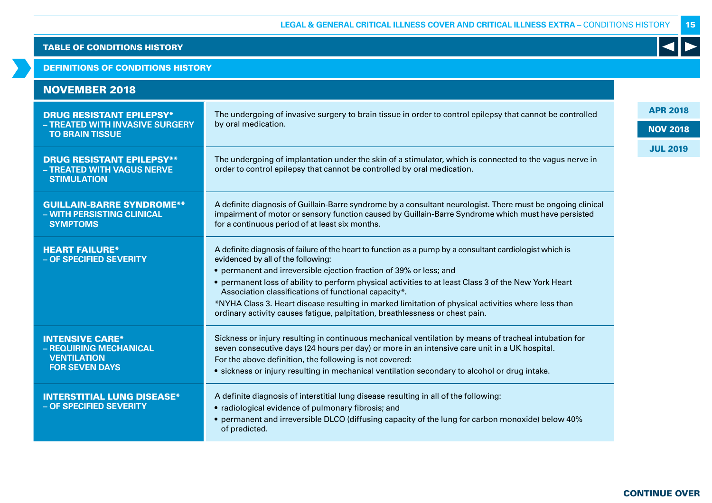# DEFINITIONS OF CONDITIONS HISTORY

| <b>NOVEMBER 2018</b>                                                                            |                                                                                                                                                                                                                                                                                                                                                                                                                                                                                                                                                                            |                 |
|-------------------------------------------------------------------------------------------------|----------------------------------------------------------------------------------------------------------------------------------------------------------------------------------------------------------------------------------------------------------------------------------------------------------------------------------------------------------------------------------------------------------------------------------------------------------------------------------------------------------------------------------------------------------------------------|-----------------|
| <b>DRUG RESISTANT EPILEPSY*</b><br>- TREATED WITH INVASIVE SURGERY                              | The undergoing of invasive surgery to brain tissue in order to control epilepsy that cannot be controlled<br>by oral medication.                                                                                                                                                                                                                                                                                                                                                                                                                                           | <b>APR 2018</b> |
| <b>TO BRAIN TISSUE</b>                                                                          |                                                                                                                                                                                                                                                                                                                                                                                                                                                                                                                                                                            | <b>NOV 2018</b> |
| <b>DRUG RESISTANT EPILEPSY**</b><br>- TREATED WITH VAGUS NERVE<br><b>STIMULATION</b>            | The undergoing of implantation under the skin of a stimulator, which is connected to the vagus nerve in<br>order to control epilepsy that cannot be controlled by oral medication.                                                                                                                                                                                                                                                                                                                                                                                         | <b>JUL 2019</b> |
| <b>GUILLAIN-BARRE SYNDROME**</b><br>- WITH PERSISTING CLINICAL<br><b>SYMPTOMS</b>               | A definite diagnosis of Guillain-Barre syndrome by a consultant neurologist. There must be ongoing clinical<br>impairment of motor or sensory function caused by Guillain-Barre Syndrome which must have persisted<br>for a continuous period of at least six months.                                                                                                                                                                                                                                                                                                      |                 |
| <b>HEART FAILURE*</b><br>- OF SPECIFIED SEVERITY                                                | A definite diagnosis of failure of the heart to function as a pump by a consultant cardiologist which is<br>evidenced by all of the following:<br>• permanent and irreversible ejection fraction of 39% or less; and<br>• permanent loss of ability to perform physical activities to at least Class 3 of the New York Heart<br>Association classifications of functional capacity*.<br>*NYHA Class 3. Heart disease resulting in marked limitation of physical activities where less than<br>ordinary activity causes fatigue, palpitation, breathlessness or chest pain. |                 |
| <b>INTENSIVE CARE*</b><br>- REQUIRING MECHANICAL<br><b>VENTILATION</b><br><b>FOR SEVEN DAYS</b> | Sickness or injury resulting in continuous mechanical ventilation by means of tracheal intubation for<br>seven consecutive days (24 hours per day) or more in an intensive care unit in a UK hospital.<br>For the above definition, the following is not covered:<br>• sickness or injury resulting in mechanical ventilation secondary to alcohol or drug intake.                                                                                                                                                                                                         |                 |
| <b>INTERSTITIAL LUNG DISEASE*</b><br>- OF SPECIFIED SEVERITY                                    | A definite diagnosis of interstitial lung disease resulting in all of the following:<br>• radiological evidence of pulmonary fibrosis; and<br>• permanent and irreversible DLCO (diffusing capacity of the lung for carbon monoxide) below 40%<br>of predicted.                                                                                                                                                                                                                                                                                                            |                 |

CONTINUE OVER

15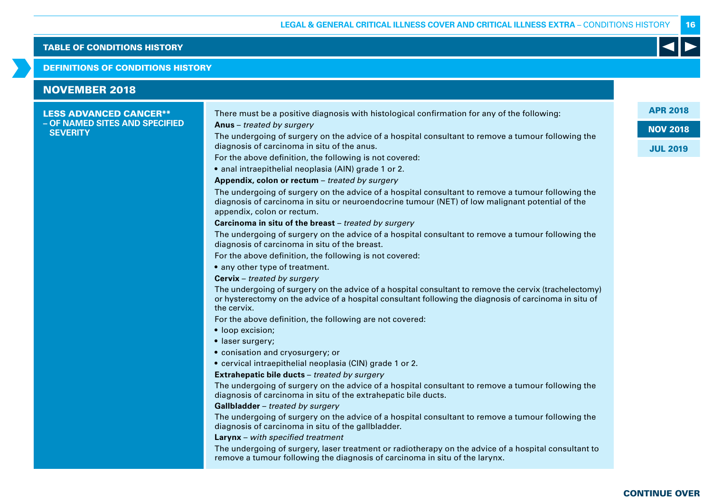### DEFINITIONS OF CONDITIONS HISTORY

| <b>NOVEMBER 2018</b>                              |                                                                                                                                                                                                                                    |
|---------------------------------------------------|------------------------------------------------------------------------------------------------------------------------------------------------------------------------------------------------------------------------------------|
| <b>LESS ADVANCED CANCER**</b>                     | There must be a positive diagnosis with histological confirmation for any of the following:                                                                                                                                        |
| - OF NAMED SITES AND SPECIFIED<br><b>SEVERITY</b> | Anus - treated by surgery                                                                                                                                                                                                          |
|                                                   | The undergoing of surgery on the advice of a hospital consultant to remove a tumour following the<br>diagnosis of carcinoma in situ of the anus.                                                                                   |
|                                                   | For the above definition, the following is not covered:                                                                                                                                                                            |
|                                                   | · anal intraepithelial neoplasia (AIN) grade 1 or 2.                                                                                                                                                                               |
|                                                   | Appendix, colon or rectum - treated by surgery                                                                                                                                                                                     |
|                                                   | The undergoing of surgery on the advice of a hospital consultant to remove a tumour following the<br>diagnosis of carcinoma in situ or neuroendocrine tumour (NET) of low malignant potential of the<br>appendix, colon or rectum. |
|                                                   | Carcinoma in situ of the breast - treated by surgery                                                                                                                                                                               |
|                                                   | The undergoing of surgery on the advice of a hospital consultant to remove a tumour following the<br>diagnosis of carcinoma in situ of the breast.                                                                                 |
|                                                   | For the above definition, the following is not covered:                                                                                                                                                                            |
|                                                   | • any other type of treatment.                                                                                                                                                                                                     |
|                                                   | <b>Cervix</b> - treated by surgery                                                                                                                                                                                                 |
|                                                   | The undergoing of surgery on the advice of a hospital consultant to remove the cervix (trachelectomy)<br>or hysterectomy on the advice of a hospital consultant following the diagnosis of carcinoma in situ of<br>the cervix.     |
|                                                   | For the above definition, the following are not covered:                                                                                                                                                                           |
|                                                   | • loop excision;                                                                                                                                                                                                                   |
|                                                   | • laser surgery;                                                                                                                                                                                                                   |
|                                                   | · conisation and cryosurgery; or                                                                                                                                                                                                   |
|                                                   | • cervical intraepithelial neoplasia (CIN) grade 1 or 2.                                                                                                                                                                           |
|                                                   | Extrahepatic bile ducts - treated by surgery                                                                                                                                                                                       |
|                                                   | The undergoing of surgery on the advice of a hospital consultant to remove a tumour following the<br>diagnosis of carcinoma in situ of the extrahepatic bile ducts.                                                                |
|                                                   | Gallbladder - treated by surgery                                                                                                                                                                                                   |
|                                                   | The undergoing of surgery on the advice of a hospital consultant to remove a tumour following the<br>diagnosis of carcinoma in situ of the gallbladder.                                                                            |
|                                                   | <b>Larynx</b> – with specified treatment                                                                                                                                                                                           |
|                                                   | The undergoing of surgery, laser treatment or radiotherapy on the advice of a hospital consultant to<br>remove a tumour following the diagnosis of carcinoma in situ of the larynx.                                                |

CONTINUE OVER

16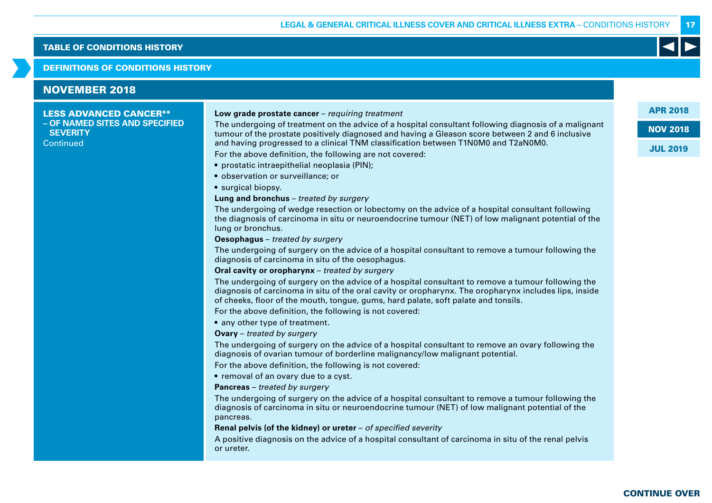### DEFINITIONS OF CONDITIONS HISTORY

# NOVEMBER 2018

### LESS ADVANCED CANCER\*\* **– OF NAMED SITES AND SPECIFIED SEVERITY Continued**

### **Low grade prostate cancer** – requiring treatment

The undergoing of treatment on the advice of a hospital consultant following diagnosis of a malignant tumour of the prostate positively diagnosed and having a Gleason score between 2 and 6 inclusive and having progressed to a clinical TNM classification between T1N0M0 and T2aN0M0.

For the above definition, the following are not covered:

- prostatic intraepithelial neoplasia (PIN);
- observation or surveillance; or

• surgical biopsy.

### **Lung and bronchus** – treated by surgery

The undergoing of wedge resection or lobectomy on the advice of a hospital consultant following the diagnosis of carcinoma in situ or neuroendocrine tumour (NET) of low malignant potential of the lung or bronchus.

**Oesophagus** – treated by surgery

The undergoing of surgery on the advice of a hospital consultant to remove a tumour following the diagnosis of carcinoma in situ of the oesophagus.

### **Oral cavity or oropharynx** – treated by surgery

The undergoing of surgery on the advice of a hospital consultant to remove a tumour following the diagnosis of carcinoma in situ of the oral cavity or oropharynx. The oropharynx includes lips, inside of cheeks, floor of the mouth, tongue, gums, hard palate, soft palate and tonsils.

For the above definition, the following is not covered:

• any other type of treatment.

**Ovary** – treated by surgery

The undergoing of surgery on the advice of a hospital consultant to remove an ovary following the diagnosis of ovarian tumour of borderline malignancy/low malignant potential.

For the above definition, the following is not covered:

• removal of an ovary due to a cyst.

**Pancreas** – treated by surgery

The undergoing of surgery on the advice of a hospital consultant to remove a tumour following the diagnosis of carcinoma in situ or neuroendocrine tumour (NET) of low malignant potential of the pancreas.

**Renal pelvis (of the kidney) or ureter** – of specified severity

A positive diagnosis on the advice of a hospital consultant of carcinoma in situ of the renal pelvis or ureter.

APR 2018

NOV 2018

17

JUL 2019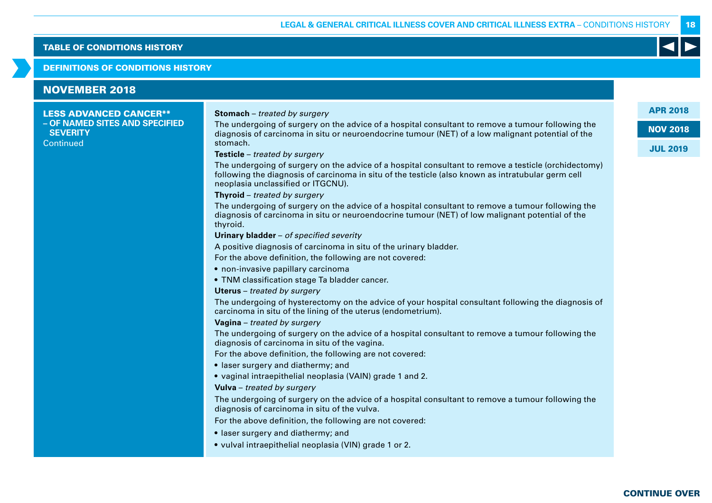### DEFINITIONS OF CONDITIONS HISTORY

# NOVEMBER 2018

### LESS ADVANCED CANCER\*\* **– OF NAMED SITES AND SPECIFIED SEVERITY Continued**

### **Stomach** – treated by surgery

The undergoing of surgery on the advice of a hospital consultant to remove a tumour following the diagnosis of carcinoma in situ or neuroendocrine tumour (NET) of a low malignant potential of the stomach.

### **Testicle** – treated by surgery

The undergoing of surgery on the advice of a hospital consultant to remove a testicle (orchidectomy) following the diagnosis of carcinoma in situ of the testicle (also known as intratubular germ cell neoplasia unclassified or ITGCNU).

### **Thyroid** – treated by surgery

The undergoing of surgery on the advice of a hospital consultant to remove a tumour following the diagnosis of carcinoma in situ or neuroendocrine tumour (NET) of low malignant potential of the thyroid.

### **Urinary bladder** – of specified severity

A positive diagnosis of carcinoma in situ of the urinary bladder.

For the above definition, the following are not covered:

- non-invasive papillary carcinoma
- TNM classification stage Ta bladder cancer.
- **Uterus** treated by surgery

The undergoing of hysterectomy on the advice of your hospital consultant following the diagnosis of carcinoma in situ of the lining of the uterus (endometrium).

### **Vagina** – treated by surgery

The undergoing of surgery on the advice of a hospital consultant to remove a tumour following the diagnosis of carcinoma in situ of the vagina.

For the above definition, the following are not covered:

- laser surgery and diathermy; and
- vaginal intraepithelial neoplasia (VAIN) grade 1 and 2.

### **Vulva** – treated by surgery

The undergoing of surgery on the advice of a hospital consultant to remove a tumour following the diagnosis of carcinoma in situ of the vulva.

For the above definition, the following are not covered:

- laser surgery and diathermy; and
- vulval intraepithelial neoplasia (VIN) grade 1 or 2.

### APR 2018

18

NOV 2018

# JUL 2019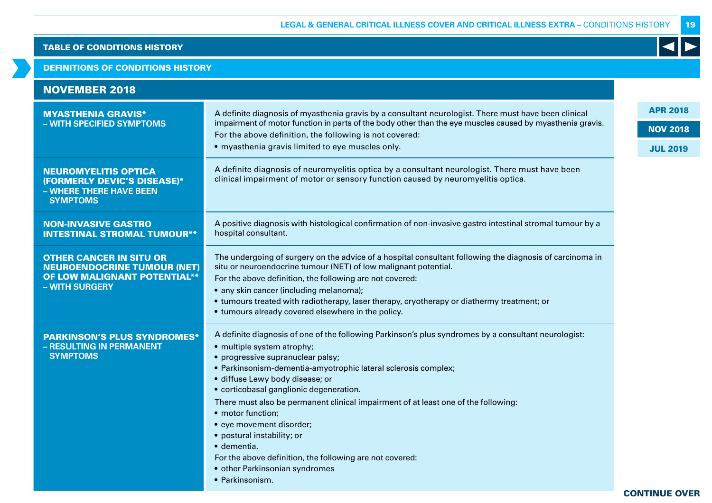# DEFINITIONS OF CONDITIONS HISTORY

| <b>NOVEMBER 2018</b>                                                                                                          |                                                                                                                                                                                                                                                                                                                                                                                                                                                                                                                                                                                                                              |                                                       |
|-------------------------------------------------------------------------------------------------------------------------------|------------------------------------------------------------------------------------------------------------------------------------------------------------------------------------------------------------------------------------------------------------------------------------------------------------------------------------------------------------------------------------------------------------------------------------------------------------------------------------------------------------------------------------------------------------------------------------------------------------------------------|-------------------------------------------------------|
| <b>MYASTHENIA GRAVIS*</b><br>- WITH SPECIFIED SYMPTOMS                                                                        | A definite diagnosis of myasthenia gravis by a consultant neurologist. There must have been clinical<br>impairment of motor function in parts of the body other than the eye muscles caused by myasthenia gravis.<br>For the above definition, the following is not covered:<br>• myasthenia gravis limited to eye muscles only.                                                                                                                                                                                                                                                                                             | <b>APR 2018</b><br><b>NOV 2018</b><br><b>JUL 2019</b> |
| <b>NEUROMYELITIS OPTICA</b><br>(FORMERLY DEVIC'S DISEASE)*<br>- WHERE THERE HAVE BEEN<br><b>SYMPTOMS</b>                      | A definite diagnosis of neuromyelitis optica by a consultant neurologist. There must have been<br>clinical impairment of motor or sensory function caused by neuromyelitis optica.                                                                                                                                                                                                                                                                                                                                                                                                                                           |                                                       |
| <b>NON-INVASIVE GASTRO</b><br><b>INTESTINAL STROMAL TUMOUR**</b>                                                              | A positive diagnosis with histological confirmation of non-invasive gastro intestinal stromal tumour by a<br>hospital consultant.                                                                                                                                                                                                                                                                                                                                                                                                                                                                                            |                                                       |
| <b>OTHER CANCER IN SITU OR</b><br><b>NEUROENDOCRINE TUMOUR (NET)</b><br><b>OF LOW MALIGNANT POTENTIAL**</b><br>- WITH SURGERY | The undergoing of surgery on the advice of a hospital consultant following the diagnosis of carcinoma in<br>situ or neuroendocrine tumour (NET) of low malignant potential.<br>For the above definition, the following are not covered:<br>• any skin cancer (including melanoma);<br>• tumours treated with radiotherapy, laser therapy, cryotherapy or diathermy treatment; or<br>• tumours already covered elsewhere in the policy.                                                                                                                                                                                       |                                                       |
| <b>PARKINSON'S PLUS SYNDROMES*</b><br>- RESULTING IN PERMANENT<br><b>SYMPTOMS</b>                                             | A definite diagnosis of one of the following Parkinson's plus syndromes by a consultant neurologist:<br>• multiple system atrophy;<br>• progressive supranuclear palsy;<br>· Parkinsonism-dementia-amyotrophic lateral sclerosis complex;<br>· diffuse Lewy body disease; or<br>• corticobasal ganglionic degeneration.<br>There must also be permanent clinical impairment of at least one of the following:<br>• motor function;<br>• eye movement disorder;<br>• postural instability; or<br>· dementia.<br>For the above definition, the following are not covered:<br>• other Parkinsonian syndromes<br>• Parkinsonism. |                                                       |

19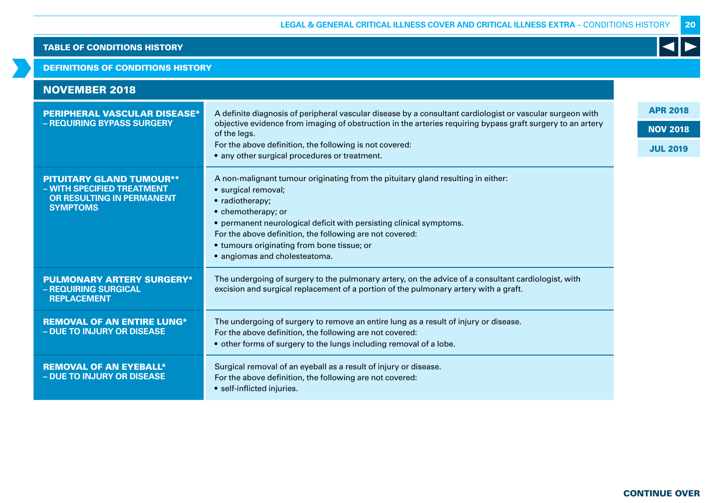# DEFINITIONS OF CONDITIONS HISTORY

| <b>NOVEMBER 2018</b>                                                                                          |                                                                                                                                                                                                                                                                                                                                                                    |  |  |  |  |  |  |
|---------------------------------------------------------------------------------------------------------------|--------------------------------------------------------------------------------------------------------------------------------------------------------------------------------------------------------------------------------------------------------------------------------------------------------------------------------------------------------------------|--|--|--|--|--|--|
| <b>PERIPHERAL VASCULAR DISEASE*</b>                                                                           | A definite diagnosis of peripheral vascular disease by a consultant cardiologist or vascular surgeon with                                                                                                                                                                                                                                                          |  |  |  |  |  |  |
| - REQUIRING BYPASS SURGERY                                                                                    | objective evidence from imaging of obstruction in the arteries requiring bypass graft surgery to an artery<br>of the legs.                                                                                                                                                                                                                                         |  |  |  |  |  |  |
|                                                                                                               | For the above definition, the following is not covered:<br>• any other surgical procedures or treatment.                                                                                                                                                                                                                                                           |  |  |  |  |  |  |
| <b>PITUITARY GLAND TUMOUR**</b><br>- WITH SPECIFIED TREATMENT<br>OR RESULTING IN PERMANENT<br><b>SYMPTOMS</b> | A non-malignant tumour originating from the pituitary gland resulting in either:<br>· surgical removal;<br>• radiotherapy;<br>• chemotherapy; or<br>• permanent neurological deficit with persisting clinical symptoms.<br>For the above definition, the following are not covered:<br>• tumours originating from bone tissue; or<br>• angiomas and cholesteatoma. |  |  |  |  |  |  |
| <b>PULMONARY ARTERY SURGERY*</b><br>- REQUIRING SURGICAL<br><b>REPLACEMENT</b>                                | The undergoing of surgery to the pulmonary artery, on the advice of a consultant cardiologist, with<br>excision and surgical replacement of a portion of the pulmonary artery with a graft.                                                                                                                                                                        |  |  |  |  |  |  |
| <b>REMOVAL OF AN ENTIRE LUNG*</b><br>- DUE TO INJURY OR DISEASE                                               | The undergoing of surgery to remove an entire lung as a result of injury or disease.<br>For the above definition, the following are not covered:<br>• other forms of surgery to the lungs including removal of a lobe.                                                                                                                                             |  |  |  |  |  |  |
| <b>REMOVAL OF AN EYEBALL*</b><br><b>- DUE TO INJURY OR DISEASE</b>                                            | Surgical removal of an eyeball as a result of injury or disease.<br>For the above definition, the following are not covered:<br>• self-inflicted injuries.                                                                                                                                                                                                         |  |  |  |  |  |  |

20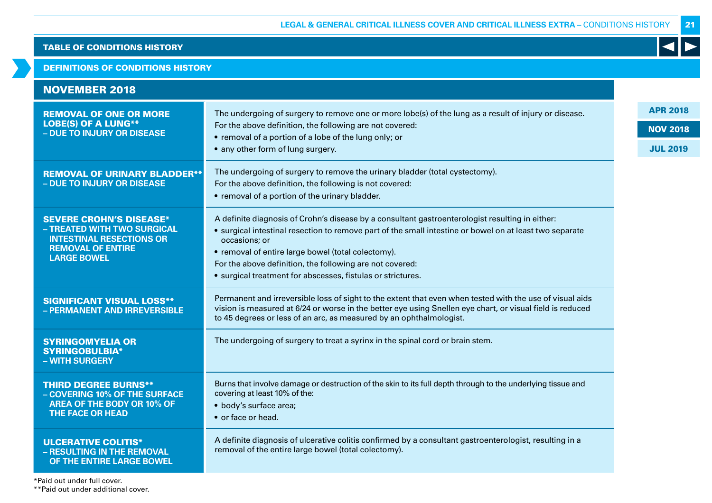21

 $\blacktriangleleft$ 

# TABLE OF CONDITIONS HISTORY

# DEFINITIONS OF CONDITIONS HISTORY

| <b>NOVEMBER 2018</b>                                                                                                                               |                                                                                                                                                                                                                                                                                                                                                                                                              |                                                       |
|----------------------------------------------------------------------------------------------------------------------------------------------------|--------------------------------------------------------------------------------------------------------------------------------------------------------------------------------------------------------------------------------------------------------------------------------------------------------------------------------------------------------------------------------------------------------------|-------------------------------------------------------|
| <b>REMOVAL OF ONE OR MORE</b><br><b>LOBE(S) OF A LUNG**</b><br>- DUE TO INJURY OR DISEASE                                                          | The undergoing of surgery to remove one or more lobe(s) of the lung as a result of injury or disease.<br>For the above definition, the following are not covered:<br>• removal of a portion of a lobe of the lung only; or<br>• any other form of lung surgery.                                                                                                                                              | <b>APR 2018</b><br><b>NOV 2018</b><br><b>JUL 2019</b> |
| <b>REMOVAL OF URINARY BLADDER**</b><br>- DUE TO INJURY OR DISEASE                                                                                  | The undergoing of surgery to remove the urinary bladder (total cystectomy).<br>For the above definition, the following is not covered:<br>• removal of a portion of the urinary bladder.                                                                                                                                                                                                                     |                                                       |
| <b>SEVERE CROHN'S DISEASE*</b><br>- TREATED WITH TWO SURGICAL<br><b>INTESTINAL RESECTIONS OR</b><br><b>REMOVAL OF ENTIRE</b><br><b>LARGE BOWEL</b> | A definite diagnosis of Crohn's disease by a consultant gastroenterologist resulting in either:<br>• surgical intestinal resection to remove part of the small intestine or bowel on at least two separate<br>occasions; or<br>• removal of entire large bowel (total colectomy).<br>For the above definition, the following are not covered:<br>• surgical treatment for abscesses, fistulas or strictures. |                                                       |
| <b>SIGNIFICANT VISUAL LOSS**</b><br>- PERMANENT AND IRREVERSIBLE                                                                                   | Permanent and irreversible loss of sight to the extent that even when tested with the use of visual aids<br>vision is measured at 6/24 or worse in the better eye using Snellen eye chart, or visual field is reduced<br>to 45 degrees or less of an arc, as measured by an ophthalmologist.                                                                                                                 |                                                       |
| <b>SYRINGOMYELIA OR</b><br><b>SYRINGOBULBIA*</b><br>- WITH SURGERY                                                                                 | The undergoing of surgery to treat a syrinx in the spinal cord or brain stem.                                                                                                                                                                                                                                                                                                                                |                                                       |
| <b>THIRD DEGREE BURNS**</b><br>- COVERING 10% OF THE SURFACE<br><b>AREA OF THE BODY OR 10% OF</b><br><b>THE FACE OR HEAD</b>                       | Burns that involve damage or destruction of the skin to its full depth through to the underlying tissue and<br>covering at least 10% of the:<br>• body's surface area;<br>• or face or head.                                                                                                                                                                                                                 |                                                       |
| <b>ULCERATIVE COLITIS*</b><br>- RESULTING IN THE REMOVAL<br>OF THE ENTIRE LARGE BOWEL                                                              | A definite diagnosis of ulcerative colitis confirmed by a consultant gastroenterologist, resulting in a<br>removal of the entire large bowel (total colectomy).                                                                                                                                                                                                                                              |                                                       |

\*Paid out under full cover.

\*\*Paid out under additional cover.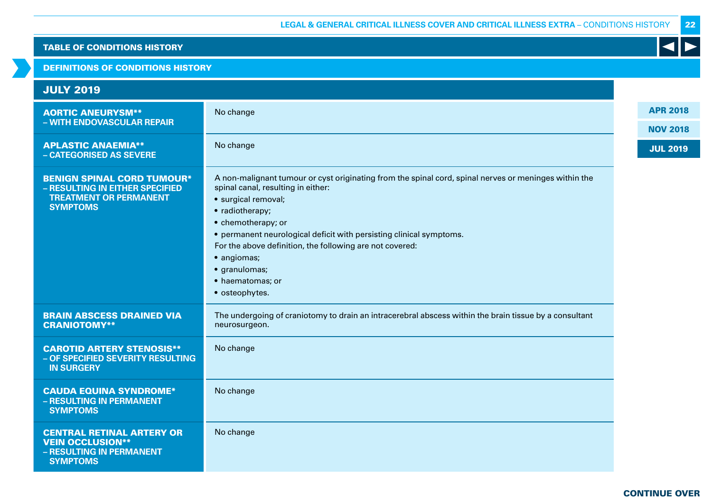DEFINITIONS OF CONDITIONS HISTORY

| <b>JULY 2019</b>                                                                                                         |                                                                                                                                                                                                                                                                                                                                                                                                                      |                 |
|--------------------------------------------------------------------------------------------------------------------------|----------------------------------------------------------------------------------------------------------------------------------------------------------------------------------------------------------------------------------------------------------------------------------------------------------------------------------------------------------------------------------------------------------------------|-----------------|
| <b>AORTIC ANEURYSM**</b><br>- WITH ENDOVASCULAR REPAIR                                                                   | No change                                                                                                                                                                                                                                                                                                                                                                                                            | <b>APR 2018</b> |
|                                                                                                                          |                                                                                                                                                                                                                                                                                                                                                                                                                      | <b>NOV 2018</b> |
| <b>APLASTIC ANAEMIA**</b><br>- CATEGORISED AS SEVERE                                                                     | No change                                                                                                                                                                                                                                                                                                                                                                                                            | <b>JUL 2019</b> |
| <b>BENIGN SPINAL CORD TUMOUR*</b><br>- RESULTING IN EITHER SPECIFIED<br><b>TREATMENT OR PERMANENT</b><br><b>SYMPTOMS</b> | A non-malignant tumour or cyst originating from the spinal cord, spinal nerves or meninges within the<br>spinal canal, resulting in either:<br>· surgical removal;<br>• radiotherapy;<br>• chemotherapy; or<br>• permanent neurological deficit with persisting clinical symptoms.<br>For the above definition, the following are not covered:<br>· angiomas;<br>· granulomas;<br>• haematomas; or<br>• osteophytes. |                 |
| <b>BRAIN ABSCESS DRAINED VIA</b><br><b>CRANIOTOMY**</b>                                                                  | The undergoing of craniotomy to drain an intracerebral abscess within the brain tissue by a consultant<br>neurosurgeon.                                                                                                                                                                                                                                                                                              |                 |
| <b>CAROTID ARTERY STENOSIS**</b><br>- OF SPECIFIED SEVERITY RESULTING<br><b>IN SURGERY</b>                               | No change                                                                                                                                                                                                                                                                                                                                                                                                            |                 |
| <b>CAUDA EQUINA SYNDROME*</b><br>- RESULTING IN PERMANENT<br><b>SYMPTOMS</b>                                             | No change                                                                                                                                                                                                                                                                                                                                                                                                            |                 |
| <b>CENTRAL RETINAL ARTERY OR</b><br><b>VEIN OCCLUSION**</b><br>- RESULTING IN PERMANENT<br><b>SYMPTOMS</b>               | No change                                                                                                                                                                                                                                                                                                                                                                                                            |                 |

22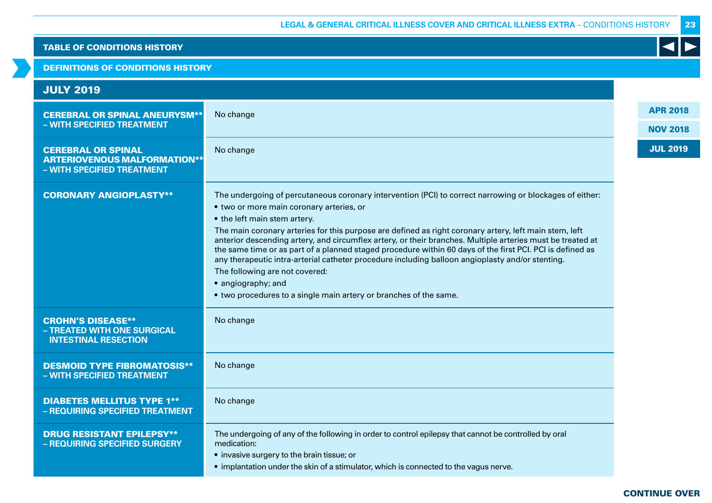### DEFINITIONS OF CONDITIONS HISTORY

| <b>JULY 2019</b>                                                                               |                                                                                                                                                                                                                                                                                                                                                                                                                                                                                                                                                                                                                                                                                                                                                           |                                    |
|------------------------------------------------------------------------------------------------|-----------------------------------------------------------------------------------------------------------------------------------------------------------------------------------------------------------------------------------------------------------------------------------------------------------------------------------------------------------------------------------------------------------------------------------------------------------------------------------------------------------------------------------------------------------------------------------------------------------------------------------------------------------------------------------------------------------------------------------------------------------|------------------------------------|
| <b>CEREBRAL OR SPINAL ANEURYSM**</b><br>- WITH SPECIFIED TREATMENT                             | No change                                                                                                                                                                                                                                                                                                                                                                                                                                                                                                                                                                                                                                                                                                                                                 | <b>APR 2018</b><br><b>NOV 2018</b> |
| <b>CEREBRAL OR SPINAL</b><br><b>ARTERIOVENOUS MALFORMATION**</b><br>- WITH SPECIFIED TREATMENT | No change                                                                                                                                                                                                                                                                                                                                                                                                                                                                                                                                                                                                                                                                                                                                                 | <b>JUL 2019</b>                    |
| <b>CORONARY ANGIOPLASTY**</b>                                                                  | The undergoing of percutaneous coronary intervention (PCI) to correct narrowing or blockages of either:<br>• two or more main coronary arteries, or<br>• the left main stem artery.<br>The main coronary arteries for this purpose are defined as right coronary artery, left main stem, left<br>anterior descending artery, and circumflex artery, or their branches. Multiple arteries must be treated at<br>the same time or as part of a planned staged procedure within 60 days of the first PCI. PCI is defined as<br>any therapeutic intra-arterial catheter procedure including balloon angioplasty and/or stenting.<br>The following are not covered:<br>• angiography; and<br>• two procedures to a single main artery or branches of the same. |                                    |
| <b>CROHN'S DISEASE**</b><br>- TREATED WITH ONE SURGICAL<br><b>INTESTINAL RESECTION</b>         | No change                                                                                                                                                                                                                                                                                                                                                                                                                                                                                                                                                                                                                                                                                                                                                 |                                    |
| <b>DESMOID TYPE FIBROMATOSIS**</b><br>- WITH SPECIFIED TREATMENT                               | No change                                                                                                                                                                                                                                                                                                                                                                                                                                                                                                                                                                                                                                                                                                                                                 |                                    |
| <b>DIABETES MELLITUS TYPE 1**</b><br>- REQUIRING SPECIFIED TREATMENT                           | No change                                                                                                                                                                                                                                                                                                                                                                                                                                                                                                                                                                                                                                                                                                                                                 |                                    |
| <b>DRUG RESISTANT EPILEPSY**</b><br>- REQUIRING SPECIFIED SURGERY                              | The undergoing of any of the following in order to control epilepsy that cannot be controlled by oral<br>medication:<br>• invasive surgery to the brain tissue; or<br>• implantation under the skin of a stimulator, which is connected to the vagus nerve.                                                                                                                                                                                                                                                                                                                                                                                                                                                                                               |                                    |

23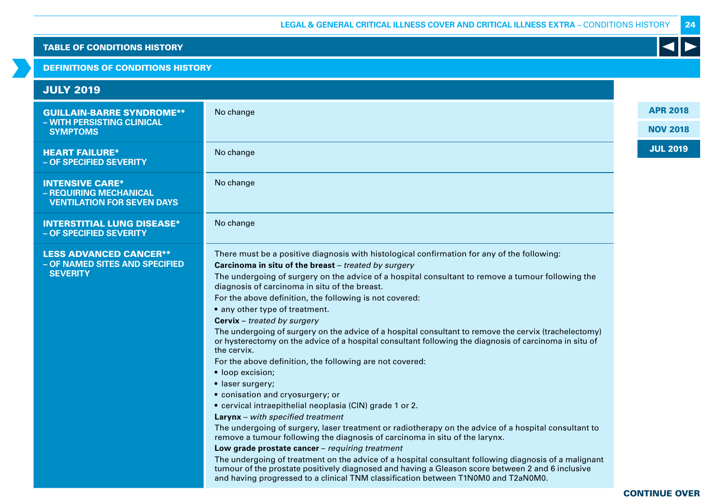## DEFINITIONS OF CONDITIONS HISTORY

# JULY 2019

| <b>GUILLAIN-BARRE SYNDROME**</b>                                                      | No change                                                                                                                                                                                                                                                                                                                                                                                                                                                                                                                                                                                                                                                                                                                                                                                                                                                                                                                                                                                                                                                                                                                                                                                                                                                                                                                                                                                                                                                                   | <b>APR 2018</b> |
|---------------------------------------------------------------------------------------|-----------------------------------------------------------------------------------------------------------------------------------------------------------------------------------------------------------------------------------------------------------------------------------------------------------------------------------------------------------------------------------------------------------------------------------------------------------------------------------------------------------------------------------------------------------------------------------------------------------------------------------------------------------------------------------------------------------------------------------------------------------------------------------------------------------------------------------------------------------------------------------------------------------------------------------------------------------------------------------------------------------------------------------------------------------------------------------------------------------------------------------------------------------------------------------------------------------------------------------------------------------------------------------------------------------------------------------------------------------------------------------------------------------------------------------------------------------------------------|-----------------|
| - WITH PERSISTING CLINICAL<br><b>SYMPTOMS</b>                                         |                                                                                                                                                                                                                                                                                                                                                                                                                                                                                                                                                                                                                                                                                                                                                                                                                                                                                                                                                                                                                                                                                                                                                                                                                                                                                                                                                                                                                                                                             | <b>NOV 2018</b> |
| <b>HEART FAILURE*</b><br>- OF SPECIFIED SEVERITY                                      | No change                                                                                                                                                                                                                                                                                                                                                                                                                                                                                                                                                                                                                                                                                                                                                                                                                                                                                                                                                                                                                                                                                                                                                                                                                                                                                                                                                                                                                                                                   | <b>JUL 2019</b> |
| <b>INTENSIVE CARE*</b><br>- REQUIRING MECHANICAL<br><b>VENTILATION FOR SEVEN DAYS</b> | No change                                                                                                                                                                                                                                                                                                                                                                                                                                                                                                                                                                                                                                                                                                                                                                                                                                                                                                                                                                                                                                                                                                                                                                                                                                                                                                                                                                                                                                                                   |                 |
| <b>INTERSTITIAL LUNG DISEASE*</b><br>- OF SPECIFIED SEVERITY                          | No change                                                                                                                                                                                                                                                                                                                                                                                                                                                                                                                                                                                                                                                                                                                                                                                                                                                                                                                                                                                                                                                                                                                                                                                                                                                                                                                                                                                                                                                                   |                 |
| <b>LESS ADVANCED CANCER**</b><br>- OF NAMED SITES AND SPECIFIED<br><b>SEVERITY</b>    | There must be a positive diagnosis with histological confirmation for any of the following:<br>Carcinoma in situ of the breast - treated by surgery<br>The undergoing of surgery on the advice of a hospital consultant to remove a tumour following the<br>diagnosis of carcinoma in situ of the breast.<br>For the above definition, the following is not covered:<br>• any other type of treatment.<br><b>Cervix</b> - treated by surgery<br>The undergoing of surgery on the advice of a hospital consultant to remove the cervix (trachelectomy)<br>or hysterectomy on the advice of a hospital consultant following the diagnosis of carcinoma in situ of<br>the cervix.<br>For the above definition, the following are not covered:<br>• loop excision;<br>• laser surgery;<br>· conisation and cryosurgery; or<br>• cervical intraepithelial neoplasia (CIN) grade 1 or 2.<br><b>Larynx</b> – with specified treatment<br>The undergoing of surgery, laser treatment or radiotherapy on the advice of a hospital consultant to<br>remove a tumour following the diagnosis of carcinoma in situ of the larynx.<br>Low grade prostate cancer - requiring treatment<br>The undergoing of treatment on the advice of a hospital consultant following diagnosis of a malignant<br>tumour of the prostate positively diagnosed and having a Gleason score between 2 and 6 inclusive<br>and having progressed to a clinical TNM classification between T1N0M0 and T2aN0M0. |                 |

24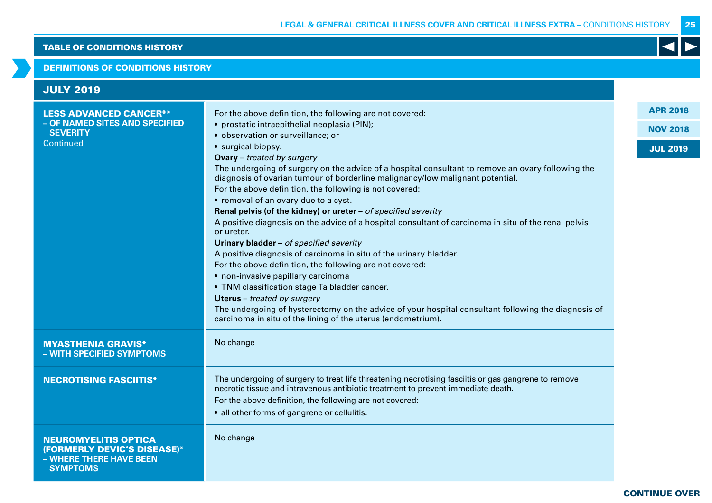### DEFINITIONS OF CONDITIONS HISTORY

| <b>JULY 2019</b>                                                                                         |                                                                                                                                                                                                                                                                                                                                                                                                                                                                                                                                                                                                                                                                                                                                                                                                                                                                                                                                                                                                                                                                                                                                                                             |                                                       |
|----------------------------------------------------------------------------------------------------------|-----------------------------------------------------------------------------------------------------------------------------------------------------------------------------------------------------------------------------------------------------------------------------------------------------------------------------------------------------------------------------------------------------------------------------------------------------------------------------------------------------------------------------------------------------------------------------------------------------------------------------------------------------------------------------------------------------------------------------------------------------------------------------------------------------------------------------------------------------------------------------------------------------------------------------------------------------------------------------------------------------------------------------------------------------------------------------------------------------------------------------------------------------------------------------|-------------------------------------------------------|
| <b>LESS ADVANCED CANCER**</b><br>- OF NAMED SITES AND SPECIFIED<br><b>SEVERITY</b><br>Continued          | For the above definition, the following are not covered:<br>• prostatic intraepithelial neoplasia (PIN);<br>· observation or surveillance; or<br>• surgical biopsy.<br><b>Ovary</b> - treated by surgery<br>The undergoing of surgery on the advice of a hospital consultant to remove an ovary following the<br>diagnosis of ovarian tumour of borderline malignancy/low malignant potential.<br>For the above definition, the following is not covered:<br>• removal of an ovary due to a cyst.<br>Renal pelvis (of the kidney) or ureter $-$ of specified severity<br>A positive diagnosis on the advice of a hospital consultant of carcinoma in situ of the renal pelvis<br>or ureter.<br>Urinary bladder - of specified severity<br>A positive diagnosis of carcinoma in situ of the urinary bladder.<br>For the above definition, the following are not covered:<br>· non-invasive papillary carcinoma<br>• TNM classification stage Ta bladder cancer.<br><b>Uterus</b> - treated by surgery<br>The undergoing of hysterectomy on the advice of your hospital consultant following the diagnosis of<br>carcinoma in situ of the lining of the uterus (endometrium). | <b>APR 2018</b><br><b>NOV 2018</b><br><b>JUL 2019</b> |
| <b>MYASTHENIA GRAVIS*</b><br>- WITH SPECIFIED SYMPTOMS                                                   | No change                                                                                                                                                                                                                                                                                                                                                                                                                                                                                                                                                                                                                                                                                                                                                                                                                                                                                                                                                                                                                                                                                                                                                                   |                                                       |
| <b>NECROTISING FASCIITIS*</b>                                                                            | The undergoing of surgery to treat life threatening necrotising fasciitis or gas gangrene to remove<br>necrotic tissue and intravenous antibiotic treatment to prevent immediate death.<br>For the above definition, the following are not covered:<br>• all other forms of gangrene or cellulitis.                                                                                                                                                                                                                                                                                                                                                                                                                                                                                                                                                                                                                                                                                                                                                                                                                                                                         |                                                       |
| <b>NEUROMYELITIS OPTICA</b><br>(FORMERLY DEVIC'S DISEASE)*<br>- WHERE THERE HAVE BEEN<br><b>SYMPTOMS</b> | No change                                                                                                                                                                                                                                                                                                                                                                                                                                                                                                                                                                                                                                                                                                                                                                                                                                                                                                                                                                                                                                                                                                                                                                   |                                                       |

25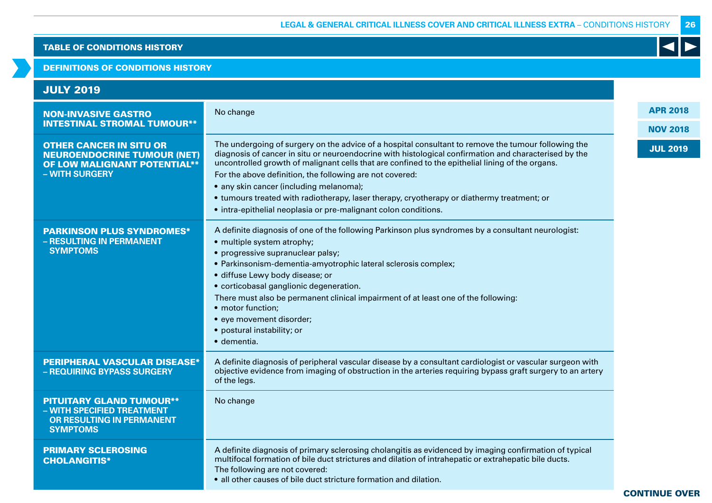### DEFINITIONS OF CONDITIONS HISTORY

| <b>JULY 2019</b>                                                                                                              |                                                                                                                                                                                                                                                                                                                                                                                                                                                                                                                                                                                          |                 |
|-------------------------------------------------------------------------------------------------------------------------------|------------------------------------------------------------------------------------------------------------------------------------------------------------------------------------------------------------------------------------------------------------------------------------------------------------------------------------------------------------------------------------------------------------------------------------------------------------------------------------------------------------------------------------------------------------------------------------------|-----------------|
| <b>NON-INVASIVE GASTRO</b>                                                                                                    | No change                                                                                                                                                                                                                                                                                                                                                                                                                                                                                                                                                                                | <b>APR 2018</b> |
| <b>INTESTINAL STROMAL TUMOUR**</b>                                                                                            |                                                                                                                                                                                                                                                                                                                                                                                                                                                                                                                                                                                          | <b>NOV 2018</b> |
| <b>OTHER CANCER IN SITU OR</b><br><b>NEUROENDOCRINE TUMOUR (NET)</b><br><b>OF LOW MALIGNANT POTENTIAL**</b><br>- WITH SURGERY | The undergoing of surgery on the advice of a hospital consultant to remove the tumour following the<br>diagnosis of cancer in situ or neuroendocrine with histological confirmation and characterised by the<br>uncontrolled growth of malignant cells that are confined to the epithelial lining of the organs.<br>For the above definition, the following are not covered:<br>• any skin cancer (including melanoma);<br>• tumours treated with radiotherapy, laser therapy, cryotherapy or diathermy treatment; or<br>• intra-epithelial neoplasia or pre-malignant colon conditions. | <b>JUL 2019</b> |
| <b>PARKINSON PLUS SYNDROMES*</b><br>- RESULTING IN PERMANENT<br><b>SYMPTOMS</b>                                               | A definite diagnosis of one of the following Parkinson plus syndromes by a consultant neurologist:<br>• multiple system atrophy;<br>• progressive supranuclear palsy;<br>· Parkinsonism-dementia-amyotrophic lateral sclerosis complex;<br>· diffuse Lewy body disease; or<br>• corticobasal ganglionic degeneration.<br>There must also be permanent clinical impairment of at least one of the following:<br>• motor function;<br>• eye movement disorder;<br>· postural instability; or<br>· dementia.                                                                                |                 |
| <b>PERIPHERAL VASCULAR DISEASE*</b><br>- REQUIRING BYPASS SURGERY                                                             | A definite diagnosis of peripheral vascular disease by a consultant cardiologist or vascular surgeon with<br>objective evidence from imaging of obstruction in the arteries requiring bypass graft surgery to an artery<br>of the legs.                                                                                                                                                                                                                                                                                                                                                  |                 |
| <b>PITUITARY GLAND TUMOUR**</b><br>- WITH SPECIFIED TREATMENT<br><b>OR RESULTING IN PERMANENT</b><br><b>SYMPTOMS</b>          | No change                                                                                                                                                                                                                                                                                                                                                                                                                                                                                                                                                                                |                 |
| <b>PRIMARY SCLEROSING</b><br><b>CHOLANGITIS*</b>                                                                              | A definite diagnosis of primary sclerosing cholangitis as evidenced by imaging confirmation of typical<br>multifocal formation of bile duct strictures and dilation of intrahepatic or extrahepatic bile ducts.<br>The following are not covered:<br>• all other causes of bile duct stricture formation and dilation.                                                                                                                                                                                                                                                                   |                 |

26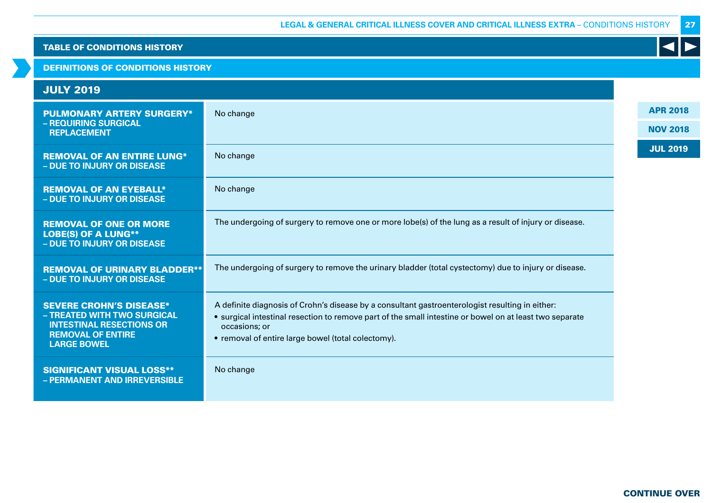# DEFINITIONS OF CONDITIONS HISTORY

| <b>JULY 2019</b>                                                                                                                                   |                                                                                                                                                                                                                                                                                   |
|----------------------------------------------------------------------------------------------------------------------------------------------------|-----------------------------------------------------------------------------------------------------------------------------------------------------------------------------------------------------------------------------------------------------------------------------------|
| <b>PULMONARY ARTERY SURGERY*</b>                                                                                                                   | No change                                                                                                                                                                                                                                                                         |
| - REQUIRING SURGICAL<br><b>REPLACEMENT</b>                                                                                                         |                                                                                                                                                                                                                                                                                   |
| <b>REMOVAL OF AN ENTIRE LUNG*</b><br>- DUE TO INJURY OR DISEASE                                                                                    | No change                                                                                                                                                                                                                                                                         |
| <b>REMOVAL OF AN EYEBALL*</b><br>- DUE TO INJURY OR DISEASE                                                                                        | No change                                                                                                                                                                                                                                                                         |
| <b>REMOVAL OF ONE OR MORE</b><br><b>LOBE(S) OF A LUNG**</b><br>- DUE TO INJURY OR DISEASE                                                          | The undergoing of surgery to remove one or more lobe(s) of the lung as a result of injury or disease.                                                                                                                                                                             |
| <b>REMOVAL OF URINARY BLADDER**</b><br>- DUE TO INJURY OR DISEASE                                                                                  | The undergoing of surgery to remove the urinary bladder (total cystectomy) due to injury or disease.                                                                                                                                                                              |
| <b>SEVERE CROHN'S DISEASE*</b><br>- TREATED WITH TWO SURGICAL<br><b>INTESTINAL RESECTIONS OR</b><br><b>REMOVAL OF ENTIRE</b><br><b>LARGE BOWEL</b> | A definite diagnosis of Crohn's disease by a consultant gastroenterologist resulting in either:<br>• surgical intestinal resection to remove part of the small intestine or bowel on at least two separate<br>occasions; or<br>• removal of entire large bowel (total colectomy). |
| <b>SIGNIFICANT VISUAL LOSS**</b><br>- PERMANENT AND IRREVERSIBLE                                                                                   | No change                                                                                                                                                                                                                                                                         |

27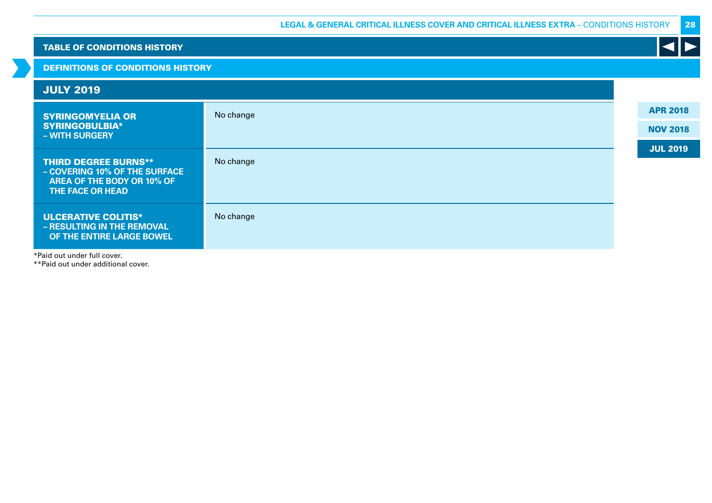| <b>TABLE OF CONDITIONS HISTORY</b> |                                                                                                                       |           |  |                 |  |  |  |  |  |  |  |
|------------------------------------|-----------------------------------------------------------------------------------------------------------------------|-----------|--|-----------------|--|--|--|--|--|--|--|
|                                    | <b>DEFINITIONS OF CONDITIONS HISTORY</b>                                                                              |           |  |                 |  |  |  |  |  |  |  |
|                                    | <b>JULY 2019</b>                                                                                                      |           |  |                 |  |  |  |  |  |  |  |
|                                    | <b>SYRINGOMYELIA OR</b>                                                                                               | No change |  | <b>APR 2018</b> |  |  |  |  |  |  |  |
|                                    | <b>SYRINGOBULBIA*</b><br>- WITH SURGERY                                                                               |           |  | <b>NOV 2018</b> |  |  |  |  |  |  |  |
|                                    | <b>THIRD DEGREE BURNS**</b><br>- COVERING 10% OF THE SURFACE<br>AREA OF THE BODY OR 10% OF<br><b>THE FACE OR HEAD</b> | No change |  | <b>JUL 2019</b> |  |  |  |  |  |  |  |
|                                    | <b>ULCERATIVE COLITIS*</b><br>- RESULTING IN THE REMOVAL<br>OF THE ENTIRE LARGE BOWEL                                 | No change |  |                 |  |  |  |  |  |  |  |

\*Paid out under full cover.

\*\*Paid out under additional cover.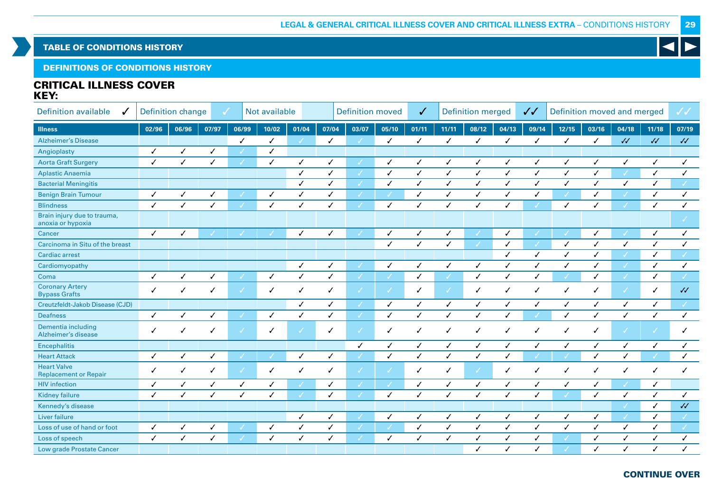DEFINITIONS OF CONDITIONS HISTORY

# CRITICAL ILLNESS COVER KEY:

| <b>Definition available</b>                        | <b>Definition change</b><br>Not available<br>J |              |       |               |              |              | <b>Definition moved</b> |              |              |              | <b>Definition merged</b> |              |              | Definition moved and merged<br>$\checkmark$ |              |              |                          | ✓✓         |              |
|----------------------------------------------------|------------------------------------------------|--------------|-------|---------------|--------------|--------------|-------------------------|--------------|--------------|--------------|--------------------------|--------------|--------------|---------------------------------------------|--------------|--------------|--------------------------|------------|--------------|
| <b>Illness</b>                                     | 02/96                                          | 06/96        | 07/97 | 06/99         | 10/02        | 01/04        | 07/04                   | 03/07        | 05/10        | 01/11        | 11/11                    | 08/12        | 04/13        | 09/14                                       | 12/15        | 03/16        | 04/18                    | 11/18      | 07/19        |
| <b>Alzheimer's Disease</b>                         |                                                |              |       | ✓             | $\checkmark$ |              | ✓                       |              | ✓            | $\checkmark$ | ✓                        | ✓            | $\checkmark$ | $\checkmark$                                | ✓            | $\checkmark$ | $\sqrt{2}$               | $\sqrt{2}$ | $\cal{U}$    |
| Angioplasty                                        | $\checkmark$                                   | $\checkmark$ | ✓     |               | ✓            |              |                         |              |              |              |                          |              |              |                                             |              |              |                          |            |              |
| <b>Aorta Graft Surgery</b>                         | ✓                                              | ✓            | ✓     |               | ✓            | ✓            | ✓                       |              | ✓            | ✓            | ✓                        | ✓            | ✓            | ✓                                           | ✓            | ✓            | ✓                        |            | ✓            |
| <b>Aplastic Anaemia</b>                            |                                                |              |       |               |              | ✓            | ✓                       |              | ✓            | ✓            | $\checkmark$             | $\checkmark$ | $\checkmark$ | $\checkmark$                                | ✓            | ✓            |                          | ✓          | ✓            |
| <b>Bacterial Meningitis</b>                        |                                                |              |       |               |              | $\checkmark$ | ✓                       | √            | ✓            | ✓            | ✓                        | ✓            | $\checkmark$ | $\checkmark$                                | $\checkmark$ | ✓            | $\checkmark$             | J          |              |
| <b>Benign Brain Tumour</b>                         | ✓                                              | $\checkmark$ | ✓     |               | ✓            | $\checkmark$ | ✓                       |              |              | ✓            | ✓                        | ✓            | $\checkmark$ | ✓                                           |              | ✓            |                          |            | ✓            |
| <b>Blindness</b>                                   | $\checkmark$                                   | ✓            | ✓     |               | ✓            | ✓            | ✓                       |              | $\checkmark$ | ✓            | ✓                        | ✓            | ✓            |                                             | ✓            | ✓            |                          | ✓          | ✓            |
| Brain injury due to trauma,<br>anoxia or hypoxia   |                                                |              |       |               |              |              |                         |              |              |              |                          |              |              |                                             |              |              |                          |            |              |
| Cancer                                             | $\checkmark$                                   | ✓            |       |               |              | ✓            | ✓                       |              | $\checkmark$ | ✓            | ✓                        |              | $\checkmark$ |                                             |              | ✓            |                          | ✓          | ✓            |
| Carcinoma in Situ of the breast                    |                                                |              |       |               |              |              |                         |              | $\checkmark$ | $\checkmark$ | $\checkmark$             |              | $\checkmark$ | $\checkmark$                                | $\checkmark$ | ✓            | $\checkmark$             | ✓          | ✓            |
| <b>Cardiac arrest</b>                              |                                                |              |       |               |              |              |                         |              |              |              |                          |              | ✓            | $\checkmark$                                | ✓            | ✓            |                          | ✓          |              |
| Cardiomyopathy                                     |                                                |              |       |               |              | $\checkmark$ | $\checkmark$            |              | $\checkmark$ | $\checkmark$ | ✓                        | ✓            | $\checkmark$ | $\checkmark$                                | $\checkmark$ | $\checkmark$ |                          | ✓          | ✓            |
| Coma                                               | $\checkmark$                                   | ✓            | ✓     |               | $\checkmark$ | ✓            | ✓                       |              |              | ✓            |                          | $\checkmark$ | ✓            | ✓                                           |              | $\checkmark$ | $\overline{\mathscr{S}}$ | ./         |              |
| <b>Coronary Artery</b><br><b>Bypass Grafts</b>     | ✓                                              | ✓            | ✓     | $\mathcal{L}$ | ✓            | $\checkmark$ | ✓                       |              | ℳ            | $\checkmark$ | J                        | ✓            | $\checkmark$ | ✓                                           | ✓            | ✓            | $\checkmark$             | ℐ          | $\sqrt{2}$   |
| Creutzfeldt-Jakob Disease (CJD)                    |                                                |              |       |               |              | $\checkmark$ | ✓                       | J            | $\checkmark$ | $\checkmark$ | ✓                        | $\checkmark$ | $\checkmark$ | $\checkmark$                                | ✓            | $\checkmark$ | $\checkmark$             | ✓          |              |
| <b>Deafness</b>                                    | ✓                                              | ✓            | ✓     |               | $\checkmark$ | ✓            | ✓                       | J            | ✓            | ✓            | ✓                        | $\checkmark$ | ✓            |                                             | ✓            | ✓            | $\checkmark$             | ✓          | $\checkmark$ |
| Dementia including<br>Alzheimer's disease          | ✓                                              | ✓            | ✓     | $\checkmark$  | ✓            | $\checkmark$ | $\checkmark$            | √            | $\checkmark$ | $\checkmark$ | ✓                        | ✓            | $\checkmark$ | $\checkmark$                                | $\checkmark$ | ✓            | $\checkmark$             | V          | ✓            |
| <b>Encephalitis</b>                                |                                                |              |       |               |              |              |                         | ✓            | $\checkmark$ | $\checkmark$ | ✓                        | ✓            | $\checkmark$ | ✓                                           | ✓            | ✓            | $\checkmark$             | ✓          | ✓            |
| <b>Heart Attack</b>                                | $\checkmark$                                   | ✓            | ✓     |               |              | $\checkmark$ | $\checkmark$            |              | ✓            | ✓            | ✓                        | ✓            | $\checkmark$ |                                             |              | $\checkmark$ | ✓                        |            | ✓            |
| <b>Heart Valve</b><br><b>Replacement or Repair</b> | ✓                                              | ✓            | ✓     | $\mathcal{L}$ | ✓            | ✓            | ✓                       |              |              | ✓            | ✓                        |              | ✓            | ℐ                                           | ✓            | ✓            | ✓                        | ✓          | ✓            |
| <b>HIV</b> infection                               | ✓                                              | ✓            | ✓     | ✓             | ✓            |              | $\checkmark$            |              |              | ✓            | ✓                        | ✓            | ✓            | ✓                                           | ✓            | ✓            |                          | ✓          |              |
| <b>Kidney failure</b>                              | ✓                                              | $\checkmark$ | ✓     | ✓             | ✓            |              | ✓                       |              | $\checkmark$ | $\checkmark$ | ✓                        | $\checkmark$ | $\checkmark$ | ✓                                           |              | $\checkmark$ | $\checkmark$             | ✓          | ✓            |
| Kennedy's disease                                  |                                                |              |       |               |              |              |                         |              |              |              |                          |              |              |                                             |              |              |                          | ✓          | $\cal{U}$    |
| Liver failure                                      |                                                |              |       |               |              | ✓            | ✓                       |              | $\checkmark$ | ✓            | ✓                        | ✓            | ✓            | ✓                                           | ✓            | ✓            | $\mathcal{L}$            | ✓          |              |
| Loss of use of hand or foot                        | ✓                                              | $\checkmark$ | ✓     |               | $\checkmark$ | $\checkmark$ | ✓                       |              |              | $\checkmark$ | ✓                        | $\checkmark$ | $\checkmark$ | ✓                                           | ✓            | ✓            | $\checkmark$             | ℐ          | $\checkmark$ |
| Loss of speech                                     | ✓                                              | ✓            | ✓     | $\mathcal{L}$ | ✓            | ✓            | ✓                       | $\checkmark$ | ✓            | ✓            | ✓                        | ✓            | ✓            | ✓                                           |              | ✓            | $\checkmark$             |            | $\checkmark$ |
| Low grade Prostate Cancer                          |                                                |              |       |               |              |              |                         |              |              |              |                          | ✓            |              | ✓                                           |              | ✓            | $\checkmark$             |            | ✓            |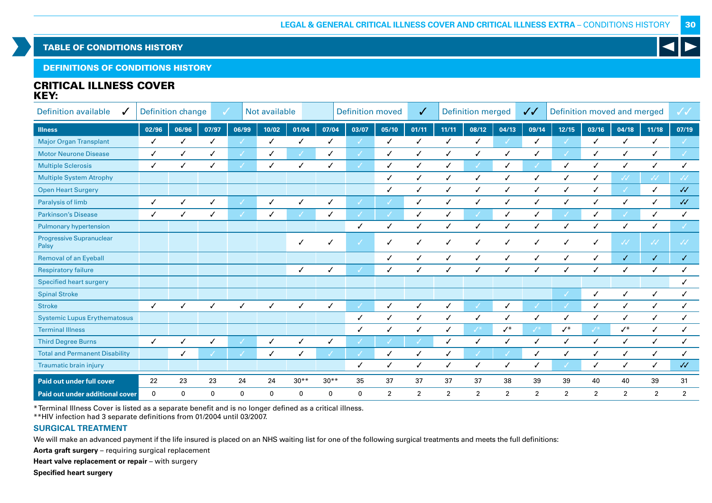DEFINITIONS OF CONDITIONS HISTORY

# CRITICAL ILLNESS COVER KEY:

| <b>Definition available</b><br>J         |             | <b>Definition change</b> | ✓     |       | Not available |             | <b>Definition moved</b> |              |                | ✓              | <b>Definition merged</b> |                 |                | $\checkmark$   | Definition moved and merged |                |                                                    |                   | $\checkmark$      |
|------------------------------------------|-------------|--------------------------|-------|-------|---------------|-------------|-------------------------|--------------|----------------|----------------|--------------------------|-----------------|----------------|----------------|-----------------------------|----------------|----------------------------------------------------|-------------------|-------------------|
| <b>Illness</b>                           | 02/96       | 06/96                    | 07/97 | 06/99 | 10/02         | 01/04       | 07/04                   | 03/07        | 05/10          | 01/11          | 11/11                    | 08/12           | 04/13          | 09/14          | 12/15                       | 03/16          | 04/18                                              | 11/18             | 07/19             |
| <b>Major Organ Transplant</b>            | ✓           | ✓                        |       |       | J             |             | ℐ                       |              |                |                | ✓                        |                 |                | ✓              |                             |                | ✓                                                  | ✓                 |                   |
| <b>Motor Neurone Disease</b>             |             | ✓                        |       |       | ✓             |             | ✓                       |              |                | ✓              | ./                       |                 |                |                |                             |                | ✓                                                  | ✓                 | J.                |
| <b>Multiple Sclerosis</b>                | ✓           |                          |       |       |               |             |                         |              |                | ✓              |                          |                 |                |                | $\checkmark$                |                | ✓                                                  |                   |                   |
| <b>Multiple System Atrophy</b>           |             |                          |       |       |               |             |                         |              |                |                |                          |                 |                | ✓              | ✓                           |                | $\checkmark$                                       | ₩                 | $\sqrt{\sqrt{2}}$ |
| <b>Open Heart Surgery</b>                |             |                          |       |       |               |             |                         |              |                |                | ✓                        | ✓               |                | ✓              | ✓                           |                |                                                    | √                 | $\sqrt{2}$        |
| Paralysis of limb                        | ✓           | ✓                        | ✓     |       | ✓             |             | √                       |              |                | ✓              | ✓                        | ✓               | ✓              | ✓              | ✓                           |                | ✓                                                  | √                 | $\sqrt{2}$        |
| <b>Parkinson's Disease</b>               | ✓           | √                        |       |       | √             |             | $\checkmark$            |              |                | ✓              | ✓                        |                 | ✓              | ✓              |                             |                |                                                    | ✓                 |                   |
| <b>Pulmonary hypertension</b>            |             |                          |       |       |               |             |                         | ✓            | ✓              | ✓              | $\checkmark$             | ✓               |                | ✓              | $\checkmark$                |                | ✓                                                  | √                 |                   |
| <b>Progressive Supranuclear</b><br>Palsy |             |                          |       |       |               |             | √                       | J            | √              |                | √                        |                 |                | $\checkmark$   | ✓                           |                | $\ensuremath{\mathcal{A}}\ensuremath{\mathcal{A}}$ | $\sqrt{\sqrt{2}}$ | $\sqrt{\sqrt{2}}$ |
| <b>Removal of an Eyeball</b>             |             |                          |       |       |               |             |                         |              | ℐ              | ✓              | $\checkmark$             | ✓               | ✓              | ✓              | $\checkmark$                |                | $\checkmark$                                       | $\checkmark$      | $\sqrt{2}$        |
| <b>Respiratory failure</b>               |             |                          |       |       |               | ✓           | ./                      |              | ℐ              | ✓              | $\checkmark$             | $\cdot$         |                | ✓              |                             |                |                                                    | √                 |                   |
| <b>Specified heart surgery</b>           |             |                          |       |       |               |             |                         |              |                |                |                          |                 |                |                |                             |                |                                                    |                   |                   |
| <b>Spinal Stroke</b>                     |             |                          |       |       |               |             |                         |              |                |                |                          |                 |                |                |                             | ✓              | $\checkmark$                                       | $\checkmark$      |                   |
| <b>Stroke</b>                            | ✓           |                          | ℐ     | J     | ✓             |             | ℐ                       |              | ℐ              | $\checkmark$   | $\checkmark$             |                 |                |                |                             |                | ✓                                                  | ✓                 |                   |
| <b>Systemic Lupus Erythematosus</b>      |             |                          |       |       |               |             |                         | $\checkmark$ | ℐ              | $\checkmark$   | $\checkmark$             | ℐ               |                | ✓              | ✓                           |                | ✓                                                  | ✓                 |                   |
| <b>Terminal Illness</b>                  |             |                          |       |       |               |             |                         | ✓            |                |                |                          | $\mathscr{N}^*$ | $\checkmark$   | $J^*$          | $\checkmark^*$              |                | $\checkmark^*$                                     | ✓                 |                   |
| <b>Third Degree Burns</b>                | ✓           |                          |       |       | √             |             |                         |              |                |                | $\checkmark$             |                 |                | ✓              | √                           |                | ✓                                                  | ✓                 |                   |
| <b>Total and Permanent Disability</b>    |             |                          |       |       | ✓             |             |                         |              |                |                |                          |                 |                | ✓              |                             |                | ✓                                                  | ✓                 |                   |
| Traumatic brain injury                   |             |                          |       |       |               |             |                         | $\checkmark$ |                | ✓              | ✓                        | $\cdot$         |                | $\checkmark$   |                             |                | ✓                                                  | $\checkmark$      | $\sqrt{2}$        |
| <b>Paid out under full cover</b>         | 22          | 23                       | 23    | 24    | 24            | $30**$      | $30**$                  | 35           | 37             | 37             | 37                       | 37              | 38             | 39             | 39                          | 40             | 40                                                 | 39                | 31                |
| Paid out under additional cover          | $\mathbf 0$ | $\mathbf 0$              | 0     | 0     | $\mathbf 0$   | $\mathbf 0$ | 0                       | 0            | $\overline{2}$ | $\overline{2}$ | $\overline{2}$           | $\overline{2}$  | $\overline{2}$ | $\overline{2}$ | $\overline{2}$              | $\overline{2}$ | $\overline{2}$                                     | $\overline{2}$    | $\overline{2}$    |

\* Terminal Illness Cover is listed as a separate benefit and is no longer defined as a critical illness.

\*\*HIV infection had 3 separate definitions from 01/2004 until 03/2007.

## **SURGICAL TREATMENT**

We will make an advanced payment if the life insured is placed on an NHS waiting list for one of the following surgical treatments and meets the full definitions:

**Aorta graft surgery** – requiring surgical replacement

**Heart valve replacement or repair** – with surgery

**Specified heart surgery**

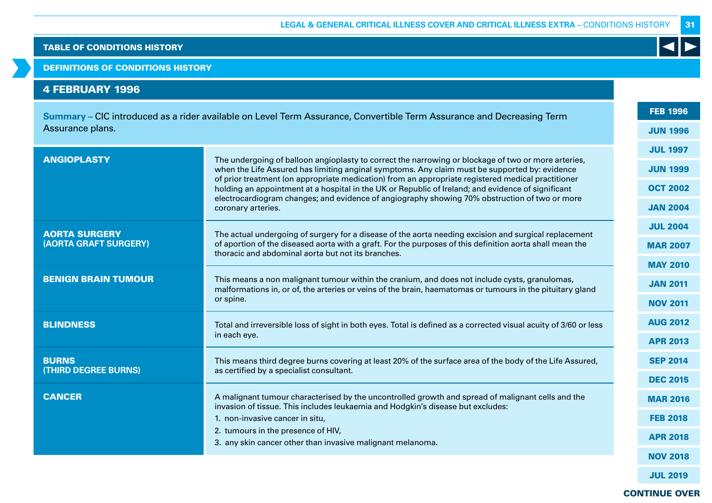DEFINITIONS OF CONDITIONS HISTORY

# 4 FEBRUARY 1996

|                            | Summary – CIC introduced as a rider available on Level Term Assurance, Convertible Term Assurance and Decreasing Term                                                                                      | <b>FEB 1996</b> |  |  |  |
|----------------------------|------------------------------------------------------------------------------------------------------------------------------------------------------------------------------------------------------------|-----------------|--|--|--|
| Assurance plans.           |                                                                                                                                                                                                            | <b>JUN 1996</b> |  |  |  |
| <b>ANGIOPLASTY</b>         |                                                                                                                                                                                                            | <b>JUL 1997</b> |  |  |  |
|                            | The undergoing of balloon angioplasty to correct the narrowing or blockage of two or more arteries,<br>when the Life Assured has limiting anginal symptoms. Any claim must be supported by: evidence       | <b>JUN 1999</b> |  |  |  |
|                            | of prior treatment (on appropriate medication) from an appropriate registered medical practitioner<br>holding an appointment at a hospital in the UK or Republic of Ireland; and evidence of significant   | <b>OCT 2002</b> |  |  |  |
|                            | electrocardiogram changes; and evidence of angiography showing 70% obstruction of two or more<br>coronary arteries.                                                                                        |                 |  |  |  |
| <b>AORTA SURGERY</b>       | The actual undergoing of surgery for a disease of the aorta needing excision and surgical replacement                                                                                                      | <b>JUL 2004</b> |  |  |  |
| (AORTA GRAFT SURGERY)      | of aportion of the diseased aorta with a graft. For the purposes of this definition aorta shall mean the<br>thoracic and abdominal aorta but not its branches.                                             |                 |  |  |  |
|                            |                                                                                                                                                                                                            | <b>MAY 2010</b> |  |  |  |
| <b>BENIGN BRAIN TUMOUR</b> | This means a non malignant tumour within the cranium, and does not include cysts, granulomas,<br>malformations in, or of, the arteries or veins of the brain, haematomas or tumours in the pituitary gland | <b>JAN 2011</b> |  |  |  |
|                            | or spine.                                                                                                                                                                                                  | <b>NOV 2011</b> |  |  |  |
| <b>BLINDNESS</b>           | Total and irreversible loss of sight in both eyes. Total is defined as a corrected visual acuity of 3/60 or less                                                                                           | <b>AUG 2012</b> |  |  |  |
|                            | in each eye.                                                                                                                                                                                               | <b>APR 2013</b> |  |  |  |
| <b>BURNS</b>               | This means third degree burns covering at least 20% of the surface area of the body of the Life Assured,                                                                                                   | <b>SEP 2014</b> |  |  |  |
| (THIRD DEGREE BURNS)       | as certified by a specialist consultant.                                                                                                                                                                   |                 |  |  |  |
| <b>CANCER</b>              | A malignant tumour characterised by the uncontrolled growth and spread of malignant cells and the<br>invasion of tissue. This includes leukaemia and Hodgkin's disease but excludes:                       | <b>MAR 2016</b> |  |  |  |
|                            | 1. non-invasive cancer in situ,                                                                                                                                                                            | <b>FEB 2018</b> |  |  |  |
|                            | 2. tumours in the presence of HIV,<br>3. any skin cancer other than invasive malignant melanoma.                                                                                                           | <b>APR 2018</b> |  |  |  |
|                            |                                                                                                                                                                                                            | <b>NOV 2018</b> |  |  |  |
|                            |                                                                                                                                                                                                            |                 |  |  |  |

JUL 2019

31

 $\blacktriangleleft$ 

CONTINUE OVER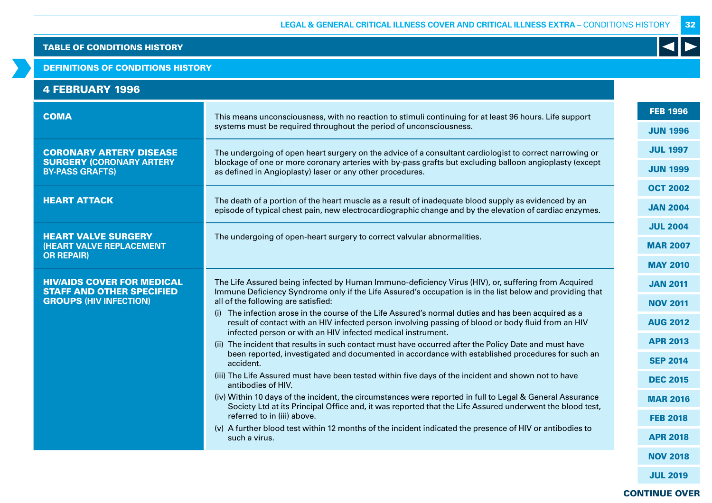### DEFINITIONS OF CONDITIONS HISTORY

| <b>4 FEBRUARY 1996</b> |  |  |  |
|------------------------|--|--|--|
|                        |  |  |  |

| <b>COMA</b>                                                           | This means unconsciousness, with no reaction to stimuli continuing for at least 96 hours. Life support<br>systems must be required throughout the period of unconsciousness.                                                                                          |                 |
|-----------------------------------------------------------------------|-----------------------------------------------------------------------------------------------------------------------------------------------------------------------------------------------------------------------------------------------------------------------|-----------------|
|                                                                       |                                                                                                                                                                                                                                                                       |                 |
| <b>CORONARY ARTERY DISEASE</b>                                        | The undergoing of open heart surgery on the advice of a consultant cardiologist to correct narrowing or                                                                                                                                                               | <b>JUL 1997</b> |
| <b>SURGERY (CORONARY ARTERY</b><br><b>BY-PASS GRAFTS)</b>             | blockage of one or more coronary arteries with by-pass grafts but excluding balloon angioplasty (except<br>as defined in Angioplasty) laser or any other procedures.                                                                                                  | <b>JUN 1999</b> |
|                                                                       |                                                                                                                                                                                                                                                                       | <b>OCT 2002</b> |
| <b>HEART ATTACK</b>                                                   | The death of a portion of the heart muscle as a result of inadequate blood supply as evidenced by an<br>episode of typical chest pain, new electrocardiographic change and by the elevation of cardiac enzymes.                                                       | <b>JAN 2004</b> |
|                                                                       |                                                                                                                                                                                                                                                                       | <b>JUL 2004</b> |
| <b>HEART VALVE SURGERY</b><br><b>(HEART VALVE REPLACEMENT</b>         | The undergoing of open-heart surgery to correct valvular abnormalities.                                                                                                                                                                                               | <b>MAR 2007</b> |
| <b>OR REPAIR)</b>                                                     |                                                                                                                                                                                                                                                                       | <b>MAY 2010</b> |
| <b>HIV/AIDS COVER FOR MEDICAL</b><br><b>STAFF AND OTHER SPECIFIED</b> | The Life Assured being infected by Human Immuno-deficiency Virus (HIV), or, suffering from Acquired<br>Immune Deficiency Syndrome only if the Life Assured's occupation is in the list below and providing that                                                       | <b>JAN 2011</b> |
| <b>GROUPS (HIV INFECTION)</b>                                         | all of the following are satisfied:                                                                                                                                                                                                                                   | <b>NOV 2011</b> |
|                                                                       | The infection arose in the course of the Life Assured's normal duties and has been acquired as a<br>result of contact with an HIV infected person involving passing of blood or body fluid from an HIV<br>infected person or with an HIV infected medical instrument. | <b>AUG 2012</b> |
|                                                                       | (ii) The incident that results in such contact must have occurred after the Policy Date and must have                                                                                                                                                                 | <b>APR 2013</b> |
|                                                                       | been reported, investigated and documented in accordance with established procedures for such an<br>accident.                                                                                                                                                         | <b>SEP 2014</b> |
|                                                                       | (iii) The Life Assured must have been tested within five days of the incident and shown not to have<br>antibodies of HIV.                                                                                                                                             | <b>DEC 2015</b> |
|                                                                       | (iv) Within 10 days of the incident, the circumstances were reported in full to Legal & General Assurance<br>Society Ltd at its Principal Office and, it was reported that the Life Assured underwent the blood test,                                                 | <b>MAR 2016</b> |
|                                                                       | referred to in (iii) above.                                                                                                                                                                                                                                           | <b>FEB 2018</b> |
|                                                                       | (v) A further blood test within 12 months of the incident indicated the presence of HIV or antibodies to<br>such a virus.                                                                                                                                             | <b>APR 2018</b> |
|                                                                       |                                                                                                                                                                                                                                                                       | <b>NOV 2018</b> |
|                                                                       |                                                                                                                                                                                                                                                                       |                 |

JUL 2019

32

 $\blacktriangleleft$ 

CONTINUE OVER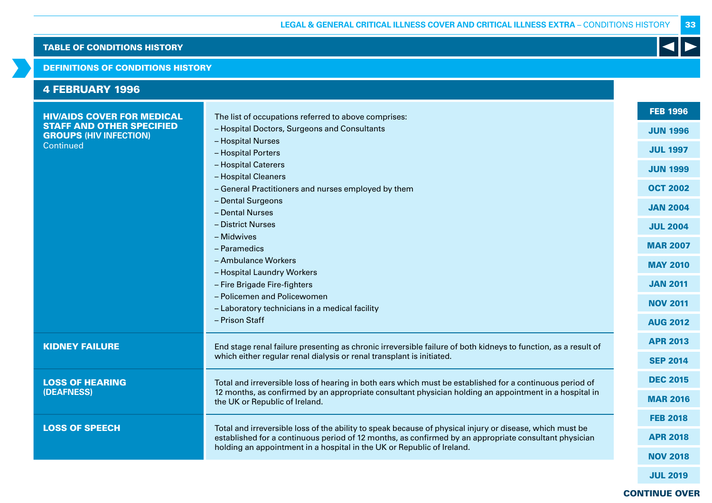## DEFINITIONS OF CONDITIONS HISTORY

| <b>4 FEBRUARY 1996</b>                                            |                                                                                                                                                                                                                                                      |                 |
|-------------------------------------------------------------------|------------------------------------------------------------------------------------------------------------------------------------------------------------------------------------------------------------------------------------------------------|-----------------|
| <b>HIV/AIDS COVER FOR MEDICAL</b>                                 | The list of occupations referred to above comprises:                                                                                                                                                                                                 | <b>FEB 1996</b> |
| <b>STAFF AND OTHER SPECIFIED</b><br><b>GROUPS (HIV INFECTION)</b> | - Hospital Doctors, Surgeons and Consultants                                                                                                                                                                                                         | <b>JUN 1996</b> |
| Continued                                                         | - Hospital Nurses                                                                                                                                                                                                                                    | <b>JUL 1997</b> |
|                                                                   | - Hospital Porters                                                                                                                                                                                                                                   |                 |
|                                                                   | - Hospital Caterers                                                                                                                                                                                                                                  | <b>JUN 1999</b> |
|                                                                   | - Hospital Cleaners<br>- General Practitioners and nurses employed by them                                                                                                                                                                           | <b>OCT 2002</b> |
|                                                                   | - Dental Surgeons                                                                                                                                                                                                                                    |                 |
|                                                                   | - Dental Nurses                                                                                                                                                                                                                                      | <b>JAN 2004</b> |
|                                                                   | - District Nurses                                                                                                                                                                                                                                    | <b>JUL 2004</b> |
|                                                                   | - Midwives                                                                                                                                                                                                                                           |                 |
|                                                                   | - Paramedics                                                                                                                                                                                                                                         | <b>MAR 2007</b> |
|                                                                   | - Ambulance Workers                                                                                                                                                                                                                                  | <b>MAY 2010</b> |
|                                                                   | - Hospital Laundry Workers                                                                                                                                                                                                                           |                 |
|                                                                   | - Fire Brigade Fire-fighters<br>- Policemen and Policewomen                                                                                                                                                                                          | <b>JAN 2011</b> |
|                                                                   | - Laboratory technicians in a medical facility                                                                                                                                                                                                       | <b>NOV 2011</b> |
|                                                                   | - Prison Staff                                                                                                                                                                                                                                       | <b>AUG 2012</b> |
|                                                                   |                                                                                                                                                                                                                                                      |                 |
| <b>KIDNEY FAILURE</b>                                             | End stage renal failure presenting as chronic irreversible failure of both kidneys to function, as a result of                                                                                                                                       | <b>APR 2013</b> |
|                                                                   | which either regular renal dialysis or renal transplant is initiated.                                                                                                                                                                                | <b>SEP 2014</b> |
| <b>LOSS OF HEARING</b><br>(DEAFNESS)                              | Total and irreversible loss of hearing in both ears which must be established for a continuous period of<br>12 months, as confirmed by an appropriate consultant physician holding an appointment in a hospital in<br>the UK or Republic of Ireland. | <b>DEC 2015</b> |
|                                                                   |                                                                                                                                                                                                                                                      | <b>MAR 2016</b> |
|                                                                   |                                                                                                                                                                                                                                                      |                 |
| <b>LOSS OF SPEECH</b>                                             | Total and irreversible loss of the ability to speak because of physical injury or disease, which must be<br>established for a continuous period of 12 months, as confirmed by an appropriate consultant physician                                    | <b>FEB 2018</b> |
|                                                                   |                                                                                                                                                                                                                                                      | <b>APR 2018</b> |
|                                                                   | holding an appointment in a hospital in the UK or Republic of Ireland.                                                                                                                                                                               | <b>NOV 2018</b> |
|                                                                   |                                                                                                                                                                                                                                                      |                 |

# CONTINUE OVER

JUL 2019

33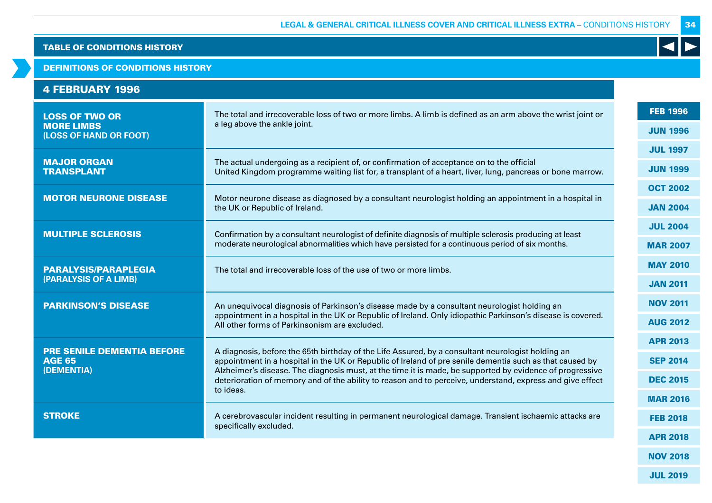### DEFINITIONS OF CONDITIONS HISTORY

|  |  |  |  |  |  | <b>4 FEBRUARY 1996</b> |  |
|--|--|--|--|--|--|------------------------|--|
|--|--|--|--|--|--|------------------------|--|

| <b>LOSS OF TWO OR</b><br><b>MORE LIMBS</b><br>(LOSS OF HAND OR FOOT) | The total and irrecoverable loss of two or more limbs. A limb is defined as an arm above the wrist joint or                                                                                                           |                 |  |  |
|----------------------------------------------------------------------|-----------------------------------------------------------------------------------------------------------------------------------------------------------------------------------------------------------------------|-----------------|--|--|
|                                                                      | a leg above the ankle joint.                                                                                                                                                                                          | <b>JUN 1996</b> |  |  |
|                                                                      |                                                                                                                                                                                                                       | <b>JUL 1997</b> |  |  |
| <b>MAJOR ORGAN</b><br><b>TRANSPLANT</b>                              | The actual undergoing as a recipient of, or confirmation of acceptance on to the official<br>United Kingdom programme waiting list for, a transplant of a heart, liver, lung, pancreas or bone marrow.                | <b>JUN 1999</b> |  |  |
|                                                                      |                                                                                                                                                                                                                       | <b>OCT 2002</b> |  |  |
| <b>MOTOR NEURONE DISEASE</b>                                         | Motor neurone disease as diagnosed by a consultant neurologist holding an appointment in a hospital in<br>the UK or Republic of Ireland.                                                                              | <b>JAN 2004</b> |  |  |
| <b>MULTIPLE SCLEROSIS</b>                                            | Confirmation by a consultant neurologist of definite diagnosis of multiple sclerosis producing at least                                                                                                               | <b>JUL 2004</b> |  |  |
|                                                                      | moderate neurological abnormalities which have persisted for a continuous period of six months.                                                                                                                       |                 |  |  |
| <b>PARALYSIS/PARAPLEGIA</b>                                          | The total and irrecoverable loss of the use of two or more limbs.                                                                                                                                                     | <b>MAY 2010</b> |  |  |
| (PARALYSIS OF A LIMB)                                                |                                                                                                                                                                                                                       | <b>JAN 2011</b> |  |  |
| <b>PARKINSON'S DISEASE</b>                                           | An unequivocal diagnosis of Parkinson's disease made by a consultant neurologist holding an                                                                                                                           | <b>NOV 2011</b> |  |  |
|                                                                      | appointment in a hospital in the UK or Republic of Ireland. Only idiopathic Parkinson's disease is covered.<br>All other forms of Parkinsonism are excluded.                                                          | <b>AUG 2012</b> |  |  |
| <b>PRE SENILE DEMENTIA BEFORE</b><br><b>AGE 65</b><br>(DEMENTIA)     |                                                                                                                                                                                                                       |                 |  |  |
|                                                                      | A diagnosis, before the 65th birthday of the Life Assured, by a consultant neurologist holding an<br>appointment in a hospital in the UK or Republic of Ireland of pre senile dementia such as that caused by         |                 |  |  |
|                                                                      | Alzheimer's disease. The diagnosis must, at the time it is made, be supported by evidence of progressive<br>deterioration of memory and of the ability to reason and to perceive, understand, express and give effect | <b>DEC 2015</b> |  |  |
|                                                                      | to ideas.                                                                                                                                                                                                             | <b>MAR 2016</b> |  |  |
| <b>STROKE</b>                                                        | A cerebrovascular incident resulting in permanent neurological damage. Transient ischaemic attacks are<br>specifically excluded.                                                                                      | <b>FEB 2018</b> |  |  |
|                                                                      |                                                                                                                                                                                                                       | <b>APR 2018</b> |  |  |
|                                                                      |                                                                                                                                                                                                                       |                 |  |  |

34

K

NOV 2018

JUL 2019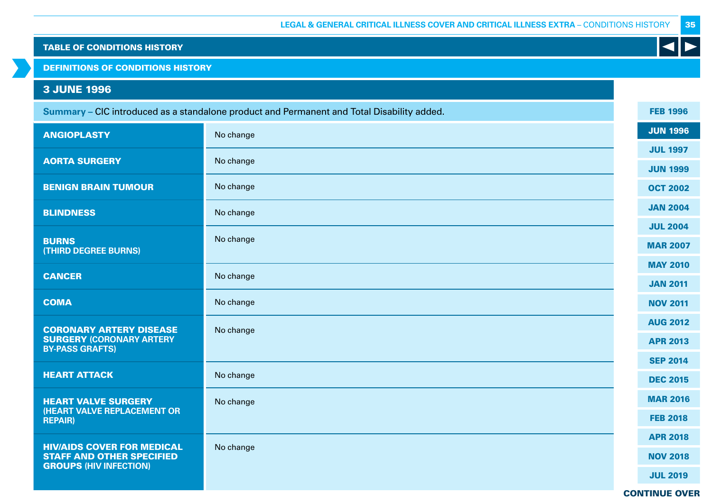DEFINITIONS OF CONDITIONS HISTORY

# 3 JUNE 1996

|                                                                       | Summary - CIC introduced as a standalone product and Permanent and Total Disability added. | <b>FEB 1996</b> |
|-----------------------------------------------------------------------|--------------------------------------------------------------------------------------------|-----------------|
| <b>ANGIOPLASTY</b>                                                    | No change                                                                                  | <b>JUN 1996</b> |
| <b>AORTA SURGERY</b>                                                  | No change                                                                                  | <b>JUL 1997</b> |
|                                                                       |                                                                                            | <b>JUN 1999</b> |
| <b>BENIGN BRAIN TUMOUR</b>                                            | No change                                                                                  | <b>OCT 2002</b> |
| <b>BLINDNESS</b>                                                      | No change                                                                                  | <b>JAN 2004</b> |
|                                                                       |                                                                                            | <b>JUL 2004</b> |
| <b>BURNS</b><br>(THIRD DEGREE BURNS)                                  | No change                                                                                  | <b>MAR 2007</b> |
|                                                                       |                                                                                            | <b>MAY 2010</b> |
| <b>CANCER</b>                                                         | No change                                                                                  | <b>JAN 2011</b> |
| <b>COMA</b>                                                           | No change                                                                                  | <b>NOV 2011</b> |
| <b>CORONARY ARTERY DISEASE</b>                                        | No change                                                                                  | <b>AUG 2012</b> |
| <b>SURGERY (CORONARY ARTERY</b><br><b>BY-PASS GRAFTS)</b>             |                                                                                            | <b>APR 2013</b> |
|                                                                       |                                                                                            | <b>SEP 2014</b> |
| <b>HEART ATTACK</b>                                                   | No change                                                                                  | <b>DEC 2015</b> |
| <b>HEART VALVE SURGERY</b>                                            | No change                                                                                  | <b>MAR 2016</b> |
| <b>(HEART VALVE REPLACEMENT OR</b><br><b>REPAIR)</b>                  |                                                                                            | <b>FEB 2018</b> |
|                                                                       |                                                                                            | <b>APR 2018</b> |
| <b>HIV/AIDS COVER FOR MEDICAL</b><br><b>STAFF AND OTHER SPECIFIED</b> | No change                                                                                  | <b>NOV 2018</b> |
| <b>GROUPS (HIV INFECTION)</b>                                         |                                                                                            | <b>JUL 2019</b> |

CONTINUE OVER

35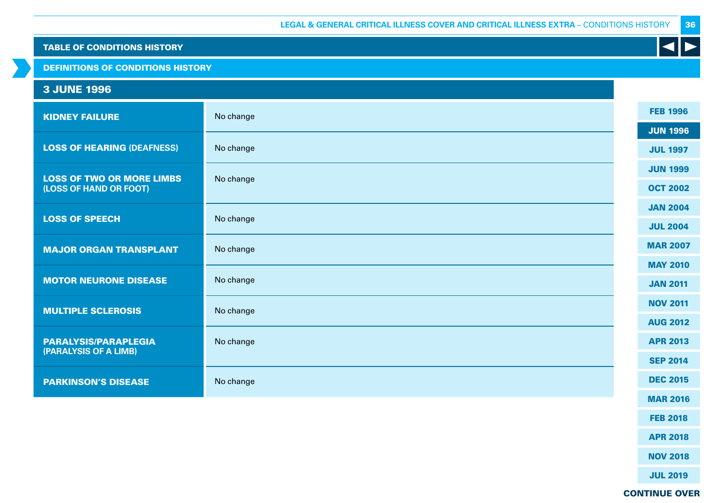# DEFINITIONS OF CONDITIONS HISTORY

# 3 JUNE 1996

| <b>KIDNEY FAILURE</b>                                      | No change | <b>FEB 1996</b> |
|------------------------------------------------------------|-----------|-----------------|
|                                                            |           | <b>JUN 1996</b> |
| <b>LOSS OF HEARING (DEAFNESS)</b>                          | No change | <b>JUL 1997</b> |
|                                                            |           | <b>JUN 1999</b> |
| <b>LOSS OF TWO OR MORE LIMBS</b><br>(LOSS OF HAND OR FOOT) | No change | <b>OCT 2002</b> |
|                                                            |           | <b>JAN 2004</b> |
| <b>LOSS OF SPEECH</b>                                      | No change | <b>JUL 2004</b> |
| <b>MAJOR ORGAN TRANSPLANT</b>                              | No change | <b>MAR 2007</b> |
|                                                            |           | <b>MAY 2010</b> |
| <b>MOTOR NEURONE DISEASE</b>                               | No change | <b>JAN 2011</b> |
|                                                            |           | <b>NOV 2011</b> |
| <b>MULTIPLE SCLEROSIS</b>                                  | No change | <b>AUG 2012</b> |
| <b>PARALYSIS/PARAPLEGIA</b>                                | No change | <b>APR 2013</b> |
| (PARALYSIS OF A LIMB)                                      |           | <b>SEP 2014</b> |
| <b>PARKINSON'S DISEASE</b>                                 | No change | <b>DEC 2015</b> |
|                                                            |           | <b>MAR 2016</b> |
|                                                            |           |                 |

FEB 2018 APR 2018

36

K

NOV 2018

JUL 2019

# CONTINUE OVER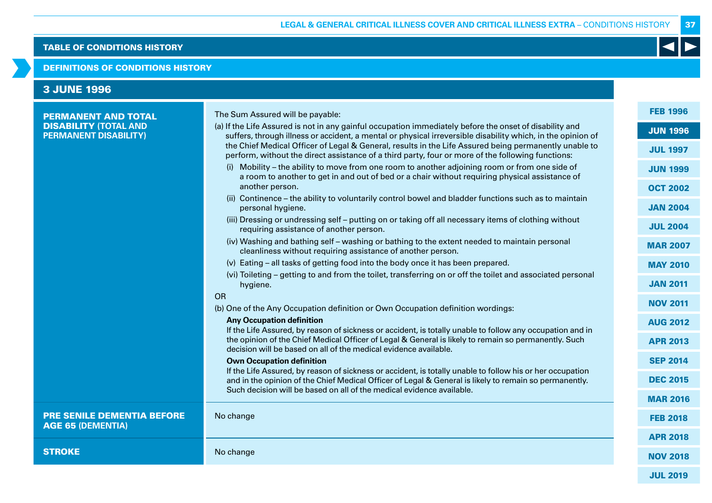### DEFINITIONS OF CONDITIONS HISTORY

| <b>3 JUNE 1996</b>                                                                         |                                                                                                                                                                                                                                                                                                                                                                                                                                                                                                                                                                                                                                                                                                                                                                                                                                                                                                                                                                                                                                                                                                                                                                                                                                                                                                                                                 |                                                                                                                                                                         |
|--------------------------------------------------------------------------------------------|-------------------------------------------------------------------------------------------------------------------------------------------------------------------------------------------------------------------------------------------------------------------------------------------------------------------------------------------------------------------------------------------------------------------------------------------------------------------------------------------------------------------------------------------------------------------------------------------------------------------------------------------------------------------------------------------------------------------------------------------------------------------------------------------------------------------------------------------------------------------------------------------------------------------------------------------------------------------------------------------------------------------------------------------------------------------------------------------------------------------------------------------------------------------------------------------------------------------------------------------------------------------------------------------------------------------------------------------------|-------------------------------------------------------------------------------------------------------------------------------------------------------------------------|
| <b>PERMANENT AND TOTAL</b><br><b>DISABILITY (TOTAL AND</b><br><b>PERMANENT DISABILITY)</b> | The Sum Assured will be payable:<br>(a) If the Life Assured is not in any gainful occupation immediately before the onset of disability and<br>suffers, through illness or accident, a mental or physical irreversible disability which, in the opinion of<br>the Chief Medical Officer of Legal & General, results in the Life Assured being permanently unable to<br>perform, without the direct assistance of a third party, four or more of the following functions:<br>(i) Mobility – the ability to move from one room to another adjoining room or from one side of<br>a room to another to get in and out of bed or a chair without requiring physical assistance of<br>another person.<br>(ii) Continence - the ability to voluntarily control bowel and bladder functions such as to maintain<br>personal hygiene.<br>(iii) Dressing or undressing self - putting on or taking off all necessary items of clothing without<br>requiring assistance of another person.<br>(iv) Washing and bathing self - washing or bathing to the extent needed to maintain personal<br>cleanliness without requiring assistance of another person.<br>(v) Eating - all tasks of getting food into the body once it has been prepared.<br>(vi) Toileting – getting to and from the toilet, transferring on or off the toilet and associated personal | <b>FEB 1996</b><br><b>JUN 1996</b><br><b>JUL 1997</b><br><b>JUN 1999</b><br><b>OCT 2002</b><br><b>JAN 2004</b><br><b>JUL 2004</b><br><b>MAR 2007</b><br><b>MAY 2010</b> |
|                                                                                            | hygiene.<br><b>OR</b><br>(b) One of the Any Occupation definition or Own Occupation definition wordings:<br><b>Any Occupation definition</b><br>If the Life Assured, by reason of sickness or accident, is totally unable to follow any occupation and in<br>the opinion of the Chief Medical Officer of Legal & General is likely to remain so permanently. Such<br>decision will be based on all of the medical evidence available.<br><b>Own Occupation definition</b><br>If the Life Assured, by reason of sickness or accident, is totally unable to follow his or her occupation<br>and in the opinion of the Chief Medical Officer of Legal & General is likely to remain so permanently.<br>Such decision will be based on all of the medical evidence available.                                                                                                                                                                                                                                                                                                                                                                                                                                                                                                                                                                       | <b>JAN 2011</b><br><b>NOV 2011</b><br><b>AUG 2012</b><br><b>APR 2013</b><br><b>SEP 2014</b><br><b>DEC 2015</b><br><b>MAR 2016</b>                                       |
| <b>PRE SENILE DEMENTIA BEFORE</b><br><b>AGE 65 (DEMENTIA)</b>                              | No change                                                                                                                                                                                                                                                                                                                                                                                                                                                                                                                                                                                                                                                                                                                                                                                                                                                                                                                                                                                                                                                                                                                                                                                                                                                                                                                                       | <b>FEB 2018</b><br><b>APR 2018</b>                                                                                                                                      |
| <b>STROKE</b>                                                                              | No change                                                                                                                                                                                                                                                                                                                                                                                                                                                                                                                                                                                                                                                                                                                                                                                                                                                                                                                                                                                                                                                                                                                                                                                                                                                                                                                                       | <b>NOV 2018</b>                                                                                                                                                         |
|                                                                                            |                                                                                                                                                                                                                                                                                                                                                                                                                                                                                                                                                                                                                                                                                                                                                                                                                                                                                                                                                                                                                                                                                                                                                                                                                                                                                                                                                 | <b>JUL 2019</b>                                                                                                                                                         |

37

K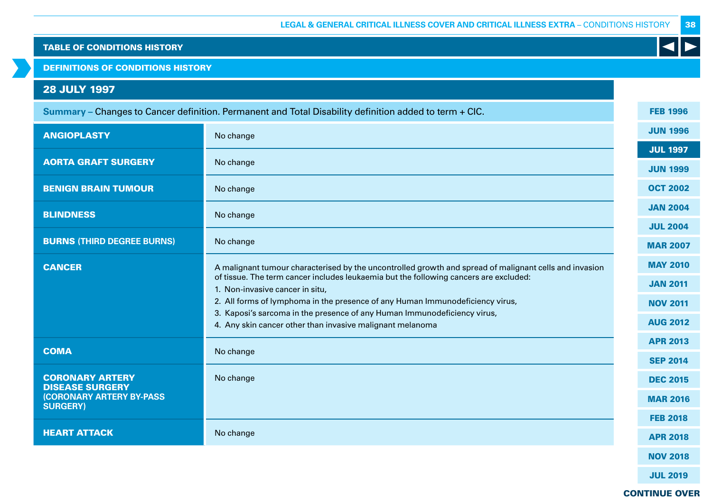DEFINITIONS OF CONDITIONS HISTORY

# 28 JULY 1997

| Summary - Changes to Cancer definition. Permanent and Total Disability definition added to term + CIC. |                                                                                                                                       |  | <b>FEB 1996</b> |
|--------------------------------------------------------------------------------------------------------|---------------------------------------------------------------------------------------------------------------------------------------|--|-----------------|
| <b>ANGIOPLASTY</b>                                                                                     | No change                                                                                                                             |  | <b>JUN 1996</b> |
|                                                                                                        |                                                                                                                                       |  | <b>JUL 1997</b> |
| <b>AORTA GRAFT SURGERY</b>                                                                             | No change                                                                                                                             |  | <b>JUN 1999</b> |
| <b>BENIGN BRAIN TUMOUR</b>                                                                             | No change                                                                                                                             |  | <b>OCT 2002</b> |
| <b>BLINDNESS</b>                                                                                       | No change                                                                                                                             |  | <b>JAN 2004</b> |
|                                                                                                        |                                                                                                                                       |  | <b>JUL 2004</b> |
| <b>BURNS (THIRD DEGREE BURNS)</b>                                                                      | No change                                                                                                                             |  | <b>MAR 2007</b> |
| <b>CANCER</b>                                                                                          | A malignant tumour characterised by the uncontrolled growth and spread of malignant cells and invasion                                |  | <b>MAY 2010</b> |
|                                                                                                        | of tissue. The term cancer includes leukaemia but the following cancers are excluded:<br>1. Non-invasive cancer in situ,              |  | <b>JAN 2011</b> |
|                                                                                                        | 2. All forms of lymphoma in the presence of any Human Immunodeficiency virus,                                                         |  | <b>NOV 2011</b> |
|                                                                                                        | 3. Kaposi's sarcoma in the presence of any Human Immunodeficiency virus,<br>4. Any skin cancer other than invasive malignant melanoma |  | <b>AUG 2012</b> |
|                                                                                                        |                                                                                                                                       |  | <b>APR 2013</b> |
| <b>COMA</b>                                                                                            | No change                                                                                                                             |  | <b>SEP 2014</b> |
| <b>CORONARY ARTERY</b><br><b>DISEASE SURGERY</b>                                                       | No change                                                                                                                             |  | <b>DEC 2015</b> |
| <b>(CORONARY ARTERY BY-PASS)</b><br><b>SURGERY)</b>                                                    |                                                                                                                                       |  | <b>MAR 2016</b> |
|                                                                                                        |                                                                                                                                       |  | <b>FEB 2018</b> |
| <b>HEART ATTACK</b>                                                                                    | No change                                                                                                                             |  | <b>APR 2018</b> |
|                                                                                                        |                                                                                                                                       |  | <b>NOV 2018</b> |
|                                                                                                        |                                                                                                                                       |  | <b>JUL 2019</b> |

CONTINUE OVER

38

K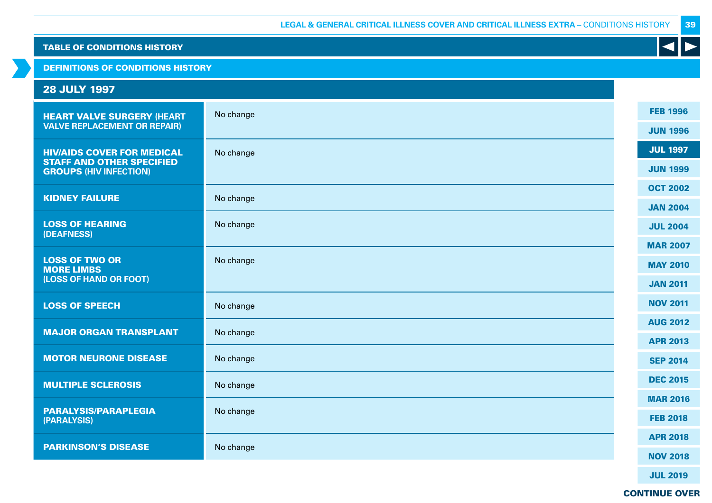DEFINITIONS OF CONDITIONS HISTORY

| <b>28 JULY 1997</b>                                               |           |                 |
|-------------------------------------------------------------------|-----------|-----------------|
| <b>HEART VALVE SURGERY (HEART</b>                                 | No change | <b>FEB 1996</b> |
| <b>VALVE REPLACEMENT OR REPAIR)</b>                               |           | <b>JUN 1996</b> |
| <b>HIV/AIDS COVER FOR MEDICAL</b>                                 | No change | <b>JUL 1997</b> |
| <b>STAFF AND OTHER SPECIFIED</b><br><b>GROUPS (HIV INFECTION)</b> |           | <b>JUN 1999</b> |
| <b>KIDNEY FAILURE</b>                                             | No change | <b>OCT 2002</b> |
|                                                                   |           | <b>JAN 2004</b> |
| <b>LOSS OF HEARING</b><br>(DEAFNESS)                              | No change | <b>JUL 2004</b> |
|                                                                   |           | <b>MAR 2007</b> |
| <b>LOSS OF TWO OR</b><br><b>MORE LIMBS</b>                        | No change | <b>MAY 2010</b> |
| (LOSS OF HAND OR FOOT)                                            |           | <b>JAN 2011</b> |
| <b>LOSS OF SPEECH</b>                                             | No change | <b>NOV 2011</b> |
| <b>MAJOR ORGAN TRANSPLANT</b>                                     | No change | <b>AUG 2012</b> |
|                                                                   |           | <b>APR 2013</b> |
| <b>MOTOR NEURONE DISEASE</b>                                      | No change | <b>SEP 2014</b> |
| <b>MULTIPLE SCLEROSIS</b>                                         | No change | <b>DEC 2015</b> |
|                                                                   |           | <b>MAR 2016</b> |
| <b>PARALYSIS/PARAPLEGIA</b><br>(PARALYSIS)                        | No change | <b>FEB 2018</b> |
| <b>PARKINSON'S DISEASE</b>                                        | No change | <b>APR 2018</b> |
|                                                                   |           | <b>NOV 2018</b> |
|                                                                   |           |                 |

JUL 2019

# CONTINUE OVER

39

 $\blacktriangleleft$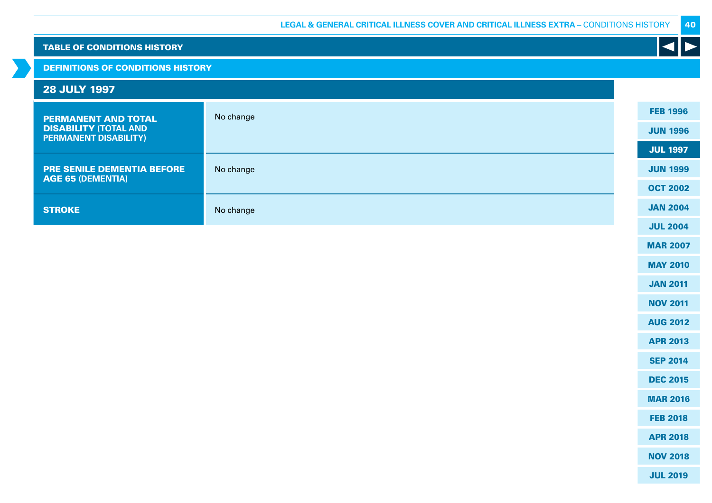## DEFINITIONS OF CONDITIONS HISTORY

| <b>28 JULY 1997</b>                                          |           |                 |
|--------------------------------------------------------------|-----------|-----------------|
| <b>PERMANENT AND TOTAL</b>                                   | No change | <b>FEB 1996</b> |
| <b>DISABILITY (TOTAL AND</b><br><b>PERMANENT DISABILITY)</b> |           | <b>JUN 1996</b> |
|                                                              |           | <b>JUL 1997</b> |
| <b>PRE SENILE DEMENTIA BEFORE</b>                            | No change | <b>JUN 1999</b> |
| <b>AGE 65 (DEMENTIA)</b>                                     |           | <b>OCT 2002</b> |
| <b>STROKE</b>                                                | No change | <b>JAN 2004</b> |
|                                                              |           | III.2004        |

JUL 2004

40

K

MAR 2007

MAY 2010

JAN 2011

NOV 2011

AUG 2012

APR 2013

SEP 2014

DEC 2015

MAR 2016

FEB 2018

APR 2018

NOV 2018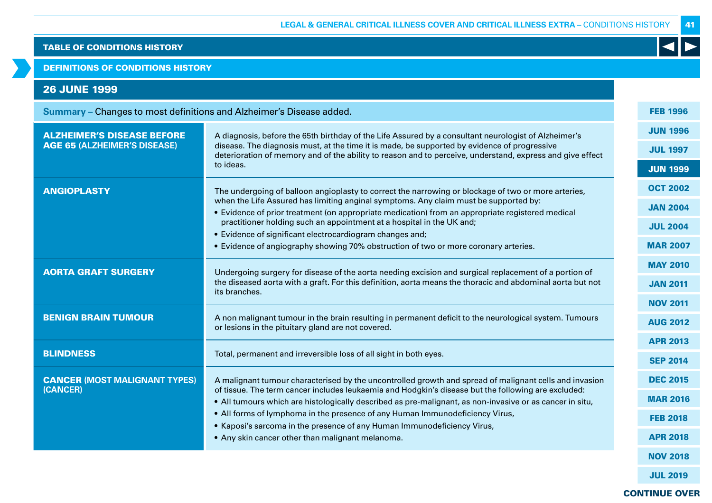DEFINITIONS OF CONDITIONS HISTORY

# 26 JUNE 1999

**Summary –** Changes to most definitions and Alzheimer's Disease added.

| <b>ALZHEIMER'S DISEASE BEFORE</b>    | A diagnosis, before the 65th birthday of the Life Assured by a consultant neurologist of Alzheimer's<br>disease. The diagnosis must, at the time it is made, be supported by evidence of progressive<br>deterioration of memory and of the ability to reason and to perceive, understand, express and give effect |  | <b>JUN 1996</b> |
|--------------------------------------|-------------------------------------------------------------------------------------------------------------------------------------------------------------------------------------------------------------------------------------------------------------------------------------------------------------------|--|-----------------|
| <b>AGE 65 (ALZHEIMER'S DISEASE)</b>  |                                                                                                                                                                                                                                                                                                                   |  | <b>JUL 1997</b> |
|                                      | to ideas.                                                                                                                                                                                                                                                                                                         |  | <b>JUN 1999</b> |
| <b>ANGIOPLASTY</b>                   | The undergoing of balloon angioplasty to correct the narrowing or blockage of two or more arteries,                                                                                                                                                                                                               |  | <b>OCT 2002</b> |
|                                      | when the Life Assured has limiting anginal symptoms. Any claim must be supported by:<br>• Evidence of prior treatment (on appropriate medication) from an appropriate registered medical                                                                                                                          |  | <b>JAN 2004</b> |
|                                      | practitioner holding such an appointment at a hospital in the UK and;                                                                                                                                                                                                                                             |  | <b>JUL 2004</b> |
|                                      | • Evidence of significant electrocardiogram changes and;                                                                                                                                                                                                                                                          |  |                 |
|                                      | • Evidence of angiography showing 70% obstruction of two or more coronary arteries.                                                                                                                                                                                                                               |  | <b>MAR 2007</b> |
| <b>AORTA GRAFT SURGERY</b>           | Undergoing surgery for disease of the aorta needing excision and surgical replacement of a portion of                                                                                                                                                                                                             |  | <b>MAY 2010</b> |
|                                      | the diseased aorta with a graft. For this definition, aorta means the thoracic and abdominal aorta but not<br>its branches.                                                                                                                                                                                       |  | <b>JAN 2011</b> |
|                                      |                                                                                                                                                                                                                                                                                                                   |  | <b>NOV 2011</b> |
| <b>BENIGN BRAIN TUMOUR</b>           | A non malignant tumour in the brain resulting in permanent deficit to the neurological system. Tumours<br>or lesions in the pituitary gland are not covered.                                                                                                                                                      |  | <b>AUG 2012</b> |
|                                      |                                                                                                                                                                                                                                                                                                                   |  | <b>APR 2013</b> |
| <b>BLINDNESS</b>                     | Total, permanent and irreversible loss of all sight in both eyes.                                                                                                                                                                                                                                                 |  | <b>SEP 2014</b> |
| <b>CANCER (MOST MALIGNANT TYPES)</b> | A malignant tumour characterised by the uncontrolled growth and spread of malignant cells and invasion                                                                                                                                                                                                            |  | <b>DEC 2015</b> |
| (CANCER)                             | of tissue. The term cancer includes leukaemia and Hodgkin's disease but the following are excluded:<br>. All tumours which are histologically described as pre-malignant, as non-invasive or as cancer in situ,                                                                                                   |  | <b>MAR 2016</b> |
|                                      | . All forms of lymphoma in the presence of any Human Immunodeficiency Virus,                                                                                                                                                                                                                                      |  | <b>FEB 2018</b> |
|                                      | • Kaposi's sarcoma in the presence of any Human Immunodeficiency Virus,                                                                                                                                                                                                                                           |  |                 |
|                                      | • Any skin cancer other than malignant melanoma.                                                                                                                                                                                                                                                                  |  | <b>APR 2018</b> |
|                                      |                                                                                                                                                                                                                                                                                                                   |  | <b>NOV 2018</b> |

JUL 2019

41

FEB 1996

 $\blacktriangleleft$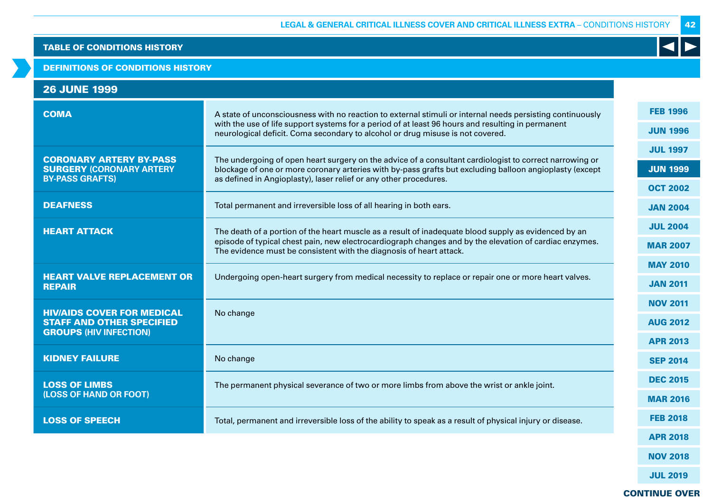#### DEFINITIONS OF CONDITIONS HISTORY

| <b>26 JUNE 1999</b>                                               |                                                                                                                                                                                     |                 |
|-------------------------------------------------------------------|-------------------------------------------------------------------------------------------------------------------------------------------------------------------------------------|-----------------|
| <b>COMA</b>                                                       | A state of unconsciousness with no reaction to external stimuli or internal needs persisting continuously                                                                           | <b>FEB 1996</b> |
|                                                                   | with the use of life support systems for a period of at least 96 hours and resulting in permanent<br>neurological deficit. Coma secondary to alcohol or drug misuse is not covered. | <b>JUN 1996</b> |
| <b>CORONARY ARTERY BY-PASS</b>                                    | The undergoing of open heart surgery on the advice of a consultant cardiologist to correct narrowing or                                                                             | <b>JUL 1997</b> |
| <b>SURGERY (CORONARY ARTERY</b><br><b>BY-PASS GRAFTS)</b>         | blockage of one or more coronary arteries with by-pass grafts but excluding balloon angioplasty (except<br>as defined in Angioplasty), laser relief or any other procedures.        | <b>JUN 1999</b> |
|                                                                   |                                                                                                                                                                                     | <b>OCT 2002</b> |
| <b>DEAFNESS</b>                                                   | Total permanent and irreversible loss of all hearing in both ears.                                                                                                                  | <b>JAN 2004</b> |
| <b>HEART ATTACK</b>                                               | The death of a portion of the heart muscle as a result of inadequate blood supply as evidenced by an                                                                                | <b>JUL 2004</b> |
|                                                                   | episode of typical chest pain, new electrocardiograph changes and by the elevation of cardiac enzymes.<br>The evidence must be consistent with the diagnosis of heart attack.       | <b>MAR 2007</b> |
|                                                                   |                                                                                                                                                                                     | <b>MAY 2010</b> |
| <b>HEART VALVE REPLACEMENT OR</b><br><b>REPAIR</b>                | Undergoing open-heart surgery from medical necessity to replace or repair one or more heart valves.                                                                                 | <b>JAN 2011</b> |
| <b>HIV/AIDS COVER FOR MEDICAL</b>                                 | No change                                                                                                                                                                           | <b>NOV 2011</b> |
| <b>STAFF AND OTHER SPECIFIED</b><br><b>GROUPS (HIV INFECTION)</b> |                                                                                                                                                                                     | <b>AUG 2012</b> |
|                                                                   |                                                                                                                                                                                     | <b>APR 2013</b> |
| <b>KIDNEY FAILURE</b>                                             | No change                                                                                                                                                                           | <b>SEP 2014</b> |
| <b>LOSS OF LIMBS</b>                                              | The permanent physical severance of two or more limbs from above the wrist or ankle joint.                                                                                          | <b>DEC 2015</b> |
| (LOSS OF HAND OR FOOT)                                            |                                                                                                                                                                                     | <b>MAR 2016</b> |
| <b>LOSS OF SPEECH</b>                                             | Total, permanent and irreversible loss of the ability to speak as a result of physical injury or disease.                                                                           | <b>FEB 2018</b> |
|                                                                   |                                                                                                                                                                                     | <b>APR 2018</b> |

NOV 2018

42

 $\blacktriangleleft$ 

JUL 2019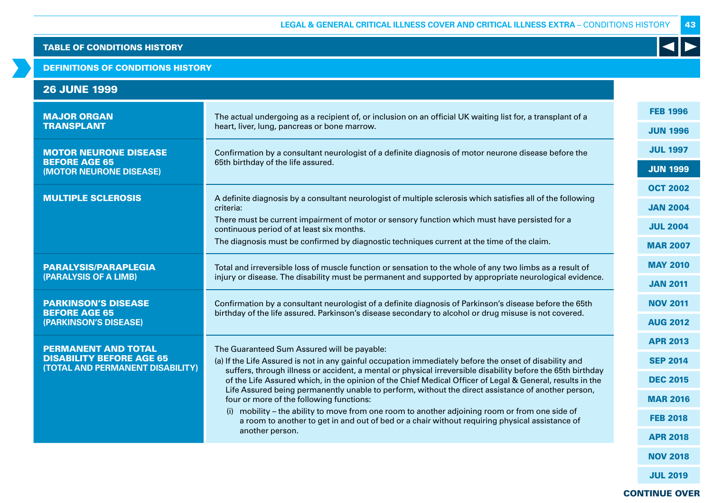## DEFINITIONS OF CONDITIONS HISTORY

| <b>26 JUNE 1999</b> |
|---------------------|
|---------------------|

| <b>MAJOR ORGAN</b>                                                                                | The actual undergoing as a recipient of, or inclusion on an official UK waiting list for, a transplant of a                                                                                                                                                                                                                                                                                                                                                                                                                                                                                                                                                                               |  | <b>FEB 1996</b> |
|---------------------------------------------------------------------------------------------------|-------------------------------------------------------------------------------------------------------------------------------------------------------------------------------------------------------------------------------------------------------------------------------------------------------------------------------------------------------------------------------------------------------------------------------------------------------------------------------------------------------------------------------------------------------------------------------------------------------------------------------------------------------------------------------------------|--|-----------------|
| <b>TRANSPLANT</b><br>heart, liver, lung, pancreas or bone marrow.                                 |                                                                                                                                                                                                                                                                                                                                                                                                                                                                                                                                                                                                                                                                                           |  | <b>JUN 1996</b> |
| <b>MOTOR NEURONE DISEASE</b>                                                                      | Confirmation by a consultant neurologist of a definite diagnosis of motor neurone disease before the                                                                                                                                                                                                                                                                                                                                                                                                                                                                                                                                                                                      |  | <b>JUL 1997</b> |
| <b>BEFORE AGE 65</b><br>(MOTOR NEURONE DISEASE)                                                   | 65th birthday of the life assured.                                                                                                                                                                                                                                                                                                                                                                                                                                                                                                                                                                                                                                                        |  | <b>JUN 1999</b> |
| <b>MULTIPLE SCLEROSIS</b>                                                                         |                                                                                                                                                                                                                                                                                                                                                                                                                                                                                                                                                                                                                                                                                           |  | <b>OCT 2002</b> |
|                                                                                                   | A definite diagnosis by a consultant neurologist of multiple sclerosis which satisfies all of the following<br>criteria:                                                                                                                                                                                                                                                                                                                                                                                                                                                                                                                                                                  |  | <b>JAN 2004</b> |
|                                                                                                   | There must be current impairment of motor or sensory function which must have persisted for a<br>continuous period of at least six months.                                                                                                                                                                                                                                                                                                                                                                                                                                                                                                                                                |  | <b>JUL 2004</b> |
|                                                                                                   | The diagnosis must be confirmed by diagnostic techniques current at the time of the claim.                                                                                                                                                                                                                                                                                                                                                                                                                                                                                                                                                                                                |  | <b>MAR 2007</b> |
| <b>PARALYSIS/PARAPLEGIA</b>                                                                       | Total and irreversible loss of muscle function or sensation to the whole of any two limbs as a result of<br>injury or disease. The disability must be permanent and supported by appropriate neurological evidence.                                                                                                                                                                                                                                                                                                                                                                                                                                                                       |  | <b>MAY 2010</b> |
| (PARALYSIS OF A LIMB)                                                                             |                                                                                                                                                                                                                                                                                                                                                                                                                                                                                                                                                                                                                                                                                           |  | <b>JAN 2011</b> |
| <b>PARKINSON'S DISEASE</b><br><b>BEFORE AGE 65</b><br>(PARKINSON'S DISEASE)                       | Confirmation by a consultant neurologist of a definite diagnosis of Parkinson's disease before the 65th<br>birthday of the life assured. Parkinson's disease secondary to alcohol or drug misuse is not covered.                                                                                                                                                                                                                                                                                                                                                                                                                                                                          |  | <b>NOV 2011</b> |
|                                                                                                   |                                                                                                                                                                                                                                                                                                                                                                                                                                                                                                                                                                                                                                                                                           |  | <b>AUG 2012</b> |
| <b>PERMANENT AND TOTAL</b><br><b>DISABILITY BEFORE AGE 65</b><br>(TOTAL AND PERMANENT DISABILITY) | The Guaranteed Sum Assured will be payable:                                                                                                                                                                                                                                                                                                                                                                                                                                                                                                                                                                                                                                               |  | <b>APR 2013</b> |
|                                                                                                   | (a) If the Life Assured is not in any gainful occupation immediately before the onset of disability and<br>suffers, through illness or accident, a mental or physical irreversible disability before the 65th birthday<br>of the Life Assured which, in the opinion of the Chief Medical Officer of Legal & General, results in the<br>Life Assured being permanently unable to perform, without the direct assistance of another person,<br>four or more of the following functions:<br>(i) mobility – the ability to move from one room to another adjoining room or from one side of<br>a room to another to get in and out of bed or a chair without requiring physical assistance of |  | <b>SEP 2014</b> |
|                                                                                                   |                                                                                                                                                                                                                                                                                                                                                                                                                                                                                                                                                                                                                                                                                           |  | <b>DEC 2015</b> |
|                                                                                                   |                                                                                                                                                                                                                                                                                                                                                                                                                                                                                                                                                                                                                                                                                           |  | <b>MAR 2016</b> |
|                                                                                                   |                                                                                                                                                                                                                                                                                                                                                                                                                                                                                                                                                                                                                                                                                           |  | <b>FEB 2018</b> |
|                                                                                                   | another person.                                                                                                                                                                                                                                                                                                                                                                                                                                                                                                                                                                                                                                                                           |  | <b>APR 2018</b> |
|                                                                                                   |                                                                                                                                                                                                                                                                                                                                                                                                                                                                                                                                                                                                                                                                                           |  |                 |

JUL 2019

NOV 2018

43

 $\blacktriangleleft$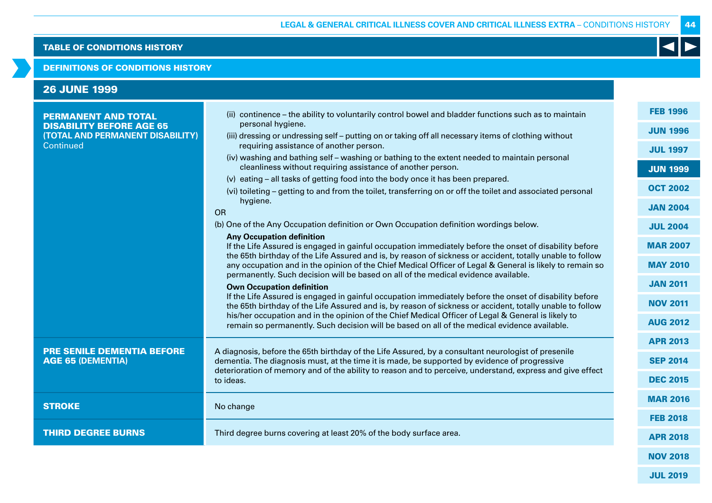### DEFINITIONS OF CONDITIONS HISTORY

| <b>FEB 1996</b><br>(ii) continence – the ability to voluntarily control bowel and bladder functions such as to maintain                                                                                                                                                                                                                                                                                                                                                                                                                                                                                                                                                                                                                                                                                                                                                                                                                                                                                                   |  |
|---------------------------------------------------------------------------------------------------------------------------------------------------------------------------------------------------------------------------------------------------------------------------------------------------------------------------------------------------------------------------------------------------------------------------------------------------------------------------------------------------------------------------------------------------------------------------------------------------------------------------------------------------------------------------------------------------------------------------------------------------------------------------------------------------------------------------------------------------------------------------------------------------------------------------------------------------------------------------------------------------------------------------|--|
| <b>PERMANENT AND TOTAL</b><br>personal hygiene.<br><b>DISABILITY BEFORE AGE 65</b><br><b>JUN 1996</b><br>(TOTAL AND PERMANENT DISABILITY)<br>(iii) dressing or undressing self - putting on or taking off all necessary items of clothing without<br>Continued<br>requiring assistance of another person.<br><b>JUL 1997</b><br>(iv) washing and bathing self – washing or bathing to the extent needed to maintain personal<br>cleanliness without requiring assistance of another person.<br><b>JUN 1999</b><br>(v) eating - all tasks of getting food into the body once it has been prepared.<br><b>OCT 2002</b><br>(vi) toileting – getting to and from the toilet, transferring on or off the toilet and associated personal<br>hygiene.<br><b>JAN 2004</b><br><b>OR</b><br>(b) One of the Any Occupation definition or Own Occupation definition wordings below.<br><b>JUL 2004</b>                                                                                                                                |  |
| <b>Any Occupation definition</b><br>If the Life Assured is engaged in gainful occupation immediately before the onset of disability before<br><b>MAR 2007</b><br>the 65th birthday of the Life Assured and is, by reason of sickness or accident, totally unable to follow<br><b>MAY 2010</b><br>any occupation and in the opinion of the Chief Medical Officer of Legal & General is likely to remain so<br>permanently. Such decision will be based on all of the medical evidence available.<br><b>JAN 2011</b><br><b>Own Occupation definition</b><br>If the Life Assured is engaged in gainful occupation immediately before the onset of disability before<br><b>NOV 2011</b><br>the 65th birthday of the Life Assured and is, by reason of sickness or accident, totally unable to follow<br>his/her occupation and in the opinion of the Chief Medical Officer of Legal & General is likely to<br><b>AUG 2012</b><br>remain so permanently. Such decision will be based on all of the medical evidence available. |  |
| <b>APR 2013</b><br><b>PRE SENILE DEMENTIA BEFORE</b><br>A diagnosis, before the 65th birthday of the Life Assured, by a consultant neurologist of presenile<br><b>AGE 65 (DEMENTIA)</b><br>dementia. The diagnosis must, at the time it is made, be supported by evidence of progressive<br><b>SEP 2014</b><br>deterioration of memory and of the ability to reason and to perceive, understand, express and give effect<br><b>DEC 2015</b><br>to ideas.                                                                                                                                                                                                                                                                                                                                                                                                                                                                                                                                                                  |  |
| <b>MAR 2016</b><br><b>STROKE</b><br>No change<br><b>FEB 2018</b>                                                                                                                                                                                                                                                                                                                                                                                                                                                                                                                                                                                                                                                                                                                                                                                                                                                                                                                                                          |  |
| <b>THIRD DEGREE BURNS</b><br>Third degree burns covering at least 20% of the body surface area.<br><b>APR 2018</b><br><b>NOV 2018</b>                                                                                                                                                                                                                                                                                                                                                                                                                                                                                                                                                                                                                                                                                                                                                                                                                                                                                     |  |

44

K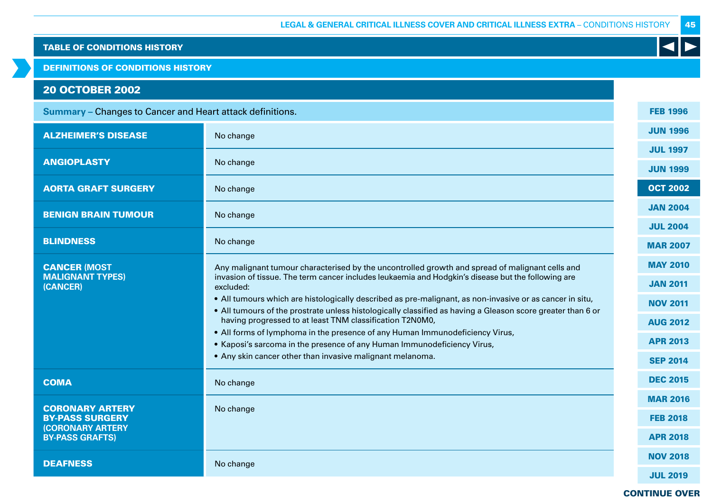DEFINITIONS OF CONDITIONS HISTORY

# 20 OCTOBER 2002

| <b>Summary</b> – Changes to Cancer and Heart attack definitions. |                                                                                                                                                                                                                         |                 |
|------------------------------------------------------------------|-------------------------------------------------------------------------------------------------------------------------------------------------------------------------------------------------------------------------|-----------------|
| <b>ALZHEIMER'S DISEASE</b>                                       | No change                                                                                                                                                                                                               | <b>JUN 1996</b> |
| <b>ANGIOPLASTY</b>                                               | No change                                                                                                                                                                                                               | <b>JUL 1997</b> |
|                                                                  |                                                                                                                                                                                                                         | <b>JUN 1999</b> |
| <b>AORTA GRAFT SURGERY</b>                                       | No change                                                                                                                                                                                                               | <b>OCT 2002</b> |
| <b>BENIGN BRAIN TUMOUR</b>                                       | No change                                                                                                                                                                                                               | <b>JAN 2004</b> |
|                                                                  |                                                                                                                                                                                                                         | <b>JUL 2004</b> |
| <b>BLINDNESS</b>                                                 | No change                                                                                                                                                                                                               | <b>MAR 2007</b> |
| <b>CANCER (MOST</b>                                              | Any malignant tumour characterised by the uncontrolled growth and spread of malignant cells and                                                                                                                         | <b>MAY 2010</b> |
| <b>MALIGNANT TYPES)</b><br>(CANCER)                              | invasion of tissue. The term cancer includes leukaemia and Hodgkin's disease but the following are<br>excluded:                                                                                                         | <b>JAN 2011</b> |
|                                                                  | . All tumours which are histologically described as pre-malignant, as non-invasive or as cancer in situ,<br>. All tumours of the prostrate unless histologically classified as having a Gleason score greater than 6 or | <b>NOV 2011</b> |
|                                                                  | having progressed to at least TNM classification T2N0M0,                                                                                                                                                                | <b>AUG 2012</b> |
|                                                                  | . All forms of lymphoma in the presence of any Human Immunodeficiency Virus,<br>• Kaposi's sarcoma in the presence of any Human Immunodeficiency Virus,                                                                 | <b>APR 2013</b> |
|                                                                  | • Any skin cancer other than invasive malignant melanoma.                                                                                                                                                               | <b>SEP 2014</b> |
| <b>COMA</b>                                                      | No change                                                                                                                                                                                                               | <b>DEC 2015</b> |
|                                                                  |                                                                                                                                                                                                                         | <b>MAR 2016</b> |
| <b>CORONARY ARTERY</b><br><b>BY-PASS SURGERY</b>                 | No change                                                                                                                                                                                                               | <b>FEB 2018</b> |
| <b>(CORONARY ARTERY</b><br><b>BY-PASS GRAFTS)</b>                |                                                                                                                                                                                                                         | <b>APR 2018</b> |
| <b>DEAFNESS</b>                                                  | No change                                                                                                                                                                                                               | <b>NOV 2018</b> |
|                                                                  |                                                                                                                                                                                                                         |                 |

## CONTINUE OVER

JUL 2019

45

K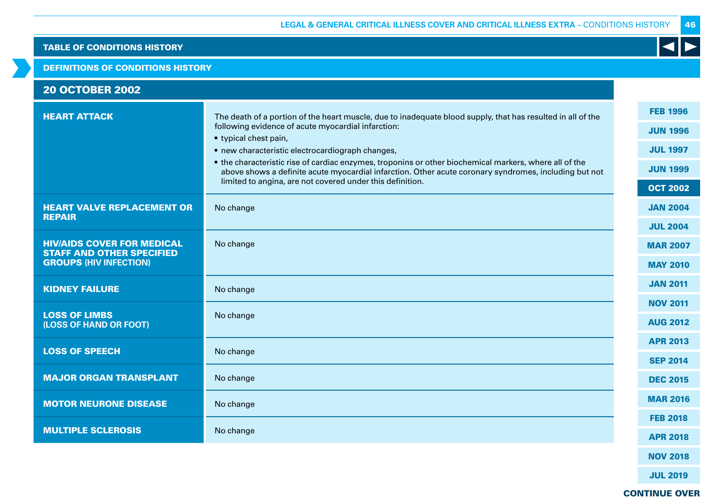## DEFINITIONS OF CONDITIONS HISTORY

| <b>20 OCTOBER 2002</b> |  |  |
|------------------------|--|--|

| <b>HEART ATTACK</b>                                                   | The death of a portion of the heart muscle, due to inadequate blood supply, that has resulted in all of the                                                                                                                                                                  | <b>FEB 1996</b>  |
|-----------------------------------------------------------------------|------------------------------------------------------------------------------------------------------------------------------------------------------------------------------------------------------------------------------------------------------------------------------|------------------|
|                                                                       | following evidence of acute myocardial infarction:<br>• typical chest pain,                                                                                                                                                                                                  | <b>JUN 1996</b>  |
|                                                                       | • new characteristic electrocardiograph changes,                                                                                                                                                                                                                             | <b>JUL 1997</b>  |
|                                                                       | • the characteristic rise of cardiac enzymes, troponins or other biochemical markers, where all of the<br>above shows a definite acute myocardial infarction. Other acute coronary syndromes, including but not<br>limited to angina, are not covered under this definition. | <b>JUN 1999</b>  |
|                                                                       |                                                                                                                                                                                                                                                                              | <b>OCT 2002</b>  |
| <b>HEART VALVE REPLACEMENT OR</b><br><b>REPAIR</b>                    | No change                                                                                                                                                                                                                                                                    | <b>JAN 2004</b>  |
|                                                                       |                                                                                                                                                                                                                                                                              | <b>JUL 2004</b>  |
| <b>HIV/AIDS COVER FOR MEDICAL</b><br><b>STAFF AND OTHER SPECIFIED</b> | No change                                                                                                                                                                                                                                                                    | <b>MAR 2007</b>  |
| <b>GROUPS (HIV INFECTION)</b>                                         |                                                                                                                                                                                                                                                                              | <b>MAY 2010</b>  |
| <b>KIDNEY FAILURE</b>                                                 | No change                                                                                                                                                                                                                                                                    | <b>JAN 2011</b>  |
|                                                                       |                                                                                                                                                                                                                                                                              | <b>NOV 2011</b>  |
| <b>LOSS OF LIMBS</b><br>(LOSS OF HAND OR FOOT)                        | No change                                                                                                                                                                                                                                                                    | <b>AUG 2012</b>  |
| <b>LOSS OF SPEECH</b>                                                 |                                                                                                                                                                                                                                                                              | <b>APR 2013</b>  |
|                                                                       | No change                                                                                                                                                                                                                                                                    | <b>SEP 2014</b>  |
| <b>MAJOR ORGAN TRANSPLANT</b>                                         | No change                                                                                                                                                                                                                                                                    | <b>DEC 2015</b>  |
| <b>MOTOR NEURONE DISEASE</b>                                          | No change                                                                                                                                                                                                                                                                    | <b>MAR 2016</b>  |
|                                                                       |                                                                                                                                                                                                                                                                              | <b>FEB 2018</b>  |
| <b>MULTIPLE SCLEROSIS</b>                                             | No change                                                                                                                                                                                                                                                                    | <b>APR 2018</b>  |
|                                                                       |                                                                                                                                                                                                                                                                              | <b>BIAVERALO</b> |

NOV 2018

JUL 2019

CONTINUE OVER

46

 $\blacktriangleleft$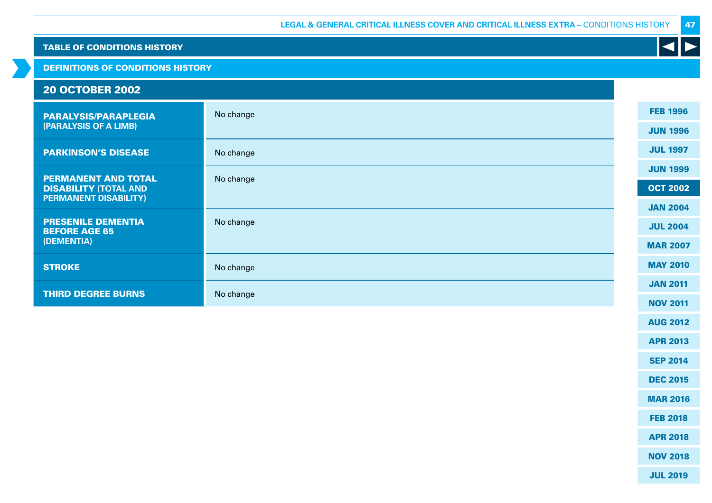DEFINITIONS OF CONDITIONS HISTORY

#### 20 OCTOBER 2002 PARALYSIS/PARAPLEGIA **(PARALYSIS OF A LIMB)** No change PARKINSON'S DISEASE No change PERMANENT AND TOTAL DISABILITY **(TOTAL AND PERMANENT DISABILITY)** No change PRESENILE DEMENTIA BEFORE AGE 65 **(DEMENTIA)** No change **STROKE** No change **THIRD DEGREE BURNS** No change FEB 1996 JUN 1996 JUL 1997 JUN 1999 OCT 2002 JAN 2004 JUL 2004 MAR 2007 MAY 2010 JAN 2011 NOV 2011

47

JUL 2019

AUG 2012

APR 2013

SEP 2014

DEC 2015

MAR 2016

FEB 2018

APR 2018

NOV 2018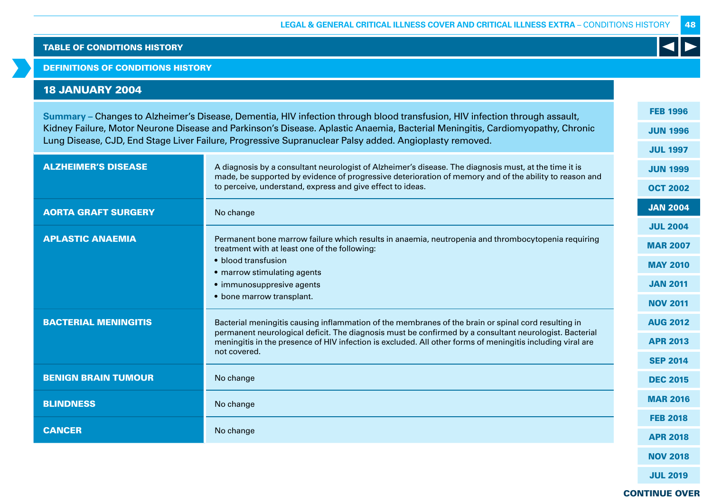## DEFINITIONS OF CONDITIONS HISTORY

# 18 JANUARY 2004

**Summary –** Changes to Alzheimer's Disease, Dementia, HIV infection through blood transfusion, HIV infection through assault, Kidney Failure, Motor Neurone Disease and Parkinson's Disease. Aplastic Anaemia, Bacterial Meningitis, Cardiomyopathy, Chronic Lung Disease, CJD, End Stage Liver Failure, Progressive Supranuclear Palsy added. Angioplasty removed.

|                             |                                                                                                                                                                                                                 | <b>JUL 1997</b> |
|-----------------------------|-----------------------------------------------------------------------------------------------------------------------------------------------------------------------------------------------------------------|-----------------|
| <b>ALZHEIMER'S DISEASE</b>  | A diagnosis by a consultant neurologist of Alzheimer's disease. The diagnosis must, at the time it is<br>made, be supported by evidence of progressive deterioration of memory and of the ability to reason and | <b>JUN 1999</b> |
|                             | to perceive, understand, express and give effect to ideas.                                                                                                                                                      | <b>OCT 2002</b> |
| <b>AORTA GRAFT SURGERY</b>  | No change                                                                                                                                                                                                       | <b>JAN 2004</b> |
|                             |                                                                                                                                                                                                                 | <b>JUL 2004</b> |
| <b>APLASTIC ANAEMIA</b>     | Permanent bone marrow failure which results in anaemia, neutropenia and thrombocytopenia requiring<br>treatment with at least one of the following:                                                             | <b>MAR 2007</b> |
|                             | • blood transfusion                                                                                                                                                                                             | <b>MAY 2010</b> |
|                             | • marrow stimulating agents                                                                                                                                                                                     |                 |
|                             | • immunosuppresive agents                                                                                                                                                                                       | <b>JAN 2011</b> |
|                             | • bone marrow transplant.                                                                                                                                                                                       | <b>NOV 2011</b> |
| <b>BACTERIAL MENINGITIS</b> | Bacterial meningitis causing inflammation of the membranes of the brain or spinal cord resulting in<br>permanent neurological deficit. The diagnosis must be confirmed by a consultant neurologist. Bacterial   | <b>AUG 2012</b> |
|                             | meningitis in the presence of HIV infection is excluded. All other forms of meningitis including viral are                                                                                                      | <b>APR 2013</b> |
|                             | not covered.                                                                                                                                                                                                    | <b>SEP 2014</b> |
| <b>BENIGN BRAIN TUMOUR</b>  | No change                                                                                                                                                                                                       | <b>DEC 2015</b> |
| <b>BLINDNESS</b>            | No change                                                                                                                                                                                                       | <b>MAR 2016</b> |
|                             |                                                                                                                                                                                                                 | <b>FEB 2018</b> |
| <b>CANCER</b>               | No change                                                                                                                                                                                                       | <b>APR 2018</b> |
|                             |                                                                                                                                                                                                                 |                 |

FEB 1996

JUN 1996

48

CONTINUE OVER

NOV 2018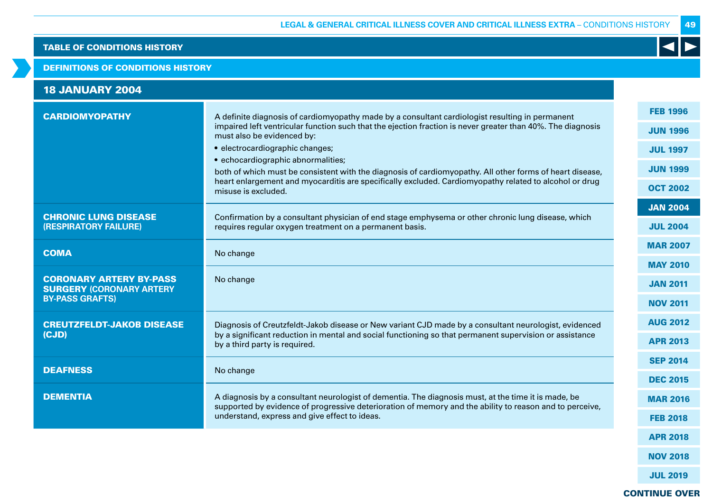## DEFINITIONS OF CONDITIONS HISTORY

| <b>18 JANUARY 2004</b>                                                                      |                                                                                                                                                                                                                                                                                                                                                                                                                                                                                                                                                                    |                                                                                             |
|---------------------------------------------------------------------------------------------|--------------------------------------------------------------------------------------------------------------------------------------------------------------------------------------------------------------------------------------------------------------------------------------------------------------------------------------------------------------------------------------------------------------------------------------------------------------------------------------------------------------------------------------------------------------------|---------------------------------------------------------------------------------------------|
| <b>CARDIOMYOPATHY</b>                                                                       | A definite diagnosis of cardiomyopathy made by a consultant cardiologist resulting in permanent<br>impaired left ventricular function such that the ejection fraction is never greater than 40%. The diagnosis<br>must also be evidenced by:<br>• electrocardiographic changes;<br>• echocardiographic abnormalities;<br>both of which must be consistent with the diagnosis of cardiomyopathy. All other forms of heart disease,<br>heart enlargement and myocarditis are specifically excluded. Cardiomyopathy related to alcohol or drug<br>misuse is excluded. | <b>FEB 1996</b><br><b>JUN 1996</b><br><b>JUL 1997</b><br><b>JUN 1999</b><br><b>OCT 2002</b> |
| <b>CHRONIC LUNG DISEASE</b><br>(RESPIRATORY FAILURE)                                        | Confirmation by a consultant physician of end stage emphysema or other chronic lung disease, which<br>requires regular oxygen treatment on a permanent basis.                                                                                                                                                                                                                                                                                                                                                                                                      | <b>JAN 2004</b><br><b>JUL 2004</b>                                                          |
| <b>COMA</b>                                                                                 | No change                                                                                                                                                                                                                                                                                                                                                                                                                                                                                                                                                          | <b>MAR 2007</b>                                                                             |
| <b>CORONARY ARTERY BY-PASS</b><br><b>SURGERY (CORONARY ARTERY</b><br><b>BY-PASS GRAFTS)</b> | No change                                                                                                                                                                                                                                                                                                                                                                                                                                                                                                                                                          | <b>MAY 2010</b><br><b>JAN 2011</b><br><b>NOV 2011</b>                                       |
| <b>CREUTZFELDT-JAKOB DISEASE</b><br>(CJD)                                                   | Diagnosis of Creutzfeldt-Jakob disease or New variant CJD made by a consultant neurologist, evidenced<br>by a significant reduction in mental and social functioning so that permanent supervision or assistance<br>by a third party is required.                                                                                                                                                                                                                                                                                                                  | <b>AUG 2012</b><br><b>APR 2013</b>                                                          |
| <b>DEAFNESS</b>                                                                             | No change                                                                                                                                                                                                                                                                                                                                                                                                                                                                                                                                                          | <b>SEP 2014</b>                                                                             |
|                                                                                             |                                                                                                                                                                                                                                                                                                                                                                                                                                                                                                                                                                    | <b>DEC 2015</b>                                                                             |
| <b>DEMENTIA</b>                                                                             | A diagnosis by a consultant neurologist of dementia. The diagnosis must, at the time it is made, be<br>supported by evidence of progressive deterioration of memory and the ability to reason and to perceive,                                                                                                                                                                                                                                                                                                                                                     | <b>MAR 2016</b>                                                                             |
|                                                                                             | understand, express and give effect to ideas.                                                                                                                                                                                                                                                                                                                                                                                                                                                                                                                      | <b>FEB 2018</b>                                                                             |
|                                                                                             |                                                                                                                                                                                                                                                                                                                                                                                                                                                                                                                                                                    | <b>APR 2018</b>                                                                             |

49

 $\blacktriangleleft$ 

CONTINUE OVER

NOV 2018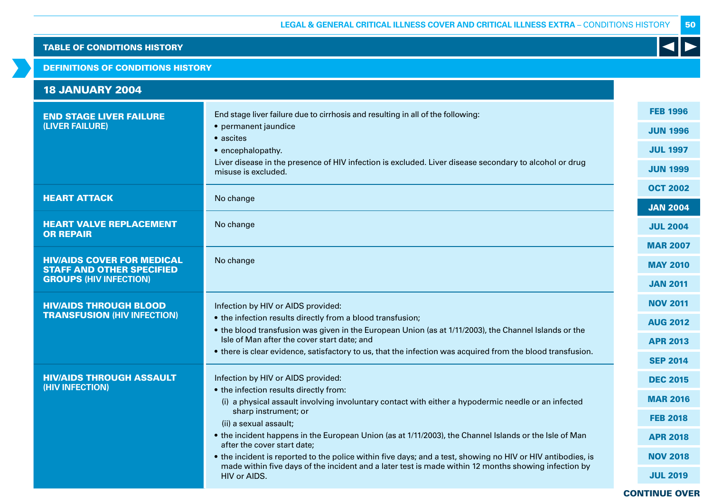## DEFINITIONS OF CONDITIONS HISTORY

| <b>18 JANUARY 2004</b>                                                                                 |                                                                                                                                                                                                                                                                                                                                                                                                                                                                                                                                                                                                                       |                                                                                                                                   |
|--------------------------------------------------------------------------------------------------------|-----------------------------------------------------------------------------------------------------------------------------------------------------------------------------------------------------------------------------------------------------------------------------------------------------------------------------------------------------------------------------------------------------------------------------------------------------------------------------------------------------------------------------------------------------------------------------------------------------------------------|-----------------------------------------------------------------------------------------------------------------------------------|
| <b>END STAGE LIVER FAILURE</b><br>(LIVER FAILURE)                                                      | End stage liver failure due to cirrhosis and resulting in all of the following:<br>• permanent jaundice<br>• ascites<br>• encephalopathy.<br>Liver disease in the presence of HIV infection is excluded. Liver disease secondary to alcohol or drug<br>misuse is excluded.                                                                                                                                                                                                                                                                                                                                            | <b>FEB 1996</b><br><b>JUN 1996</b><br><b>JUL 1997</b><br><b>JUN 1999</b>                                                          |
| <b>HEART ATTACK</b>                                                                                    | No change                                                                                                                                                                                                                                                                                                                                                                                                                                                                                                                                                                                                             | <b>OCT 2002</b><br><b>JAN 2004</b>                                                                                                |
| <b>HEART VALVE REPLACEMENT</b><br><b>OR REPAIR</b>                                                     | No change                                                                                                                                                                                                                                                                                                                                                                                                                                                                                                                                                                                                             | <b>JUL 2004</b>                                                                                                                   |
| <b>HIV/AIDS COVER FOR MEDICAL</b><br><b>STAFF AND OTHER SPECIFIED</b><br><b>GROUPS (HIV INFECTION)</b> | No change                                                                                                                                                                                                                                                                                                                                                                                                                                                                                                                                                                                                             | <b>MAR 2007</b><br><b>MAY 2010</b><br><b>JAN 2011</b>                                                                             |
| <b>HIV/AIDS THROUGH BLOOD</b><br><b>TRANSFUSION (HIV INFECTION)</b>                                    | Infection by HIV or AIDS provided:<br>• the infection results directly from a blood transfusion;<br>• the blood transfusion was given in the European Union (as at 1/11/2003), the Channel Islands or the<br>Isle of Man after the cover start date; and<br>• there is clear evidence, satisfactory to us, that the infection was acquired from the blood transfusion.                                                                                                                                                                                                                                                | <b>NOV 2011</b><br><b>AUG 2012</b><br><b>APR 2013</b>                                                                             |
| <b>HIV/AIDS THROUGH ASSAULT</b><br>(HIV INFECTION)                                                     | Infection by HIV or AIDS provided:<br>• the infection results directly from:<br>(i) a physical assault involving involuntary contact with either a hypodermic needle or an infected<br>sharp instrument; or<br>(ii) a sexual assault;<br>• the incident happens in the European Union (as at 1/11/2003), the Channel Islands or the Isle of Man<br>after the cover start date:<br>• the incident is reported to the police within five days; and a test, showing no HIV or HIV antibodies, is<br>made within five days of the incident and a later test is made within 12 months showing infection by<br>HIV or AIDS. | <b>SEP 2014</b><br><b>DEC 2015</b><br><b>MAR 2016</b><br><b>FEB 2018</b><br><b>APR 2018</b><br><b>NOV 2018</b><br><b>JUL 2019</b> |
|                                                                                                        |                                                                                                                                                                                                                                                                                                                                                                                                                                                                                                                                                                                                                       | <b>CONTINUE OVER</b>                                                                                                              |

50

K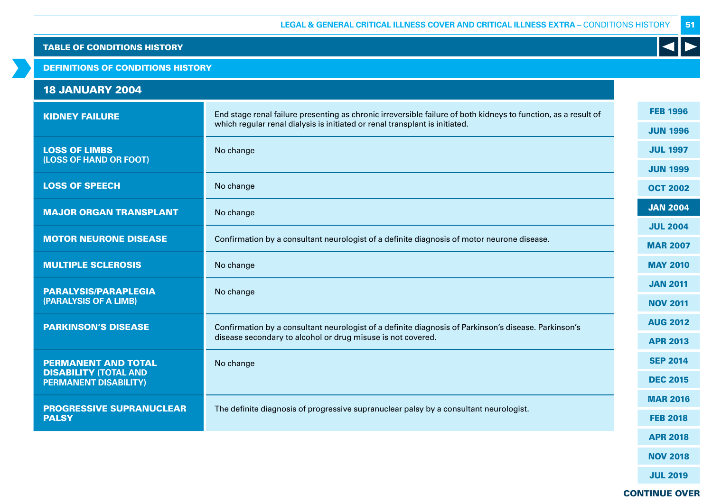## DEFINITIONS OF CONDITIONS HISTORY

# 18 JANUARY 2004

| <b>KIDNEY FAILURE</b>                                        | End stage renal failure presenting as chronic irreversible failure of both kidneys to function, as a result of | <b>FEB 1996</b> |
|--------------------------------------------------------------|----------------------------------------------------------------------------------------------------------------|-----------------|
|                                                              | which regular renal dialysis is initiated or renal transplant is initiated.                                    | <b>JUN 1996</b> |
| <b>LOSS OF LIMBS</b><br>(LOSS OF HAND OR FOOT)               | No change                                                                                                      | <b>JUL 1997</b> |
|                                                              |                                                                                                                | <b>JUN 1999</b> |
| <b>LOSS OF SPEECH</b>                                        | No change                                                                                                      | <b>OCT 2002</b> |
| <b>MAJOR ORGAN TRANSPLANT</b>                                | No change                                                                                                      | <b>JAN 2004</b> |
|                                                              |                                                                                                                | <b>JUL 2004</b> |
| <b>MOTOR NEURONE DISEASE</b>                                 | Confirmation by a consultant neurologist of a definite diagnosis of motor neurone disease.                     | <b>MAR 2007</b> |
| <b>MULTIPLE SCLEROSIS</b>                                    | No change                                                                                                      | <b>MAY 2010</b> |
| <b>PARALYSIS/PARAPLEGIA</b>                                  | No change                                                                                                      | <b>JAN 2011</b> |
| (PARALYSIS OF A LIMB)                                        |                                                                                                                | <b>NOV 2011</b> |
| <b>PARKINSON'S DISEASE</b>                                   | Confirmation by a consultant neurologist of a definite diagnosis of Parkinson's disease. Parkinson's           | <b>AUG 2012</b> |
|                                                              | disease secondary to alcohol or drug misuse is not covered.                                                    | <b>APR 2013</b> |
| <b>PERMANENT AND TOTAL</b>                                   | No change                                                                                                      | <b>SEP 2014</b> |
| <b>DISABILITY (TOTAL AND</b><br><b>PERMANENT DISABILITY)</b> |                                                                                                                | <b>DEC 2015</b> |
|                                                              |                                                                                                                | <b>MAR 2016</b> |
| <b>PROGRESSIVE SUPRANUCLEAR</b><br><b>PALSY</b>              | The definite diagnosis of progressive supranuclear palsy by a consultant neurologist.                          | <b>FEB 2018</b> |
|                                                              |                                                                                                                | <b>APR 2018</b> |

NOV 2018

51

K

JUL 2019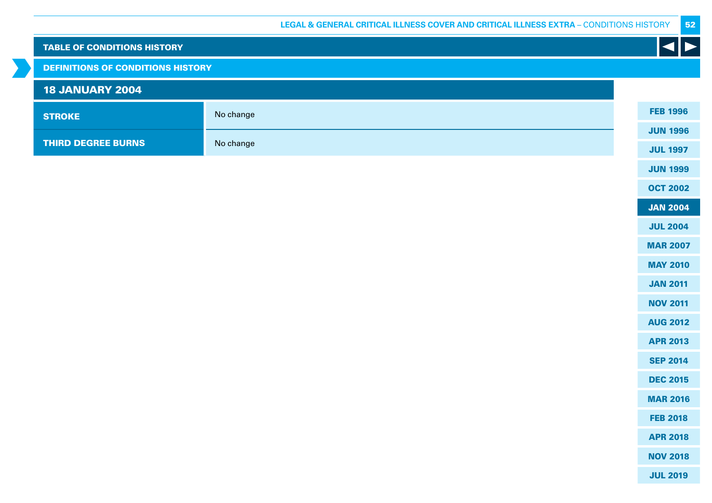| <b>TABLE OF CONDITIONS HISTORY</b>       |           | $\left  \bullet \right $ |
|------------------------------------------|-----------|--------------------------|
| <b>DEFINITIONS OF CONDITIONS HISTORY</b> |           |                          |
| <b>18 JANUARY 2004</b>                   |           |                          |
| <b>STROKE</b>                            | No change | <b>FEB 1996</b>          |
|                                          |           | <b>JUN 1996</b>          |
| <b>THIRD DEGREE BURNS</b>                | No change | <b>JUL 1997</b>          |
|                                          |           | <b>JUN 1999</b>          |
|                                          |           | <b>OCT 2002</b>          |
|                                          |           | <b>JAN 2004</b>          |
|                                          |           | <b>JUL 2004</b>          |
|                                          |           | <b>MAR 2007</b>          |
|                                          |           | <b>MAY 2010</b>          |
|                                          |           | <b>JAN 2011</b>          |
|                                          |           | <b>NOV 2011</b>          |
|                                          |           | <b>AUG 2012</b>          |
|                                          |           | <b>APR 2013</b>          |
|                                          |           | <b>SEP 2014</b>          |
|                                          |           | <b>DEC 2015</b>          |
|                                          |           | <b>MAR 2016</b>          |
|                                          |           | <b>FEB 2018</b>          |
|                                          |           | <b>APR 2018</b>          |
|                                          |           | <b>NOV 2018</b>          |
|                                          |           | <b>JUL 2019</b>          |

 $\rightarrow$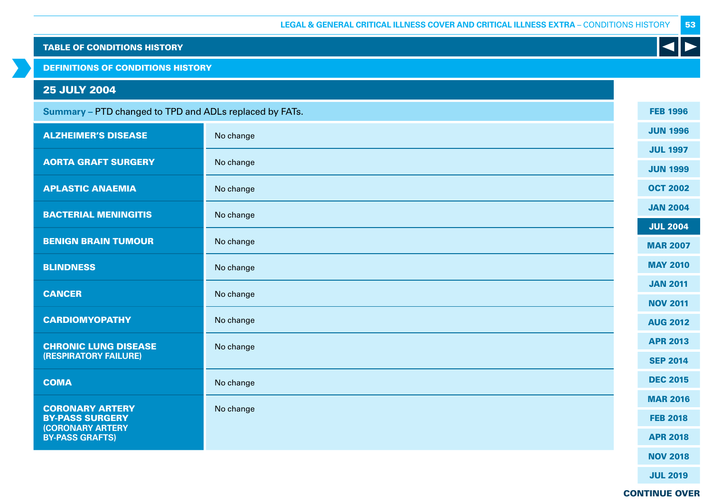DEFINITIONS OF CONDITIONS HISTORY

# 25 JULY 2004

| Summary - PTD changed to TPD and ADLs replaced by FATs.                     |           | <b>FEB 1996</b> |
|-----------------------------------------------------------------------------|-----------|-----------------|
| <b>ALZHEIMER'S DISEASE</b>                                                  | No change | <b>JUN 1996</b> |
|                                                                             |           | <b>JUL 1997</b> |
| <b>AORTA GRAFT SURGERY</b>                                                  | No change | <b>JUN 1999</b> |
| <b>APLASTIC ANAEMIA</b>                                                     | No change | <b>OCT 2002</b> |
| <b>BACTERIAL MENINGITIS</b>                                                 | No change | <b>JAN 2004</b> |
|                                                                             |           | <b>JUL 2004</b> |
| <b>BENIGN BRAIN TUMOUR</b>                                                  | No change | <b>MAR 2007</b> |
| <b>BLINDNESS</b>                                                            | No change | <b>MAY 2010</b> |
| <b>CANCER</b>                                                               |           | <b>JAN 2011</b> |
|                                                                             | No change | <b>NOV 2011</b> |
| <b>CARDIOMYOPATHY</b>                                                       | No change | <b>AUG 2012</b> |
| <b>CHRONIC LUNG DISEASE</b>                                                 | No change | <b>APR 2013</b> |
| (RESPIRATORY FAILURE)                                                       |           | <b>SEP 2014</b> |
| <b>COMA</b>                                                                 | No change | <b>DEC 2015</b> |
|                                                                             |           | <b>MAR 2016</b> |
| <b>CORONARY ARTERY</b><br><b>BY-PASS SURGERY</b><br><b>(CORONARY ARTERY</b> | No change | <b>FEB 2018</b> |
| <b>BY-PASS GRAFTS)</b>                                                      |           | <b>APR 2018</b> |
|                                                                             |           | <b>NOV 2018</b> |

JUL 2019

53

K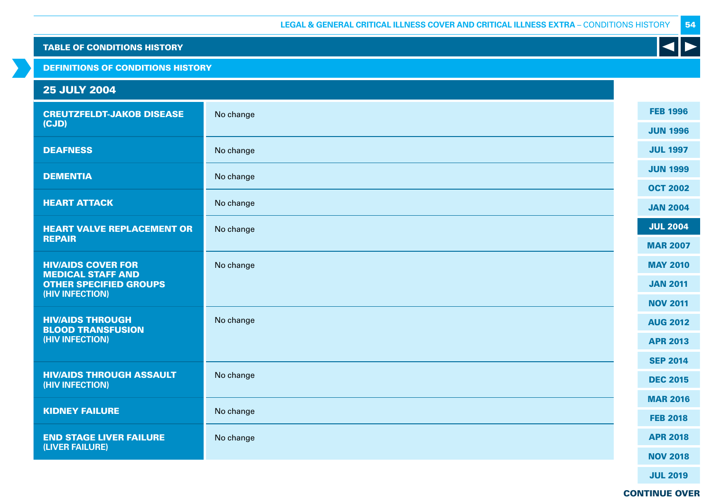DEFINITIONS OF CONDITIONS HISTORY

# 25 JULY 2004

| <b>CREUTZFELDT-JAKOB DISEASE</b>                      | No change | <b>FEB 1996</b> |
|-------------------------------------------------------|-----------|-----------------|
| (CJD)                                                 |           | <b>JUN 1996</b> |
| <b>DEAFNESS</b>                                       | No change | <b>JUL 1997</b> |
| <b>DEMENTIA</b>                                       | No change | <b>JUN 1999</b> |
|                                                       |           | <b>OCT 2002</b> |
| <b>HEART ATTACK</b>                                   | No change | <b>JAN 2004</b> |
| <b>HEART VALVE REPLACEMENT OR</b>                     | No change | <b>JUL 2004</b> |
| <b>REPAIR</b>                                         |           | <b>MAR 2007</b> |
| <b>HIV/AIDS COVER FOR</b><br><b>MEDICAL STAFF AND</b> | No change | <b>MAY 2010</b> |
| <b>OTHER SPECIFIED GROUPS</b>                         |           | <b>JAN 2011</b> |
| (HIV INFECTION)                                       |           | <b>NOV 2011</b> |
| <b>HIV/AIDS THROUGH</b><br><b>BLOOD TRANSFUSION</b>   | No change | <b>AUG 2012</b> |
| (HIV INFECTION)                                       |           | <b>APR 2013</b> |
|                                                       |           | <b>SEP 2014</b> |
| <b>HIV/AIDS THROUGH ASSAULT</b><br>(HIV INFECTION)    | No change | <b>DEC 2015</b> |
|                                                       |           | <b>MAR 2016</b> |
| <b>KIDNEY FAILURE</b>                                 | No change | <b>FEB 2018</b> |
| <b>END STAGE LIVER FAILURE</b>                        | No change | <b>APR 2018</b> |
| (LIVER FAILURE)                                       |           | <b>NOV 2018</b> |
|                                                       |           |                 |

JUL 2019

54

 $\blacktriangleleft$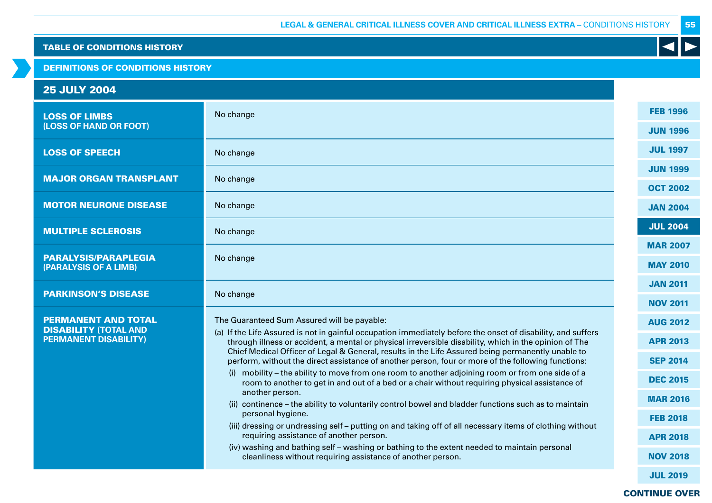## DEFINITIONS OF CONDITIONS HISTORY

# 25 JULY 2004

| <b>LOSS OF LIMBS</b>                                         | No change                                                                                                                                                                                                              | <b>FEB 1996</b> |
|--------------------------------------------------------------|------------------------------------------------------------------------------------------------------------------------------------------------------------------------------------------------------------------------|-----------------|
| (LOSS OF HAND OR FOOT)                                       |                                                                                                                                                                                                                        | <b>JUN 1996</b> |
| <b>LOSS OF SPEECH</b>                                        | No change                                                                                                                                                                                                              | <b>JUL 1997</b> |
| <b>MAJOR ORGAN TRANSPLANT</b>                                | No change                                                                                                                                                                                                              | <b>JUN 1999</b> |
|                                                              |                                                                                                                                                                                                                        | <b>OCT 2002</b> |
| <b>MOTOR NEURONE DISEASE</b>                                 | No change                                                                                                                                                                                                              | <b>JAN 2004</b> |
| <b>MULTIPLE SCLEROSIS</b>                                    | No change                                                                                                                                                                                                              | <b>JUL 2004</b> |
|                                                              |                                                                                                                                                                                                                        | <b>MAR 2007</b> |
| <b>PARALYSIS/PARAPLEGIA</b><br>(PARALYSIS OF A LIMB)         | No change                                                                                                                                                                                                              | <b>MAY 2010</b> |
|                                                              |                                                                                                                                                                                                                        | <b>JAN 2011</b> |
| <b>PARKINSON'S DISEASE</b>                                   | No change                                                                                                                                                                                                              | <b>NOV 2011</b> |
| <b>PERMANENT AND TOTAL</b>                                   | The Guaranteed Sum Assured will be payable:                                                                                                                                                                            | <b>AUG 2012</b> |
| <b>DISABILITY (TOTAL AND</b><br><b>PERMANENT DISABILITY)</b> | (a) If the Life Assured is not in gainful occupation immediately before the onset of disability, and suffers<br>through illness or accident, a mental or physical irreversible disability, which in the opinion of The | <b>APR 2013</b> |
|                                                              | Chief Medical Officer of Legal & General, results in the Life Assured being permanently unable to<br>perform, without the direct assistance of another person, four or more of the following functions:                | <b>SEP 2014</b> |
|                                                              | (i) mobility - the ability to move from one room to another adjoining room or from one side of a<br>room to another to get in and out of a bed or a chair without requiring physical assistance of                     | <b>DEC 2015</b> |
|                                                              | another person.<br>(ii) continence - the ability to voluntarily control bowel and bladder functions such as to maintain                                                                                                | <b>MAR 2016</b> |
|                                                              | personal hygiene.                                                                                                                                                                                                      | <b>FEB 2018</b> |
|                                                              | (iii) dressing or undressing self - putting on and taking off of all necessary items of clothing without<br>requiring assistance of another person.                                                                    |                 |
|                                                              | (iv) washing and bathing self – washing or bathing to the extent needed to maintain personal                                                                                                                           | <b>APR 2018</b> |
|                                                              | cleanliness without requiring assistance of another person.                                                                                                                                                            | <b>NOV 2018</b> |
|                                                              |                                                                                                                                                                                                                        | <b>JUL 2019</b> |

# CONTINUE OVER

55

K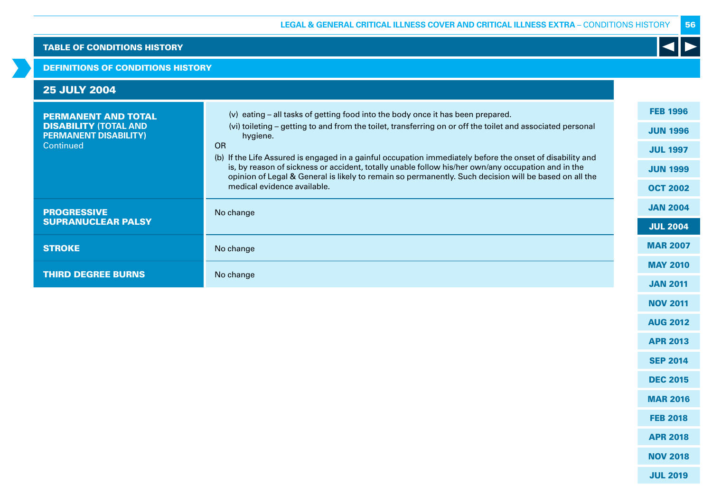## DEFINITIONS OF CONDITIONS HISTORY

| <b>25 JULY 2004</b>                                          |                                                                                                                                                                                                                                            |                 |
|--------------------------------------------------------------|--------------------------------------------------------------------------------------------------------------------------------------------------------------------------------------------------------------------------------------------|-----------------|
| <b>PERMANENT AND TOTAL</b>                                   | (v) eating - all tasks of getting food into the body once it has been prepared.                                                                                                                                                            | <b>FEB 1996</b> |
| <b>DISABILITY (TOTAL AND</b><br><b>PERMANENT DISABILITY)</b> | (vi) toileting – getting to and from the toilet, transferring on or off the toilet and associated personal<br>hygiene.                                                                                                                     | <b>JUN 1996</b> |
| Continued                                                    | <b>OR</b><br>(b) If the Life Assured is engaged in a gainful occupation immediately before the onset of disability and                                                                                                                     | <b>JUL 1997</b> |
|                                                              | is, by reason of sickness or accident, totally unable follow his/her own/any occupation and in the<br>opinion of Legal & General is likely to remain so permanently. Such decision will be based on all the<br>medical evidence available. | <b>JUN 1999</b> |
|                                                              |                                                                                                                                                                                                                                            | <b>OCT 2002</b> |
| <b>PROGRESSIVE</b>                                           | No change                                                                                                                                                                                                                                  | <b>JAN 2004</b> |
| <b>SUPRANUCLEAR PALSY</b>                                    |                                                                                                                                                                                                                                            | <b>JUL 2004</b> |
| <b>STROKE</b>                                                | No change                                                                                                                                                                                                                                  | <b>MAR 2007</b> |
| <b>THIRD DEGREE BURNS</b>                                    |                                                                                                                                                                                                                                            | <b>MAY 2010</b> |
|                                                              | No change                                                                                                                                                                                                                                  | <b>JAN 2011</b> |
|                                                              |                                                                                                                                                                                                                                            |                 |

56

K

NOV 2011

AUG 2012

APR 2013

SEP 2014

DEC 2015

MAR 2016

FEB 2018

APR 2018

NOV 2018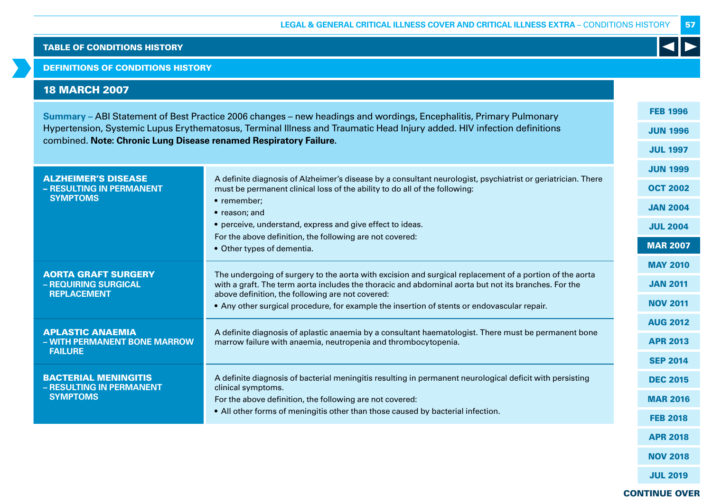DEFINITIONS OF CONDITIONS HISTORY

# 18 MARCH 2007

| Summary - ABI Statement of Best Practice 2006 changes - new headings and wordings, Encephalitis, Primary Pulmonary<br>Hypertension, Systemic Lupus Erythematosus, Terminal Illness and Traumatic Head Injury added. HIV infection definitions<br>combined. Note: Chronic Lung Disease renamed Respiratory Failure. |                                                                                                                                                                                                                 |                 |
|--------------------------------------------------------------------------------------------------------------------------------------------------------------------------------------------------------------------------------------------------------------------------------------------------------------------|-----------------------------------------------------------------------------------------------------------------------------------------------------------------------------------------------------------------|-----------------|
|                                                                                                                                                                                                                                                                                                                    |                                                                                                                                                                                                                 |                 |
|                                                                                                                                                                                                                                                                                                                    |                                                                                                                                                                                                                 | <b>JUN 1999</b> |
| <b>ALZHEIMER'S DISEASE</b><br>- RESULTING IN PERMANENT                                                                                                                                                                                                                                                             | A definite diagnosis of Alzheimer's disease by a consultant neurologist, psychiatrist or geriatrician. There<br>must be permanent clinical loss of the ability to do all of the following:                      | <b>OCT 2002</b> |
| <b>SYMPTOMS</b>                                                                                                                                                                                                                                                                                                    | • remember;<br>• reason; and                                                                                                                                                                                    | <b>JAN 2004</b> |
|                                                                                                                                                                                                                                                                                                                    | • perceive, understand, express and give effect to ideas.                                                                                                                                                       | <b>JUL 2004</b> |
|                                                                                                                                                                                                                                                                                                                    | For the above definition, the following are not covered:<br>• Other types of dementia.                                                                                                                          | <b>MAR 2007</b> |
|                                                                                                                                                                                                                                                                                                                    |                                                                                                                                                                                                                 | <b>MAY 2010</b> |
| <b>AORTA GRAFT SURGERY</b><br>- REQUIRING SURGICAL                                                                                                                                                                                                                                                                 | The undergoing of surgery to the aorta with excision and surgical replacement of a portion of the aorta<br>with a graft. The term aorta includes the thoracic and abdominal aorta but not its branches. For the | <b>JAN 2011</b> |
| <b>REPLACEMENT</b>                                                                                                                                                                                                                                                                                                 | above definition, the following are not covered:<br>• Any other surgical procedure, for example the insertion of stents or endovascular repair.                                                                 | <b>NOV 2011</b> |
|                                                                                                                                                                                                                                                                                                                    |                                                                                                                                                                                                                 | <b>AUG 2012</b> |
| <b>APLASTIC ANAEMIA</b><br>- WITH PERMANENT BONE MARROW                                                                                                                                                                                                                                                            | A definite diagnosis of aplastic anaemia by a consultant haematologist. There must be permanent bone<br>marrow failure with anaemia, neutropenia and thrombocytopenia.                                          | <b>APR 2013</b> |
| <b>FAILURE</b>                                                                                                                                                                                                                                                                                                     |                                                                                                                                                                                                                 | <b>SEP 2014</b> |
| <b>BACTERIAL MENINGITIS</b>                                                                                                                                                                                                                                                                                        | A definite diagnosis of bacterial meningitis resulting in permanent neurological deficit with persisting                                                                                                        | <b>DEC 2015</b> |
| - RESULTING IN PERMANENT<br><b>SYMPTOMS</b>                                                                                                                                                                                                                                                                        | clinical symptoms.<br>For the above definition, the following are not covered:                                                                                                                                  | <b>MAR 2016</b> |
|                                                                                                                                                                                                                                                                                                                    | • All other forms of meningitis other than those caused by bacterial infection.                                                                                                                                 | <b>FEB 2018</b> |
|                                                                                                                                                                                                                                                                                                                    |                                                                                                                                                                                                                 |                 |

57

 $\blacktriangleleft$ 

CONTINUE OVER

APR 2018

NOV 2018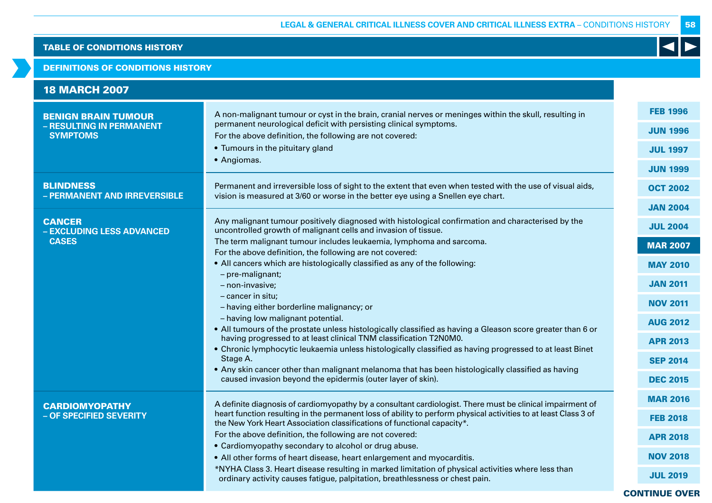## DEFINITIONS OF CONDITIONS HISTORY

| <b>18 MARCH 2007</b>                                                      |                                                                                                                                                                                                                                         |                                    |
|---------------------------------------------------------------------------|-----------------------------------------------------------------------------------------------------------------------------------------------------------------------------------------------------------------------------------------|------------------------------------|
| <b>BENIGN BRAIN TUMOUR</b><br>- RESULTING IN PERMANENT<br><b>SYMPTOMS</b> | A non-malignant tumour or cyst in the brain, cranial nerves or meninges within the skull, resulting in<br>permanent neurological deficit with persisting clinical symptoms.<br>For the above definition, the following are not covered: | <b>FEB 1996</b><br><b>JUN 1996</b> |
|                                                                           | • Tumours in the pituitary gland                                                                                                                                                                                                        | <b>JUL 1997</b>                    |
|                                                                           | • Angiomas.                                                                                                                                                                                                                             | <b>JUN 1999</b>                    |
| <b>BLINDNESS</b><br>- PERMANENT AND IRREVERSIBLE                          | Permanent and irreversible loss of sight to the extent that even when tested with the use of visual aids,<br>vision is measured at 3/60 or worse in the better eye using a Snellen eye chart.                                           | <b>OCT 2002</b>                    |
|                                                                           |                                                                                                                                                                                                                                         | <b>JAN 2004</b>                    |
| <b>CANCER</b><br>- EXCLUDING LESS ADVANCED                                | Any malignant tumour positively diagnosed with histological confirmation and characterised by the<br>uncontrolled growth of malignant cells and invasion of tissue.                                                                     | <b>JUL 2004</b>                    |
| <b>CASES</b>                                                              | The term malignant tumour includes leukaemia, lymphoma and sarcoma.                                                                                                                                                                     | <b>MAR 2007</b>                    |
|                                                                           | For the above definition, the following are not covered:<br>• All cancers which are histologically classified as any of the following:                                                                                                  | <b>MAY 2010</b>                    |
|                                                                           | - pre-malignant;<br>- non-invasive;                                                                                                                                                                                                     | <b>JAN 2011</b>                    |
|                                                                           | - cancer in situ;                                                                                                                                                                                                                       | <b>NOV 2011</b>                    |
|                                                                           | - having either borderline malignancy; or<br>- having low malignant potential.                                                                                                                                                          |                                    |
|                                                                           | . All tumours of the prostate unless histologically classified as having a Gleason score greater than 6 or                                                                                                                              | <b>AUG 2012</b>                    |
|                                                                           | having progressed to at least clinical TNM classification T2N0M0.<br>. Chronic lymphocytic leukaemia unless histologically classified as having progressed to at least Binet                                                            | <b>APR 2013</b>                    |
|                                                                           | Stage A.                                                                                                                                                                                                                                | <b>SEP 2014</b>                    |
|                                                                           | • Any skin cancer other than malignant melanoma that has been histologically classified as having<br>caused invasion beyond the epidermis (outer layer of skin).                                                                        | <b>DEC 2015</b>                    |
| <b>CARDIOMYOPATHY</b>                                                     | A definite diagnosis of cardiomyopathy by a consultant cardiologist. There must be clinical impairment of                                                                                                                               | <b>MAR 2016</b>                    |
| - OF SPECIFIED SEVERITY                                                   | heart function resulting in the permanent loss of ability to perform physical activities to at least Class 3 of<br>the New York Heart Association classifications of functional capacity*.                                              | <b>FEB 2018</b>                    |
|                                                                           | For the above definition, the following are not covered:                                                                                                                                                                                | <b>APR 2018</b>                    |
|                                                                           | • Cardiomyopathy secondary to alcohol or drug abuse.<br>• All other forms of heart disease, heart enlargement and myocarditis.                                                                                                          | <b>NOV 2018</b>                    |
|                                                                           | *NYHA Class 3. Heart disease resulting in marked limitation of physical activities where less than                                                                                                                                      |                                    |
|                                                                           | ordinary activity causes fatigue, palpitation, breathlessness or chest pain.                                                                                                                                                            | <b>JUL 2019</b>                    |
|                                                                           |                                                                                                                                                                                                                                         | <b>CONTINUE OVER</b>               |

58

K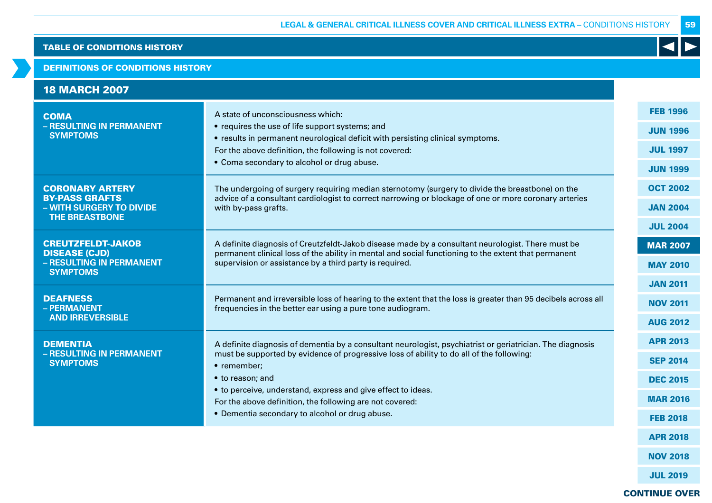## DEFINITIONS OF CONDITIONS HISTORY

| <b>18 MARCH 2007</b>                                                                                 |                                                                                                                                                                                                                                                                                                                                                                                                                        |                                                                                             |
|------------------------------------------------------------------------------------------------------|------------------------------------------------------------------------------------------------------------------------------------------------------------------------------------------------------------------------------------------------------------------------------------------------------------------------------------------------------------------------------------------------------------------------|---------------------------------------------------------------------------------------------|
| <b>COMA</b><br>- RESULTING IN PERMANENT<br><b>SYMPTOMS</b>                                           | A state of unconsciousness which:<br>• requires the use of life support systems; and<br>• results in permanent neurological deficit with persisting clinical symptoms.<br>For the above definition, the following is not covered:<br>• Coma secondary to alcohol or drug abuse.                                                                                                                                        | <b>FEB 1996</b><br><b>JUN 1996</b><br><b>JUL 1997</b><br><b>JUN 1999</b>                    |
| <b>CORONARY ARTERY</b><br><b>BY-PASS GRAFTS</b><br>- WITH SURGERY TO DIVIDE<br><b>THE BREASTBONE</b> | The undergoing of surgery requiring median sternotomy (surgery to divide the breastbone) on the<br>advice of a consultant cardiologist to correct narrowing or blockage of one or more coronary arteries<br>with by-pass grafts.                                                                                                                                                                                       | <b>OCT 2002</b><br><b>JAN 2004</b><br><b>JUL 2004</b>                                       |
| <b>CREUTZFELDT-JAKOB</b><br><b>DISEASE (CJD)</b><br>- RESULTING IN PERMANENT<br><b>SYMPTOMS</b>      | A definite diagnosis of Creutzfeldt-Jakob disease made by a consultant neurologist. There must be<br>permanent clinical loss of the ability in mental and social functioning to the extent that permanent<br>supervision or assistance by a third party is required.                                                                                                                                                   | <b>MAR 2007</b><br><b>MAY 2010</b>                                                          |
| <b>DEAFNESS</b><br>- PERMANENT<br><b>AND IRREVERSIBLE</b>                                            | Permanent and irreversible loss of hearing to the extent that the loss is greater than 95 decibels across all<br>frequencies in the better ear using a pure tone audiogram.                                                                                                                                                                                                                                            | <b>JAN 2011</b><br><b>NOV 2011</b><br><b>AUG 2012</b>                                       |
| <b>DEMENTIA</b><br>- RESULTING IN PERMANENT<br><b>SYMPTOMS</b>                                       | A definite diagnosis of dementia by a consultant neurologist, psychiatrist or geriatrician. The diagnosis<br>must be supported by evidence of progressive loss of ability to do all of the following:<br>• remember;<br>• to reason; and<br>• to perceive, understand, express and give effect to ideas.<br>For the above definition, the following are not covered:<br>• Dementia secondary to alcohol or drug abuse. | <b>APR 2013</b><br><b>SEP 2014</b><br><b>DEC 2015</b><br><b>MAR 2016</b><br><b>FEB 2018</b> |
|                                                                                                      |                                                                                                                                                                                                                                                                                                                                                                                                                        | <b>APR 2018</b><br><b>NOV 2018</b>                                                          |

CONTINUE OVER

JUL 2019

59

 $\blacktriangleleft$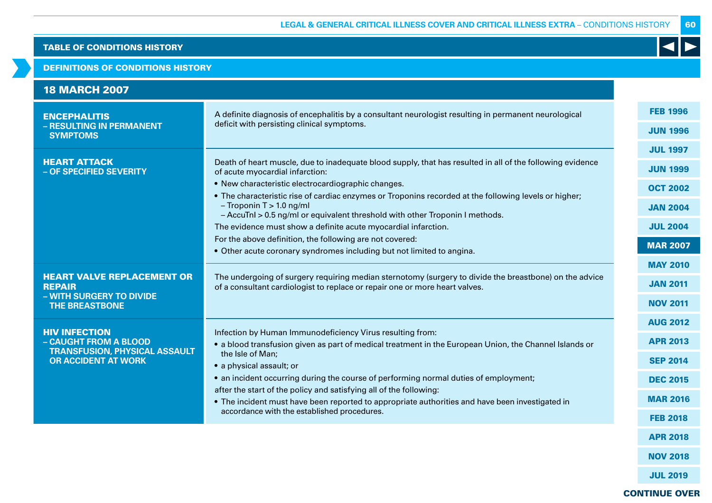## DEFINITIONS OF CONDITIONS HISTORY

| <b>18 MARCH 2007</b>                                                                                    |                                                                                                                                                                                                                       |                 |
|---------------------------------------------------------------------------------------------------------|-----------------------------------------------------------------------------------------------------------------------------------------------------------------------------------------------------------------------|-----------------|
| <b>ENCEPHALITIS</b><br>- RESULTING IN PERMANENT                                                         | A definite diagnosis of encephalitis by a consultant neurologist resulting in permanent neurological<br>deficit with persisting clinical symptoms.                                                                    | <b>FEB 1996</b> |
| <b>SYMPTOMS</b>                                                                                         |                                                                                                                                                                                                                       | <b>JUN 1996</b> |
|                                                                                                         |                                                                                                                                                                                                                       | <b>JUL 1997</b> |
| <b>HEART ATTACK</b><br>- OF SPECIFIED SEVERITY                                                          | Death of heart muscle, due to inadequate blood supply, that has resulted in all of the following evidence<br>of acute myocardial infarction:                                                                          | <b>JUN 1999</b> |
|                                                                                                         | • New characteristic electrocardiographic changes.                                                                                                                                                                    | <b>OCT 2002</b> |
|                                                                                                         | • The characteristic rise of cardiac enzymes or Troponins recorded at the following levels or higher;<br>$-$ Troponin T $> 1.0$ ng/ml<br>- AccuTnl > 0.5 ng/ml or equivalent threshold with other Troponin I methods. | <b>JAN 2004</b> |
|                                                                                                         | The evidence must show a definite acute myocardial infarction.                                                                                                                                                        | <b>JUL 2004</b> |
|                                                                                                         | For the above definition, the following are not covered:                                                                                                                                                              | <b>MAR 2007</b> |
|                                                                                                         | • Other acute coronary syndromes including but not limited to angina.                                                                                                                                                 |                 |
|                                                                                                         | The undergoing of surgery requiring median sternotomy (surgery to divide the breastbone) on the advice<br>of a consultant cardiologist to replace or repair one or more heart valves.                                 | <b>MAY 2010</b> |
| <b>HEART VALVE REPLACEMENT OR</b><br><b>REPAIR</b><br>- WITH SURGERY TO DIVIDE<br><b>THE BREASTBONE</b> |                                                                                                                                                                                                                       | <b>JAN 2011</b> |
|                                                                                                         |                                                                                                                                                                                                                       | <b>NOV 2011</b> |
|                                                                                                         |                                                                                                                                                                                                                       | <b>AUG 2012</b> |
| <b>HIV INFECTION</b><br>- CAUGHT FROM A BLOOD<br><b>TRANSFUSION, PHYSICAL ASSAULT</b>                   | Infection by Human Immunodeficiency Virus resulting from:<br>• a blood transfusion given as part of medical treatment in the European Union, the Channel Islands or                                                   | <b>APR 2013</b> |
| <b>OR ACCIDENT AT WORK</b>                                                                              | the Isle of Man;<br>• a physical assault; or                                                                                                                                                                          | <b>SEP 2014</b> |
|                                                                                                         | • an incident occurring during the course of performing normal duties of employment;                                                                                                                                  | <b>DEC 2015</b> |
|                                                                                                         | after the start of the policy and satisfying all of the following:                                                                                                                                                    |                 |
|                                                                                                         | • The incident must have been reported to appropriate authorities and have been investigated in                                                                                                                       | <b>MAR 2016</b> |
|                                                                                                         | accordance with the established procedures.                                                                                                                                                                           | <b>FEB 2018</b> |
|                                                                                                         |                                                                                                                                                                                                                       | <b>APR 2018</b> |

NOV 2018

JUL 2019

# CONTINUE OVER

60

 $\blacktriangleleft$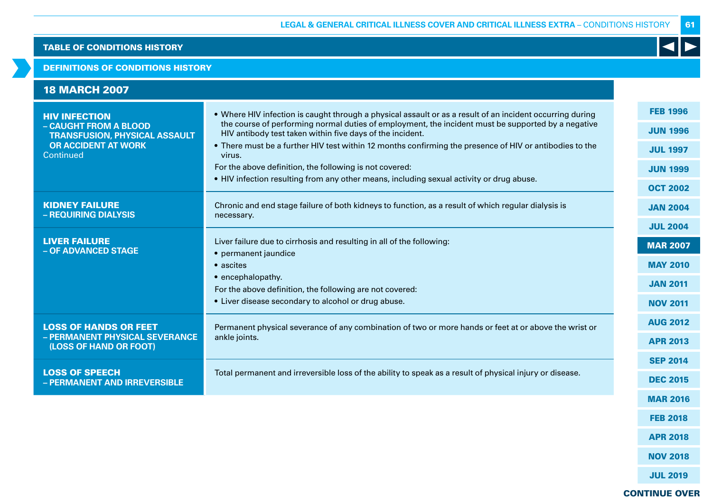### DEFINITIONS OF CONDITIONS HISTORY

| <b>18 MARCH 2007</b>                                                                                                |                                                                                                                                                                                                                                                                                                                                                                                         |                                                                          |
|---------------------------------------------------------------------------------------------------------------------|-----------------------------------------------------------------------------------------------------------------------------------------------------------------------------------------------------------------------------------------------------------------------------------------------------------------------------------------------------------------------------------------|--------------------------------------------------------------------------|
| <b>HIV INFECTION</b><br>- CAUGHT FROM A BLOOD<br><b>TRANSFUSION, PHYSICAL ASSAULT</b><br><b>OR ACCIDENT AT WORK</b> | . Where HIV infection is caught through a physical assault or as a result of an incident occurring during<br>the course of performing normal duties of employment, the incident must be supported by a negative<br>HIV antibody test taken within five days of the incident.<br>. There must be a further HIV test within 12 months confirming the presence of HIV or antibodies to the | <b>FEB 1996</b><br><b>JUN 1996</b><br><b>JUL 1997</b>                    |
| Continued                                                                                                           | virus.<br>For the above definition, the following is not covered:<br>. HIV infection resulting from any other means, including sexual activity or drug abuse.                                                                                                                                                                                                                           | <b>JUN 1999</b><br><b>OCT 2002</b>                                       |
| <b>KIDNEY FAILURE</b><br>- REQUIRING DIALYSIS                                                                       | Chronic and end stage failure of both kidneys to function, as a result of which regular dialysis is<br>necessary.                                                                                                                                                                                                                                                                       | <b>JAN 2004</b><br><b>JUL 2004</b>                                       |
| <b>LIVER FAILURE</b><br>- OF ADVANCED STAGE                                                                         | Liver failure due to cirrhosis and resulting in all of the following:<br>• permanent jaundice<br>• ascites<br>• encephalopathy.<br>For the above definition, the following are not covered:<br>• Liver disease secondary to alcohol or drug abuse.                                                                                                                                      | <b>MAR 2007</b><br><b>MAY 2010</b><br><b>JAN 2011</b><br><b>NOV 2011</b> |
| <b>LOSS OF HANDS OR FEET</b><br>- PERMANENT PHYSICAL SEVERANCE<br>(LOSS OF HAND OR FOOT)                            | Permanent physical severance of any combination of two or more hands or feet at or above the wrist or<br>ankle joints.                                                                                                                                                                                                                                                                  | <b>AUG 2012</b><br><b>APR 2013</b>                                       |
| <b>LOSS OF SPEECH</b><br>- PERMANENT AND IRREVERSIBLE                                                               | Total permanent and irreversible loss of the ability to speak as a result of physical injury or disease.                                                                                                                                                                                                                                                                                | <b>SEP 2014</b><br><b>DEC 2015</b>                                       |
|                                                                                                                     |                                                                                                                                                                                                                                                                                                                                                                                         | <b>MAR 2016</b>                                                          |
|                                                                                                                     |                                                                                                                                                                                                                                                                                                                                                                                         | <b>FEB 2018</b>                                                          |

61

K

CONTINUE OVER

APR 2018

NOV 2018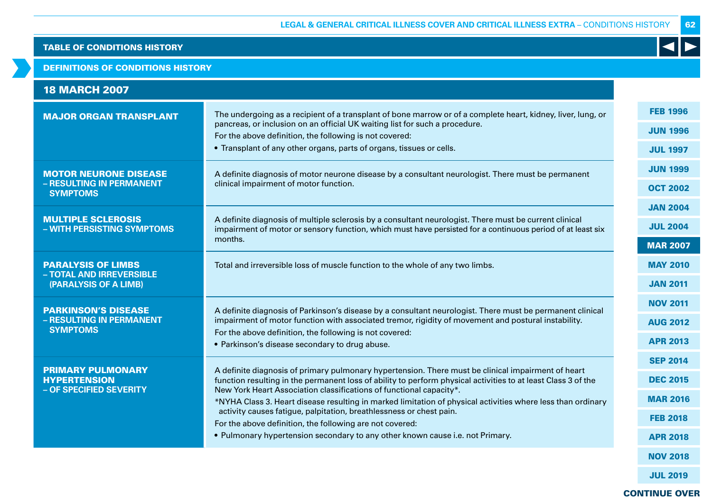# DEFINITIONS OF CONDITIONS HISTORY

| <b>18 MARCH 2007</b>                                    |                                                                                                                                                                                                                      |                 |
|---------------------------------------------------------|----------------------------------------------------------------------------------------------------------------------------------------------------------------------------------------------------------------------|-----------------|
| <b>MAJOR ORGAN TRANSPLANT</b>                           | The undergoing as a recipient of a transplant of bone marrow or of a complete heart, kidney, liver, lung, or                                                                                                         | <b>FEB 1996</b> |
|                                                         | pancreas, or inclusion on an official UK waiting list for such a procedure.<br>For the above definition, the following is not covered:                                                                               | <b>JUN 1996</b> |
|                                                         | • Transplant of any other organs, parts of organs, tissues or cells.                                                                                                                                                 | <b>JUL 1997</b> |
| <b>MOTOR NEURONE DISEASE</b>                            | A definite diagnosis of motor neurone disease by a consultant neurologist. There must be permanent                                                                                                                   | <b>JUN 1999</b> |
| - RESULTING IN PERMANENT<br><b>SYMPTOMS</b>             | clinical impairment of motor function.                                                                                                                                                                               | <b>OCT 2002</b> |
|                                                         |                                                                                                                                                                                                                      | <b>JAN 2004</b> |
| <b>MULTIPLE SCLEROSIS</b><br>- WITH PERSISTING SYMPTOMS | A definite diagnosis of multiple sclerosis by a consultant neurologist. There must be current clinical<br>impairment of motor or sensory function, which must have persisted for a continuous period of at least six | <b>JUL 2004</b> |
|                                                         | months.                                                                                                                                                                                                              | <b>MAR 2007</b> |
| <b>PARALYSIS OF LIMBS</b>                               | Total and irreversible loss of muscle function to the whole of any two limbs.                                                                                                                                        | <b>MAY 2010</b> |
| - TOTAL AND IRREVERSIBLE<br>(PARALYSIS OF A LIMB)       |                                                                                                                                                                                                                      | <b>JAN 2011</b> |
| <b>PARKINSON'S DISEASE</b>                              | A definite diagnosis of Parkinson's disease by a consultant neurologist. There must be permanent clinical                                                                                                            | <b>NOV 2011</b> |
| - RESULTING IN PERMANENT<br><b>SYMPTOMS</b>             | impairment of motor function with associated tremor, rigidity of movement and postural instability.                                                                                                                  | <b>AUG 2012</b> |
|                                                         | For the above definition, the following is not covered:<br>• Parkinson's disease secondary to drug abuse.                                                                                                            | <b>APR 2013</b> |
|                                                         |                                                                                                                                                                                                                      | <b>SEP 2014</b> |
| <b>PRIMARY PULMONARY</b><br><b>HYPERTENSION</b>         | A definite diagnosis of primary pulmonary hypertension. There must be clinical impairment of heart<br>function resulting in the permanent loss of ability to perform physical activities to at least Class 3 of the  | <b>DEC 2015</b> |
| - OF SPECIFIED SEVERITY                                 | New York Heart Association classifications of functional capacity*.<br>*NYHA Class 3. Heart disease resulting in marked limitation of physical activities where less than ordinary                                   | <b>MAR 2016</b> |
|                                                         | activity causes fatigue, palpitation, breathlessness or chest pain.<br>For the above definition, the following are not covered:                                                                                      | <b>FEB 2018</b> |
|                                                         | • Pulmonary hypertension secondary to any other known cause i.e. not Primary.                                                                                                                                        | <b>APR 2018</b> |
|                                                         |                                                                                                                                                                                                                      | <b>NOV 2018</b> |

JUL 2019

62

 $\blacktriangleleft$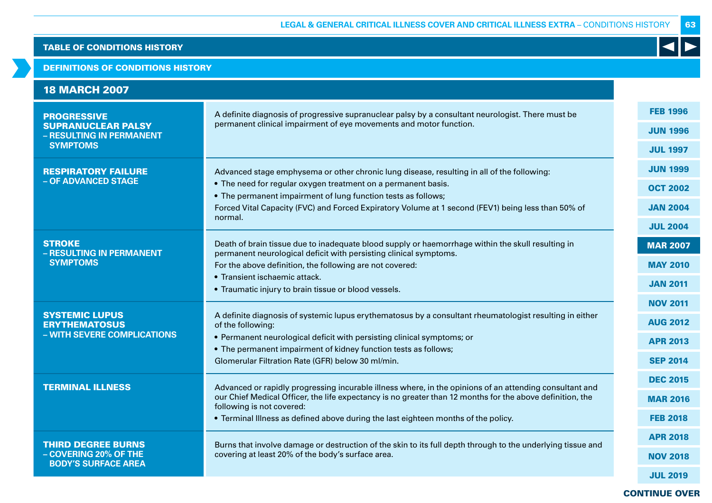# DEFINITIONS OF CONDITIONS HISTORY

| <b>18 MARCH 2007</b>                                  |                                                                                                                                                                                                                      |                 |
|-------------------------------------------------------|----------------------------------------------------------------------------------------------------------------------------------------------------------------------------------------------------------------------|-----------------|
| <b>PROGRESSIVE</b>                                    | A definite diagnosis of progressive supranuclear palsy by a consultant neurologist. There must be                                                                                                                    | <b>FEB 1996</b> |
| <b>SUPRANUCLEAR PALSY</b><br>- RESULTING IN PERMANENT | permanent clinical impairment of eye movements and motor function.                                                                                                                                                   | <b>JUN 1996</b> |
| <b>SYMPTOMS</b>                                       |                                                                                                                                                                                                                      | <b>JUL 1997</b> |
| <b>RESPIRATORY FAILURE</b>                            | Advanced stage emphysema or other chronic lung disease, resulting in all of the following:                                                                                                                           | <b>JUN 1999</b> |
| - OF ADVANCED STAGE                                   | • The need for regular oxygen treatment on a permanent basis.<br>• The permanent impairment of lung function tests as follows;                                                                                       | <b>OCT 2002</b> |
|                                                       | Forced Vital Capacity (FVC) and Forced Expiratory Volume at 1 second (FEV1) being less than 50% of                                                                                                                   | <b>JAN 2004</b> |
|                                                       | normal.                                                                                                                                                                                                              | <b>JUL 2004</b> |
| <b>STROKE</b><br>- RESULTING IN PERMANENT             | Death of brain tissue due to inadequate blood supply or haemorrhage within the skull resulting in<br>permanent neurological deficit with persisting clinical symptoms.                                               | <b>MAR 2007</b> |
| <b>SYMPTOMS</b>                                       | For the above definition, the following are not covered:                                                                                                                                                             | <b>MAY 2010</b> |
|                                                       | • Transient ischaemic attack.<br>• Traumatic injury to brain tissue or blood vessels.                                                                                                                                | <b>JAN 2011</b> |
|                                                       |                                                                                                                                                                                                                      | <b>NOV 2011</b> |
| <b>SYSTEMIC LUPUS</b><br><b>ERYTHEMATOSUS</b>         | A definite diagnosis of systemic lupus erythematosus by a consultant rheumatologist resulting in either<br>of the following:                                                                                         | <b>AUG 2012</b> |
| - WITH SEVERE COMPLICATIONS                           | • Permanent neurological deficit with persisting clinical symptoms; or                                                                                                                                               | <b>APR 2013</b> |
|                                                       | • The permanent impairment of kidney function tests as follows;<br>Glomerular Filtration Rate (GFR) below 30 ml/min.                                                                                                 | <b>SEP 2014</b> |
|                                                       |                                                                                                                                                                                                                      | <b>DEC 2015</b> |
| <b>TERMINAL ILLNESS</b>                               | Advanced or rapidly progressing incurable illness where, in the opinions of an attending consultant and<br>our Chief Medical Officer, the life expectancy is no greater than 12 months for the above definition, the | <b>MAR 2016</b> |
|                                                       | following is not covered:<br>• Terminal Illness as defined above during the last eighteen months of the policy.                                                                                                      | <b>FEB 2018</b> |
|                                                       |                                                                                                                                                                                                                      | <b>APR 2018</b> |
| <b>THIRD DEGREE BURNS</b><br>- COVERING 20% OF THE    | Burns that involve damage or destruction of the skin to its full depth through to the underlying tissue and<br>covering at least 20% of the body's surface area.                                                     | <b>NOV 2018</b> |
| <b>BODY'S SURFACE AREA</b>                            |                                                                                                                                                                                                                      | <b>JUL 2019</b> |

# CONTINUE OVER

63

 $\blacktriangleleft$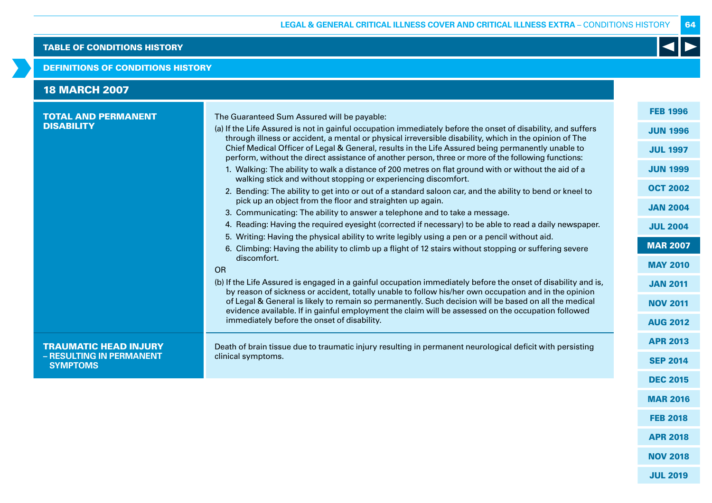## DEFINITIONS OF CONDITIONS HISTORY

| <b>18 MARCH 2007</b><br><b>TOTAL AND PERMANENT</b><br><b>DISABILITY</b>     | The Guaranteed Sum Assured will be payable:<br>(a) If the Life Assured is not in gainful occupation immediately before the onset of disability, and suffers<br>through illness or accident, a mental or physical irreversible disability, which in the opinion of The<br>Chief Medical Officer of Legal & General, results in the Life Assured being permanently unable to<br>perform, without the direct assistance of another person, three or more of the following functions:<br>1. Walking: The ability to walk a distance of 200 metres on flat ground with or without the aid of a<br>walking stick and without stopping or experiencing discomfort.<br>2. Bending: The ability to get into or out of a standard saloon car, and the ability to bend or kneel to<br>pick up an object from the floor and straighten up again.<br>3. Communicating: The ability to answer a telephone and to take a message. | <b>FEB 1996</b><br><b>JUN 1996</b><br><b>JUL 1997</b><br><b>JUN 1999</b><br><b>OCT 2002</b><br><b>JAN 2004</b> |
|-----------------------------------------------------------------------------|--------------------------------------------------------------------------------------------------------------------------------------------------------------------------------------------------------------------------------------------------------------------------------------------------------------------------------------------------------------------------------------------------------------------------------------------------------------------------------------------------------------------------------------------------------------------------------------------------------------------------------------------------------------------------------------------------------------------------------------------------------------------------------------------------------------------------------------------------------------------------------------------------------------------|----------------------------------------------------------------------------------------------------------------|
|                                                                             | 4. Reading: Having the required eyesight (corrected if necessary) to be able to read a daily newspaper.<br>5. Writing: Having the physical ability to write legibly using a pen or a pencil without aid.<br>6. Climbing: Having the ability to climb up a flight of 12 stairs without stopping or suffering severe<br>discomfort.<br>OR<br>(b) If the Life Assured is engaged in a gainful occupation immediately before the onset of disability and is,<br>by reason of sickness or accident, totally unable to follow his/her own occupation and in the opinion<br>of Legal & General is likely to remain so permanently. Such decision will be based on all the medical<br>evidence available. If in gainful employment the claim will be assessed on the occupation followed<br>immediately before the onset of disability.                                                                                    | <b>JUL 2004</b><br><b>MAR 2007</b><br><b>MAY 2010</b><br><b>JAN 2011</b><br><b>NOV 2011</b><br><b>AUG 2012</b> |
| <b>TRAUMATIC HEAD INJURY</b><br>- RESULTING IN PERMANENT<br><b>SYMPTOMS</b> | Death of brain tissue due to traumatic injury resulting in permanent neurological deficit with persisting<br>clinical symptoms.                                                                                                                                                                                                                                                                                                                                                                                                                                                                                                                                                                                                                                                                                                                                                                                    | <b>APR 2013</b><br><b>SEP 2014</b>                                                                             |
|                                                                             |                                                                                                                                                                                                                                                                                                                                                                                                                                                                                                                                                                                                                                                                                                                                                                                                                                                                                                                    | <b>DEC 2015</b><br><b>MAR 2016</b>                                                                             |

FEB 2018

NOV 2018

JUL 2019

64

K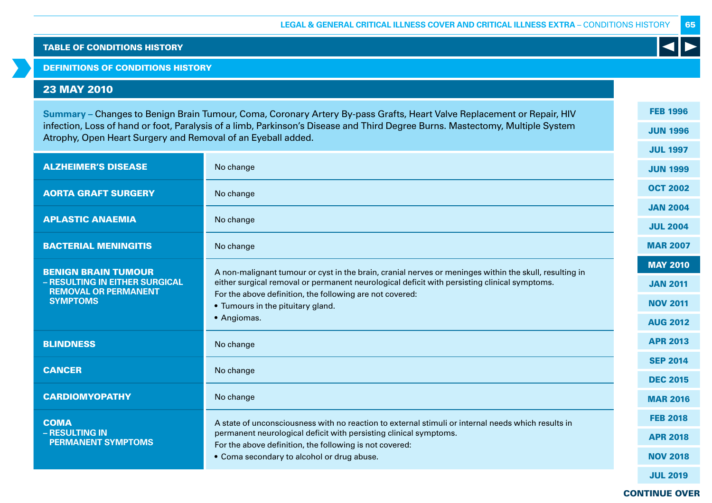## DEFINITIONS OF CONDITIONS HISTORY

# 23 MAY 2010

| Summary – Changes to Benign Brain Tumour, Coma, Coronary Artery By-pass Grafts, Heart Valve Replacement or Repair, HIV                                                                        |                                                                                                                                                                                                        |  | <b>FEB 1996</b> |
|-----------------------------------------------------------------------------------------------------------------------------------------------------------------------------------------------|--------------------------------------------------------------------------------------------------------------------------------------------------------------------------------------------------------|--|-----------------|
| infection, Loss of hand or foot, Paralysis of a limb, Parkinson's Disease and Third Degree Burns. Mastectomy, Multiple System<br>Atrophy, Open Heart Surgery and Removal of an Eyeball added. |                                                                                                                                                                                                        |  | <b>JUN 1996</b> |
|                                                                                                                                                                                               |                                                                                                                                                                                                        |  | <b>JUL 1997</b> |
| <b>ALZHEIMER'S DISEASE</b>                                                                                                                                                                    | No change                                                                                                                                                                                              |  | <b>JUN 1999</b> |
| <b>AORTA GRAFT SURGERY</b>                                                                                                                                                                    | No change                                                                                                                                                                                              |  | <b>OCT 2002</b> |
| <b>APLASTIC ANAEMIA</b>                                                                                                                                                                       | No change                                                                                                                                                                                              |  | <b>JAN 2004</b> |
|                                                                                                                                                                                               |                                                                                                                                                                                                        |  | <b>JUL 2004</b> |
| <b>BACTERIAL MENINGITIS</b>                                                                                                                                                                   | No change                                                                                                                                                                                              |  | <b>MAR 2007</b> |
| <b>BENIGN BRAIN TUMOUR</b>                                                                                                                                                                    | A non-malignant tumour or cyst in the brain, cranial nerves or meninges within the skull, resulting in<br>either surgical removal or permanent neurological deficit with persisting clinical symptoms. |  | <b>MAY 2010</b> |
| - RESULTING IN EITHER SURGICAL                                                                                                                                                                |                                                                                                                                                                                                        |  | <b>JAN 2011</b> |
| <b>REMOVAL OR PERMANENT</b><br><b>SYMPTOMS</b>                                                                                                                                                | For the above definition, the following are not covered:<br>• Tumours in the pituitary gland.                                                                                                          |  | <b>NOV 2011</b> |
|                                                                                                                                                                                               | • Angiomas.                                                                                                                                                                                            |  | <b>AUG 2012</b> |
| <b>BLINDNESS</b>                                                                                                                                                                              | No change                                                                                                                                                                                              |  | <b>APR 2013</b> |
|                                                                                                                                                                                               |                                                                                                                                                                                                        |  | <b>SEP 2014</b> |
| <b>CANCER</b>                                                                                                                                                                                 | No change                                                                                                                                                                                              |  | <b>DEC 2015</b> |
| <b>CARDIOMYOPATHY</b>                                                                                                                                                                         | No change                                                                                                                                                                                              |  | <b>MAR 2016</b> |
| <b>COMA</b>                                                                                                                                                                                   | A state of unconsciousness with no reaction to external stimuli or internal needs which results in                                                                                                     |  | <b>FEB 2018</b> |
| - RESULTING IN<br><b>PERMANENT SYMPTOMS</b>                                                                                                                                                   | permanent neurological deficit with persisting clinical symptoms.                                                                                                                                      |  | <b>APR 2018</b> |
|                                                                                                                                                                                               | For the above definition, the following is not covered:<br>• Coma secondary to alcohol or drug abuse.                                                                                                  |  | <b>NOV 2018</b> |
|                                                                                                                                                                                               |                                                                                                                                                                                                        |  | <b>JUL 2019</b> |

K

65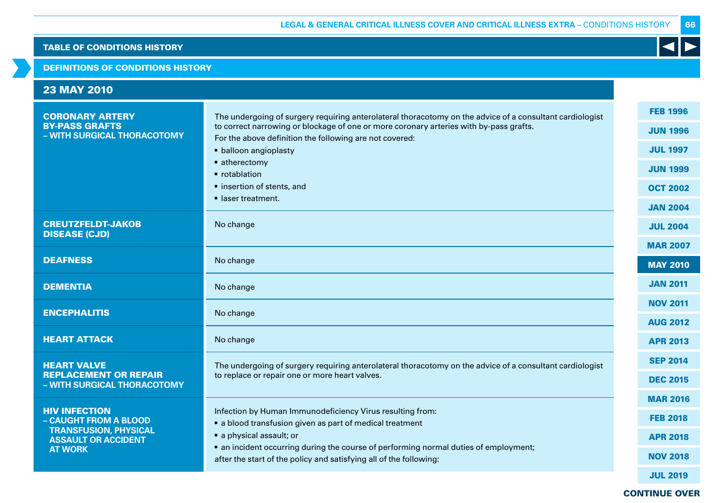## DEFINITIONS OF CONDITIONS HISTORY

| <b>23 MAY 2010</b>                                          |                                                                                                                                                   |                 |
|-------------------------------------------------------------|---------------------------------------------------------------------------------------------------------------------------------------------------|-----------------|
| <b>CORONARY ARTERY</b><br><b>BY-PASS GRAFTS</b>             | The undergoing of surgery requiring anterolateral thoracotomy on the advice of a consultant cardiologist                                          | <b>FEB 1996</b> |
| - WITH SURGICAL THORACOTOMY                                 | to correct narrowing or blockage of one or more coronary arteries with by-pass grafts.<br>For the above definition the following are not covered: | <b>JUN 1996</b> |
|                                                             | • balloon angioplasty                                                                                                                             | <b>JUL 1997</b> |
|                                                             | • atherectomy<br>• rotablation                                                                                                                    | <b>JUN 1999</b> |
|                                                             | • insertion of stents, and                                                                                                                        | <b>OCT 2002</b> |
|                                                             | • laser treatment.                                                                                                                                | <b>JAN 2004</b> |
| <b>CREUTZFELDT-JAKOB</b>                                    | No change                                                                                                                                         | <b>JUL 2004</b> |
| <b>DISEASE (CJD)</b>                                        |                                                                                                                                                   | <b>MAR 2007</b> |
| <b>DEAFNESS</b>                                             | No change                                                                                                                                         | <b>MAY 2010</b> |
| <b>DEMENTIA</b>                                             | No change                                                                                                                                         | <b>JAN 2011</b> |
| <b>ENCEPHALITIS</b>                                         | No change                                                                                                                                         | <b>NOV 2011</b> |
|                                                             |                                                                                                                                                   | <b>AUG 2012</b> |
| <b>HEART ATTACK</b>                                         | No change                                                                                                                                         | <b>APR 2013</b> |
| <b>HEART VALVE</b>                                          | The undergoing of surgery requiring anterolateral thoracotomy on the advice of a consultant cardiologist                                          | <b>SEP 2014</b> |
| <b>REPLACEMENT OR REPAIR</b><br>- WITH SURGICAL THORACOTOMY | to replace or repair one or more heart valves.                                                                                                    | <b>DEC 2015</b> |
|                                                             |                                                                                                                                                   | <b>MAR 2016</b> |
| <b>HIV INFECTION</b><br>- CAUGHT FROM A BLOOD               | Infection by Human Immunodeficiency Virus resulting from:<br>• a blood transfusion given as part of medical treatment                             | <b>FEB 2018</b> |
| <b>TRANSFUSION, PHYSICAL</b><br><b>ASSAULT OR ACCIDENT</b>  | • a physical assault; or                                                                                                                          | <b>APR 2018</b> |
| <b>AT WORK</b>                                              | • an incident occurring during the course of performing normal duties of employment;                                                              | <b>NOV 2018</b> |
|                                                             | after the start of the policy and satisfying all of the following:                                                                                |                 |
|                                                             |                                                                                                                                                   | <b>JUL 2019</b> |

CONTINUE OVER

66

 $\blacktriangleleft$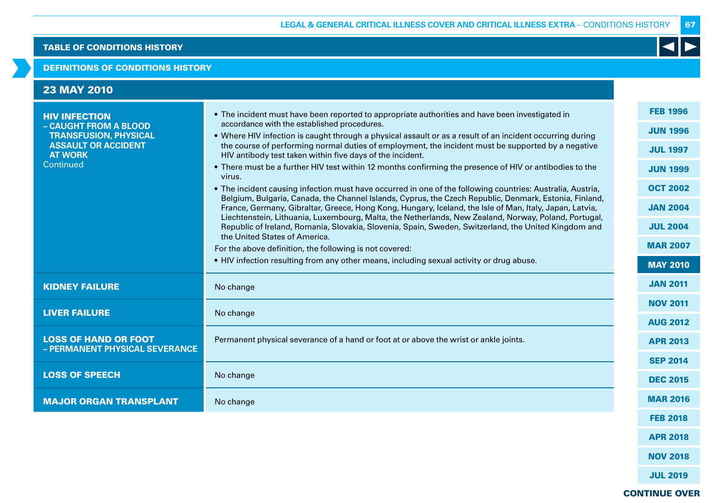## DEFINITIONS OF CONDITIONS HISTORY

| <b>23 MAY 2010</b>                                                                                                                         |                                                                                                                                                                                                                                                                                                                                                                                                                                                                                                                                                                                                                                                                                                                                                                                                                                                                                                                                                                                                                                                                                                                                                                                                                                                                                                |                                                                                                                                                                         |
|--------------------------------------------------------------------------------------------------------------------------------------------|------------------------------------------------------------------------------------------------------------------------------------------------------------------------------------------------------------------------------------------------------------------------------------------------------------------------------------------------------------------------------------------------------------------------------------------------------------------------------------------------------------------------------------------------------------------------------------------------------------------------------------------------------------------------------------------------------------------------------------------------------------------------------------------------------------------------------------------------------------------------------------------------------------------------------------------------------------------------------------------------------------------------------------------------------------------------------------------------------------------------------------------------------------------------------------------------------------------------------------------------------------------------------------------------|-------------------------------------------------------------------------------------------------------------------------------------------------------------------------|
| <b>HIV INFECTION</b><br>- CAUGHT FROM A BLOOD<br><b>TRANSFUSION, PHYSICAL</b><br><b>ASSAULT OR ACCIDENT</b><br><b>AT WORK</b><br>Continued | • The incident must have been reported to appropriate authorities and have been investigated in<br>accordance with the established procedures.<br>. Where HIV infection is caught through a physical assault or as a result of an incident occurring during<br>the course of performing normal duties of employment, the incident must be supported by a negative<br>HIV antibody test taken within five days of the incident.<br>• There must be a further HIV test within 12 months confirming the presence of HIV or antibodies to the<br>virus.<br>. The incident causing infection must have occurred in one of the following countries: Australia, Austria,<br>Belgium, Bulgaria, Canada, the Channel Islands, Cyprus, the Czech Republic, Denmark, Estonia, Finland,<br>France, Germany, Gibraltar, Greece, Hong Kong, Hungary, Iceland, the Isle of Man, Italy, Japan, Latvia,<br>Liechtenstein, Lithuania, Luxembourg, Malta, the Netherlands, New Zealand, Norway, Poland, Portugal,<br>Republic of Ireland, Romania, Slovakia, Slovenia, Spain, Sweden, Switzerland, the United Kingdom and<br>the United States of America.<br>For the above definition, the following is not covered:<br>. HIV infection resulting from any other means, including sexual activity or drug abuse. | <b>FEB 1996</b><br><b>JUN 1996</b><br><b>JUL 1997</b><br><b>JUN 1999</b><br><b>OCT 2002</b><br><b>JAN 2004</b><br><b>JUL 2004</b><br><b>MAR 2007</b><br><b>MAY 2010</b> |
| <b>KIDNEY FAILURE</b>                                                                                                                      | No change                                                                                                                                                                                                                                                                                                                                                                                                                                                                                                                                                                                                                                                                                                                                                                                                                                                                                                                                                                                                                                                                                                                                                                                                                                                                                      | <b>JAN 2011</b>                                                                                                                                                         |
| <b>LIVER FAILURE</b>                                                                                                                       | No change                                                                                                                                                                                                                                                                                                                                                                                                                                                                                                                                                                                                                                                                                                                                                                                                                                                                                                                                                                                                                                                                                                                                                                                                                                                                                      | <b>NOV 2011</b><br><b>AUG 2012</b>                                                                                                                                      |
| <b>LOSS OF HAND OR FOOT</b><br>- PERMANENT PHYSICAL SEVERANCE                                                                              | Permanent physical severance of a hand or foot at or above the wrist or ankle joints.                                                                                                                                                                                                                                                                                                                                                                                                                                                                                                                                                                                                                                                                                                                                                                                                                                                                                                                                                                                                                                                                                                                                                                                                          | <b>APR 2013</b><br><b>SEP 2014</b>                                                                                                                                      |
| <b>LOSS OF SPEECH</b>                                                                                                                      | No change                                                                                                                                                                                                                                                                                                                                                                                                                                                                                                                                                                                                                                                                                                                                                                                                                                                                                                                                                                                                                                                                                                                                                                                                                                                                                      | <b>DEC 2015</b>                                                                                                                                                         |
| <b>MAJOR ORGAN TRANSPLANT</b>                                                                                                              | No change                                                                                                                                                                                                                                                                                                                                                                                                                                                                                                                                                                                                                                                                                                                                                                                                                                                                                                                                                                                                                                                                                                                                                                                                                                                                                      | <b>MAR 2016</b>                                                                                                                                                         |
|                                                                                                                                            |                                                                                                                                                                                                                                                                                                                                                                                                                                                                                                                                                                                                                                                                                                                                                                                                                                                                                                                                                                                                                                                                                                                                                                                                                                                                                                | <b>FEB 2018</b>                                                                                                                                                         |
|                                                                                                                                            |                                                                                                                                                                                                                                                                                                                                                                                                                                                                                                                                                                                                                                                                                                                                                                                                                                                                                                                                                                                                                                                                                                                                                                                                                                                                                                | <b>APR 2018</b>                                                                                                                                                         |
|                                                                                                                                            |                                                                                                                                                                                                                                                                                                                                                                                                                                                                                                                                                                                                                                                                                                                                                                                                                                                                                                                                                                                                                                                                                                                                                                                                                                                                                                | <b>NOV 2018</b>                                                                                                                                                         |

67

K

CONTINUE OVER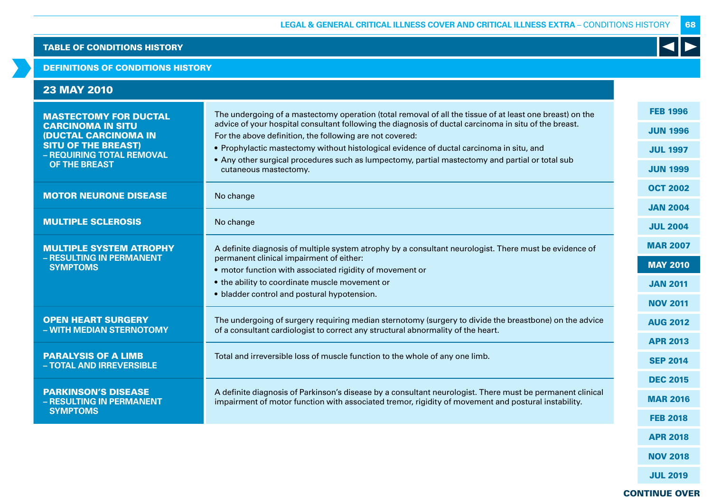### DEFINITIONS OF CONDITIONS HISTORY

| <b>23 MAY 2010</b>                                                                                                    |                                                                                                                                                                                                                                                                                                                                                                           |                                                       |
|-----------------------------------------------------------------------------------------------------------------------|---------------------------------------------------------------------------------------------------------------------------------------------------------------------------------------------------------------------------------------------------------------------------------------------------------------------------------------------------------------------------|-------------------------------------------------------|
| <b>MASTECTOMY FOR DUCTAL</b><br><b>CARCINOMA IN SITU</b><br><b>(DUCTAL CARCINOMA IN</b><br><b>SITU OF THE BREAST)</b> | The undergoing of a mastectomy operation (total removal of all the tissue of at least one breast) on the<br>advice of your hospital consultant following the diagnosis of ductal carcinoma in situ of the breast.<br>For the above definition, the following are not covered:<br>• Prophylactic mastectomy without histological evidence of ductal carcinoma in situ, and | <b>FEB 1996</b><br><b>JUN 1996</b><br><b>JUL 1997</b> |
| - REQUIRING TOTAL REMOVAL<br>OF THE BREAST                                                                            | • Any other surgical procedures such as lumpectomy, partial mastectomy and partial or total sub<br>cutaneous mastectomy.                                                                                                                                                                                                                                                  | <b>JUN 1999</b>                                       |
| <b>MOTOR NEURONE DISEASE</b>                                                                                          | No change                                                                                                                                                                                                                                                                                                                                                                 | <b>OCT 2002</b>                                       |
|                                                                                                                       |                                                                                                                                                                                                                                                                                                                                                                           | <b>JAN 2004</b>                                       |
| <b>MULTIPLE SCLEROSIS</b>                                                                                             | No change                                                                                                                                                                                                                                                                                                                                                                 | <b>JUL 2004</b>                                       |
| <b>MULTIPLE SYSTEM ATROPHY</b><br>- RESULTING IN PERMANENT                                                            | A definite diagnosis of multiple system atrophy by a consultant neurologist. There must be evidence of                                                                                                                                                                                                                                                                    | <b>MAR 2007</b>                                       |
| <b>SYMPTOMS</b>                                                                                                       | permanent clinical impairment of either:<br>• motor function with associated rigidity of movement or                                                                                                                                                                                                                                                                      | <b>MAY 2010</b>                                       |
|                                                                                                                       | • the ability to coordinate muscle movement or                                                                                                                                                                                                                                                                                                                            | <b>JAN 2011</b>                                       |
|                                                                                                                       | • bladder control and postural hypotension.                                                                                                                                                                                                                                                                                                                               | <b>NOV 2011</b>                                       |
| <b>OPEN HEART SURGERY</b><br>- WITH MEDIAN STERNOTOMY                                                                 | The undergoing of surgery requiring median sternotomy (surgery to divide the breastbone) on the advice<br>of a consultant cardiologist to correct any structural abnormality of the heart.                                                                                                                                                                                | <b>AUG 2012</b>                                       |
|                                                                                                                       |                                                                                                                                                                                                                                                                                                                                                                           | <b>APR 2013</b>                                       |
| <b>PARALYSIS OF A LIMB</b><br>- TOTAL AND IRREVERSIBLE                                                                | Total and irreversible loss of muscle function to the whole of any one limb.                                                                                                                                                                                                                                                                                              | <b>SEP 2014</b>                                       |
|                                                                                                                       |                                                                                                                                                                                                                                                                                                                                                                           | <b>DEC 2015</b>                                       |
| <b>PARKINSON'S DISEASE</b><br>- RESULTING IN PERMANENT                                                                | A definite diagnosis of Parkinson's disease by a consultant neurologist. There must be permanent clinical<br>impairment of motor function with associated tremor, rigidity of movement and postural instability.                                                                                                                                                          | <b>MAR 2016</b>                                       |
| <b>SYMPTOMS</b>                                                                                                       |                                                                                                                                                                                                                                                                                                                                                                           | <b>FEB 2018</b>                                       |
|                                                                                                                       |                                                                                                                                                                                                                                                                                                                                                                           | <b>APR 2018</b>                                       |

NOV 2018

68

K

JUL 2019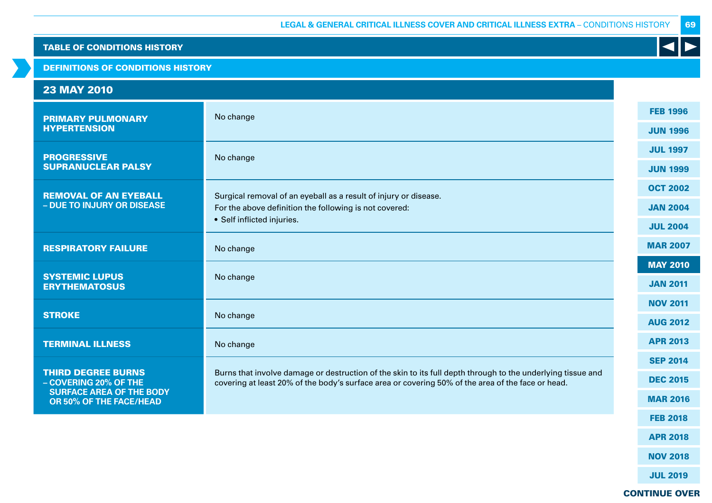DEFINITIONS OF CONDITIONS HISTORY

#### 23 MAY 2010 PRIMARY PULMONARY **HYPERTENSION** No change **PROGRESSIVE** SUPRANUCLEAR PALSY No change REMOVAL OF AN EYEBALL **– DUE TO INJURY OR DISEASE** Surgical removal of an eyeball as a result of injury or disease. For the above definition the following is not covered: • Self inflicted injuries. RESPIRATORY FAILURE No change SYSTEMIC LUPUS **ERYTHEMATOSUS** No change **STROKE** No change TERMINAL ILLNESS No change THIRD DEGREE BURNS **– COVERING 20% OF THE SURFACE AREA OF THE BODY OR 50% OF THE FACE/HEAD**  Burns that involve damage or destruction of the skin to its full depth through to the underlying tissue and covering at least 20% of the body's surface area or covering 50% of the area of the face or head. FEB 1996 JUN 1996 JUL 1997 JUN 1999 OCT 2002 JAN 2004 JUL 2004 MAR 2007 MAY 2010 JAN 2011 NOV 2011 AUG 2012 APR 2013 SEP 2014 DEC 2015 MAR 2016 FEB 2018

69

CONTINUE OVER

APR 2018

NOV 2018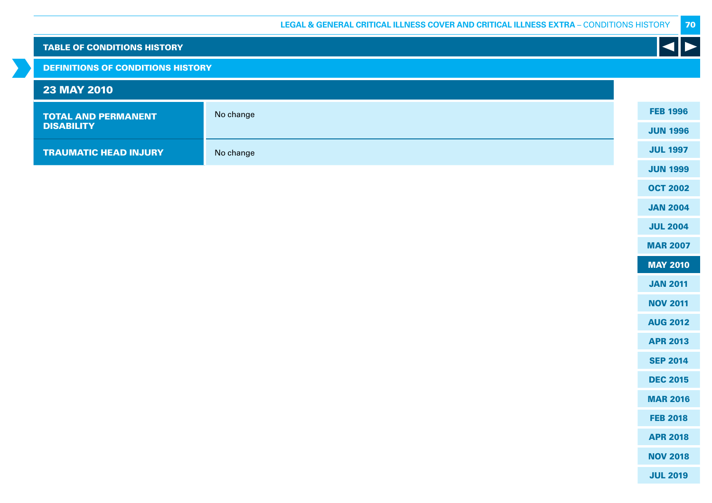70

| <b>TABLE OF CONDITIONS HISTORY</b>       |           | $\left  \bullet \right $ |
|------------------------------------------|-----------|--------------------------|
| <b>DEFINITIONS OF CONDITIONS HISTORY</b> |           |                          |
| <b>23 MAY 2010</b>                       |           |                          |
| <b>TOTAL AND PERMANENT</b>               | No change | <b>FEB 1996</b>          |
| <b>DISABILITY</b>                        |           | <b>JUN 1996</b>          |
| <b>TRAUMATIC HEAD INJURY</b>             | No change | <b>JUL 1997</b>          |
|                                          |           | <b>JUN 1999</b>          |
|                                          |           | <b>OCT 2002</b>          |
|                                          |           | <b>JAN 2004</b>          |
|                                          |           | <b>JUL 2004</b>          |
|                                          |           | <b>MAR 2007</b>          |
|                                          |           | <b>MAY 2010</b>          |
|                                          |           | <b>JAN 2011</b>          |
|                                          |           | <b>NOV 2011</b>          |
|                                          |           | <b>AUG 2012</b>          |
|                                          |           | <b>APR 2013</b>          |
|                                          |           | <b>SEP 2014</b>          |
|                                          |           | <b>DEC 2015</b>          |
|                                          |           | <b>MAR 2016</b>          |
|                                          |           | <b>FEB 2018</b>          |
|                                          |           | <b>APR 2018</b>          |
|                                          |           | <b>NOV 2018</b>          |
|                                          |           | <b>JUL 2019</b>          |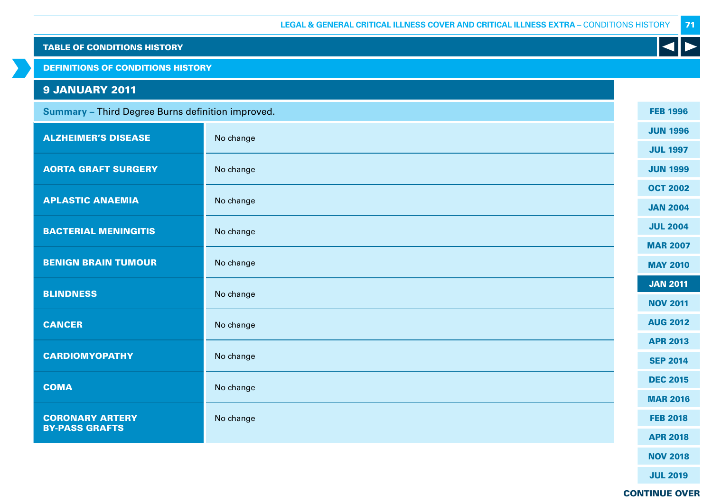| <b>TABLE OF CONDITIONS HISTORY</b>                |           |                 |
|---------------------------------------------------|-----------|-----------------|
| <b>DEFINITIONS OF CONDITIONS HISTORY</b>          |           |                 |
| <b>9 JANUARY 2011</b>                             |           |                 |
| Summary - Third Degree Burns definition improved. |           | <b>FEB 1996</b> |
| <b>ALZHEIMER'S DISEASE</b>                        | No change | <b>JUN 1996</b> |
|                                                   |           | <b>JUL 1997</b> |
| <b>AORTA GRAFT SURGERY</b>                        | No change | <b>JUN 1999</b> |
| <b>APLASTIC ANAEMIA</b>                           |           | <b>OCT 2002</b> |
|                                                   | No change | <b>JAN 2004</b> |
| <b>BACTERIAL MENINGITIS</b>                       | No change | <b>JUL 2004</b> |
|                                                   |           | <b>MAR 2007</b> |
| <b>BENIGN BRAIN TUMOUR</b>                        | No change | <b>MAY 2010</b> |
| <b>BLINDNESS</b>                                  | No change | <b>JAN 2011</b> |
|                                                   |           | <b>NOV 2011</b> |
| <b>CANCER</b>                                     | No change | <b>AUG 2012</b> |
|                                                   |           | <b>APR 2013</b> |
| <b>CARDIOMYOPATHY</b>                             | No change | <b>SEP 2014</b> |
| <b>COMA</b>                                       | No change | <b>DEC 2015</b> |
|                                                   |           | <b>MAR 2016</b> |
| <b>CORONARY ARTERY</b><br><b>BY-PASS GRAFTS</b>   | No change | <b>FEB 2018</b> |
|                                                   |           | <b>APR 2018</b> |
|                                                   |           | <b>NOV 2018</b> |

JUL 2019

CONTINUE OVER

71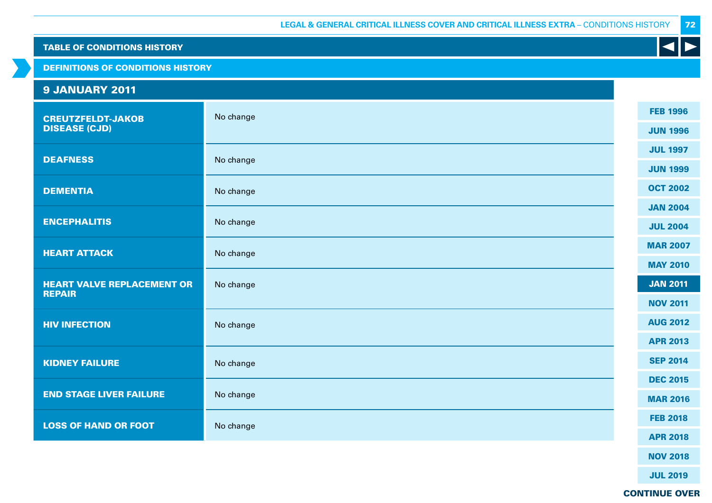DEFINITIONS OF CONDITIONS HISTORY

# 9 JANUARY 2011

| <b>CREUTZFELDT-JAKOB</b><br><b>DISEASE (CJD)</b> | No change | <b>FEB 1996</b> |
|--------------------------------------------------|-----------|-----------------|
|                                                  |           | <b>JUN 1996</b> |
| <b>DEAFNESS</b>                                  | No change | <b>JUL 1997</b> |
|                                                  |           | <b>JUN 1999</b> |
| <b>DEMENTIA</b>                                  | No change | <b>OCT 2002</b> |
|                                                  |           | <b>JAN 2004</b> |
| <b>ENCEPHALITIS</b>                              | No change | <b>JUL 2004</b> |
| <b>HEART ATTACK</b>                              | No change | <b>MAR 2007</b> |
|                                                  |           | <b>MAY 2010</b> |
| <b>HEART VALVE REPLACEMENT OR</b>                | No change | <b>JAN 2011</b> |
| <b>REPAIR</b>                                    |           | <b>NOV 2011</b> |
| <b>HIV INFECTION</b>                             | No change | <b>AUG 2012</b> |
|                                                  |           | <b>APR 2013</b> |
| <b>KIDNEY FAILURE</b>                            | No change | <b>SEP 2014</b> |
|                                                  |           | <b>DEC 2015</b> |
| <b>END STAGE LIVER FAILURE</b>                   | No change | <b>MAR 2016</b> |
| <b>LOSS OF HAND OR FOOT</b>                      | No change | <b>FEB 2018</b> |
|                                                  |           | <b>APR 2018</b> |
|                                                  |           | <b>NOV 2018</b> |

K

72

CONTINUE OVER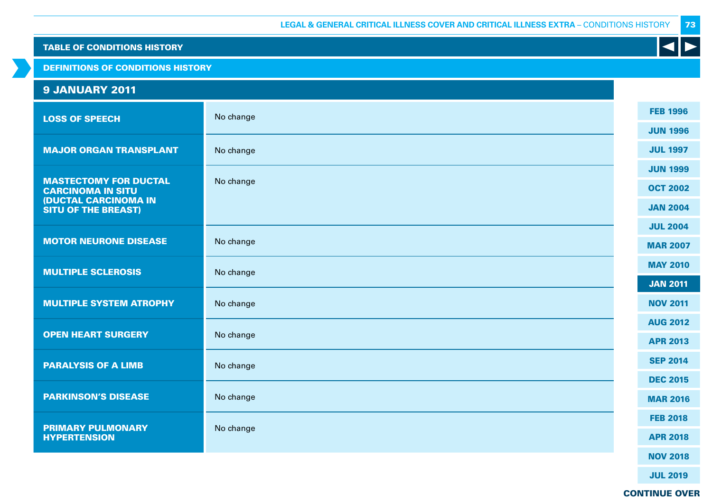DEFINITIONS OF CONDITIONS HISTORY

# 9 JANUARY 2011

| <b>LOSS OF SPEECH</b>                                     | No change | <b>FEB 1996</b> |
|-----------------------------------------------------------|-----------|-----------------|
|                                                           |           | <b>JUN 1996</b> |
| <b>MAJOR ORGAN TRANSPLANT</b>                             | No change | <b>JUL 1997</b> |
|                                                           |           | <b>JUN 1999</b> |
| <b>MASTECTOMY FOR DUCTAL</b><br><b>CARCINOMA IN SITU</b>  | No change | <b>OCT 2002</b> |
| <b>(DUCTAL CARCINOMA IN</b><br><b>SITU OF THE BREAST)</b> |           | <b>JAN 2004</b> |
|                                                           |           | <b>JUL 2004</b> |
| <b>MOTOR NEURONE DISEASE</b>                              | No change | <b>MAR 2007</b> |
| <b>MULTIPLE SCLEROSIS</b>                                 | No change | <b>MAY 2010</b> |
|                                                           |           | <b>JAN 2011</b> |
| <b>MULTIPLE SYSTEM ATROPHY</b>                            | No change | <b>NOV 2011</b> |
|                                                           |           | <b>AUG 2012</b> |
| <b>OPEN HEART SURGERY</b>                                 | No change | <b>APR 2013</b> |
| <b>PARALYSIS OF A LIMB</b>                                | No change | <b>SEP 2014</b> |
|                                                           |           | <b>DEC 2015</b> |
| <b>PARKINSON'S DISEASE</b>                                | No change | <b>MAR 2016</b> |
| <b>PRIMARY PULMONARY</b><br><b>HYPERTENSION</b>           | No change | <b>FEB 2018</b> |
|                                                           |           |                 |
|                                                           |           | <b>NOV 2018</b> |

73

K

JUL 2019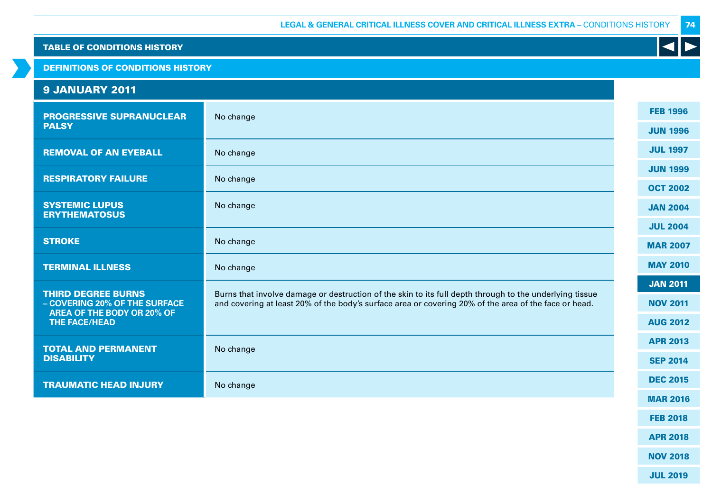DEFINITIONS OF CONDITIONS HISTORY

# 9 JANUARY 2011

| <b>PROGRESSIVE SUPRANUCLEAR</b>                                                          | No change                                                                                                                                                                                                        |  | <b>FEB 1996</b> |
|------------------------------------------------------------------------------------------|------------------------------------------------------------------------------------------------------------------------------------------------------------------------------------------------------------------|--|-----------------|
| <b>PALSY</b>                                                                             |                                                                                                                                                                                                                  |  | <b>JUN 1996</b> |
| <b>REMOVAL OF AN EYEBALL</b>                                                             | No change                                                                                                                                                                                                        |  | <b>JUL 1997</b> |
| <b>RESPIRATORY FAILURE</b>                                                               | No change                                                                                                                                                                                                        |  | <b>JUN 1999</b> |
|                                                                                          |                                                                                                                                                                                                                  |  | <b>OCT 2002</b> |
| <b>SYSTEMIC LUPUS</b><br><b>ERYTHEMATOSUS</b>                                            | No change                                                                                                                                                                                                        |  | <b>JAN 2004</b> |
|                                                                                          |                                                                                                                                                                                                                  |  | <b>JUL 2004</b> |
| <b>STROKE</b>                                                                            | No change                                                                                                                                                                                                        |  | <b>MAR 2007</b> |
| <b>TERMINAL ILLNESS</b>                                                                  | No change                                                                                                                                                                                                        |  | <b>MAY 2010</b> |
|                                                                                          |                                                                                                                                                                                                                  |  | <b>JAN 2011</b> |
| <b>THIRD DEGREE BURNS</b><br>- COVERING 20% OF THE SURFACE<br>AREA OF THE BODY OR 20% OF | Burns that involve damage or destruction of the skin to its full depth through to the underlying tissue<br>and covering at least 20% of the body's surface area or covering 20% of the area of the face or head. |  | <b>NOV 2011</b> |
| <b>THE FACE/HEAD</b>                                                                     |                                                                                                                                                                                                                  |  | <b>AUG 2012</b> |
| <b>TOTAL AND PERMANENT</b>                                                               | No change                                                                                                                                                                                                        |  | <b>APR 2013</b> |
| <b>DISABILITY</b>                                                                        |                                                                                                                                                                                                                  |  | <b>SEP 2014</b> |
| <b>TRAUMATIC HEAD INJURY</b>                                                             | No change                                                                                                                                                                                                        |  | <b>DEC 2015</b> |
|                                                                                          |                                                                                                                                                                                                                  |  | <b>MAR 2016</b> |

K

FEB 2018

APR 2018

NOV 2018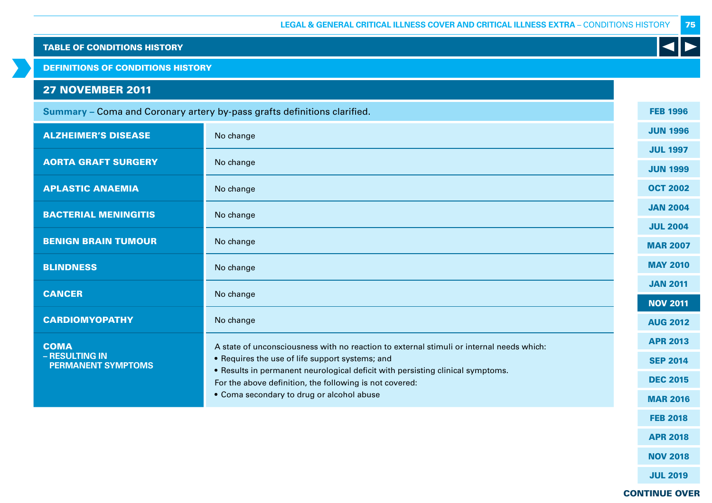DEFINITIONS OF CONDITIONS HISTORY

# 27 NOVEMBER 2011

| Summary - Coma and Coronary artery by-pass grafts definitions clarified. |                                                                                                                                                                                              |  | <b>FEB 1996</b> |
|--------------------------------------------------------------------------|----------------------------------------------------------------------------------------------------------------------------------------------------------------------------------------------|--|-----------------|
| <b>ALZHEIMER'S DISEASE</b>                                               | No change                                                                                                                                                                                    |  | <b>JUN 1996</b> |
|                                                                          |                                                                                                                                                                                              |  | <b>JUL 1997</b> |
| <b>AORTA GRAFT SURGERY</b>                                               | No change                                                                                                                                                                                    |  | <b>JUN 1999</b> |
| <b>APLASTIC ANAEMIA</b>                                                  | No change                                                                                                                                                                                    |  | <b>OCT 2002</b> |
| <b>BACTERIAL MENINGITIS</b>                                              | No change                                                                                                                                                                                    |  | <b>JAN 2004</b> |
|                                                                          |                                                                                                                                                                                              |  | <b>JUL 2004</b> |
| <b>BENIGN BRAIN TUMOUR</b>                                               | No change                                                                                                                                                                                    |  | <b>MAR 2007</b> |
| <b>BLINDNESS</b>                                                         | No change                                                                                                                                                                                    |  | <b>MAY 2010</b> |
|                                                                          |                                                                                                                                                                                              |  | <b>JAN 2011</b> |
| <b>CANCER</b>                                                            | No change                                                                                                                                                                                    |  | <b>NOV 2011</b> |
| <b>CARDIOMYOPATHY</b>                                                    | No change                                                                                                                                                                                    |  | <b>AUG 2012</b> |
| <b>COMA</b>                                                              | A state of unconsciousness with no reaction to external stimuli or internal needs which:                                                                                                     |  | <b>APR 2013</b> |
| - RESULTING IN<br><b>PERMANENT SYMPTOMS</b>                              | • Requires the use of life support systems; and<br>• Results in permanent neurological deficit with persisting clinical symptoms.<br>For the above definition, the following is not covered: |  | <b>SEP 2014</b> |
|                                                                          |                                                                                                                                                                                              |  | <b>DEC 2015</b> |
|                                                                          | • Coma secondary to drug or alcohol abuse                                                                                                                                                    |  | <b>MAR 2016</b> |
|                                                                          |                                                                                                                                                                                              |  | <b>FEB 2018</b> |

APR 2018

75

K

NOV 2018

JUL 2019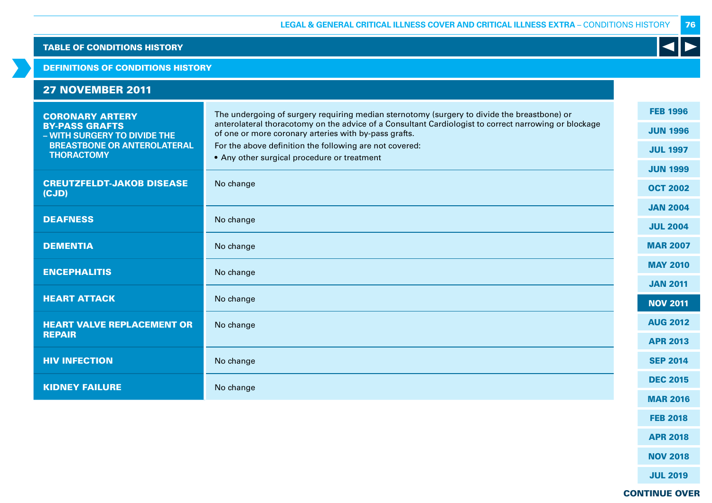#### DEFINITIONS OF CONDITIONS HISTORY

| <b>27 NOVEMBER 2011</b> |  |  |  |
|-------------------------|--|--|--|
|                         |  |  |  |

| <b>CORONARY ARTERY</b>                                  | The undergoing of surgery requiring median sternotomy (surgery to divide the breastbone) or                                                                    |                 |
|---------------------------------------------------------|----------------------------------------------------------------------------------------------------------------------------------------------------------------|-----------------|
| <b>BY-PASS GRAFTS</b><br>- WITH SURGERY TO DIVIDE THE   | anterolateral thoracotomy on the advice of a Consultant Cardiologist to correct narrowing or blockage<br>of one or more coronary arteries with by-pass grafts. | <b>JUN 1996</b> |
| <b>BREASTBONE OR ANTEROLATERAL</b><br><b>THORACTOMY</b> | For the above definition the following are not covered:<br>• Any other surgical procedure or treatment                                                         | <b>JUL 1997</b> |
|                                                         |                                                                                                                                                                | <b>JUN 1999</b> |
| <b>CREUTZFELDT-JAKOB DISEASE</b><br>(CJD)               | No change                                                                                                                                                      | <b>OCT 2002</b> |
|                                                         |                                                                                                                                                                | <b>JAN 2004</b> |
| <b>DEAFNESS</b>                                         | No change                                                                                                                                                      | <b>JUL 2004</b> |
| <b>DEMENTIA</b>                                         | No change                                                                                                                                                      | <b>MAR 2007</b> |
| <b>ENCEPHALITIS</b>                                     | No change                                                                                                                                                      | <b>MAY 2010</b> |
|                                                         |                                                                                                                                                                | <b>JAN 2011</b> |
| <b>HEART ATTACK</b>                                     | No change                                                                                                                                                      | <b>NOV 2011</b> |
| <b>HEART VALVE REPLACEMENT OR</b>                       | No change                                                                                                                                                      | <b>AUG 2012</b> |
| <b>REPAIR</b>                                           |                                                                                                                                                                | <b>APR 2013</b> |
| <b>HIV INFECTION</b>                                    | No change                                                                                                                                                      | <b>SEP 2014</b> |
| <b>KIDNEY FAILURE</b>                                   | No change                                                                                                                                                      | <b>DEC 2015</b> |
|                                                         |                                                                                                                                                                | <b>MAR 2016</b> |

FEB 2018 APR 2018

NOV 2018

JUL 2019

CONTINUE OVER

76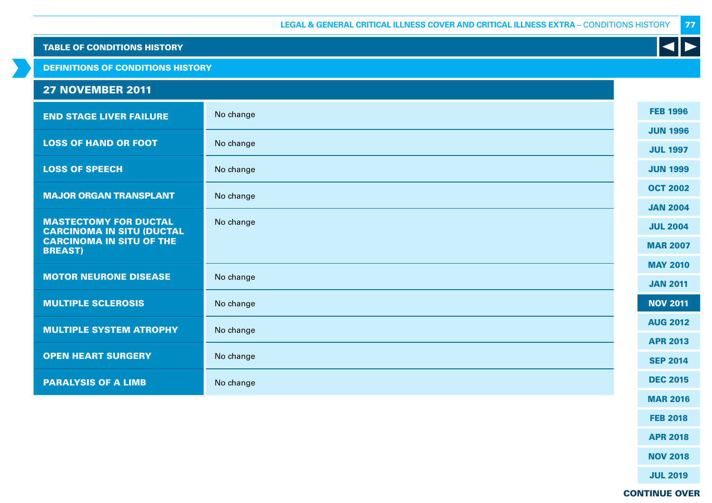DEFINITIONS OF CONDITIONS HISTORY

# 27 NOVEMBER 2011

| <b>END STAGE LIVER FAILURE</b>                                   | No change | <b>FEB 1996</b> |
|------------------------------------------------------------------|-----------|-----------------|
|                                                                  |           | <b>JUN 1996</b> |
| <b>LOSS OF HAND OR FOOT</b>                                      | No change | <b>JUL 1997</b> |
| <b>LOSS OF SPEECH</b>                                            | No change | <b>JUN 1999</b> |
| <b>MAJOR ORGAN TRANSPLANT</b>                                    | No change | <b>OCT 2002</b> |
|                                                                  |           | <b>JAN 2004</b> |
| <b>MASTECTOMY FOR DUCTAL</b><br><b>CARCINOMA IN SITU (DUCTAL</b> | No change | <b>JUL 2004</b> |
| <b>CARCINOMA IN SITU OF THE</b><br><b>BREAST)</b>                |           | <b>MAR 2007</b> |
|                                                                  |           | <b>MAY 2010</b> |
| <b>MOTOR NEURONE DISEASE</b>                                     | No change | <b>JAN 2011</b> |
| <b>MULTIPLE SCLEROSIS</b>                                        | No change | <b>NOV 2011</b> |
| <b>MULTIPLE SYSTEM ATROPHY</b>                                   | No change | <b>AUG 2012</b> |
|                                                                  |           | <b>APR 2013</b> |
| <b>OPEN HEART SURGERY</b>                                        | No change | <b>SEP 2014</b> |
| <b>PARALYSIS OF A LIMB</b>                                       | No change | <b>DEC 2015</b> |
|                                                                  |           | <b>MAR 2016</b> |

FEB 2018

77

K

APR 2018

NOV 2018

JUL 2019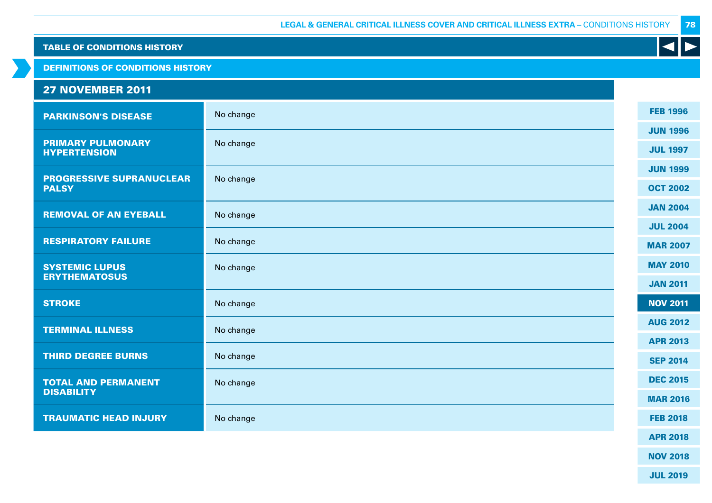|  |  | <b>TABLE OF CONDITIONS HISTORY</b> |
|--|--|------------------------------------|
|  |  |                                    |

DEFINITIONS OF CONDITIONS HISTORY

# 27 NOVEMBER 2011

| <b>PARKINSON'S DISEASE</b>                      | No change | <b>FEB 1996</b> |
|-------------------------------------------------|-----------|-----------------|
|                                                 |           | <b>JUN 1996</b> |
| <b>PRIMARY PULMONARY</b><br><b>HYPERTENSION</b> | No change | <b>JUL 1997</b> |
|                                                 |           | <b>JUN 1999</b> |
| <b>PROGRESSIVE SUPRANUCLEAR</b><br><b>PALSY</b> | No change | <b>OCT 2002</b> |
| <b>REMOVAL OF AN EYEBALL</b>                    | No change | <b>JAN 2004</b> |
|                                                 |           | <b>JUL 2004</b> |
| <b>RESPIRATORY FAILURE</b>                      | No change | <b>MAR 2007</b> |
|                                                 |           |                 |
| <b>SYSTEMIC LUPUS</b><br><b>ERYTHEMATOSUS</b>   | No change | <b>MAY 2010</b> |
|                                                 |           | <b>JAN 2011</b> |
| <b>STROKE</b>                                   | No change | <b>NOV 2011</b> |
| <b>TERMINAL ILLNESS</b>                         | No change | <b>AUG 2012</b> |
|                                                 |           | <b>APR 2013</b> |
| <b>THIRD DEGREE BURNS</b>                       | No change | <b>SEP 2014</b> |
|                                                 |           |                 |
| <b>TOTAL AND PERMANENT</b><br><b>DISABILITY</b> | No change | <b>DEC 2015</b> |
|                                                 |           | <b>MAR 2016</b> |
| <b>TRAUMATIC HEAD INJURY</b>                    | No change | <b>FEB 2018</b> |
|                                                 |           | <b>APR 2018</b> |

NOV 2018

78

K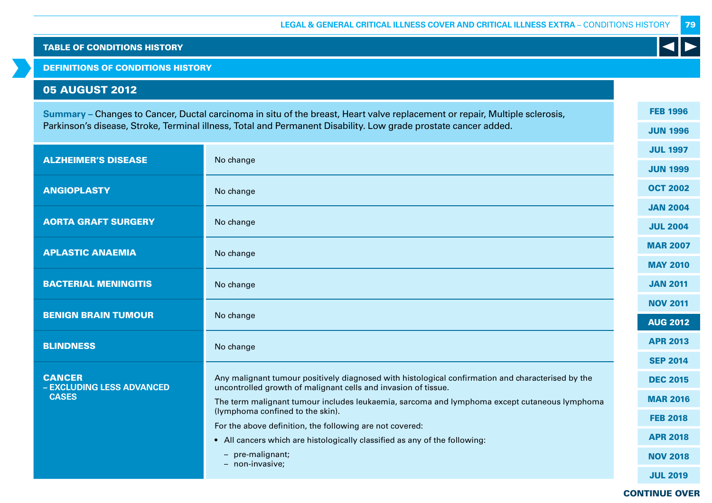DEFINITIONS OF CONDITIONS HISTORY

# 05 AUGUST 2012

**Summary –** Changes to Cancer, Ductal carcinoma in situ of the breast, Heart valve replacement or repair, Multiple sclerosis, Parkinson's disease, Stroke, Terminal illness, Total and Permanent Disability. Low grade prostate cancer added.

| <b>ALZHEIMER'S DISEASE</b>                 | No change                                                                                                                                                           |  | <b>JUL 1997</b> |
|--------------------------------------------|---------------------------------------------------------------------------------------------------------------------------------------------------------------------|--|-----------------|
|                                            |                                                                                                                                                                     |  | <b>JUN 1999</b> |
| <b>ANGIOPLASTY</b>                         | No change                                                                                                                                                           |  | <b>OCT 2002</b> |
|                                            |                                                                                                                                                                     |  | <b>JAN 2004</b> |
| <b>AORTA GRAFT SURGERY</b>                 | No change                                                                                                                                                           |  | <b>JUL 2004</b> |
| <b>APLASTIC ANAEMIA</b>                    | No change                                                                                                                                                           |  | <b>MAR 2007</b> |
|                                            |                                                                                                                                                                     |  | <b>MAY 2010</b> |
| <b>BACTERIAL MENINGITIS</b>                | No change                                                                                                                                                           |  | <b>JAN 2011</b> |
|                                            |                                                                                                                                                                     |  | <b>NOV 2011</b> |
| <b>BENIGN BRAIN TUMOUR</b>                 | No change                                                                                                                                                           |  | <b>AUG 2012</b> |
| <b>BLINDNESS</b>                           | No change                                                                                                                                                           |  | <b>APR 2013</b> |
|                                            |                                                                                                                                                                     |  | <b>SEP 2014</b> |
| <b>CANCER</b><br>- EXCLUDING LESS ADVANCED | Any malignant tumour positively diagnosed with histological confirmation and characterised by the<br>uncontrolled growth of malignant cells and invasion of tissue. |  | <b>DEC 2015</b> |
| <b>CASES</b>                               | The term malignant tumour includes leukaemia, sarcoma and lymphoma except cutaneous lymphoma                                                                        |  | <b>MAR 2016</b> |
|                                            | (lymphoma confined to the skin).                                                                                                                                    |  | <b>FEB 2018</b> |
|                                            | For the above definition, the following are not covered:<br>• All cancers which are histologically classified as any of the following:                              |  | <b>APR 2018</b> |
|                                            | pre-malignant;<br>$\qquad \qquad -$                                                                                                                                 |  | <b>NOV 2018</b> |
|                                            | - non-invasive;                                                                                                                                                     |  |                 |
|                                            |                                                                                                                                                                     |  | <b>JUL 2019</b> |

CONTINUE OVER

79

FEB 1996

 $\blacktriangleleft$ 

JUN 1996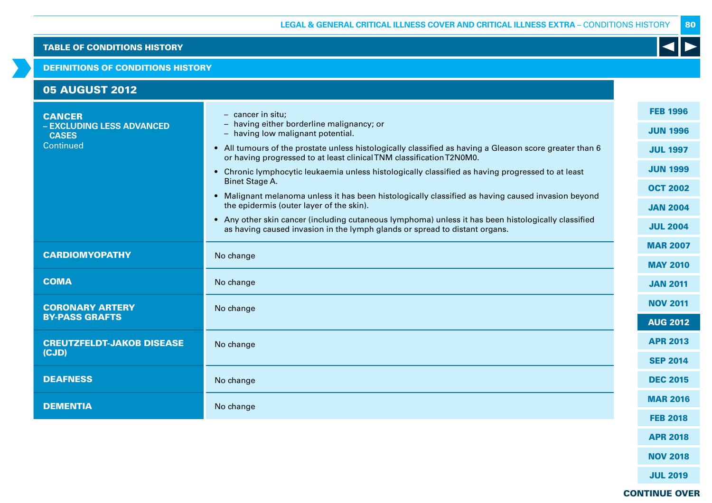#### DEFINITIONS OF CONDITIONS HISTORY

| <b>05 AUGUST 2012</b>                                      |                                                                                                                                                                                 |                                    |
|------------------------------------------------------------|---------------------------------------------------------------------------------------------------------------------------------------------------------------------------------|------------------------------------|
| <b>CANCER</b><br>- EXCLUDING LESS ADVANCED<br><b>CASES</b> | $-$ cancer in situ;<br>- having either borderline malignancy; or<br>- having low malignant potential.                                                                           | <b>FEB 1996</b><br><b>JUN 1996</b> |
| Continued                                                  | • All tumours of the prostate unless histologically classified as having a Gleason score greater than 6<br>or having progressed to at least clinical TNM classification T2N0M0. | <b>JUL 1997</b>                    |
|                                                            | • Chronic lymphocytic leukaemia unless histologically classified as having progressed to at least<br><b>Binet Stage A.</b>                                                      | <b>JUN 1999</b>                    |
|                                                            | • Malignant melanoma unless it has been histologically classified as having caused invasion beyond                                                                              | <b>OCT 2002</b>                    |
|                                                            | the epidermis (outer layer of the skin).<br>• Any other skin cancer (including cutaneous lymphoma) unless it has been histologically classified                                 | <b>JAN 2004</b>                    |
|                                                            | as having caused invasion in the lymph glands or spread to distant organs.                                                                                                      | <b>JUL 2004</b>                    |
| <b>CARDIOMYOPATHY</b>                                      | No change                                                                                                                                                                       | <b>MAR 2007</b>                    |
|                                                            |                                                                                                                                                                                 | <b>MAY 2010</b>                    |
| <b>COMA</b>                                                | No change                                                                                                                                                                       | <b>JAN 2011</b>                    |
| <b>CORONARY ARTERY</b>                                     | No change                                                                                                                                                                       | <b>NOV 2011</b>                    |
| <b>BY-PASS GRAFTS</b>                                      |                                                                                                                                                                                 | <b>AUG 2012</b>                    |
| <b>CREUTZFELDT-JAKOB DISEASE</b>                           | No change                                                                                                                                                                       | <b>APR 2013</b>                    |
| (CJD)                                                      |                                                                                                                                                                                 | <b>SEP 2014</b>                    |
| <b>DEAFNESS</b>                                            | No change                                                                                                                                                                       | <b>DEC 2015</b>                    |
| <b>DEMENTIA</b>                                            | No change                                                                                                                                                                       | <b>MAR 2016</b>                    |
|                                                            |                                                                                                                                                                                 | <b>FEB 2018</b>                    |
|                                                            |                                                                                                                                                                                 |                                    |

APR 2018

NOV 2018

JUL 2019

CONTINUE OVER

80

 $\blacktriangleleft$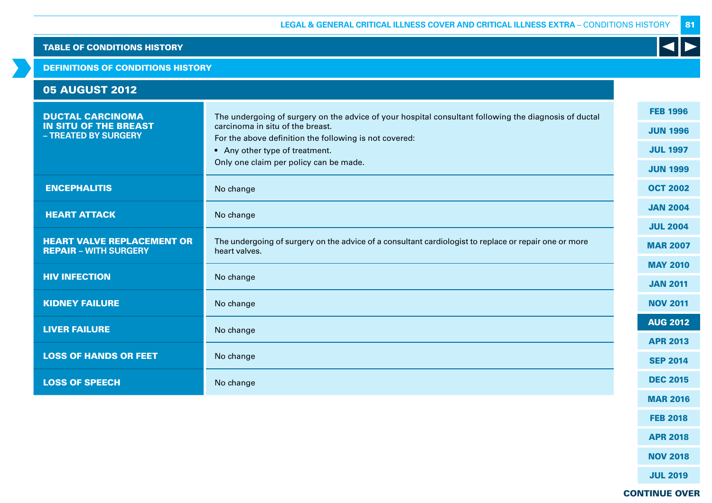#### DEFINITIONS OF CONDITIONS HISTORY

| <b>05 AUGUST 2012</b>                                                           |                                                                                                                                                                                                                                                                                 |                                                                          |
|---------------------------------------------------------------------------------|---------------------------------------------------------------------------------------------------------------------------------------------------------------------------------------------------------------------------------------------------------------------------------|--------------------------------------------------------------------------|
| <b>DUCTAL CARCINOMA</b><br><b>IN SITU OF THE BREAST</b><br>- TREATED BY SURGERY | The undergoing of surgery on the advice of your hospital consultant following the diagnosis of ductal<br>carcinoma in situ of the breast.<br>For the above definition the following is not covered:<br>• Any other type of treatment.<br>Only one claim per policy can be made. | <b>FEB 1996</b><br><b>JUN 1996</b><br><b>JUL 1997</b><br><b>JUN 1999</b> |
| <b>ENCEPHALITIS</b>                                                             | No change                                                                                                                                                                                                                                                                       | <b>OCT 2002</b>                                                          |
| <b>HEART ATTACK</b>                                                             | No change                                                                                                                                                                                                                                                                       | <b>JAN 2004</b><br><b>JUL 2004</b>                                       |
| <b>HEART VALVE REPLACEMENT OR</b><br><b>REPAIR - WITH SURGERY</b>               | The undergoing of surgery on the advice of a consultant cardiologist to replace or repair one or more<br>heart valves.                                                                                                                                                          | <b>MAR 2007</b>                                                          |
| <b>HIV INFECTION</b>                                                            | No change                                                                                                                                                                                                                                                                       | <b>MAY 2010</b><br><b>JAN 2011</b>                                       |
| <b>KIDNEY FAILURE</b>                                                           | No change                                                                                                                                                                                                                                                                       | <b>NOV 2011</b>                                                          |
| <b>LIVER FAILURE</b>                                                            | No change                                                                                                                                                                                                                                                                       | <b>AUG 2012</b>                                                          |
| <b>LOSS OF HANDS OR FEET</b>                                                    | No change                                                                                                                                                                                                                                                                       | <b>APR 2013</b><br><b>SEP 2014</b>                                       |
| <b>LOSS OF SPEECH</b>                                                           | No change                                                                                                                                                                                                                                                                       | <b>DEC 2015</b>                                                          |
|                                                                                 |                                                                                                                                                                                                                                                                                 | <b>MAR 2016</b>                                                          |

APR 2018 NOV 2018

FEB 2018

JUL 2019

# CONTINUE OVER

81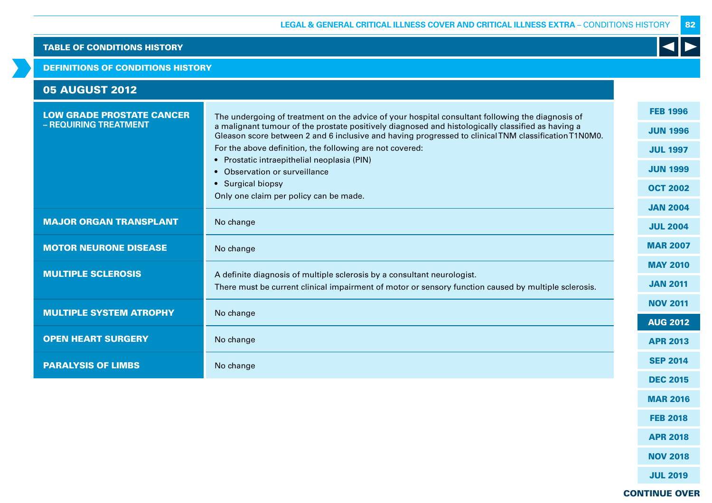#### DEFINITIONS OF CONDITIONS HISTORY

| <b>05 AUGUST 2012</b>                                     |                                                                                                                                                                                                                                                                                                                                                                                                                                                                                                                          |                                                                                                                |
|-----------------------------------------------------------|--------------------------------------------------------------------------------------------------------------------------------------------------------------------------------------------------------------------------------------------------------------------------------------------------------------------------------------------------------------------------------------------------------------------------------------------------------------------------------------------------------------------------|----------------------------------------------------------------------------------------------------------------|
| <b>LOW GRADE PROSTATE CANCER</b><br>- REQUIRING TREATMENT | The undergoing of treatment on the advice of your hospital consultant following the diagnosis of<br>a malignant tumour of the prostate positively diagnosed and histologically classified as having a<br>Gleason score between 2 and 6 inclusive and having progressed to clinical TNM classification T1N0M0.<br>For the above definition, the following are not covered:<br>• Prostatic intraepithelial neoplasia (PIN)<br>• Observation or surveillance<br>• Surgical biopsy<br>Only one claim per policy can be made. | <b>FEB 1996</b><br><b>JUN 1996</b><br><b>JUL 1997</b><br><b>JUN 1999</b><br><b>OCT 2002</b><br><b>JAN 2004</b> |
| <b>MAJOR ORGAN TRANSPLANT</b>                             | No change                                                                                                                                                                                                                                                                                                                                                                                                                                                                                                                | <b>JUL 2004</b>                                                                                                |
| <b>MOTOR NEURONE DISEASE</b>                              | No change                                                                                                                                                                                                                                                                                                                                                                                                                                                                                                                | <b>MAR 2007</b>                                                                                                |
| <b>MULTIPLE SCLEROSIS</b>                                 | A definite diagnosis of multiple sclerosis by a consultant neurologist.<br>There must be current clinical impairment of motor or sensory function caused by multiple sclerosis.                                                                                                                                                                                                                                                                                                                                          | <b>MAY 2010</b><br><b>JAN 2011</b>                                                                             |
| <b>MULTIPLE SYSTEM ATROPHY</b>                            | No change                                                                                                                                                                                                                                                                                                                                                                                                                                                                                                                | <b>NOV 2011</b>                                                                                                |
| <b>OPEN HEART SURGERY</b>                                 | No change                                                                                                                                                                                                                                                                                                                                                                                                                                                                                                                | <b>AUG 2012</b><br><b>APR 2013</b>                                                                             |
| <b>PARALYSIS OF LIMBS</b>                                 | No change                                                                                                                                                                                                                                                                                                                                                                                                                                                                                                                | <b>SEP 2014</b>                                                                                                |
|                                                           |                                                                                                                                                                                                                                                                                                                                                                                                                                                                                                                          | <b>DEC 2015</b>                                                                                                |

MAR 2016

FEB 2018

APR 2018

NOV 2018

K

82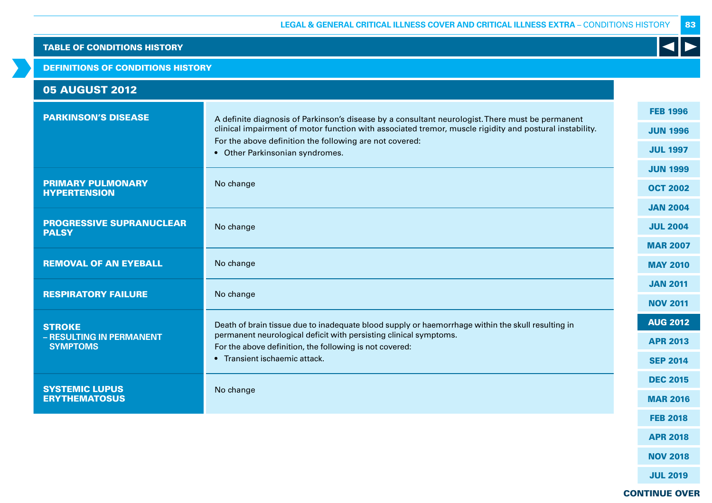# DEFINITIONS OF CONDITIONS HISTORY

| <b>05 AUGUST 2012</b>                                        |                                                                                                                                                                                                                                                                                                           |                                                       |
|--------------------------------------------------------------|-----------------------------------------------------------------------------------------------------------------------------------------------------------------------------------------------------------------------------------------------------------------------------------------------------------|-------------------------------------------------------|
| <b>PARKINSON'S DISEASE</b>                                   | A definite diagnosis of Parkinson's disease by a consultant neurologist. There must be permanent<br>clinical impairment of motor function with associated tremor, muscle rigidity and postural instability.<br>For the above definition the following are not covered:<br>• Other Parkinsonian syndromes. | <b>FEB 1996</b><br><b>JUN 1996</b><br><b>JUL 1997</b> |
| <b>PRIMARY PULMONARY</b><br><b>HYPERTENSION</b>              | No change                                                                                                                                                                                                                                                                                                 | <b>JUN 1999</b><br><b>OCT 2002</b>                    |
| <b>PROGRESSIVE SUPRANUCLEAR</b><br><b>PALSY</b>              | No change                                                                                                                                                                                                                                                                                                 | <b>JAN 2004</b><br><b>JUL 2004</b><br><b>MAR 2007</b> |
| <b>REMOVAL OF AN EYEBALL</b>                                 | No change                                                                                                                                                                                                                                                                                                 | <b>MAY 2010</b>                                       |
| <b>RESPIRATORY FAILURE</b>                                   | No change                                                                                                                                                                                                                                                                                                 | <b>JAN 2011</b><br><b>NOV 2011</b>                    |
| <b>STROKE</b><br>- RESULTING IN PERMANENT<br><b>SYMPTOMS</b> | Death of brain tissue due to inadequate blood supply or haemorrhage within the skull resulting in<br>permanent neurological deficit with persisting clinical symptoms.<br>For the above definition, the following is not covered:<br>• Transient ischaemic attack.                                        | <b>AUG 2012</b><br><b>APR 2013</b><br><b>SEP 2014</b> |
| <b>SYSTEMIC LUPUS</b><br><b>ERYTHEMATOSUS</b>                | No change                                                                                                                                                                                                                                                                                                 | <b>DEC 2015</b><br><b>MAR 2016</b>                    |
|                                                              |                                                                                                                                                                                                                                                                                                           | <b>FEB 2018</b>                                       |
|                                                              |                                                                                                                                                                                                                                                                                                           | <b>APR 2018</b>                                       |
|                                                              |                                                                                                                                                                                                                                                                                                           | <b>NOV 2018</b>                                       |
|                                                              |                                                                                                                                                                                                                                                                                                           | <b>JUL 2019</b>                                       |

# CONTINUE OVER

83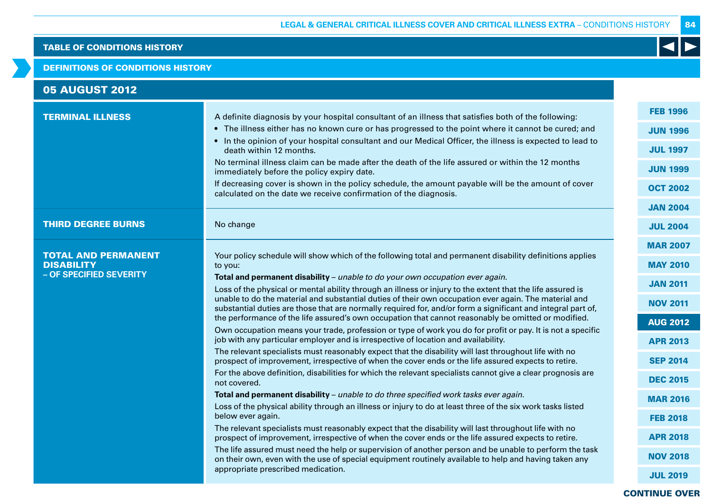#### DEFINITIONS OF CONDITIONS HISTORY

| <b>05 AUGUST 2012</b>                                                      |                                                                                                                                                                                                                                                                                                                                                                                                                                                                                                                                                                                                                                                                                                                                                                                                                                                                                                                                                                                                                                                                                                                                                                                                                                                                                                                                                                                                                                                                                                                                                                                                                                                                                                                                                                                                                                                                                                            |                                                                                                                                                                                                                                                     |
|----------------------------------------------------------------------------|------------------------------------------------------------------------------------------------------------------------------------------------------------------------------------------------------------------------------------------------------------------------------------------------------------------------------------------------------------------------------------------------------------------------------------------------------------------------------------------------------------------------------------------------------------------------------------------------------------------------------------------------------------------------------------------------------------------------------------------------------------------------------------------------------------------------------------------------------------------------------------------------------------------------------------------------------------------------------------------------------------------------------------------------------------------------------------------------------------------------------------------------------------------------------------------------------------------------------------------------------------------------------------------------------------------------------------------------------------------------------------------------------------------------------------------------------------------------------------------------------------------------------------------------------------------------------------------------------------------------------------------------------------------------------------------------------------------------------------------------------------------------------------------------------------------------------------------------------------------------------------------------------------|-----------------------------------------------------------------------------------------------------------------------------------------------------------------------------------------------------------------------------------------------------|
| <b>TERMINAL ILLNESS</b>                                                    | A definite diagnosis by your hospital consultant of an illness that satisfies both of the following:<br>• The illness either has no known cure or has progressed to the point where it cannot be cured; and<br>• In the opinion of your hospital consultant and our Medical Officer, the illness is expected to lead to<br>death within 12 months.<br>No terminal illness claim can be made after the death of the life assured or within the 12 months<br>immediately before the policy expiry date.<br>If decreasing cover is shown in the policy schedule, the amount payable will be the amount of cover<br>calculated on the date we receive confirmation of the diagnosis.                                                                                                                                                                                                                                                                                                                                                                                                                                                                                                                                                                                                                                                                                                                                                                                                                                                                                                                                                                                                                                                                                                                                                                                                                           | <b>FEB 1996</b><br><b>JUN 1996</b><br><b>JUL 1997</b><br><b>JUN 1999</b><br><b>OCT 2002</b><br><b>JAN 2004</b>                                                                                                                                      |
| <b>THIRD DEGREE BURNS</b>                                                  | No change                                                                                                                                                                                                                                                                                                                                                                                                                                                                                                                                                                                                                                                                                                                                                                                                                                                                                                                                                                                                                                                                                                                                                                                                                                                                                                                                                                                                                                                                                                                                                                                                                                                                                                                                                                                                                                                                                                  | <b>JUL 2004</b>                                                                                                                                                                                                                                     |
| <b>TOTAL AND PERMANENT</b><br><b>DISABILITY</b><br>- OF SPECIFIED SEVERITY | Your policy schedule will show which of the following total and permanent disability definitions applies<br>to you:<br>Total and permanent disability - unable to do your own occupation ever again.<br>Loss of the physical or mental ability through an illness or injury to the extent that the life assured is<br>unable to do the material and substantial duties of their own occupation ever again. The material and<br>substantial duties are those that are normally required for, and/or form a significant and integral part of,<br>the performance of the life assured's own occupation that cannot reasonably be omitted or modified.<br>Own occupation means your trade, profession or type of work you do for profit or pay. It is not a specific<br>job with any particular employer and is irrespective of location and availability.<br>The relevant specialists must reasonably expect that the disability will last throughout life with no<br>prospect of improvement, irrespective of when the cover ends or the life assured expects to retire.<br>For the above definition, disabilities for which the relevant specialists cannot give a clear prognosis are<br>not covered.<br>Total and permanent disability - unable to do three specified work tasks ever again.<br>Loss of the physical ability through an illness or injury to do at least three of the six work tasks listed<br>below ever again.<br>The relevant specialists must reasonably expect that the disability will last throughout life with no<br>prospect of improvement, irrespective of when the cover ends or the life assured expects to retire.<br>The life assured must need the help or supervision of another person and be unable to perform the task<br>on their own, even with the use of special equipment routinely available to help and having taken any<br>appropriate prescribed medication. | <b>MAR 2007</b><br><b>MAY 2010</b><br><b>JAN 2011</b><br><b>NOV 2011</b><br><b>AUG 2012</b><br><b>APR 2013</b><br><b>SEP 2014</b><br><b>DEC 2015</b><br><b>MAR 2016</b><br><b>FEB 2018</b><br><b>APR 2018</b><br><b>NOV 2018</b><br><b>JUL 2019</b> |

# CONTINUE OVER

84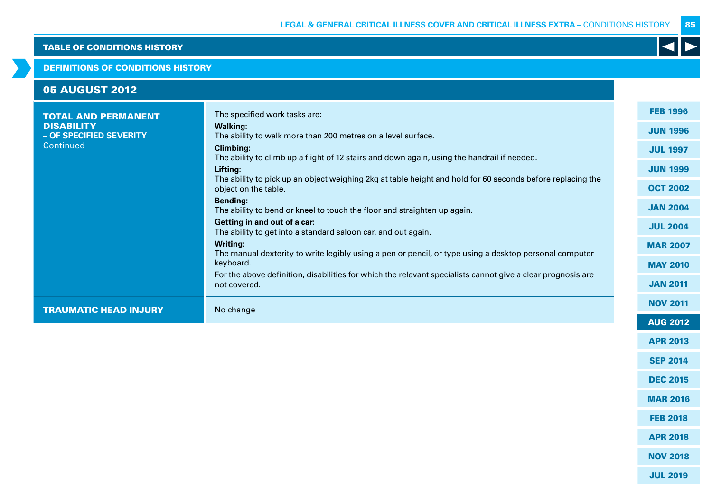#### DEFINITIONS OF CONDITIONS HISTORY

| <b>05 AUGUST 2012</b>                                                                   |                                                                                                                                                                                                                                                                                                                                                                                                                                                                                                                                                                                                                                                                                                                                                                                                                                                                |                                                                                                                                                                                            |
|-----------------------------------------------------------------------------------------|----------------------------------------------------------------------------------------------------------------------------------------------------------------------------------------------------------------------------------------------------------------------------------------------------------------------------------------------------------------------------------------------------------------------------------------------------------------------------------------------------------------------------------------------------------------------------------------------------------------------------------------------------------------------------------------------------------------------------------------------------------------------------------------------------------------------------------------------------------------|--------------------------------------------------------------------------------------------------------------------------------------------------------------------------------------------|
| <b>TOTAL AND PERMANENT</b><br><b>DISABILITY</b><br>- OF SPECIFIED SEVERITY<br>Continued | The specified work tasks are:<br><b>Walking:</b><br>The ability to walk more than 200 metres on a level surface.<br><b>Climbing:</b><br>The ability to climb up a flight of 12 stairs and down again, using the handrail if needed.<br>Lifting:<br>The ability to pick up an object weighing 2kg at table height and hold for 60 seconds before replacing the<br>object on the table.<br><b>Bending:</b><br>The ability to bend or kneel to touch the floor and straighten up again.<br>Getting in and out of a car:<br>The ability to get into a standard saloon car, and out again.<br><b>Writing:</b><br>The manual dexterity to write legibly using a pen or pencil, or type using a desktop personal computer<br>keyboard.<br>For the above definition, disabilities for which the relevant specialists cannot give a clear prognosis are<br>not covered. | <b>FEB 1996</b><br><b>JUN 1996</b><br><b>JUL 1997</b><br><b>JUN 1999</b><br><b>OCT 2002</b><br><b>JAN 2004</b><br><b>JUL 2004</b><br><b>MAR 2007</b><br><b>MAY 2010</b><br><b>JAN 2011</b> |
| <b>TRAUMATIC HEAD INJURY</b>                                                            | No change                                                                                                                                                                                                                                                                                                                                                                                                                                                                                                                                                                                                                                                                                                                                                                                                                                                      | <b>NOV 2011</b>                                                                                                                                                                            |
|                                                                                         |                                                                                                                                                                                                                                                                                                                                                                                                                                                                                                                                                                                                                                                                                                                                                                                                                                                                | <b>AUG 2012</b><br><b>APR 2013</b>                                                                                                                                                         |

SEP 2014

85

K

DEC 2015

MAR 2016

FEB 2018

APR 2018

NOV 2018

- 
- JUL 2019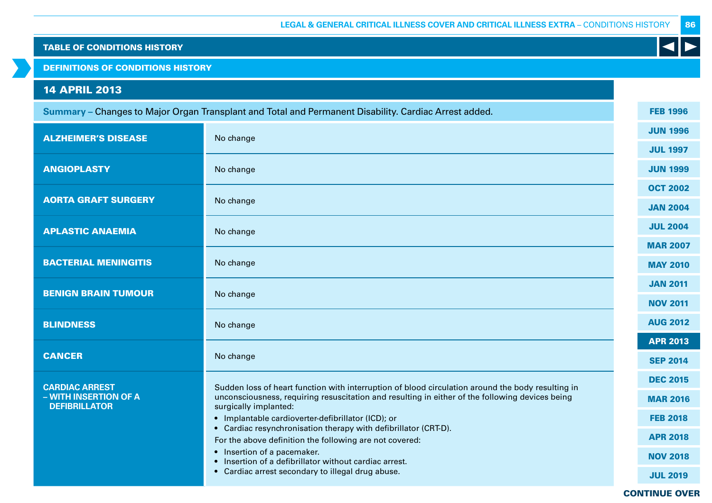DEFINITIONS OF CONDITIONS HISTORY

# 14 APRIL 2013

|                                               | Summary - Changes to Major Organ Transplant and Total and Permanent Disability. Cardiac Arrest added.                      | <b>FEB 1996</b> |
|-----------------------------------------------|----------------------------------------------------------------------------------------------------------------------------|-----------------|
| <b>ALZHEIMER'S DISEASE</b>                    | No change                                                                                                                  | <b>JUN 1996</b> |
|                                               |                                                                                                                            | <b>JUL 1997</b> |
| <b>ANGIOPLASTY</b>                            | No change                                                                                                                  | <b>JUN 1999</b> |
|                                               |                                                                                                                            | <b>OCT 2002</b> |
| <b>AORTA GRAFT SURGERY</b>                    | No change                                                                                                                  | <b>JAN 2004</b> |
| <b>APLASTIC ANAEMIA</b>                       | No change                                                                                                                  | <b>JUL 2004</b> |
|                                               |                                                                                                                            | <b>MAR 2007</b> |
| <b>BACTERIAL MENINGITIS</b>                   | No change                                                                                                                  | <b>MAY 2010</b> |
| <b>BENIGN BRAIN TUMOUR</b>                    | No change                                                                                                                  | <b>JAN 2011</b> |
|                                               |                                                                                                                            | <b>NOV 2011</b> |
| <b>BLINDNESS</b>                              | No change                                                                                                                  | <b>AUG 2012</b> |
|                                               |                                                                                                                            | <b>APR 2013</b> |
| <b>CANCER</b>                                 | No change                                                                                                                  | <b>SEP 2014</b> |
| <b>CARDIAC ARREST</b>                         | Sudden loss of heart function with interruption of blood circulation around the body resulting in                          | <b>DEC 2015</b> |
| - WITH INSERTION OF A<br><b>DEFIBRILLATOR</b> | unconsciousness, requiring resuscitation and resulting in either of the following devices being<br>surgically implanted:   | <b>MAR 2016</b> |
|                                               | • Implantable cardioverter-defibrillator (ICD); or                                                                         | <b>FEB 2018</b> |
|                                               | • Cardiac resynchronisation therapy with defibrillator (CRT-D).<br>For the above definition the following are not covered: | <b>APR 2018</b> |
|                                               | • Insertion of a pacemaker.<br>• Insertion of a defibrillator without cardiac arrest.                                      | <b>NOV 2018</b> |
|                                               | • Cardiac arrest secondary to illegal drug abuse.                                                                          | <b>JUL 2019</b> |
|                                               |                                                                                                                            |                 |

CONTINUE OVER

 $\blacktriangleleft$ 

86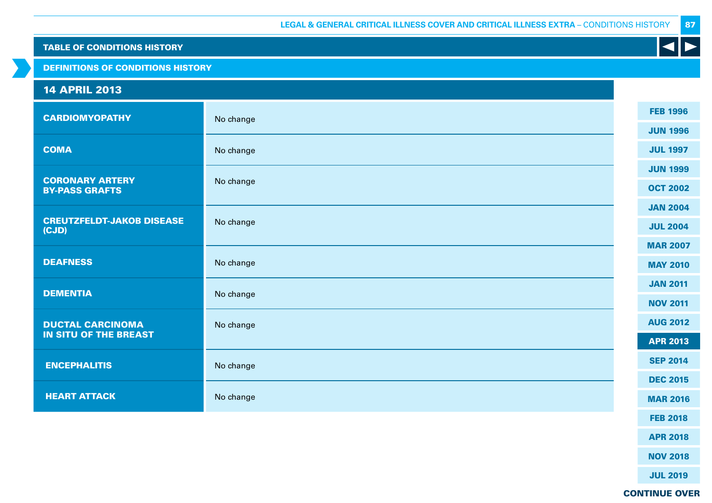DEFINITIONS OF CONDITIONS HISTORY

# 14 APRIL 2013

| <b>CARDIOMYOPATHY</b>                           | No change |  | <b>FEB 1996</b> |
|-------------------------------------------------|-----------|--|-----------------|
|                                                 |           |  | <b>JUN 1996</b> |
| <b>COMA</b>                                     | No change |  | <b>JUL 1997</b> |
|                                                 |           |  | <b>JUN 1999</b> |
| <b>CORONARY ARTERY</b><br><b>BY-PASS GRAFTS</b> | No change |  | <b>OCT 2002</b> |
|                                                 |           |  | <b>JAN 2004</b> |
| <b>CREUTZFELDT-JAKOB DISEASE</b><br>(CJD)       | No change |  | <b>JUL 2004</b> |
|                                                 |           |  | <b>MAR 2007</b> |
| <b>DEAFNESS</b>                                 | No change |  | <b>MAY 2010</b> |
|                                                 |           |  | <b>JAN 2011</b> |
| <b>DEMENTIA</b>                                 | No change |  | <b>NOV 2011</b> |
| <b>DUCTAL CARCINOMA</b>                         | No change |  | <b>AUG 2012</b> |
| <b>IN SITU OF THE BREAST</b>                    |           |  | <b>APR 2013</b> |
| <b>ENCEPHALITIS</b>                             | No change |  | <b>SEP 2014</b> |
|                                                 |           |  | <b>DEC 2015</b> |
| <b>HEART ATTACK</b>                             | No change |  | <b>MAR 2016</b> |
|                                                 |           |  | <b>FEB 2018</b> |
|                                                 |           |  |                 |

APR 2018

NOV 2018

JUL 2019

CONTINUE OVER

87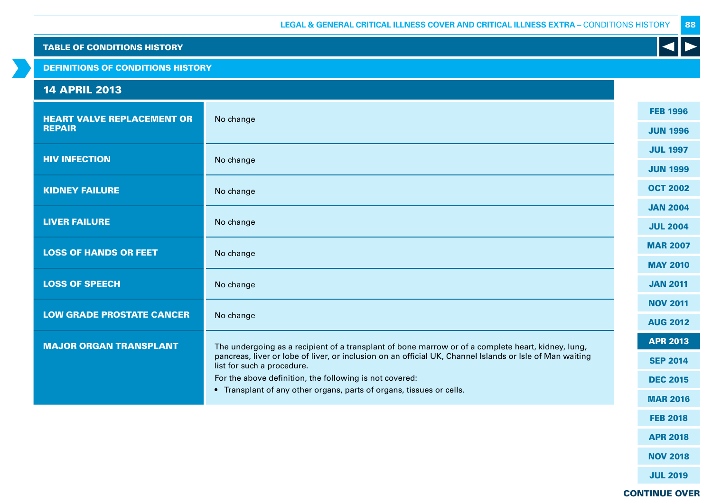DEFINITIONS OF CONDITIONS HISTORY

# 14 APRIL 2013 HEART VALVE REPLACEMENT OR REPAIR No change **HIV INFECTION** No change KIDNEY FAILURE No change LIVER FAILURE No change **LOSS OF HANDS OR FEET** No change LOSS OF SPEECH No change LOW GRADE PROSTATE CANCER No change MAJOR ORGAN TRANSPLANT The undergoing as a recipient of a transplant of bone marrow or of a complete heart, kidney, lung, pancreas, liver or lobe of liver, or inclusion on an official UK, Channel Islands or Isle of Man waiting list for such a procedure. For the above definition, the following is not covered: • Transplant of any other organs, parts of organs, tissues or cells. FEB 1996 JUN 1996 JUL 1997 JUN 1999 OCT 2002 JAN 2004 JUL 2004 MAR 2007 MAY 2010 JAN 2011 NOV 2011 AUG 2012 APR 2013 SEP 2014 DEC 2015 MAR 2016

88

CONTINUE OVER

FEB 2018

APR 2018

NOV 2018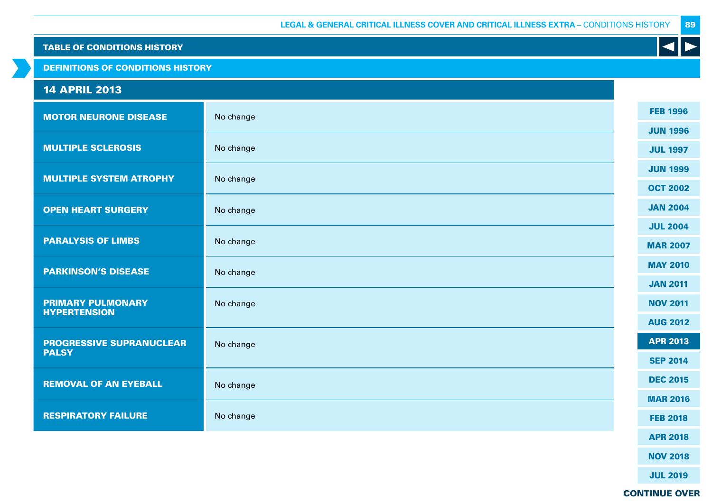DEFINITIONS OF CONDITIONS HISTORY

# 14 APRIL 2013

| <b>MOTOR NEURONE DISEASE</b>                    | No change | <b>FEB 1996</b> |
|-------------------------------------------------|-----------|-----------------|
|                                                 |           | <b>JUN 1996</b> |
| <b>MULTIPLE SCLEROSIS</b>                       | No change | <b>JUL 1997</b> |
|                                                 |           | <b>JUN 1999</b> |
| <b>MULTIPLE SYSTEM ATROPHY</b>                  | No change | <b>OCT 2002</b> |
| <b>OPEN HEART SURGERY</b>                       | No change | <b>JAN 2004</b> |
|                                                 |           | <b>JUL 2004</b> |
| <b>PARALYSIS OF LIMBS</b>                       | No change | <b>MAR 2007</b> |
|                                                 |           |                 |
| <b>PARKINSON'S DISEASE</b>                      | No change | <b>MAY 2010</b> |
|                                                 |           | <b>JAN 2011</b> |
| <b>PRIMARY PULMONARY</b><br><b>HYPERTENSION</b> | No change | <b>NOV 2011</b> |
|                                                 |           | <b>AUG 2012</b> |
| <b>PROGRESSIVE SUPRANUCLEAR</b>                 | No change | <b>APR 2013</b> |
| <b>PALSY</b>                                    |           | <b>SEP 2014</b> |
|                                                 |           | <b>DEC 2015</b> |
| <b>REMOVAL OF AN EYEBALL</b>                    | No change |                 |
|                                                 |           | <b>MAR 2016</b> |
| <b>RESPIRATORY FAILURE</b>                      | No change | <b>FEB 2018</b> |
|                                                 |           | <b>APR 2018</b> |

NOV 2018

JUL 2019

CONTINUE OVER

89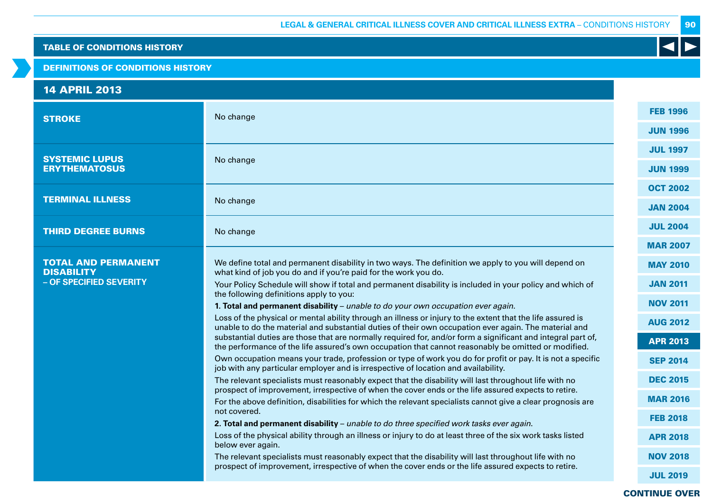#### DEFINITIONS OF CONDITIONS HISTORY

# 14 APRIL 2013

| <b>STROKE</b>                                   | No change                                                                                                                                                                                                           | <b>FEB 1996</b> |
|-------------------------------------------------|---------------------------------------------------------------------------------------------------------------------------------------------------------------------------------------------------------------------|-----------------|
|                                                 |                                                                                                                                                                                                                     | <b>JUN 1996</b> |
| <b>SYSTEMIC LUPUS</b>                           | No change                                                                                                                                                                                                           | <b>JUL 1997</b> |
| <b>ERYTHEMATOSUS</b>                            |                                                                                                                                                                                                                     | <b>JUN 1999</b> |
|                                                 |                                                                                                                                                                                                                     | <b>OCT 2002</b> |
| <b>TERMINAL ILLNESS</b>                         | No change                                                                                                                                                                                                           | <b>JAN 2004</b> |
| <b>THIRD DEGREE BURNS</b>                       | No change                                                                                                                                                                                                           | <b>JUL 2004</b> |
|                                                 |                                                                                                                                                                                                                     | <b>MAR 2007</b> |
| <b>TOTAL AND PERMANENT</b><br><b>DISABILITY</b> | We define total and permanent disability in two ways. The definition we apply to you will depend on<br>what kind of job you do and if you're paid for the work you do.                                              | <b>MAY 2010</b> |
| - OF SPECIFIED SEVERITY                         | Your Policy Schedule will show if total and permanent disability is included in your policy and which of                                                                                                            | <b>JAN 2011</b> |
|                                                 | the following definitions apply to you:<br>1. Total and permanent disability - unable to do your own occupation ever again.                                                                                         | <b>NOV 2011</b> |
|                                                 | Loss of the physical or mental ability through an illness or injury to the extent that the life assured is<br>unable to do the material and substantial duties of their own occupation ever again. The material and | <b>AUG 2012</b> |
|                                                 | substantial duties are those that are normally required for, and/or form a significant and integral part of,<br>the performance of the life assured's own occupation that cannot reasonably be omitted or modified. | <b>APR 2013</b> |
|                                                 | Own occupation means your trade, profession or type of work you do for profit or pay. It is not a specific<br>job with any particular employer and is irrespective of location and availability.                    | <b>SEP 2014</b> |
|                                                 | The relevant specialists must reasonably expect that the disability will last throughout life with no                                                                                                               | <b>DEC 2015</b> |
|                                                 | prospect of improvement, irrespective of when the cover ends or the life assured expects to retire.<br>For the above definition, disabilities for which the relevant specialists cannot give a clear prognosis are  | <b>MAR 2016</b> |
|                                                 | not covered.                                                                                                                                                                                                        | <b>FEB 2018</b> |
|                                                 | 2. Total and permanent disability - unable to do three specified work tasks ever again.<br>Loss of the physical ability through an illness or injury to do at least three of the six work tasks listed              | <b>APR 2018</b> |
|                                                 | below ever again.<br>The relevant specialists must reasonably expect that the disability will last throughout life with no                                                                                          | <b>NOV 2018</b> |
|                                                 | prospect of improvement, irrespective of when the cover ends or the life assured expects to retire.                                                                                                                 |                 |
|                                                 |                                                                                                                                                                                                                     | <b>JUL 2019</b> |

# CONTINUE OVER

90

 $\blacktriangleleft$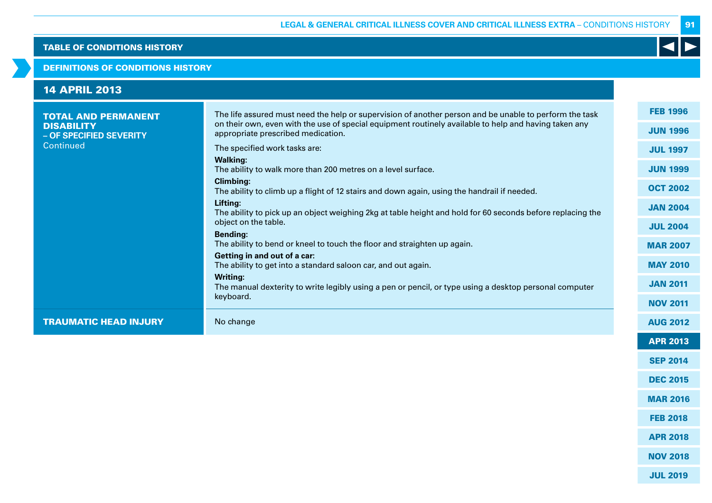#### DEFINITIONS OF CONDITIONS HISTORY

| <b>14 APRIL 2013</b>                                                                    |                                                                                                                                                                                                                                                                                                                                                                                                                                                                                                                                                                                                                                                                                                                                               |                                                                                                                                   |
|-----------------------------------------------------------------------------------------|-----------------------------------------------------------------------------------------------------------------------------------------------------------------------------------------------------------------------------------------------------------------------------------------------------------------------------------------------------------------------------------------------------------------------------------------------------------------------------------------------------------------------------------------------------------------------------------------------------------------------------------------------------------------------------------------------------------------------------------------------|-----------------------------------------------------------------------------------------------------------------------------------|
| <b>TOTAL AND PERMANENT</b><br><b>DISABILITY</b><br>- OF SPECIFIED SEVERITY<br>Continued | The life assured must need the help or supervision of another person and be unable to perform the task<br>on their own, even with the use of special equipment routinely available to help and having taken any<br>appropriate prescribed medication.<br>The specified work tasks are:<br><b>Walking:</b><br>The ability to walk more than 200 metres on a level surface.<br><b>Climbing:</b><br>The ability to climb up a flight of 12 stairs and down again, using the handrail if needed.<br>Lifting:<br>The ability to pick up an object weighing 2kg at table height and hold for 60 seconds before replacing the<br>object on the table.<br><b>Bending:</b><br>The ability to bend or kneel to touch the floor and straighten up again. | <b>FEB 1996</b><br><b>JUN 1996</b><br><b>JUL 1997</b><br><b>JUN 1999</b><br><b>OCT 2002</b><br><b>JAN 2004</b><br><b>JUL 2004</b> |
|                                                                                         | Getting in and out of a car:<br>The ability to get into a standard saloon car, and out again.<br><b>Writing:</b><br>The manual dexterity to write legibly using a pen or pencil, or type using a desktop personal computer<br>keyboard.                                                                                                                                                                                                                                                                                                                                                                                                                                                                                                       | <b>MAR 2007</b><br><b>MAY 2010</b><br><b>JAN 2011</b><br><b>NOV 2011</b>                                                          |
| <b>TRAUMATIC HEAD INJURY</b>                                                            | No change                                                                                                                                                                                                                                                                                                                                                                                                                                                                                                                                                                                                                                                                                                                                     | <b>AUG 2012</b>                                                                                                                   |
|                                                                                         |                                                                                                                                                                                                                                                                                                                                                                                                                                                                                                                                                                                                                                                                                                                                               | <b>APR 2013</b>                                                                                                                   |

91

K

NOV 2018

SEP 2014

DEC 2015

MAR 2016

FEB 2018

APR 2018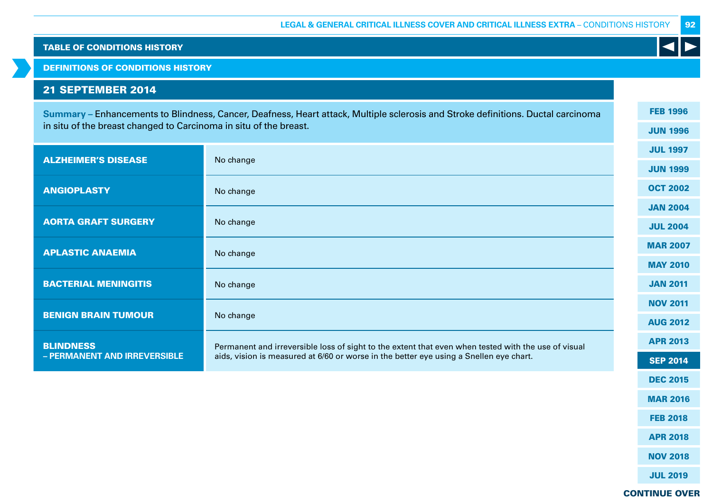DEFINITIONS OF CONDITIONS HISTORY

# 21 SEPTEMBER 2014

**Summary –** Enhancements to Blindness, Cancer, Deafness, Heart attack, Multiple sclerosis and Stroke definitions. Ductal carcinoma in situ of the breast changed to Carcinoma in situ of the breast.

| <b>ALZHEIMER'S DISEASE</b>                       | No change                                                                                                                                                                                     | <b>JUL 1997</b> |
|--------------------------------------------------|-----------------------------------------------------------------------------------------------------------------------------------------------------------------------------------------------|-----------------|
|                                                  |                                                                                                                                                                                               |                 |
| <b>ANGIOPLASTY</b>                               | No change                                                                                                                                                                                     | <b>OCT 2002</b> |
|                                                  |                                                                                                                                                                                               | <b>JAN 2004</b> |
| <b>AORTA GRAFT SURGERY</b>                       | No change                                                                                                                                                                                     | <b>JUL 2004</b> |
| <b>APLASTIC ANAEMIA</b>                          | No change                                                                                                                                                                                     | <b>MAR 2007</b> |
|                                                  |                                                                                                                                                                                               | <b>MAY 2010</b> |
| <b>BACTERIAL MENINGITIS</b>                      | No change                                                                                                                                                                                     | <b>JAN 2011</b> |
|                                                  |                                                                                                                                                                                               | <b>NOV 2011</b> |
| <b>BENIGN BRAIN TUMOUR</b>                       | No change                                                                                                                                                                                     | <b>AUG 2012</b> |
| <b>BLINDNESS</b><br>- PERMANENT AND IRREVERSIBLE | Permanent and irreversible loss of sight to the extent that even when tested with the use of visual<br>aids, vision is measured at 6/60 or worse in the better eye using a Snellen eye chart. | <b>APR 2013</b> |
|                                                  |                                                                                                                                                                                               | <b>SEP 2014</b> |
|                                                  |                                                                                                                                                                                               | <b>DEC 2015</b> |

FEB 1996

JUN 1996

92

CONTINUE OVER

MAR 2016

FEB 2018

APR 2018

NOV 2018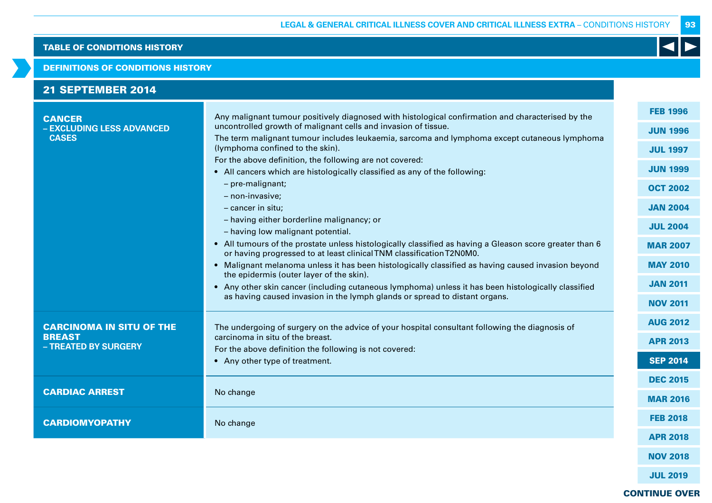#### DEFINITIONS OF CONDITIONS HISTORY

| <b>21 SEPTEMBER 2014</b>                                                 |                                                                                                                                                                                                                                                                                                                                                                                                                                                                                                                                                 |                                                                                             |
|--------------------------------------------------------------------------|-------------------------------------------------------------------------------------------------------------------------------------------------------------------------------------------------------------------------------------------------------------------------------------------------------------------------------------------------------------------------------------------------------------------------------------------------------------------------------------------------------------------------------------------------|---------------------------------------------------------------------------------------------|
| <b>CANCER</b><br>- EXCLUDING LESS ADVANCED<br><b>CASES</b>               | Any malignant tumour positively diagnosed with histological confirmation and characterised by the<br>uncontrolled growth of malignant cells and invasion of tissue.<br>The term malignant tumour includes leukaemia, sarcoma and lymphoma except cutaneous lymphoma<br>(lymphoma confined to the skin).<br>For the above definition, the following are not covered:<br>• All cancers which are histologically classified as any of the following:<br>- pre-malignant;<br>- non-invasive;                                                        | <b>FEB 1996</b><br><b>JUN 1996</b><br><b>JUL 1997</b><br><b>JUN 1999</b><br><b>OCT 2002</b> |
|                                                                          | - cancer in situ;<br>- having either borderline malignancy; or<br>- having low malignant potential.<br>• All tumours of the prostate unless histologically classified as having a Gleason score greater than 6<br>or having progressed to at least clinical TNM classification T2N0M0.<br>• Malignant melanoma unless it has been histologically classified as having caused invasion beyond<br>the epidermis (outer layer of the skin).<br>• Any other skin cancer (including cutaneous lymphoma) unless it has been histologically classified | <b>JAN 2004</b><br><b>JUL 2004</b><br><b>MAR 2007</b><br><b>MAY 2010</b><br><b>JAN 2011</b> |
| <b>CARCINOMA IN SITU OF THE</b><br><b>BREAST</b><br>- TREATED BY SURGERY | as having caused invasion in the lymph glands or spread to distant organs.<br>The undergoing of surgery on the advice of your hospital consultant following the diagnosis of<br>carcinoma in situ of the breast.<br>For the above definition the following is not covered:<br>• Any other type of treatment.                                                                                                                                                                                                                                    | <b>NOV 2011</b><br><b>AUG 2012</b><br><b>APR 2013</b><br><b>SEP 2014</b>                    |
| <b>CARDIAC ARREST</b><br><b>CARDIOMYOPATHY</b>                           | No change<br>No change                                                                                                                                                                                                                                                                                                                                                                                                                                                                                                                          | <b>DEC 2015</b><br><b>MAR 2016</b><br><b>FEB 2018</b>                                       |
|                                                                          |                                                                                                                                                                                                                                                                                                                                                                                                                                                                                                                                                 | <b>APR 2018</b><br><b>NOV 2018</b>                                                          |

JUL 2019

# CONTINUE OVER

93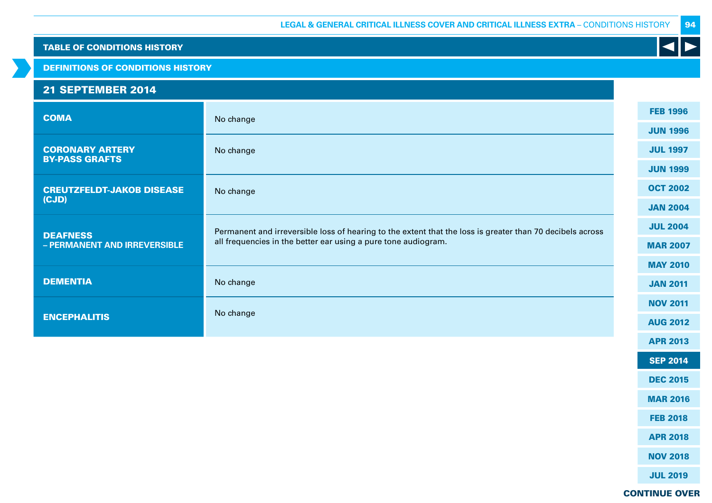### DEFINITIONS OF CONDITIONS HISTORY

# 21 SEPTEMBER 2014

| <b>COMA</b>                                     | No change                                                                                                                                                                   | <b>FEB 1996</b> |
|-------------------------------------------------|-----------------------------------------------------------------------------------------------------------------------------------------------------------------------------|-----------------|
|                                                 |                                                                                                                                                                             | <b>JUN 1996</b> |
| <b>CORONARY ARTERY</b>                          | No change                                                                                                                                                                   | <b>JUL 1997</b> |
| <b>BY-PASS GRAFTS</b>                           |                                                                                                                                                                             | <b>JUN 1999</b> |
| <b>CREUTZFELDT-JAKOB DISEASE</b>                | No change                                                                                                                                                                   | <b>OCT 2002</b> |
| (CJD)                                           |                                                                                                                                                                             | <b>JAN 2004</b> |
| <b>DEAFNESS</b><br>- PERMANENT AND IRREVERSIBLE | Permanent and irreversible loss of hearing to the extent that the loss is greater than 70 decibels across<br>all frequencies in the better ear using a pure tone audiogram. | <b>JUL 2004</b> |
|                                                 |                                                                                                                                                                             | <b>MAR 2007</b> |
|                                                 |                                                                                                                                                                             | <b>MAY 2010</b> |
| <b>DEMENTIA</b>                                 | No change                                                                                                                                                                   | <b>JAN 2011</b> |
|                                                 | No change                                                                                                                                                                   | <b>NOV 2011</b> |
| <b>ENCEPHALITIS</b>                             |                                                                                                                                                                             | <b>AUG 2012</b> |
|                                                 |                                                                                                                                                                             | <b>APR 2013</b> |
|                                                 |                                                                                                                                                                             | <b>SEP 2014</b> |

DEC 2015

94

K

MAR 2016

FEB 2018

APR 2018

NOV 2018

JUL 2019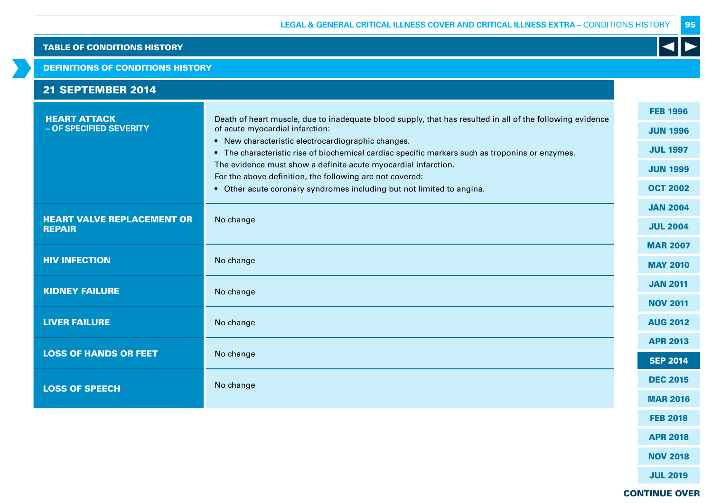#### DEFINITIONS OF CONDITIONS HISTORY

| <b>21 SEPTEMBER 2014</b>                           |                                                                                                                                                                                                                                                                                                                                                                                                                                                                                                              |                                                                                             |
|----------------------------------------------------|--------------------------------------------------------------------------------------------------------------------------------------------------------------------------------------------------------------------------------------------------------------------------------------------------------------------------------------------------------------------------------------------------------------------------------------------------------------------------------------------------------------|---------------------------------------------------------------------------------------------|
| <b>HEART ATTACK</b><br>- OF SPECIFIED SEVERITY     | Death of heart muscle, due to inadequate blood supply, that has resulted in all of the following evidence<br>of acute myocardial infarction:<br>• New characteristic electrocardiographic changes.<br>• The characteristic rise of biochemical cardiac specific markers such as troponins or enzymes.<br>The evidence must show a definite acute myocardial infarction.<br>For the above definition, the following are not covered:<br>• Other acute coronary syndromes including but not limited to angina. | <b>FEB 1996</b><br><b>JUN 1996</b><br><b>JUL 1997</b><br><b>JUN 1999</b><br><b>OCT 2002</b> |
| <b>HEART VALVE REPLACEMENT OR</b><br><b>REPAIR</b> | No change                                                                                                                                                                                                                                                                                                                                                                                                                                                                                                    | <b>JAN 2004</b><br><b>JUL 2004</b>                                                          |
| <b>HIV INFECTION</b>                               | No change                                                                                                                                                                                                                                                                                                                                                                                                                                                                                                    | <b>MAR 2007</b><br><b>MAY 2010</b>                                                          |
| <b>KIDNEY FAILURE</b>                              | No change                                                                                                                                                                                                                                                                                                                                                                                                                                                                                                    | <b>JAN 2011</b><br><b>NOV 2011</b>                                                          |
| <b>LIVER FAILURE</b>                               | No change                                                                                                                                                                                                                                                                                                                                                                                                                                                                                                    | <b>AUG 2012</b>                                                                             |
| <b>LOSS OF HANDS OR FEET</b>                       | No change                                                                                                                                                                                                                                                                                                                                                                                                                                                                                                    | <b>APR 2013</b><br><b>SEP 2014</b>                                                          |
| <b>LOSS OF SPEECH</b>                              | No change                                                                                                                                                                                                                                                                                                                                                                                                                                                                                                    | <b>DEC 2015</b><br><b>MAR 2016</b>                                                          |
|                                                    |                                                                                                                                                                                                                                                                                                                                                                                                                                                                                                              | <b>FEB 2018</b>                                                                             |

APR 2018

NOV 2018

JUL 2019

CONTINUE OVER

95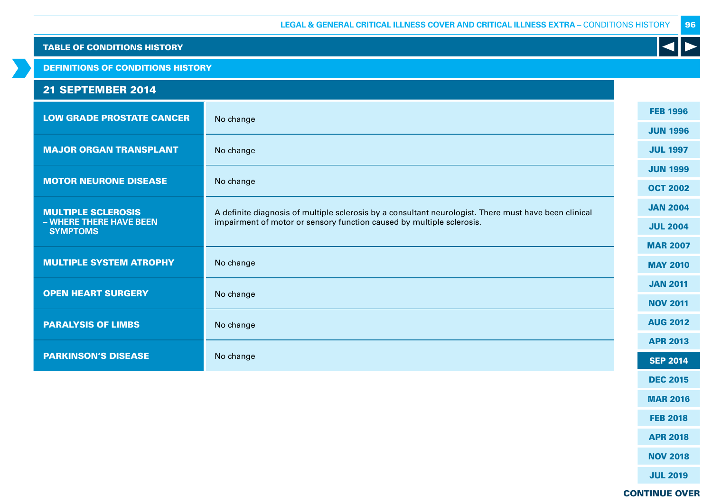DEFINITIONS OF CONDITIONS HISTORY

# 21 SEPTEMBER 2014

| <b>LOW GRADE PROSTATE CANCER</b>           | No change                                                                                             | <b>FEB 1996</b> |
|--------------------------------------------|-------------------------------------------------------------------------------------------------------|-----------------|
|                                            |                                                                                                       | <b>JUN 1996</b> |
| <b>MAJOR ORGAN TRANSPLANT</b>              | No change                                                                                             | <b>JUL 1997</b> |
| <b>MOTOR NEURONE DISEASE</b>               |                                                                                                       | <b>JUN 1999</b> |
|                                            | No change                                                                                             | <b>OCT 2002</b> |
| <b>MULTIPLE SCLEROSIS</b>                  | A definite diagnosis of multiple sclerosis by a consultant neurologist. There must have been clinical | <b>JAN 2004</b> |
| - WHERE THERE HAVE BEEN<br><b>SYMPTOMS</b> | impairment of motor or sensory function caused by multiple sclerosis.                                 | <b>JUL 2004</b> |
|                                            |                                                                                                       | <b>MAR 2007</b> |
| <b>MULTIPLE SYSTEM ATROPHY</b>             | No change                                                                                             | <b>MAY 2010</b> |
|                                            |                                                                                                       | <b>JAN 2011</b> |
| <b>OPEN HEART SURGERY</b>                  | No change                                                                                             | <b>NOV 2011</b> |
| <b>PARALYSIS OF LIMBS</b>                  | No change                                                                                             | <b>AUG 2012</b> |
|                                            |                                                                                                       | <b>APR 2013</b> |
| <b>PARKINSON'S DISEASE</b>                 | No change                                                                                             | <b>SEP 2014</b> |

96

K

JUL 2019

DEC 2015

MAR 2016

FEB 2018

APR 2018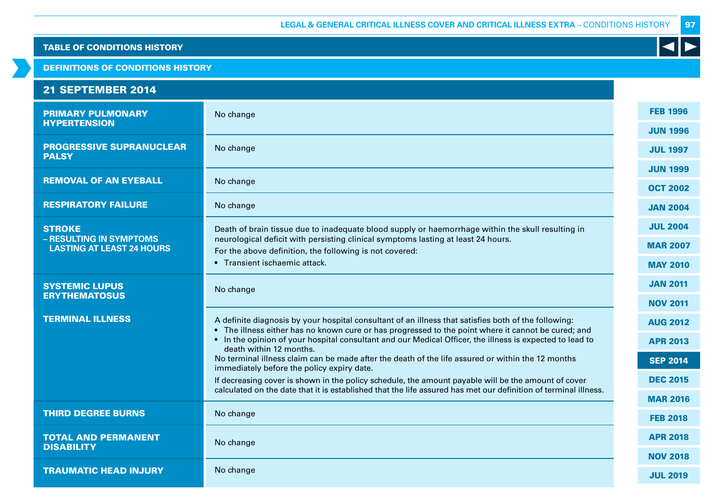DEFINITIONS OF CONDITIONS HISTORY

#### PRIMARY PULMONARY **HYPERTENSION** No change PROGRESSIVE SUPRANUCLEAR PALSY No change REMOVAL OF AN EYEBALL No change RESPIRATORY FAILURE No change **STROKE – RESULTING IN SYMPTOMS LASTING AT LEAST 24 HOURS** Death of brain tissue due to inadequate blood supply or haemorrhage within the skull resulting in neurological deficit with persisting clinical symptoms lasting at least 24 hours. For the above definition, the following is not covered: • Transient ischaemic attack. SYSTEMIC LUPUS ERYTHEMATOSUS<br>ERYTHEMATOSUS **TERMINAL ILLNESS** A definite diagnosis by your hospital consultant of an illness that satisfies both of the following: • The illness either has no known cure or has progressed to the point where it cannot be cured; and • In the opinion of your hospital consultant and our Medical Officer, the illness is expected to lead to death within 12 months. No terminal illness claim can be made after the death of the life assured or within the 12 months immediately before the policy expiry date. If decreasing cover is shown in the policy schedule, the amount payable will be the amount of cover calculated on the date that it is established that the life assured has met our definition of terminal illness. **THIRD DEGREE BURNS** No change TOTAL AND PERMANENT **DISABILITY** No change **TRAUMATIC HEAD INJURY** No change 21 SEPTEMBER 2014 FEB 1996 JUN 1996 JUL 1997 JUN 1999 OCT 2002 JAN 2004 JUL 2004 MAR 2007 MAY 2010 JAN 2011 NOV 2011 AUG 2012 APR 2013 SEP 2014 DEC 2015 MAR 2016 FEB 2018 APR 2018 NOV 2018 JUL 2019

97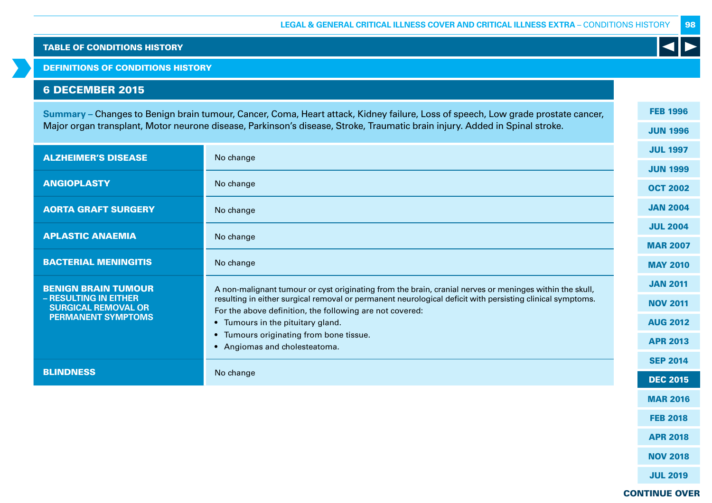DEFINITIONS OF CONDITIONS HISTORY

# 6 DECEMBER 2015

**Summary –** Changes to Benign brain tumour, Cancer, Coma, Heart attack, Kidney failure, Loss of speech, Low grade prostate cancer, Major organ transplant, Motor neurone disease, Parkinson's disease, Stroke, Traumatic brain injury. Added in Spinal stroke.

| <b>ALZHEIMER'S DISEASE</b>                          | No change                                                                                                 | <b>JUL 1997</b> |
|-----------------------------------------------------|-----------------------------------------------------------------------------------------------------------|-----------------|
|                                                     |                                                                                                           | <b>JUN 1999</b> |
| <b>ANGIOPLASTY</b>                                  | No change                                                                                                 | <b>OCT 2002</b> |
| <b>AORTA GRAFT SURGERY</b>                          | No change                                                                                                 | <b>JAN 2004</b> |
| <b>APLASTIC ANAEMIA</b>                             |                                                                                                           | <b>JUL 2004</b> |
|                                                     | No change                                                                                                 | <b>MAR 2007</b> |
| <b>BACTERIAL MENINGITIS</b>                         | No change                                                                                                 | <b>MAY 2010</b> |
| <b>BENIGN BRAIN TUMOUR</b>                          | A non-malignant tumour or cyst originating from the brain, cranial nerves or meninges within the skull,   | <b>JAN 2011</b> |
| - RESULTING IN EITHER<br><b>SURGICAL REMOVAL OR</b> | resulting in either surgical removal or permanent neurological deficit with persisting clinical symptoms. | <b>NOV 2011</b> |
| <b>PERMANENT SYMPTOMS</b>                           | For the above definition, the following are not covered:<br>• Tumours in the pituitary gland.             | <b>AUG 2012</b> |
|                                                     | Tumours originating from bone tissue.<br>$\bullet$                                                        |                 |
|                                                     | Angiomas and cholesteatoma.<br>$\bullet$                                                                  | <b>APR 2013</b> |
|                                                     |                                                                                                           | <b>SEP 2014</b> |
| <b>BLINDNESS</b>                                    | No change                                                                                                 | <b>DEC 2015</b> |

FEB 1996

JUN 1996

98

### CONTINUE OVER

MAR 2016

FEB 2018

APR 2018

NOV 2018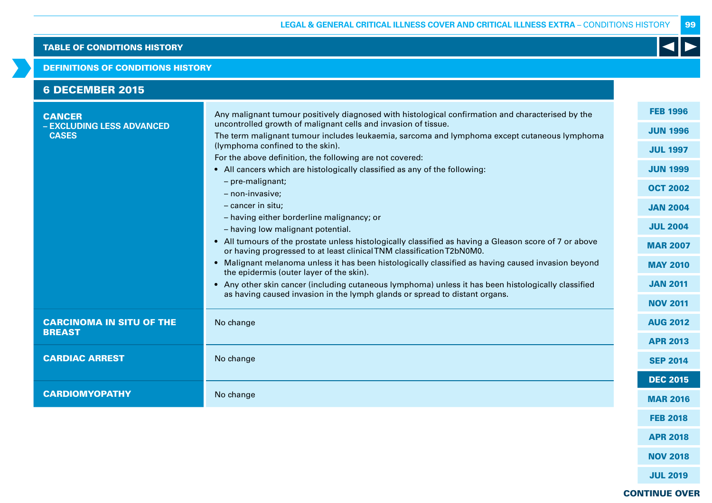#### DEFINITIONS OF CONDITIONS HISTORY

| <b>6 DECEMBER 2015</b>                                     |                                                                                                                                                                                                                                                                                                                                                                                                                                                                                                                                                                                                                                                                                                                                                                                                                                                                                                                                                                                                                                                                                                                           |                                                                                                                                                                                                               |
|------------------------------------------------------------|---------------------------------------------------------------------------------------------------------------------------------------------------------------------------------------------------------------------------------------------------------------------------------------------------------------------------------------------------------------------------------------------------------------------------------------------------------------------------------------------------------------------------------------------------------------------------------------------------------------------------------------------------------------------------------------------------------------------------------------------------------------------------------------------------------------------------------------------------------------------------------------------------------------------------------------------------------------------------------------------------------------------------------------------------------------------------------------------------------------------------|---------------------------------------------------------------------------------------------------------------------------------------------------------------------------------------------------------------|
| <b>CANCER</b><br>- EXCLUDING LESS ADVANCED<br><b>CASES</b> | Any malignant tumour positively diagnosed with histological confirmation and characterised by the<br>uncontrolled growth of malignant cells and invasion of tissue.<br>The term malignant tumour includes leukaemia, sarcoma and lymphoma except cutaneous lymphoma<br>(lymphoma confined to the skin).<br>For the above definition, the following are not covered:<br>• All cancers which are histologically classified as any of the following:<br>- pre-malignant;<br>- non-invasive;<br>- cancer in situ;<br>- having either borderline malignancy; or<br>- having low malignant potential.<br>• All tumours of the prostate unless histologically classified as having a Gleason score of 7 or above<br>or having progressed to at least clinical TNM classification T2bN0M0.<br>• Malignant melanoma unless it has been histologically classified as having caused invasion beyond<br>the epidermis (outer layer of the skin).<br>• Any other skin cancer (including cutaneous lymphoma) unless it has been histologically classified<br>as having caused invasion in the lymph glands or spread to distant organs. | <b>FEB 1996</b><br><b>JUN 1996</b><br><b>JUL 1997</b><br><b>JUN 1999</b><br><b>OCT 2002</b><br><b>JAN 2004</b><br><b>JUL 2004</b><br><b>MAR 2007</b><br><b>MAY 2010</b><br><b>JAN 2011</b><br><b>NOV 2011</b> |
| <b>CARCINOMA IN SITU OF THE</b><br><b>BREAST</b>           | No change                                                                                                                                                                                                                                                                                                                                                                                                                                                                                                                                                                                                                                                                                                                                                                                                                                                                                                                                                                                                                                                                                                                 | <b>AUG 2012</b><br><b>APR 2013</b>                                                                                                                                                                            |
| <b>CARDIAC ARREST</b>                                      | No change                                                                                                                                                                                                                                                                                                                                                                                                                                                                                                                                                                                                                                                                                                                                                                                                                                                                                                                                                                                                                                                                                                                 | <b>SEP 2014</b>                                                                                                                                                                                               |
| <b>CARDIOMYOPATHY</b>                                      | No change                                                                                                                                                                                                                                                                                                                                                                                                                                                                                                                                                                                                                                                                                                                                                                                                                                                                                                                                                                                                                                                                                                                 | <b>DEC 2015</b><br><b>MAR 2016</b>                                                                                                                                                                            |
|                                                            |                                                                                                                                                                                                                                                                                                                                                                                                                                                                                                                                                                                                                                                                                                                                                                                                                                                                                                                                                                                                                                                                                                                           | <b>FEB 2018</b>                                                                                                                                                                                               |
|                                                            |                                                                                                                                                                                                                                                                                                                                                                                                                                                                                                                                                                                                                                                                                                                                                                                                                                                                                                                                                                                                                                                                                                                           | <b>APR 2018</b>                                                                                                                                                                                               |
|                                                            |                                                                                                                                                                                                                                                                                                                                                                                                                                                                                                                                                                                                                                                                                                                                                                                                                                                                                                                                                                                                                                                                                                                           | <b>NOV 2018</b>                                                                                                                                                                                               |

JUL 2019

99

 $\blacktriangleleft$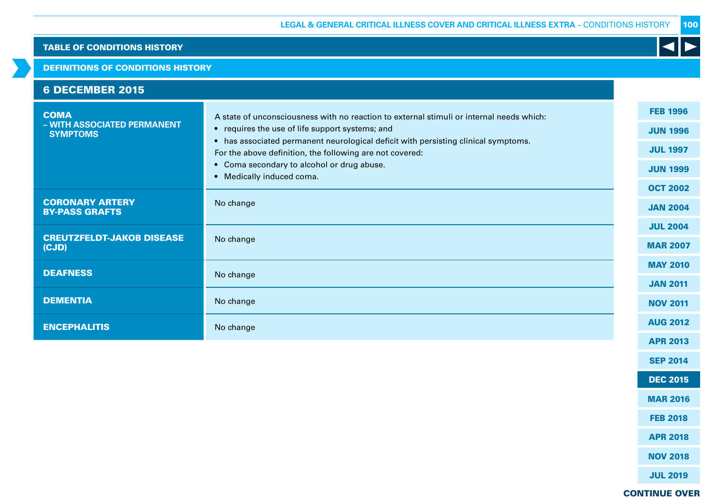#### DEFINITIONS OF CONDITIONS HISTORY

| <b>6 DECEMBER 2015</b>                                        |                                                                                                                                                                                                                                                                                                                                                                          |                                                                                             |
|---------------------------------------------------------------|--------------------------------------------------------------------------------------------------------------------------------------------------------------------------------------------------------------------------------------------------------------------------------------------------------------------------------------------------------------------------|---------------------------------------------------------------------------------------------|
| <b>COMA</b><br>- WITH ASSOCIATED PERMANENT<br><b>SYMPTOMS</b> | A state of unconsciousness with no reaction to external stimuli or internal needs which:<br>• requires the use of life support systems; and<br>• has associated permanent neurological deficit with persisting clinical symptoms.<br>For the above definition, the following are not covered:<br>• Coma secondary to alcohol or drug abuse.<br>• Medically induced coma. | <b>FEB 1996</b><br><b>JUN 1996</b><br><b>JUL 1997</b><br><b>JUN 1999</b><br><b>OCT 2002</b> |
| <b>CORONARY ARTERY</b><br><b>BY-PASS GRAFTS</b>               | No change                                                                                                                                                                                                                                                                                                                                                                | <b>JAN 2004</b>                                                                             |
| <b>CREUTZFELDT-JAKOB DISEASE</b><br>(CJD)                     | No change                                                                                                                                                                                                                                                                                                                                                                | <b>JUL 2004</b><br><b>MAR 2007</b>                                                          |
| <b>DEAFNESS</b>                                               | No change                                                                                                                                                                                                                                                                                                                                                                | <b>MAY 2010</b>                                                                             |
| <b>DEMENTIA</b>                                               | No change                                                                                                                                                                                                                                                                                                                                                                | <b>JAN 2011</b><br><b>NOV 2011</b>                                                          |
| <b>ENCEPHALITIS</b>                                           | No change                                                                                                                                                                                                                                                                                                                                                                | <b>AUG 2012</b>                                                                             |
|                                                               |                                                                                                                                                                                                                                                                                                                                                                          | <b>APR 2013</b>                                                                             |

K

CONTINUE OVER

SEP 2014

DEC 2015

MAR 2016

FEB 2018

APR 2018

NOV 2018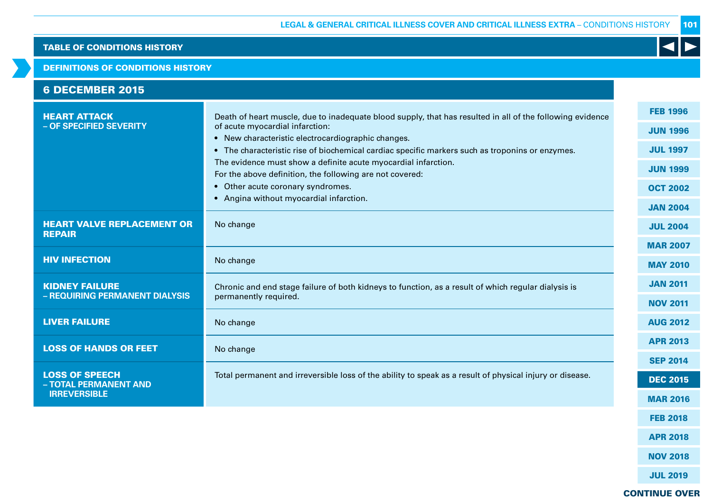#### DEFINITIONS OF CONDITIONS HISTORY

| <b>6 DECEMBER 2015</b>                                  |                                                                                                                                                                                                                                                                                                                                                                                                                                                                                                                     |                                                                                                                |
|---------------------------------------------------------|---------------------------------------------------------------------------------------------------------------------------------------------------------------------------------------------------------------------------------------------------------------------------------------------------------------------------------------------------------------------------------------------------------------------------------------------------------------------------------------------------------------------|----------------------------------------------------------------------------------------------------------------|
| <b>HEART ATTACK</b><br>- OF SPECIFIED SEVERITY          | Death of heart muscle, due to inadequate blood supply, that has resulted in all of the following evidence<br>of acute myocardial infarction:<br>• New characteristic electrocardiographic changes.<br>• The characteristic rise of biochemical cardiac specific markers such as troponins or enzymes.<br>The evidence must show a definite acute myocardial infarction.<br>For the above definition, the following are not covered:<br>• Other acute coronary syndromes.<br>• Angina without myocardial infarction. | <b>FEB 1996</b><br><b>JUN 1996</b><br><b>JUL 1997</b><br><b>JUN 1999</b><br><b>OCT 2002</b><br><b>JAN 2004</b> |
| <b>HEART VALVE REPLACEMENT OR</b><br><b>REPAIR</b>      | No change                                                                                                                                                                                                                                                                                                                                                                                                                                                                                                           | <b>JUL 2004</b><br><b>MAR 2007</b>                                                                             |
| <b>HIV INFECTION</b>                                    | No change                                                                                                                                                                                                                                                                                                                                                                                                                                                                                                           | <b>MAY 2010</b>                                                                                                |
| <b>KIDNEY FAILURE</b><br>- REQUIRING PERMANENT DIALYSIS | Chronic and end stage failure of both kidneys to function, as a result of which regular dialysis is<br>permanently required.                                                                                                                                                                                                                                                                                                                                                                                        | <b>JAN 2011</b><br><b>NOV 2011</b>                                                                             |
| <b>LIVER FAILURE</b>                                    | No change                                                                                                                                                                                                                                                                                                                                                                                                                                                                                                           | <b>AUG 2012</b>                                                                                                |
| <b>LOSS OF HANDS OR FEET</b>                            | No change                                                                                                                                                                                                                                                                                                                                                                                                                                                                                                           | <b>APR 2013</b><br><b>SEP 2014</b>                                                                             |
| <b>LOSS OF SPEECH</b><br>- TOTAL PERMANENT AND          | Total permanent and irreversible loss of the ability to speak as a result of physical injury or disease.                                                                                                                                                                                                                                                                                                                                                                                                            | <b>DEC 2015</b>                                                                                                |
| <b>IRREVERSIBLE</b>                                     |                                                                                                                                                                                                                                                                                                                                                                                                                                                                                                                     | <b>MAR 2016</b>                                                                                                |

CONTINUE OVER

FEB 2018

K

APR 2018

NOV 2018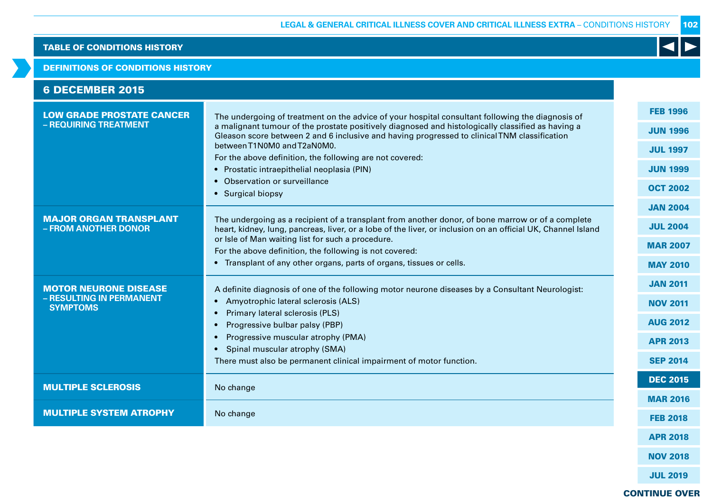#### DEFINITIONS OF CONDITIONS HISTORY

| <b>6 DECEMBER 2015</b> |
|------------------------|
|------------------------|

| <b>LOW GRADE PROSTATE CANCER</b>                      | The undergoing of treatment on the advice of your hospital consultant following the diagnosis of                                                                                                                  | <b>FEB 1996</b> |
|-------------------------------------------------------|-------------------------------------------------------------------------------------------------------------------------------------------------------------------------------------------------------------------|-----------------|
| - REQUIRING TREATMENT                                 | a malignant tumour of the prostate positively diagnosed and histologically classified as having a<br>Gleason score between 2 and 6 inclusive and having progressed to clinical TNM classification                 | <b>JUN 1996</b> |
|                                                       | between T1N0M0 and T2aN0M0.                                                                                                                                                                                       | <b>JUL 1997</b> |
|                                                       | For the above definition, the following are not covered:                                                                                                                                                          |                 |
|                                                       | • Prostatic intraepithelial neoplasia (PIN)                                                                                                                                                                       | <b>JUN 1999</b> |
|                                                       | • Observation or surveillance                                                                                                                                                                                     | <b>OCT 2002</b> |
|                                                       | • Surgical biopsy                                                                                                                                                                                                 |                 |
|                                                       |                                                                                                                                                                                                                   | <b>JAN 2004</b> |
| <b>MAJOR ORGAN TRANSPLANT</b><br>- FROM ANOTHER DONOR | The undergoing as a recipient of a transplant from another donor, of bone marrow or of a complete<br>heart, kidney, lung, pancreas, liver, or a lobe of the liver, or inclusion on an official UK, Channel Island | <b>JUL 2004</b> |
|                                                       | or Isle of Man waiting list for such a procedure.<br>For the above definition, the following is not covered:                                                                                                      | <b>MAR 2007</b> |
|                                                       | • Transplant of any other organs, parts of organs, tissues or cells.                                                                                                                                              |                 |
|                                                       |                                                                                                                                                                                                                   | <b>MAY 2010</b> |
| <b>MOTOR NEURONE DISEASE</b>                          | A definite diagnosis of one of the following motor neurone diseases by a Consultant Neurologist:                                                                                                                  | <b>JAN 2011</b> |
| - RESULTING IN PERMANENT<br><b>SYMPTOMS</b>           | Amyotrophic lateral sclerosis (ALS)                                                                                                                                                                               | <b>NOV 2011</b> |
|                                                       | Primary lateral sclerosis (PLS)<br>$\bullet$                                                                                                                                                                      |                 |
|                                                       | Progressive bulbar palsy (PBP)<br>$\bullet$                                                                                                                                                                       | <b>AUG 2012</b> |
|                                                       | Progressive muscular atrophy (PMA)                                                                                                                                                                                | <b>APR 2013</b> |
|                                                       | Spinal muscular atrophy (SMA)<br>$\bullet$                                                                                                                                                                        |                 |
|                                                       | There must also be permanent clinical impairment of motor function.                                                                                                                                               | <b>SEP 2014</b> |
| <b>MULTIPLE SCLEROSIS</b>                             | No change                                                                                                                                                                                                         | <b>DEC 2015</b> |
|                                                       |                                                                                                                                                                                                                   | <b>MAR 2016</b> |
| <b>MULTIPLE SYSTEM ATROPHY</b>                        | No change                                                                                                                                                                                                         |                 |
|                                                       |                                                                                                                                                                                                                   | <b>FEB 2018</b> |
|                                                       |                                                                                                                                                                                                                   | <b>APR 2018</b> |

102

 $\blacktriangleleft$ 

CONTINUE OVER

NOV 2018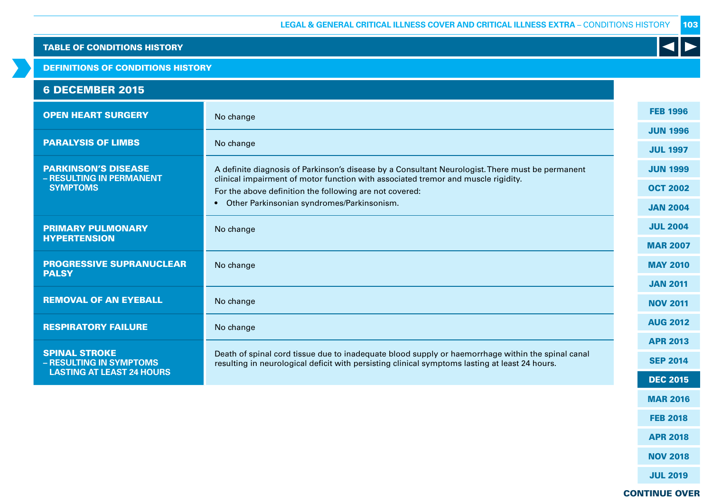DEFINITIONS OF CONDITIONS HISTORY

# 6 DECEMBER 2015

| <b>OPEN HEART SURGERY</b>                       | No change                                                                                                                                                                                           | <b>FEB 1996</b> |
|-------------------------------------------------|-----------------------------------------------------------------------------------------------------------------------------------------------------------------------------------------------------|-----------------|
|                                                 |                                                                                                                                                                                                     | <b>JUN 1996</b> |
| <b>PARALYSIS OF LIMBS</b>                       | No change                                                                                                                                                                                           | <b>JUL 1997</b> |
| <b>PARKINSON'S DISEASE</b>                      | A definite diagnosis of Parkinson's disease by a Consultant Neurologist. There must be permanent                                                                                                    | <b>JUN 1999</b> |
| - RESULTING IN PERMANENT<br><b>SYMPTOMS</b>     | clinical impairment of motor function with associated tremor and muscle rigidity.<br>For the above definition the following are not covered:                                                        | <b>OCT 2002</b> |
|                                                 | Other Parkinsonian syndromes/Parkinsonism.                                                                                                                                                          | <b>JAN 2004</b> |
| <b>PRIMARY PULMONARY</b>                        | No change                                                                                                                                                                                           | <b>JUL 2004</b> |
| <b>HYPERTENSION</b>                             |                                                                                                                                                                                                     | <b>MAR 2007</b> |
| <b>PROGRESSIVE SUPRANUCLEAR</b>                 | No change                                                                                                                                                                                           | <b>MAY 2010</b> |
| <b>PALSY</b>                                    |                                                                                                                                                                                                     | <b>JAN 2011</b> |
| <b>REMOVAL OF AN EYEBALL</b>                    | No change                                                                                                                                                                                           | <b>NOV 2011</b> |
| <b>RESPIRATORY FAILURE</b>                      | No change                                                                                                                                                                                           | <b>AUG 2012</b> |
|                                                 |                                                                                                                                                                                                     | <b>APR 2013</b> |
| <b>SPINAL STROKE</b><br>- RESULTING IN SYMPTOMS | Death of spinal cord tissue due to inadequate blood supply or haemorrhage within the spinal canal<br>resulting in neurological deficit with persisting clinical symptoms lasting at least 24 hours. | <b>SEP 2014</b> |
| <b>LASTING AT LEAST 24 HOURS</b>                |                                                                                                                                                                                                     | <b>DEC 2015</b> |
|                                                 |                                                                                                                                                                                                     |                 |

JUL 2019

MAR 2016

 $\blacktriangleleft$ 

FEB 2018

APR 2018

NOV 2018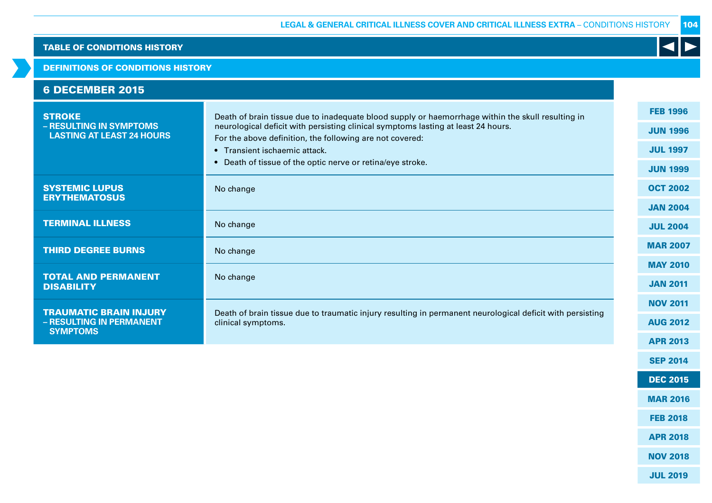#### DEFINITIONS OF CONDITIONS HISTORY

| <b>STROKE</b>                                                                | Death of brain tissue due to inadequate blood supply or haemorrhage within the skull resulting in                                             | <b>FEB 1996</b> |
|------------------------------------------------------------------------------|-----------------------------------------------------------------------------------------------------------------------------------------------|-----------------|
| - RESULTING IN SYMPTOMS<br><b>LASTING AT LEAST 24 HOURS</b>                  | neurological deficit with persisting clinical symptoms lasting at least 24 hours.<br>For the above definition, the following are not covered: | <b>JUN 1996</b> |
|                                                                              | • Transient ischaemic attack.                                                                                                                 | <b>JUL 1997</b> |
|                                                                              | • Death of tissue of the optic nerve or retina/eye stroke.                                                                                    | <b>JUN 1999</b> |
| <b>SYSTEMIC LUPUS</b><br><b>ERYTHEMATOSUS</b>                                | No change                                                                                                                                     | <b>OCT 2002</b> |
|                                                                              |                                                                                                                                               | <b>JAN 2004</b> |
| <b>TERMINAL ILLNESS</b>                                                      | No change                                                                                                                                     | <b>JUL 2004</b> |
| <b>THIRD DEGREE BURNS</b>                                                    | No change                                                                                                                                     | <b>MAR 2007</b> |
|                                                                              |                                                                                                                                               | <b>MAY 2010</b> |
| <b>TOTAL AND PERMANENT</b><br><b>DISABILITY</b>                              | No change                                                                                                                                     | <b>JAN 2011</b> |
|                                                                              |                                                                                                                                               | <b>NOV 2011</b> |
| <b>TRAUMATIC BRAIN INJURY</b><br>- RESULTING IN PERMANENT<br><b>SYMPTOMS</b> | Death of brain tissue due to traumatic injury resulting in permanent neurological deficit with persisting<br>clinical symptoms.               | <b>AUG 2012</b> |
|                                                                              |                                                                                                                                               | <b>APR 2013</b> |
|                                                                              |                                                                                                                                               |                 |

104

K

SEP 2014

DEC 2015

MAR 2016

FEB 2018

APR 2018

NOV 2018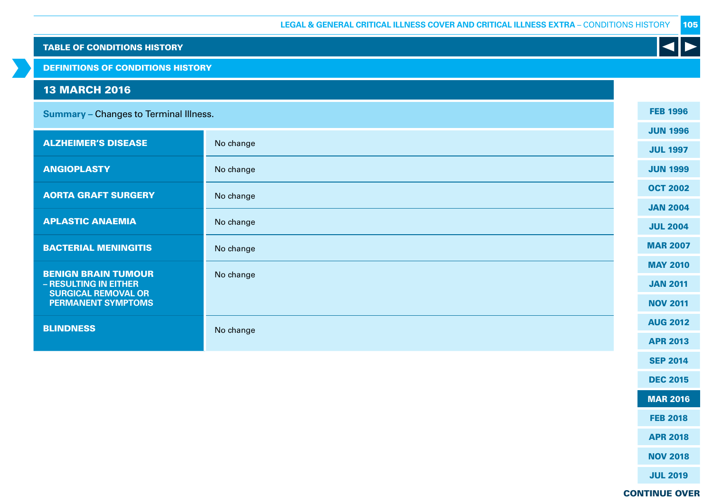| <b>TABLE OF CONDITIONS HISTORY</b>                  |           |                 |
|-----------------------------------------------------|-----------|-----------------|
| <b>DEFINITIONS OF CONDITIONS HISTORY</b>            |           |                 |
| <b>13 MARCH 2016</b>                                |           |                 |
| <b>Summary - Changes to Terminal Illness.</b>       |           | <b>FEB 1996</b> |
| <b>ALZHEIMER'S DISEASE</b>                          | No change | <b>JUN 1996</b> |
|                                                     |           | <b>JUL 1997</b> |
| <b>ANGIOPLASTY</b>                                  | No change | <b>JUN 1999</b> |
| <b>AORTA GRAFT SURGERY</b>                          | No change | <b>OCT 2002</b> |
|                                                     |           | <b>JAN 2004</b> |
| <b>APLASTIC ANAEMIA</b>                             | No change | <b>JUL 2004</b> |
| <b>BACTERIAL MENINGITIS</b>                         | No change | <b>MAR 2007</b> |
| <b>BENIGN BRAIN TUMOUR</b>                          | No change | <b>MAY 2010</b> |
| - RESULTING IN EITHER<br><b>SURGICAL REMOVAL OR</b> |           | <b>JAN 2011</b> |
| <b>PERMANENT SYMPTOMS</b>                           |           | <b>NOV 2011</b> |
| <b>BLINDNESS</b>                                    | No change | <b>AUG 2012</b> |
|                                                     |           | <b>APR 2013</b> |
|                                                     |           | <b>SEP 2014</b> |
|                                                     |           | <b>DEC 2015</b> |
|                                                     |           | <b>MAR 2016</b> |
|                                                     |           | <b>FEB 2018</b> |
|                                                     |           | <b>APR 2018</b> |
|                                                     |           | <b>NOV 2018</b> |

JUL 2019

# CONTINUE OVER

105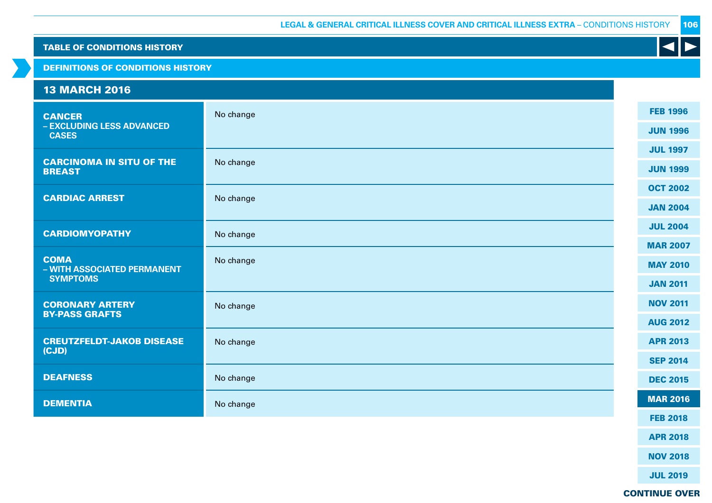#### DEFINITIONS OF CONDITIONS HISTORY

| <b>13 MARCH 2016</b>                       |           |                 |
|--------------------------------------------|-----------|-----------------|
| <b>CANCER</b>                              | No change | <b>FEB 1996</b> |
| - EXCLUDING LESS ADVANCED<br><b>CASES</b>  |           | <b>JUN 1996</b> |
| <b>CARCINOMA IN SITU OF THE</b>            |           | <b>JUL 1997</b> |
| <b>BREAST</b>                              | No change | <b>JUN 1999</b> |
| <b>CARDIAC ARREST</b>                      | No change | <b>OCT 2002</b> |
|                                            |           | <b>JAN 2004</b> |
| <b>CARDIOMYOPATHY</b>                      | No change | <b>JUL 2004</b> |
|                                            |           | <b>MAR 2007</b> |
| <b>COMA</b><br>- WITH ASSOCIATED PERMANENT | No change | <b>MAY 2010</b> |
| <b>SYMPTOMS</b>                            |           | <b>JAN 2011</b> |
| <b>CORONARY ARTERY</b>                     | No change | <b>NOV 2011</b> |
| <b>BY-PASS GRAFTS</b>                      |           | <b>AUG 2012</b> |
| <b>CREUTZFELDT-JAKOB DISEASE</b><br>(CJD)  | No change | <b>APR 2013</b> |
|                                            |           | <b>SEP 2014</b> |
| <b>DEAFNESS</b>                            | No change | <b>DEC 2015</b> |
| <b>DEMENTIA</b>                            | No change | <b>MAR 2016</b> |
|                                            |           | <b>FEB 2018</b> |
|                                            |           | <b>APR 2018</b> |

106

 $\blacktriangleleft$ 

CONTINUE OVER

NOV 2018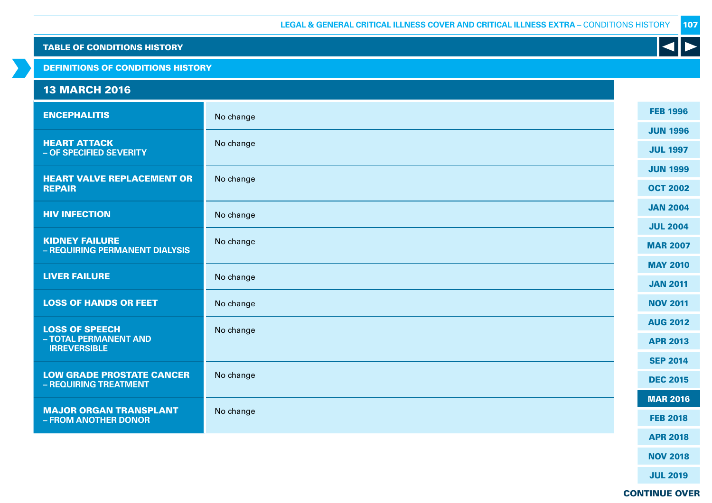DEFINITIONS OF CONDITIONS HISTORY

# 13 MARCH 2016

| <b>ENCEPHALITIS</b>                                       | No change |  | <b>FEB 1996</b> |
|-----------------------------------------------------------|-----------|--|-----------------|
|                                                           |           |  | <b>JUN 1996</b> |
| <b>HEART ATTACK</b><br>- OF SPECIFIED SEVERITY            | No change |  | <b>JUL 1997</b> |
|                                                           |           |  | <b>JUN 1999</b> |
| <b>HEART VALVE REPLACEMENT OR</b><br><b>REPAIR</b>        | No change |  | <b>OCT 2002</b> |
| <b>HIV INFECTION</b>                                      | No change |  | <b>JAN 2004</b> |
|                                                           |           |  | <b>JUL 2004</b> |
| <b>KIDNEY FAILURE</b><br>- REQUIRING PERMANENT DIALYSIS   | No change |  | <b>MAR 2007</b> |
|                                                           | No change |  | <b>MAY 2010</b> |
| <b>LIVER FAILURE</b>                                      |           |  | <b>JAN 2011</b> |
| <b>LOSS OF HANDS OR FEET</b>                              | No change |  | <b>NOV 2011</b> |
| <b>LOSS OF SPEECH</b>                                     | No change |  | <b>AUG 2012</b> |
| - TOTAL PERMANENT AND<br><b>IRREVERSIBLE</b>              |           |  | <b>APR 2013</b> |
|                                                           |           |  | <b>SEP 2014</b> |
| <b>LOW GRADE PROSTATE CANCER</b><br>- REQUIRING TREATMENT | No change |  | <b>DEC 2015</b> |
|                                                           | No change |  | <b>MAR 2016</b> |
| <b>MAJOR ORGAN TRANSPLANT</b><br>- FROM ANOTHER DONOR     |           |  | <b>FEB 2018</b> |
|                                                           |           |  | <b>APR 2018</b> |
|                                                           |           |  |                 |

NOV 2018

 $\blacktriangleleft$ 

JUL 2019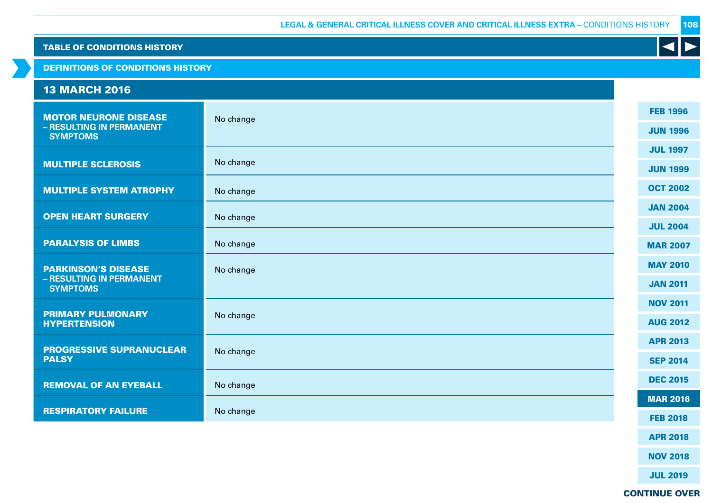|  |  | <b>TABLE OF CONDITIONS HISTORY</b> |  |
|--|--|------------------------------------|--|
|  |  |                                    |  |

DEFINITIONS OF CONDITIONS HISTORY

| <b>13 MARCH 2016</b>                            |           |                 |
|-------------------------------------------------|-----------|-----------------|
| <b>MOTOR NEURONE DISEASE</b>                    | No change | <b>FEB 1996</b> |
| - RESULTING IN PERMANENT<br><b>SYMPTOMS</b>     |           | <b>JUN 1996</b> |
|                                                 |           | <b>JUL 1997</b> |
| <b>MULTIPLE SCLEROSIS</b>                       | No change | <b>JUN 1999</b> |
| <b>MULTIPLE SYSTEM ATROPHY</b>                  | No change | <b>OCT 2002</b> |
| <b>OPEN HEART SURGERY</b>                       | No change | <b>JAN 2004</b> |
|                                                 |           | <b>JUL 2004</b> |
| <b>PARALYSIS OF LIMBS</b>                       | No change | <b>MAR 2007</b> |
| <b>PARKINSON'S DISEASE</b>                      | No change | <b>MAY 2010</b> |
| - RESULTING IN PERMANENT<br><b>SYMPTOMS</b>     |           | <b>JAN 2011</b> |
|                                                 |           | <b>NOV 2011</b> |
| <b>PRIMARY PULMONARY</b><br><b>HYPERTENSION</b> | No change | <b>AUG 2012</b> |
| <b>PROGRESSIVE SUPRANUCLEAR</b>                 |           | <b>APR 2013</b> |
| <b>PALSY</b>                                    | No change | <b>SEP 2014</b> |
| <b>REMOVAL OF AN EYEBALL</b>                    | No change | <b>DEC 2015</b> |
|                                                 |           | <b>MAR 2016</b> |
| <b>RESPIRATORY FAILURE</b>                      | No change | <b>FEB 2018</b> |
|                                                 |           | <b>APR 2018</b> |

NOV 2018

 $\blacktriangleleft$ 

JUL 2019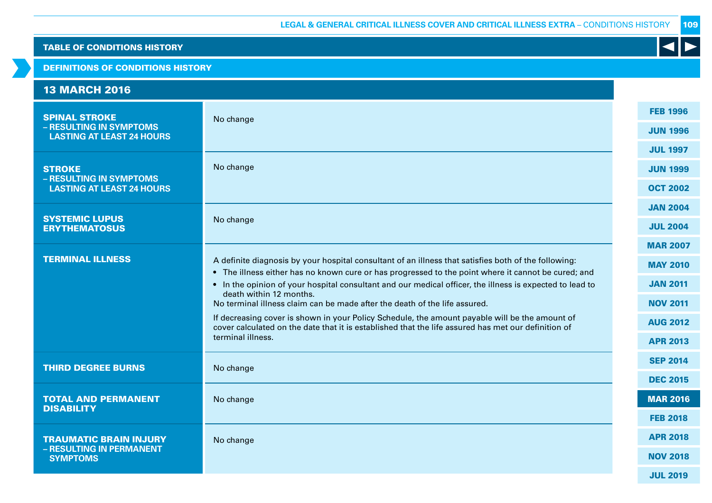### DEFINITIONS OF CONDITIONS HISTORY

| <b>13 MARCH 2016</b>                                        |                                                                                                                                                                                                             |                 |
|-------------------------------------------------------------|-------------------------------------------------------------------------------------------------------------------------------------------------------------------------------------------------------------|-----------------|
| <b>SPINAL STROKE</b>                                        | No change                                                                                                                                                                                                   | <b>FEB 1996</b> |
| - RESULTING IN SYMPTOMS<br><b>LASTING AT LEAST 24 HOURS</b> |                                                                                                                                                                                                             | <b>JUN 1996</b> |
|                                                             |                                                                                                                                                                                                             | <b>JUL 1997</b> |
| <b>STROKE</b><br>- RESULTING IN SYMPTOMS                    | No change                                                                                                                                                                                                   | <b>JUN 1999</b> |
| <b>LASTING AT LEAST 24 HOURS</b>                            |                                                                                                                                                                                                             | <b>OCT 2002</b> |
|                                                             |                                                                                                                                                                                                             | <b>JAN 2004</b> |
| <b>SYSTEMIC LUPUS</b><br><b>ERYTHEMATOSUS</b>               | No change                                                                                                                                                                                                   | <b>JUL 2004</b> |
|                                                             |                                                                                                                                                                                                             | <b>MAR 2007</b> |
| <b>TERMINAL ILLNESS</b>                                     | A definite diagnosis by your hospital consultant of an illness that satisfies both of the following:<br>• The illness either has no known cure or has progressed to the point where it cannot be cured; and | <b>MAY 2010</b> |
|                                                             | • In the opinion of your hospital consultant and our medical officer, the illness is expected to lead to                                                                                                    | <b>JAN 2011</b> |
|                                                             | death within 12 months.<br>No terminal illness claim can be made after the death of the life assured.                                                                                                       | <b>NOV 2011</b> |
|                                                             | If decreasing cover is shown in your Policy Schedule, the amount payable will be the amount of<br>cover calculated on the date that it is established that the life assured has met our definition of       | <b>AUG 2012</b> |
|                                                             | terminal illness.                                                                                                                                                                                           | <b>APR 2013</b> |
| <b>THIRD DEGREE BURNS</b>                                   | No change                                                                                                                                                                                                   | <b>SEP 2014</b> |
|                                                             |                                                                                                                                                                                                             | <b>DEC 2015</b> |
| <b>TOTAL AND PERMANENT</b><br><b>DISABILITY</b>             | No change                                                                                                                                                                                                   | <b>MAR 2016</b> |
|                                                             |                                                                                                                                                                                                             | <b>FEB 2018</b> |
| <b>TRAUMATIC BRAIN INJURY</b>                               | No change                                                                                                                                                                                                   | <b>APR 2018</b> |
| - RESULTING IN PERMANENT<br><b>SYMPTOMS</b>                 |                                                                                                                                                                                                             | <b>NOV 2018</b> |
|                                                             |                                                                                                                                                                                                             | <b>JUL 2019</b> |

109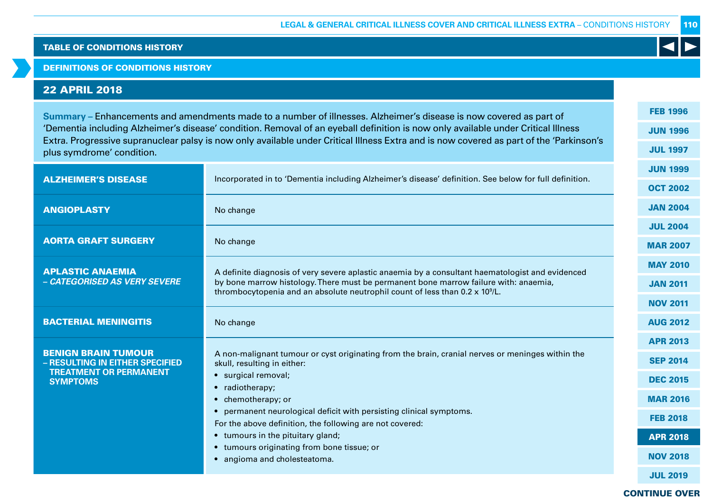DEFINITIONS OF CONDITIONS HISTORY

# 22 APRIL 2018

**Summary –** Enhancements and amendments made to a number of illnesses. Alzheimer's disease is now covered as part of 'Dementia including Alzheimer's disease' condition. Removal of an eyeball definition is now only available under Critical Illness Extra. Progressive supranuclear palsy is now only available under Critical Illness Extra and is now covered as part of the 'Parkinson's plus symdrome' condition.

|                                                               |                                                                                                                                                                              | <b>JUN 1999</b> |
|---------------------------------------------------------------|------------------------------------------------------------------------------------------------------------------------------------------------------------------------------|-----------------|
| <b>ALZHEIMER'S DISEASE</b>                                    | Incorporated in to 'Dementia including Alzheimer's disease' definition. See below for full definition.                                                                       | <b>OCT 2002</b> |
| <b>ANGIOPLASTY</b>                                            | No change                                                                                                                                                                    | <b>JAN 2004</b> |
|                                                               |                                                                                                                                                                              | <b>JUL 2004</b> |
| <b>AORTA GRAFT SURGERY</b>                                    | No change                                                                                                                                                                    | <b>MAR 2007</b> |
| <b>APLASTIC ANAEMIA</b>                                       | A definite diagnosis of very severe aplastic anaemia by a consultant haematologist and evidenced                                                                             | <b>MAY 2010</b> |
| - CATEGORISED AS VERY SEVERE                                  | by bone marrow histology. There must be permanent bone marrow failure with: anaemia,<br>thrombocytopenia and an absolute neutrophil count of less than $0.2 \times 10^9$ /L. | <b>JAN 2011</b> |
|                                                               |                                                                                                                                                                              | <b>NOV 2011</b> |
| <b>BACTERIAL MENINGITIS</b>                                   | No change                                                                                                                                                                    | <b>AUG 2012</b> |
|                                                               |                                                                                                                                                                              | <b>APR 2013</b> |
| <b>BENIGN BRAIN TUMOUR</b><br>- RESULTING IN EITHER SPECIFIED | A non-malignant tumour or cyst originating from the brain, cranial nerves or meninges within the<br>skull, resulting in either:                                              | <b>SEP 2014</b> |
| <b>TREATMENT OR PERMANENT</b><br><b>SYMPTOMS</b>              | · surgical removal;                                                                                                                                                          | <b>DEC 2015</b> |
|                                                               | • radiotherapy;<br>chemotherapy; or<br>$\bullet$                                                                                                                             | <b>MAR 2016</b> |
|                                                               | permanent neurological deficit with persisting clinical symptoms.<br>$\bullet$                                                                                               | <b>FEB 2018</b> |
|                                                               | For the above definition, the following are not covered:<br>• tumours in the pituitary gland;                                                                                | <b>APR 2018</b> |
|                                                               | • tumours originating from bone tissue; or                                                                                                                                   |                 |
|                                                               | • angioma and cholesteatoma.                                                                                                                                                 | <b>NOV 2018</b> |
|                                                               |                                                                                                                                                                              | <b>JUL 2019</b> |

CONTINUE OVER

FEB 1996

JUN 1996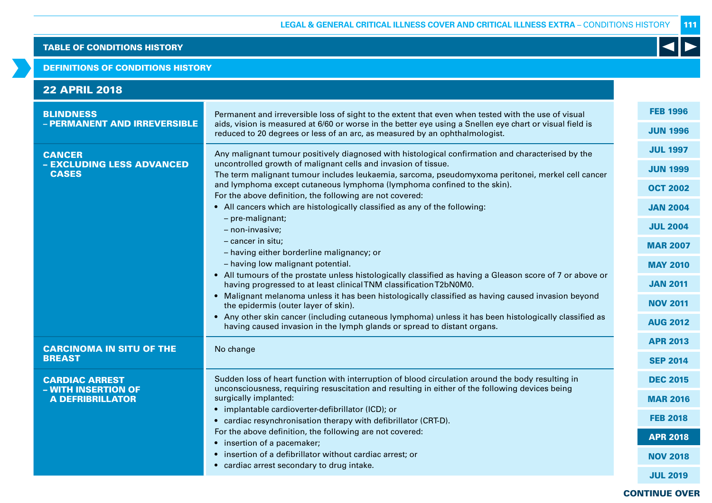#### DEFINITIONS OF CONDITIONS HISTORY

| <b>FEB 1996</b><br><b>BLINDNESS</b><br>Permanent and irreversible loss of sight to the extent that even when tested with the use of visual<br>- PERMANENT AND IRREVERSIBLE<br>aids, vision is measured at 6/60 or worse in the better eye using a Snellen eye chart or visual field is<br><b>JUN 1996</b><br>reduced to 20 degrees or less of an arc, as measured by an ophthalmologist.<br><b>JUL 1997</b><br>Any malignant tumour positively diagnosed with histological confirmation and characterised by the<br><b>CANCER</b><br>uncontrolled growth of malignant cells and invasion of tissue.<br>- EXCLUDING LESS ADVANCED<br><b>JUN 1999</b><br><b>CASES</b><br>The term malignant tumour includes leukaemia, sarcoma, pseudomyxoma peritonei, merkel cell cancer<br>and lymphoma except cutaneous lymphoma (lymphoma confined to the skin).<br><b>OCT 2002</b><br>For the above definition, the following are not covered:<br>• All cancers which are histologically classified as any of the following:<br><b>JAN 2004</b><br>- pre-malignant;<br><b>JUL 2004</b><br>- non-invasive;<br>- cancer in situ;<br><b>MAR 2007</b><br>- having either borderline malignancy; or<br>- having low malignant potential.<br><b>MAY 2010</b><br>• All tumours of the prostate unless histologically classified as having a Gleason score of 7 or above or<br><b>JAN 2011</b><br>having progressed to at least clinical TNM classification T2bN0M0.<br>• Malignant melanoma unless it has been histologically classified as having caused invasion beyond<br><b>NOV 2011</b><br>the epidermis (outer layer of skin).<br>• Any other skin cancer (including cutaneous lymphoma) unless it has been histologically classified as<br><b>AUG 2012</b><br>having caused invasion in the lymph glands or spread to distant organs.<br><b>APR 2013</b><br><b>CARCINOMA IN SITU OF THE</b><br>No change<br><b>BREAST</b><br><b>SEP 2014</b><br>Sudden loss of heart function with interruption of blood circulation around the body resulting in<br><b>DEC 2015</b><br><b>CARDIAC ARREST</b><br>unconsciousness, requiring resuscitation and resulting in either of the following devices being<br>- WITH INSERTION OF<br>surgically implanted:<br><b>A DEFRIBRILLATOR</b><br><b>MAR 2016</b><br>• implantable cardioverter-defibrillator (ICD); or<br><b>FEB 2018</b><br>• cardiac resynchronisation therapy with defibrillator (CRT-D).<br>For the above definition, the following are not covered:<br><b>APR 2018</b><br>• insertion of a pacemaker;<br>• insertion of a defibrillator without cardiac arrest; or<br><b>NOV 2018</b><br>• cardiac arrest secondary to drug intake.<br><b>JUL 2019</b> | <b>22 APRIL 2018</b> |  |  |
|-----------------------------------------------------------------------------------------------------------------------------------------------------------------------------------------------------------------------------------------------------------------------------------------------------------------------------------------------------------------------------------------------------------------------------------------------------------------------------------------------------------------------------------------------------------------------------------------------------------------------------------------------------------------------------------------------------------------------------------------------------------------------------------------------------------------------------------------------------------------------------------------------------------------------------------------------------------------------------------------------------------------------------------------------------------------------------------------------------------------------------------------------------------------------------------------------------------------------------------------------------------------------------------------------------------------------------------------------------------------------------------------------------------------------------------------------------------------------------------------------------------------------------------------------------------------------------------------------------------------------------------------------------------------------------------------------------------------------------------------------------------------------------------------------------------------------------------------------------------------------------------------------------------------------------------------------------------------------------------------------------------------------------------------------------------------------------------------------------------------------------------------------------------------------------------------------------------------------------------------------------------------------------------------------------------------------------------------------------------------------------------------------------------------------------------------------------------------------------------------------------------------------------------------------------------------------------------------------------------------------------------------------------------------------------------------------|----------------------|--|--|
|                                                                                                                                                                                                                                                                                                                                                                                                                                                                                                                                                                                                                                                                                                                                                                                                                                                                                                                                                                                                                                                                                                                                                                                                                                                                                                                                                                                                                                                                                                                                                                                                                                                                                                                                                                                                                                                                                                                                                                                                                                                                                                                                                                                                                                                                                                                                                                                                                                                                                                                                                                                                                                                                                               |                      |  |  |
|                                                                                                                                                                                                                                                                                                                                                                                                                                                                                                                                                                                                                                                                                                                                                                                                                                                                                                                                                                                                                                                                                                                                                                                                                                                                                                                                                                                                                                                                                                                                                                                                                                                                                                                                                                                                                                                                                                                                                                                                                                                                                                                                                                                                                                                                                                                                                                                                                                                                                                                                                                                                                                                                                               |                      |  |  |
|                                                                                                                                                                                                                                                                                                                                                                                                                                                                                                                                                                                                                                                                                                                                                                                                                                                                                                                                                                                                                                                                                                                                                                                                                                                                                                                                                                                                                                                                                                                                                                                                                                                                                                                                                                                                                                                                                                                                                                                                                                                                                                                                                                                                                                                                                                                                                                                                                                                                                                                                                                                                                                                                                               |                      |  |  |
|                                                                                                                                                                                                                                                                                                                                                                                                                                                                                                                                                                                                                                                                                                                                                                                                                                                                                                                                                                                                                                                                                                                                                                                                                                                                                                                                                                                                                                                                                                                                                                                                                                                                                                                                                                                                                                                                                                                                                                                                                                                                                                                                                                                                                                                                                                                                                                                                                                                                                                                                                                                                                                                                                               |                      |  |  |
|                                                                                                                                                                                                                                                                                                                                                                                                                                                                                                                                                                                                                                                                                                                                                                                                                                                                                                                                                                                                                                                                                                                                                                                                                                                                                                                                                                                                                                                                                                                                                                                                                                                                                                                                                                                                                                                                                                                                                                                                                                                                                                                                                                                                                                                                                                                                                                                                                                                                                                                                                                                                                                                                                               |                      |  |  |
|                                                                                                                                                                                                                                                                                                                                                                                                                                                                                                                                                                                                                                                                                                                                                                                                                                                                                                                                                                                                                                                                                                                                                                                                                                                                                                                                                                                                                                                                                                                                                                                                                                                                                                                                                                                                                                                                                                                                                                                                                                                                                                                                                                                                                                                                                                                                                                                                                                                                                                                                                                                                                                                                                               |                      |  |  |
|                                                                                                                                                                                                                                                                                                                                                                                                                                                                                                                                                                                                                                                                                                                                                                                                                                                                                                                                                                                                                                                                                                                                                                                                                                                                                                                                                                                                                                                                                                                                                                                                                                                                                                                                                                                                                                                                                                                                                                                                                                                                                                                                                                                                                                                                                                                                                                                                                                                                                                                                                                                                                                                                                               |                      |  |  |
|                                                                                                                                                                                                                                                                                                                                                                                                                                                                                                                                                                                                                                                                                                                                                                                                                                                                                                                                                                                                                                                                                                                                                                                                                                                                                                                                                                                                                                                                                                                                                                                                                                                                                                                                                                                                                                                                                                                                                                                                                                                                                                                                                                                                                                                                                                                                                                                                                                                                                                                                                                                                                                                                                               |                      |  |  |
|                                                                                                                                                                                                                                                                                                                                                                                                                                                                                                                                                                                                                                                                                                                                                                                                                                                                                                                                                                                                                                                                                                                                                                                                                                                                                                                                                                                                                                                                                                                                                                                                                                                                                                                                                                                                                                                                                                                                                                                                                                                                                                                                                                                                                                                                                                                                                                                                                                                                                                                                                                                                                                                                                               |                      |  |  |
|                                                                                                                                                                                                                                                                                                                                                                                                                                                                                                                                                                                                                                                                                                                                                                                                                                                                                                                                                                                                                                                                                                                                                                                                                                                                                                                                                                                                                                                                                                                                                                                                                                                                                                                                                                                                                                                                                                                                                                                                                                                                                                                                                                                                                                                                                                                                                                                                                                                                                                                                                                                                                                                                                               |                      |  |  |
|                                                                                                                                                                                                                                                                                                                                                                                                                                                                                                                                                                                                                                                                                                                                                                                                                                                                                                                                                                                                                                                                                                                                                                                                                                                                                                                                                                                                                                                                                                                                                                                                                                                                                                                                                                                                                                                                                                                                                                                                                                                                                                                                                                                                                                                                                                                                                                                                                                                                                                                                                                                                                                                                                               |                      |  |  |
|                                                                                                                                                                                                                                                                                                                                                                                                                                                                                                                                                                                                                                                                                                                                                                                                                                                                                                                                                                                                                                                                                                                                                                                                                                                                                                                                                                                                                                                                                                                                                                                                                                                                                                                                                                                                                                                                                                                                                                                                                                                                                                                                                                                                                                                                                                                                                                                                                                                                                                                                                                                                                                                                                               |                      |  |  |
|                                                                                                                                                                                                                                                                                                                                                                                                                                                                                                                                                                                                                                                                                                                                                                                                                                                                                                                                                                                                                                                                                                                                                                                                                                                                                                                                                                                                                                                                                                                                                                                                                                                                                                                                                                                                                                                                                                                                                                                                                                                                                                                                                                                                                                                                                                                                                                                                                                                                                                                                                                                                                                                                                               |                      |  |  |
|                                                                                                                                                                                                                                                                                                                                                                                                                                                                                                                                                                                                                                                                                                                                                                                                                                                                                                                                                                                                                                                                                                                                                                                                                                                                                                                                                                                                                                                                                                                                                                                                                                                                                                                                                                                                                                                                                                                                                                                                                                                                                                                                                                                                                                                                                                                                                                                                                                                                                                                                                                                                                                                                                               |                      |  |  |
|                                                                                                                                                                                                                                                                                                                                                                                                                                                                                                                                                                                                                                                                                                                                                                                                                                                                                                                                                                                                                                                                                                                                                                                                                                                                                                                                                                                                                                                                                                                                                                                                                                                                                                                                                                                                                                                                                                                                                                                                                                                                                                                                                                                                                                                                                                                                                                                                                                                                                                                                                                                                                                                                                               |                      |  |  |
|                                                                                                                                                                                                                                                                                                                                                                                                                                                                                                                                                                                                                                                                                                                                                                                                                                                                                                                                                                                                                                                                                                                                                                                                                                                                                                                                                                                                                                                                                                                                                                                                                                                                                                                                                                                                                                                                                                                                                                                                                                                                                                                                                                                                                                                                                                                                                                                                                                                                                                                                                                                                                                                                                               |                      |  |  |
|                                                                                                                                                                                                                                                                                                                                                                                                                                                                                                                                                                                                                                                                                                                                                                                                                                                                                                                                                                                                                                                                                                                                                                                                                                                                                                                                                                                                                                                                                                                                                                                                                                                                                                                                                                                                                                                                                                                                                                                                                                                                                                                                                                                                                                                                                                                                                                                                                                                                                                                                                                                                                                                                                               |                      |  |  |
|                                                                                                                                                                                                                                                                                                                                                                                                                                                                                                                                                                                                                                                                                                                                                                                                                                                                                                                                                                                                                                                                                                                                                                                                                                                                                                                                                                                                                                                                                                                                                                                                                                                                                                                                                                                                                                                                                                                                                                                                                                                                                                                                                                                                                                                                                                                                                                                                                                                                                                                                                                                                                                                                                               |                      |  |  |
|                                                                                                                                                                                                                                                                                                                                                                                                                                                                                                                                                                                                                                                                                                                                                                                                                                                                                                                                                                                                                                                                                                                                                                                                                                                                                                                                                                                                                                                                                                                                                                                                                                                                                                                                                                                                                                                                                                                                                                                                                                                                                                                                                                                                                                                                                                                                                                                                                                                                                                                                                                                                                                                                                               |                      |  |  |
|                                                                                                                                                                                                                                                                                                                                                                                                                                                                                                                                                                                                                                                                                                                                                                                                                                                                                                                                                                                                                                                                                                                                                                                                                                                                                                                                                                                                                                                                                                                                                                                                                                                                                                                                                                                                                                                                                                                                                                                                                                                                                                                                                                                                                                                                                                                                                                                                                                                                                                                                                                                                                                                                                               |                      |  |  |
|                                                                                                                                                                                                                                                                                                                                                                                                                                                                                                                                                                                                                                                                                                                                                                                                                                                                                                                                                                                                                                                                                                                                                                                                                                                                                                                                                                                                                                                                                                                                                                                                                                                                                                                                                                                                                                                                                                                                                                                                                                                                                                                                                                                                                                                                                                                                                                                                                                                                                                                                                                                                                                                                                               |                      |  |  |
|                                                                                                                                                                                                                                                                                                                                                                                                                                                                                                                                                                                                                                                                                                                                                                                                                                                                                                                                                                                                                                                                                                                                                                                                                                                                                                                                                                                                                                                                                                                                                                                                                                                                                                                                                                                                                                                                                                                                                                                                                                                                                                                                                                                                                                                                                                                                                                                                                                                                                                                                                                                                                                                                                               |                      |  |  |
|                                                                                                                                                                                                                                                                                                                                                                                                                                                                                                                                                                                                                                                                                                                                                                                                                                                                                                                                                                                                                                                                                                                                                                                                                                                                                                                                                                                                                                                                                                                                                                                                                                                                                                                                                                                                                                                                                                                                                                                                                                                                                                                                                                                                                                                                                                                                                                                                                                                                                                                                                                                                                                                                                               |                      |  |  |

### CONTINUE OVER

111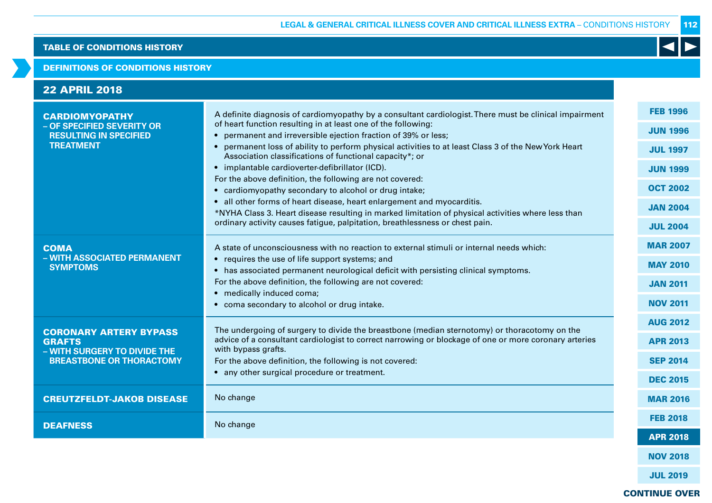#### DEFINITIONS OF CONDITIONS HISTORY

| <b>22 APRIL 2018</b>                                                                                              |                                                                                                                                                                                                                                                                                                                                                                                                                                                                                                                                                                                                                                                                                                                                                                                                                                                      |                                                                                                                                   |
|-------------------------------------------------------------------------------------------------------------------|------------------------------------------------------------------------------------------------------------------------------------------------------------------------------------------------------------------------------------------------------------------------------------------------------------------------------------------------------------------------------------------------------------------------------------------------------------------------------------------------------------------------------------------------------------------------------------------------------------------------------------------------------------------------------------------------------------------------------------------------------------------------------------------------------------------------------------------------------|-----------------------------------------------------------------------------------------------------------------------------------|
| <b>CARDIOMYOPATHY</b><br>- OF SPECIFIED SEVERITY OR<br><b>RESULTING IN SPECIFIED</b><br><b>TREATMENT</b>          | A definite diagnosis of cardiomyopathy by a consultant cardiologist. There must be clinical impairment<br>of heart function resulting in at least one of the following:<br>• permanent and irreversible ejection fraction of 39% or less;<br>• permanent loss of ability to perform physical activities to at least Class 3 of the New York Heart<br>Association classifications of functional capacity*; or<br>• implantable cardioverter-defibrillator (ICD).<br>For the above definition, the following are not covered:<br>• cardiomyopathy secondary to alcohol or drug intake;<br>• all other forms of heart disease, heart enlargement and myocarditis.<br>*NYHA Class 3. Heart disease resulting in marked limitation of physical activities where less than<br>ordinary activity causes fatigue, palpitation, breathlessness or chest pain. | <b>FEB 1996</b><br><b>JUN 1996</b><br><b>JUL 1997</b><br><b>JUN 1999</b><br><b>OCT 2002</b><br><b>JAN 2004</b><br><b>JUL 2004</b> |
| <b>COMA</b><br>- WITH ASSOCIATED PERMANENT<br><b>SYMPTOMS</b>                                                     | A state of unconsciousness with no reaction to external stimuli or internal needs which:<br>• requires the use of life support systems; and<br>• has associated permanent neurological deficit with persisting clinical symptoms.<br>For the above definition, the following are not covered:<br>• medically induced coma;<br>• coma secondary to alcohol or drug intake.                                                                                                                                                                                                                                                                                                                                                                                                                                                                            | <b>MAR 2007</b><br><b>MAY 2010</b><br><b>JAN 2011</b><br><b>NOV 2011</b>                                                          |
| <b>CORONARY ARTERY BYPASS</b><br><b>GRAFTS</b><br>- WITH SURGERY TO DIVIDE THE<br><b>BREASTBONE OR THORACTOMY</b> | The undergoing of surgery to divide the breastbone (median sternotomy) or thoracotomy on the<br>advice of a consultant cardiologist to correct narrowing or blockage of one or more coronary arteries<br>with bypass grafts.<br>For the above definition, the following is not covered:<br>• any other surgical procedure or treatment.                                                                                                                                                                                                                                                                                                                                                                                                                                                                                                              | <b>AUG 2012</b><br><b>APR 2013</b><br><b>SEP 2014</b><br><b>DEC 2015</b>                                                          |
| <b>CREUTZFELDT-JAKOB DISEASE</b>                                                                                  | No change                                                                                                                                                                                                                                                                                                                                                                                                                                                                                                                                                                                                                                                                                                                                                                                                                                            | <b>MAR 2016</b>                                                                                                                   |
| <b>DEAFNESS</b>                                                                                                   | No change                                                                                                                                                                                                                                                                                                                                                                                                                                                                                                                                                                                                                                                                                                                                                                                                                                            | <b>FEB 2018</b><br><b>APR 2018</b>                                                                                                |
|                                                                                                                   |                                                                                                                                                                                                                                                                                                                                                                                                                                                                                                                                                                                                                                                                                                                                                                                                                                                      | <b>NOV 2018</b>                                                                                                                   |

 $\blacktriangleleft$ 

JUL 2019

## CONTINUE OVER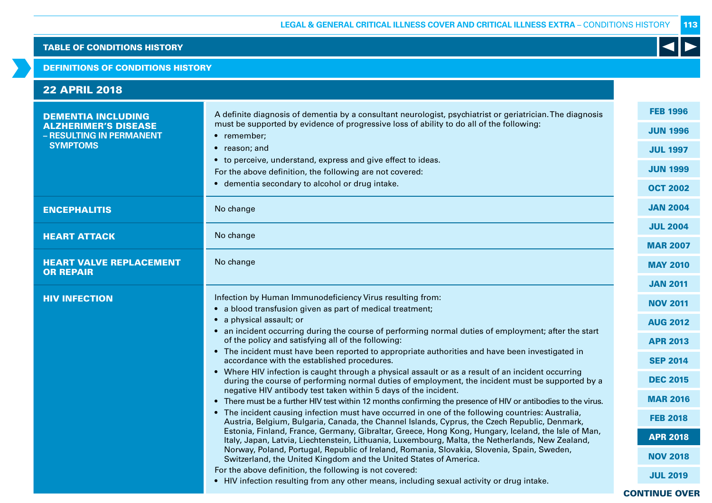#### DEFINITIONS OF CONDITIONS HISTORY

| <b>22 APRIL 2018</b>                                                                                    |                                                                                                                                                                                                                                                                                                                                                                                                                                                                                                                                                                                                                                                                                                                                                                                                                                                                                                                                                                                                                                                                                                                                                                                                                                                                                                                                                                                                                                                                                                                                                                                                               |                                                                                                                                                                                                                                       |
|---------------------------------------------------------------------------------------------------------|---------------------------------------------------------------------------------------------------------------------------------------------------------------------------------------------------------------------------------------------------------------------------------------------------------------------------------------------------------------------------------------------------------------------------------------------------------------------------------------------------------------------------------------------------------------------------------------------------------------------------------------------------------------------------------------------------------------------------------------------------------------------------------------------------------------------------------------------------------------------------------------------------------------------------------------------------------------------------------------------------------------------------------------------------------------------------------------------------------------------------------------------------------------------------------------------------------------------------------------------------------------------------------------------------------------------------------------------------------------------------------------------------------------------------------------------------------------------------------------------------------------------------------------------------------------------------------------------------------------|---------------------------------------------------------------------------------------------------------------------------------------------------------------------------------------------------------------------------------------|
| <b>DEMENTIA INCLUDING</b><br><b>ALZHERIMER'S DISEASE</b><br>- RESULTING IN PERMANENT<br><b>SYMPTOMS</b> | A definite diagnosis of dementia by a consultant neurologist, psychiatrist or geriatrician. The diagnosis<br>must be supported by evidence of progressive loss of ability to do all of the following:<br>• remember;<br>• reason; and<br>• to perceive, understand, express and give effect to ideas.<br>For the above definition, the following are not covered:<br>• dementia secondary to alcohol or drug intake.                                                                                                                                                                                                                                                                                                                                                                                                                                                                                                                                                                                                                                                                                                                                                                                                                                                                                                                                                                                                                                                                                                                                                                                          | <b>FEB 1996</b><br><b>JUN 1996</b><br><b>JUL 1997</b><br><b>JUN 1999</b><br><b>OCT 2002</b>                                                                                                                                           |
| <b>ENCEPHALITIS</b>                                                                                     | No change                                                                                                                                                                                                                                                                                                                                                                                                                                                                                                                                                                                                                                                                                                                                                                                                                                                                                                                                                                                                                                                                                                                                                                                                                                                                                                                                                                                                                                                                                                                                                                                                     | <b>JAN 2004</b>                                                                                                                                                                                                                       |
| <b>HEART ATTACK</b>                                                                                     | No change                                                                                                                                                                                                                                                                                                                                                                                                                                                                                                                                                                                                                                                                                                                                                                                                                                                                                                                                                                                                                                                                                                                                                                                                                                                                                                                                                                                                                                                                                                                                                                                                     | <b>JUL 2004</b><br><b>MAR 2007</b>                                                                                                                                                                                                    |
| <b>HEART VALVE REPLACEMENT</b><br><b>OR REPAIR</b>                                                      | No change                                                                                                                                                                                                                                                                                                                                                                                                                                                                                                                                                                                                                                                                                                                                                                                                                                                                                                                                                                                                                                                                                                                                                                                                                                                                                                                                                                                                                                                                                                                                                                                                     | <b>MAY 2010</b>                                                                                                                                                                                                                       |
| <b>HIV INFECTION</b>                                                                                    | Infection by Human Immunodeficiency Virus resulting from:<br>• a blood transfusion given as part of medical treatment;<br>• a physical assault; or<br>• an incident occurring during the course of performing normal duties of employment; after the start<br>of the policy and satisfying all of the following:<br>• The incident must have been reported to appropriate authorities and have been investigated in<br>accordance with the established procedures.<br>• Where HIV infection is caught through a physical assault or as a result of an incident occurring<br>during the course of performing normal duties of employment, the incident must be supported by a<br>negative HIV antibody test taken within 5 days of the incident.<br>• There must be a further HIV test within 12 months confirming the presence of HIV or antibodies to the virus.<br>• The incident causing infection must have occurred in one of the following countries: Australia,<br>Austria, Belgium, Bulgaria, Canada, the Channel Islands, Cyprus, the Czech Republic, Denmark,<br>Estonia, Finland, France, Germany, Gibraltar, Greece, Hong Kong, Hungary, Iceland, the Isle of Man,<br>Italy, Japan, Latvia, Liechtenstein, Lithuania, Luxembourg, Malta, the Netherlands, New Zealand,<br>Norway, Poland, Portugal, Republic of Ireland, Romania, Slovakia, Slovenia, Spain, Sweden,<br>Switzerland, the United Kingdom and the United States of America.<br>For the above definition, the following is not covered:<br>• HIV infection resulting from any other means, including sexual activity or drug intake. | <b>JAN 2011</b><br><b>NOV 2011</b><br><b>AUG 2012</b><br><b>APR 2013</b><br><b>SEP 2014</b><br><b>DEC 2015</b><br><b>MAR 2016</b><br><b>FEB 2018</b><br><b>APR 2018</b><br><b>NOV 2018</b><br><b>JUL 2019</b><br><b>CONTINUE OVER</b> |

113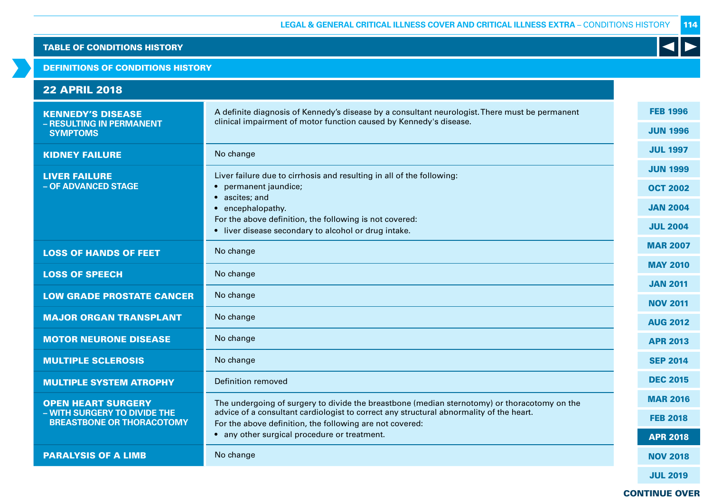DEFINITIONS OF CONDITIONS HISTORY

| <b>22 APRIL 2018</b>                                             |                                                                                                                                                                      |                 |
|------------------------------------------------------------------|----------------------------------------------------------------------------------------------------------------------------------------------------------------------|-----------------|
| <b>KENNEDY'S DISEASE</b><br>- RESULTING IN PERMANENT             | A definite diagnosis of Kennedy's disease by a consultant neurologist. There must be permanent<br>clinical impairment of motor function caused by Kennedy's disease. | <b>FEB 1996</b> |
| <b>SYMPTOMS</b>                                                  |                                                                                                                                                                      | <b>JUN 1996</b> |
| <b>KIDNEY FAILURE</b>                                            | No change                                                                                                                                                            | <b>JUL 1997</b> |
| <b>LIVER FAILURE</b>                                             | Liver failure due to cirrhosis and resulting in all of the following:                                                                                                | <b>JUN 1999</b> |
| - OF ADVANCED STAGE                                              | permanent jaundice;                                                                                                                                                  | <b>OCT 2002</b> |
|                                                                  | ascites; and<br>• encephalopathy.                                                                                                                                    | <b>JAN 2004</b> |
|                                                                  | For the above definition, the following is not covered:<br>• liver disease secondary to alcohol or drug intake.                                                      | <b>JUL 2004</b> |
| <b>LOSS OF HANDS OF FEET</b>                                     | No change                                                                                                                                                            | <b>MAR 2007</b> |
|                                                                  |                                                                                                                                                                      | <b>MAY 2010</b> |
| <b>LOSS OF SPEECH</b>                                            | No change                                                                                                                                                            | <b>JAN 2011</b> |
| <b>LOW GRADE PROSTATE CANCER</b>                                 | No change                                                                                                                                                            | <b>NOV 2011</b> |
| <b>MAJOR ORGAN TRANSPLANT</b>                                    | No change                                                                                                                                                            | <b>AUG 2012</b> |
| <b>MOTOR NEURONE DISEASE</b>                                     | No change                                                                                                                                                            | <b>APR 2013</b> |
| <b>MULTIPLE SCLEROSIS</b>                                        | No change                                                                                                                                                            | <b>SEP 2014</b> |
| <b>MULTIPLE SYSTEM ATROPHY</b>                                   | Definition removed                                                                                                                                                   | <b>DEC 2015</b> |
| <b>OPEN HEART SURGERY</b>                                        | The undergoing of surgery to divide the breastbone (median sternotomy) or thoracotomy on the                                                                         | <b>MAR 2016</b> |
| - WITH SURGERY TO DIVIDE THE<br><b>BREASTBONE OR THORACOTOMY</b> | advice of a consultant cardiologist to correct any structural abnormality of the heart.<br>For the above definition, the following are not covered:                  | <b>FEB 2018</b> |
|                                                                  | • any other surgical procedure or treatment.                                                                                                                         | <b>APR 2018</b> |
| <b>PARALYSIS OF A LIMB</b>                                       | No change                                                                                                                                                            | <b>NOV 2018</b> |
|                                                                  |                                                                                                                                                                      | <b>JUL 2019</b> |

CONTINUE OVER

114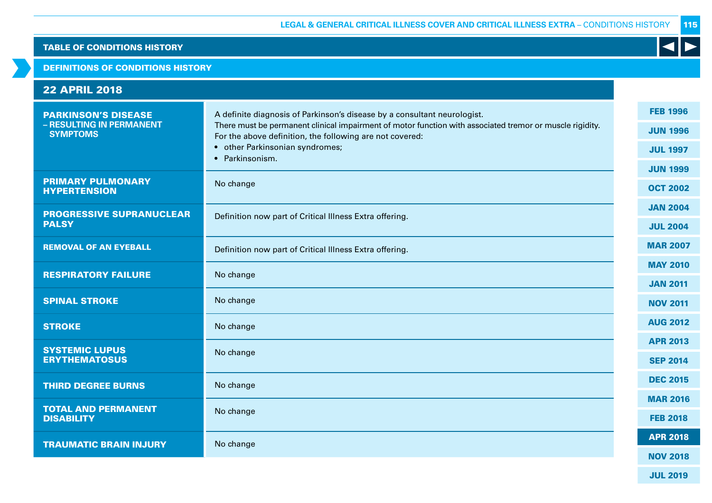#### DEFINITIONS OF CONDITIONS HISTORY

| <b>22 APRIL 2018</b>                                                      |                                                                                                                                                                                                                                                                                                        |                                                       |
|---------------------------------------------------------------------------|--------------------------------------------------------------------------------------------------------------------------------------------------------------------------------------------------------------------------------------------------------------------------------------------------------|-------------------------------------------------------|
| <b>PARKINSON'S DISEASE</b><br>- RESULTING IN PERMANENT<br><b>SYMPTOMS</b> | A definite diagnosis of Parkinson's disease by a consultant neurologist.<br>There must be permanent clinical impairment of motor function with associated tremor or muscle rigidity.<br>For the above definition, the following are not covered:<br>• other Parkinsonian syndromes;<br>• Parkinsonism. | <b>FEB 1996</b><br><b>JUN 1996</b><br><b>JUL 1997</b> |
| <b>PRIMARY PULMONARY</b><br><b>HYPERTENSION</b>                           | No change                                                                                                                                                                                                                                                                                              | <b>JUN 1999</b><br><b>OCT 2002</b>                    |
| <b>PROGRESSIVE SUPRANUCLEAR</b><br><b>PALSY</b>                           | Definition now part of Critical Illness Extra offering.                                                                                                                                                                                                                                                | <b>JAN 2004</b><br><b>JUL 2004</b>                    |
| <b>REMOVAL OF AN EYEBALL</b>                                              | Definition now part of Critical Illness Extra offering.                                                                                                                                                                                                                                                | <b>MAR 2007</b>                                       |
| <b>RESPIRATORY FAILURE</b>                                                | No change                                                                                                                                                                                                                                                                                              | <b>MAY 2010</b><br><b>JAN 2011</b>                    |
| <b>SPINAL STROKE</b>                                                      | No change                                                                                                                                                                                                                                                                                              | <b>NOV 2011</b>                                       |
| <b>STROKE</b>                                                             | No change                                                                                                                                                                                                                                                                                              | <b>AUG 2012</b>                                       |
| <b>SYSTEMIC LUPUS</b>                                                     | No change                                                                                                                                                                                                                                                                                              | <b>APR 2013</b>                                       |
| <b>ERYTHEMATOSUS</b>                                                      |                                                                                                                                                                                                                                                                                                        | <b>SEP 2014</b>                                       |
| <b>THIRD DEGREE BURNS</b>                                                 | No change                                                                                                                                                                                                                                                                                              | <b>DEC 2015</b>                                       |
| <b>TOTAL AND PERMANENT</b><br><b>DISABILITY</b>                           | No change                                                                                                                                                                                                                                                                                              | <b>MAR 2016</b><br><b>FEB 2018</b>                    |
| <b>TRAUMATIC BRAIN INJURY</b>                                             | No change                                                                                                                                                                                                                                                                                              | <b>APR 2018</b>                                       |
|                                                                           |                                                                                                                                                                                                                                                                                                        | <b>NOV 2018</b>                                       |

K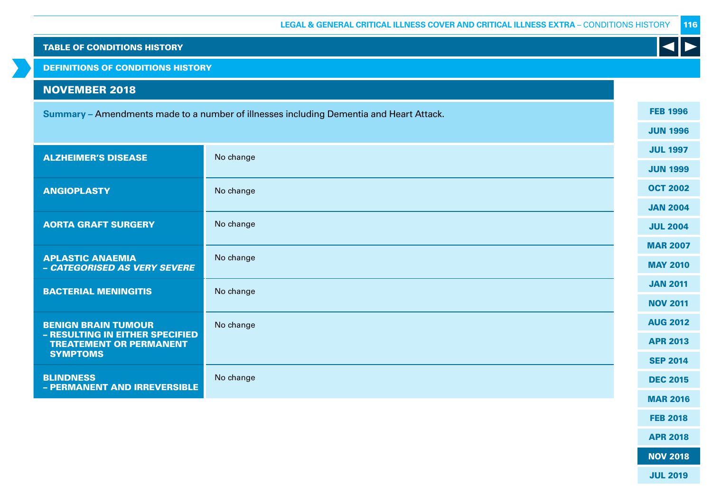DEFINITIONS OF CONDITIONS HISTORY

# NOVEMBER 2018

| <b>Summary</b> – Amendments made to a number of illnesses including Dementia and Heart Attack. |  |
|------------------------------------------------------------------------------------------------|--|
|------------------------------------------------------------------------------------------------|--|

| <b>ALZHEIMER'S DISEASE</b>                                        | No change | <b>JUL 1997</b> |
|-------------------------------------------------------------------|-----------|-----------------|
|                                                                   |           | <b>JUN 1999</b> |
| <b>ANGIOPLASTY</b>                                                | No change | <b>OCT 2002</b> |
|                                                                   |           | <b>JAN 2004</b> |
| <b>AORTA GRAFT SURGERY</b>                                        | No change | <b>JUL 2004</b> |
|                                                                   |           | <b>MAR 2007</b> |
| <b>APLASTIC ANAEMIA</b><br>- CATEGORISED AS VERY SEVERE           | No change | <b>MAY 2010</b> |
| <b>BACTERIAL MENINGITIS</b>                                       | No change | <b>JAN 2011</b> |
|                                                                   |           | <b>NOV 2011</b> |
| <b>BENIGN BRAIN TUMOUR</b>                                        | No change | <b>AUG 2012</b> |
| - RESULTING IN EITHER SPECIFIED<br><b>TREATEMENT OR PERMANENT</b> |           | <b>APR 2013</b> |
| <b>SYMPTOMS</b>                                                   |           | <b>SEP 2014</b> |
| <b>BLINDNESS</b><br>- PERMANENT AND IRREVERSIBLE                  | No change | <b>DEC 2015</b> |
|                                                                   |           | <b>MAR 2016</b> |

MAR 2016 FEB 2018

FEB 1996

 $\blacktriangleleft$ 

JUN 1996

APR 2018

NOV 2018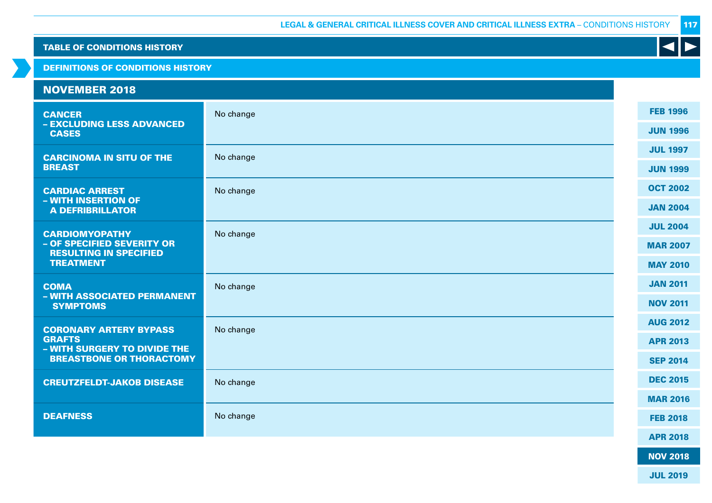DEFINITIONS OF CONDITIONS HISTORY

#### NOVEMBER 2018 **CANCER** – EXCLUDING LESS ADVANCED CASES No change CARCINOMA IN SITU OF THE **BREAST** No change CARDIAC ARREST – WITH INSERTION OF A DEFRIBRILLATOR No change CARDIOMYOPATHY – OF SPECIFIED SEVERITY OR RESULTING IN SPECIFIED TREATMENT No change **COMA** – WITH ASSOCIATED PERMANENT SYMPTOMS No change CORONARY ARTERY BYPASS GRAFTS – WITH SURGERY TO DIVIDE THE BREASTBONE OR THORACTOMY No change CREUTZFELDT-JAKOB DISEASE No change DEAFNESS No change FEB 1996 JUN 1996 JUL 1997 JUN 1999 OCT 2002 JAN 2004 JUL 2004 MAR 2007 MAY 2010 JAN 2011 NOV 2011 AUG 2012 APR 2013 SEP 2014 DEC 2015 MAR 2016 FEB 2018 APR 2018

117

NOV 2018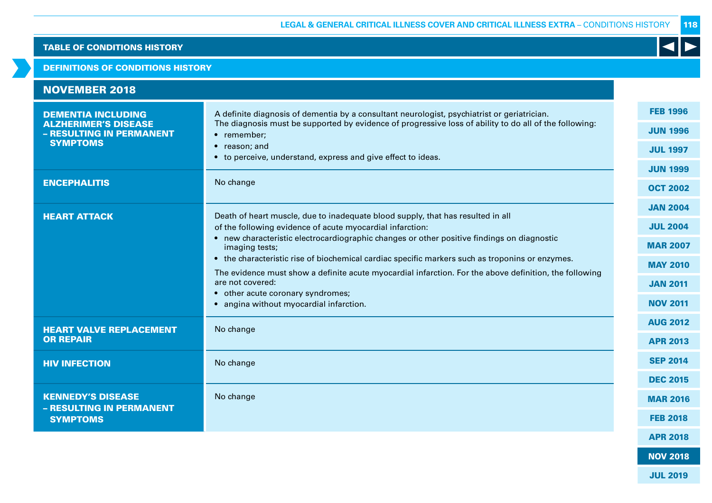### DEFINITIONS OF CONDITIONS HISTORY

| <b>NOVEMBER 2018</b>                                     |                                                                                                                                                                                                           |                 |
|----------------------------------------------------------|-----------------------------------------------------------------------------------------------------------------------------------------------------------------------------------------------------------|-----------------|
| <b>DEMENTIA INCLUDING</b><br><b>ALZHERIMER'S DISEASE</b> | A definite diagnosis of dementia by a consultant neurologist, psychiatrist or geriatrician.<br>The diagnosis must be supported by evidence of progressive loss of ability to do all of the following:     | <b>FEB 1996</b> |
| - RESULTING IN PERMANENT                                 | • remember;                                                                                                                                                                                               | <b>JUN 1996</b> |
| <b>SYMPTOMS</b>                                          | • reason; and<br>• to perceive, understand, express and give effect to ideas.                                                                                                                             | <b>JUL 1997</b> |
|                                                          |                                                                                                                                                                                                           | <b>JUN 1999</b> |
| <b>ENCEPHALITIS</b>                                      | No change                                                                                                                                                                                                 | <b>OCT 2002</b> |
| <b>HEART ATTACK</b>                                      | Death of heart muscle, due to inadequate blood supply, that has resulted in all                                                                                                                           | <b>JAN 2004</b> |
|                                                          | of the following evidence of acute myocardial infarction:                                                                                                                                                 | <b>JUL 2004</b> |
|                                                          | • new characteristic electrocardiographic changes or other positive findings on diagnostic<br>imaging tests;                                                                                              | <b>MAR 2007</b> |
|                                                          | • the characteristic rise of biochemical cardiac specific markers such as troponins or enzymes.<br>The evidence must show a definite acute myocardial infarction. For the above definition, the following | <b>MAY 2010</b> |
|                                                          | are not covered:                                                                                                                                                                                          | <b>JAN 2011</b> |
|                                                          | • other acute coronary syndromes;<br>• angina without myocardial infarction.                                                                                                                              | <b>NOV 2011</b> |
| <b>HEART VALVE REPLACEMENT</b>                           | No change                                                                                                                                                                                                 | <b>AUG 2012</b> |
| <b>OR REPAIR</b>                                         |                                                                                                                                                                                                           | <b>APR 2013</b> |
| <b>HIV INFECTION</b>                                     | No change                                                                                                                                                                                                 | <b>SEP 2014</b> |
|                                                          |                                                                                                                                                                                                           | <b>DEC 2015</b> |
| <b>KENNEDY'S DISEASE</b><br>- RESULTING IN PERMANENT     | No change                                                                                                                                                                                                 | <b>MAR 2016</b> |
| <b>SYMPTOMS</b>                                          |                                                                                                                                                                                                           | <b>FEB 2018</b> |
|                                                          |                                                                                                                                                                                                           | <b>APR 2018</b> |

118

 $\blacktriangleleft$ 

NOV 2018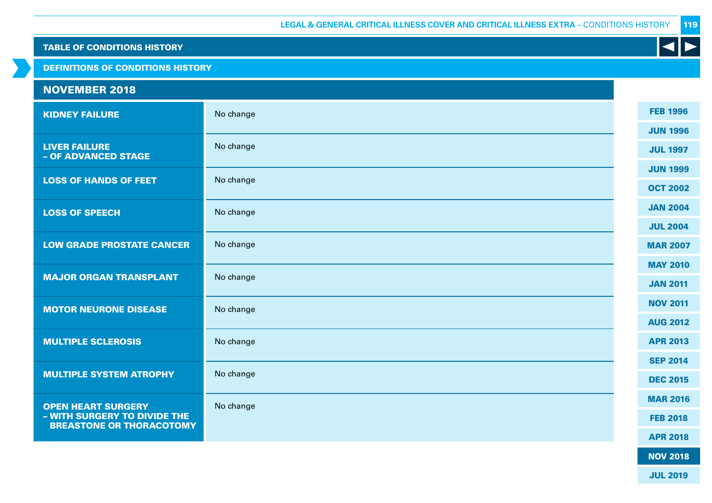DEFINITIONS OF CONDITIONS HISTORY

# NOVEMBER 2018

| <b>KIDNEY FAILURE</b>                                           | No change | <b>FEB 1996</b> |
|-----------------------------------------------------------------|-----------|-----------------|
|                                                                 |           | <b>JUN 1996</b> |
| <b>LIVER FAILURE</b><br>- OF ADVANCED STAGE                     | No change | <b>JUL 1997</b> |
|                                                                 |           | <b>JUN 1999</b> |
| <b>LOSS OF HANDS OF FEET</b>                                    | No change | <b>OCT 2002</b> |
| <b>LOSS OF SPEECH</b>                                           | No change | <b>JAN 2004</b> |
|                                                                 |           | <b>JUL 2004</b> |
| <b>LOW GRADE PROSTATE CANCER</b>                                | No change | <b>MAR 2007</b> |
|                                                                 | No change | <b>MAY 2010</b> |
| <b>MAJOR ORGAN TRANSPLANT</b>                                   |           | <b>JAN 2011</b> |
| <b>MOTOR NEURONE DISEASE</b>                                    | No change | <b>NOV 2011</b> |
|                                                                 |           | <b>AUG 2012</b> |
| <b>MULTIPLE SCLEROSIS</b>                                       | No change | <b>APR 2013</b> |
|                                                                 |           | <b>SEP 2014</b> |
| <b>MULTIPLE SYSTEM ATROPHY</b>                                  | No change | <b>DEC 2015</b> |
| <b>OPEN HEART SURGERY</b>                                       | No change | <b>MAR 2016</b> |
| - WITH SURGERY TO DIVIDE THE<br><b>BREASTONE OR THORACOTOMY</b> |           | <b>FEB 2018</b> |
|                                                                 |           | <b>APR 2018</b> |

119

K

NOV 2018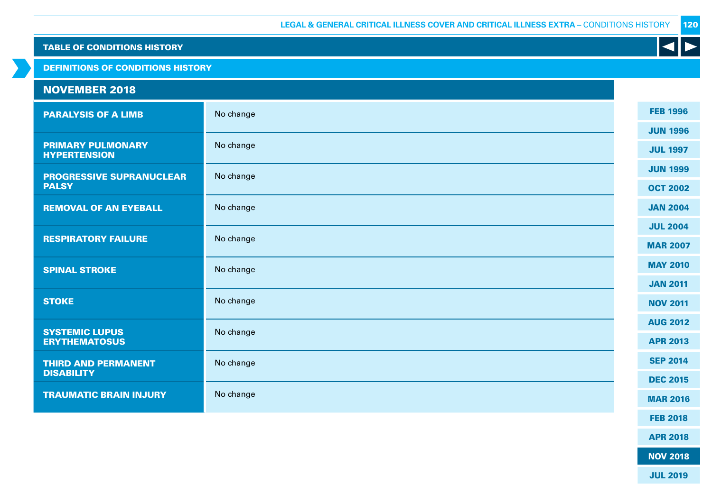DEFINITIONS OF CONDITIONS HISTORY

# NOVEMBER 2018

| <b>PARALYSIS OF A LIMB</b>                      | No change | <b>FEB 1996</b> |
|-------------------------------------------------|-----------|-----------------|
|                                                 |           | <b>JUN 1996</b> |
| <b>PRIMARY PULMONARY</b><br><b>HYPERTENSION</b> | No change | <b>JUL 1997</b> |
| <b>PROGRESSIVE SUPRANUCLEAR</b>                 | No change | <b>JUN 1999</b> |
| <b>PALSY</b>                                    |           | <b>OCT 2002</b> |
| <b>REMOVAL OF AN EYEBALL</b>                    | No change | <b>JAN 2004</b> |
|                                                 |           | <b>JUL 2004</b> |
| <b>RESPIRATORY FAILURE</b>                      | No change | <b>MAR 2007</b> |
| <b>SPINAL STROKE</b>                            | No change | <b>MAY 2010</b> |
|                                                 |           | <b>JAN 2011</b> |
| <b>STOKE</b>                                    | No change | <b>NOV 2011</b> |
|                                                 |           | <b>AUG 2012</b> |
| <b>SYSTEMIC LUPUS</b><br><b>ERYTHEMATOSUS</b>   | No change | <b>APR 2013</b> |
| <b>THIRD AND PERMANENT</b>                      | No change | <b>SEP 2014</b> |
| <b>DISABILITY</b>                               |           | <b>DEC 2015</b> |
| <b>TRAUMATIC BRAIN INJURY</b>                   | No change | <b>MAR 2016</b> |
|                                                 |           | <b>FEB 2018</b> |
|                                                 |           |                 |

APR 2018

K

NOV 2018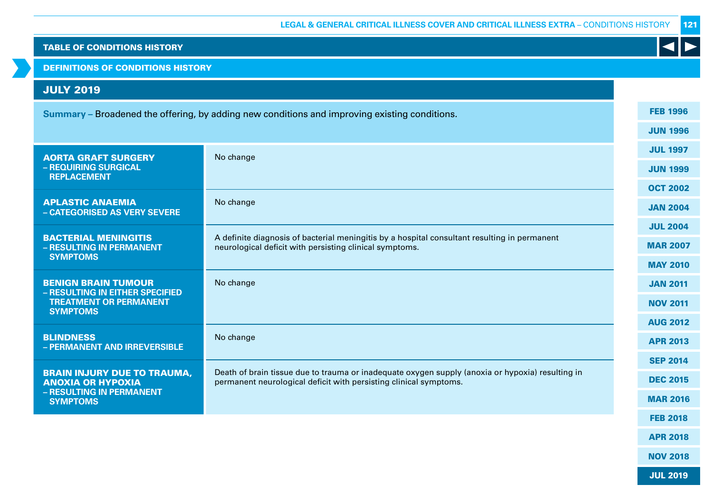DEFINITIONS OF CONDITIONS HISTORY

# JULY 2019

| Summary – Broadened the offering, by adding new conditions and improving existing conditions. |                                                                                                                                                                       |  |                 |  |  |
|-----------------------------------------------------------------------------------------------|-----------------------------------------------------------------------------------------------------------------------------------------------------------------------|--|-----------------|--|--|
|                                                                                               |                                                                                                                                                                       |  |                 |  |  |
| <b>AORTA GRAFT SURGERY</b>                                                                    | No change                                                                                                                                                             |  | <b>JUL 1997</b> |  |  |
| - REQUIRING SURGICAL<br><b>REPLACEMENT</b>                                                    |                                                                                                                                                                       |  | <b>JUN 1999</b> |  |  |
|                                                                                               |                                                                                                                                                                       |  | <b>OCT 2002</b> |  |  |
| <b>APLASTIC ANAEMIA</b><br>- CATEGORISED AS VERY SEVERE                                       | No change                                                                                                                                                             |  | <b>JAN 2004</b> |  |  |
|                                                                                               |                                                                                                                                                                       |  | <b>JUL 2004</b> |  |  |
| <b>BACTERIAL MENINGITIS</b><br>- RESULTING IN PERMANENT                                       | A definite diagnosis of bacterial meningitis by a hospital consultant resulting in permanent<br>neurological deficit with persisting clinical symptoms.               |  | <b>MAR 2007</b> |  |  |
| <b>SYMPTOMS</b>                                                                               |                                                                                                                                                                       |  | <b>MAY 2010</b> |  |  |
| <b>BENIGN BRAIN TUMOUR</b><br>- RESULTING IN EITHER SPECIFIED                                 | No change                                                                                                                                                             |  | <b>JAN 2011</b> |  |  |
| <b>TREATMENT OR PERMANENT</b><br><b>SYMPTOMS</b>                                              |                                                                                                                                                                       |  | <b>NOV 2011</b> |  |  |
|                                                                                               |                                                                                                                                                                       |  | <b>AUG 2012</b> |  |  |
| <b>BLINDNESS</b><br>- PERMANENT AND IRREVERSIBLE                                              | No change                                                                                                                                                             |  | <b>APR 2013</b> |  |  |
|                                                                                               |                                                                                                                                                                       |  | <b>SEP 2014</b> |  |  |
| <b>BRAIN INJURY DUE TO TRAUMA,</b><br><b>ANOXIA OR HYPOXIA</b>                                | Death of brain tissue due to trauma or inadequate oxygen supply (anoxia or hypoxia) resulting in<br>permanent neurological deficit with persisting clinical symptoms. |  | <b>DEC 2015</b> |  |  |
| - RESULTING IN PERMANENT<br><b>SYMPTOMS</b>                                                   |                                                                                                                                                                       |  | <b>MAR 2016</b> |  |  |
|                                                                                               |                                                                                                                                                                       |  | <b>FEB 2018</b> |  |  |
|                                                                                               |                                                                                                                                                                       |  | <b>APR 2018</b> |  |  |

K

NOV 2018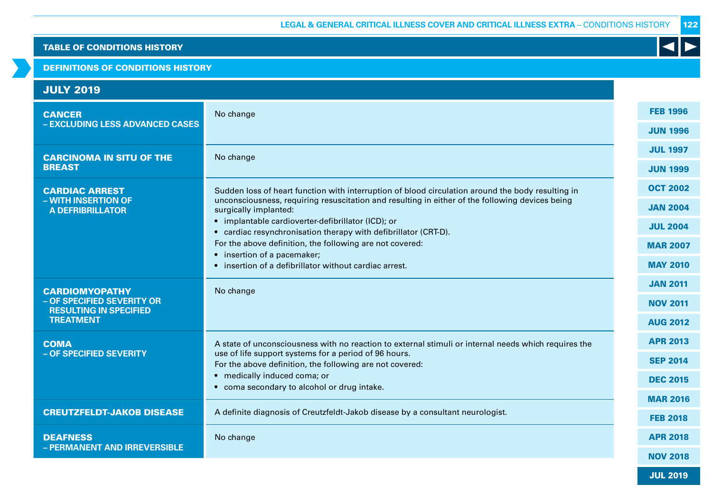#### DEFINITIONS OF CONDITIONS HISTORY

| <b>JULY 2019</b>                                            |                                                                                                                          |  |                 |
|-------------------------------------------------------------|--------------------------------------------------------------------------------------------------------------------------|--|-----------------|
| <b>CANCER</b>                                               | No change                                                                                                                |  | <b>FEB 1996</b> |
| - EXCLUDING LESS ADVANCED CASES                             |                                                                                                                          |  | <b>JUN 1996</b> |
| <b>CARCINOMA IN SITU OF THE</b>                             | No change                                                                                                                |  | <b>JUL 1997</b> |
| <b>BREAST</b>                                               |                                                                                                                          |  | <b>JUN 1999</b> |
| <b>CARDIAC ARREST</b>                                       | Sudden loss of heart function with interruption of blood circulation around the body resulting in                        |  | <b>OCT 2002</b> |
| - WITH INSERTION OF<br><b>A DEFRIBRILLATOR</b>              | unconsciousness, requiring resuscitation and resulting in either of the following devices being<br>surgically implanted: |  | <b>JAN 2004</b> |
|                                                             | • implantable cardioverter-defibrillator (ICD); or<br>• cardiac resynchronisation therapy with defibrillator (CRT-D).    |  | <b>JUL 2004</b> |
|                                                             | For the above definition, the following are not covered:<br>• insertion of a pacemaker;                                  |  | <b>MAR 2007</b> |
|                                                             | • insertion of a defibrillator without cardiac arrest.                                                                   |  | <b>MAY 2010</b> |
| <b>CARDIOMYOPATHY</b>                                       | No change                                                                                                                |  | <b>JAN 2011</b> |
| - OF SPECIFIED SEVERITY OR<br><b>RESULTING IN SPECIFIED</b> |                                                                                                                          |  | <b>NOV 2011</b> |
| <b>TREATMENT</b>                                            |                                                                                                                          |  | <b>AUG 2012</b> |
| <b>COMA</b>                                                 | A state of unconsciousness with no reaction to external stimuli or internal needs which requires the                     |  | <b>APR 2013</b> |
| - OF SPECIFIED SEVERITY                                     | use of life support systems for a period of 96 hours.<br>For the above definition, the following are not covered:        |  | <b>SEP 2014</b> |
|                                                             | • medically induced coma; or<br>• coma secondary to alcohol or drug intake.                                              |  | <b>DEC 2015</b> |
|                                                             |                                                                                                                          |  | <b>MAR 2016</b> |
| <b>CREUTZFELDT-JAKOB DISEASE</b>                            | A definite diagnosis of Creutzfeldt-Jakob disease by a consultant neurologist.                                           |  | <b>FEB 2018</b> |
| <b>DEAFNESS</b>                                             | No change                                                                                                                |  | <b>APR 2018</b> |
| - PERMANENT AND IRREVERSIBLE                                |                                                                                                                          |  | <b>NOV 2018</b> |

JUL 2019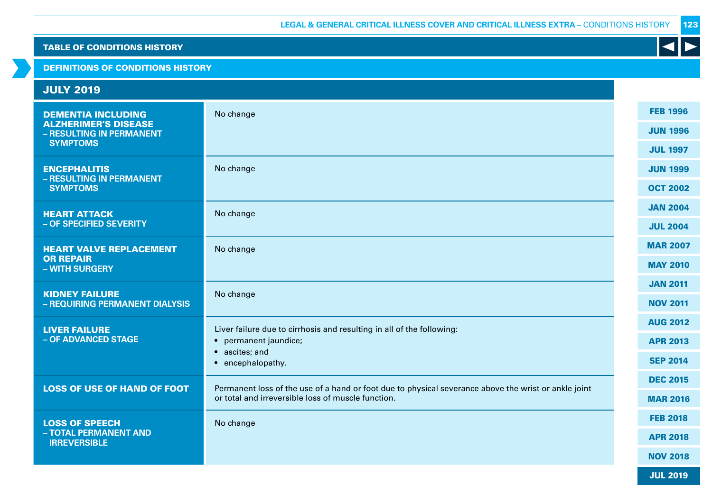K

### TABLE OF CONDITIONS HISTORY

DEFINITIONS OF CONDITIONS HISTORY

| <b>JULY 2019</b>                                         |                                                                                                                                                            |                                    |
|----------------------------------------------------------|------------------------------------------------------------------------------------------------------------------------------------------------------------|------------------------------------|
| <b>DEMENTIA INCLUDING</b><br><b>ALZHERIMER'S DISEASE</b> | No change                                                                                                                                                  | <b>FEB 1996</b><br><b>JUN 1996</b> |
| - RESULTING IN PERMANENT<br><b>SYMPTOMS</b>              |                                                                                                                                                            | <b>JUL 1997</b>                    |
| <b>ENCEPHALITIS</b>                                      | No change                                                                                                                                                  | <b>JUN 1999</b>                    |
| - RESULTING IN PERMANENT<br><b>SYMPTOMS</b>              |                                                                                                                                                            | <b>OCT 2002</b>                    |
| <b>HEART ATTACK</b>                                      | No change                                                                                                                                                  | <b>JAN 2004</b>                    |
| - OF SPECIFIED SEVERITY                                  |                                                                                                                                                            | <b>JUL 2004</b>                    |
| <b>HEART VALVE REPLACEMENT</b>                           | No change                                                                                                                                                  | <b>MAR 2007</b>                    |
| <b>OR REPAIR</b><br>- WITH SURGERY                       |                                                                                                                                                            | <b>MAY 2010</b>                    |
|                                                          |                                                                                                                                                            | <b>JAN 2011</b>                    |
| <b>KIDNEY FAILURE</b><br>- REQUIRING PERMANENT DIALYSIS  | No change                                                                                                                                                  | <b>NOV 2011</b>                    |
| <b>LIVER FAILURE</b>                                     | Liver failure due to cirrhosis and resulting in all of the following:                                                                                      | <b>AUG 2012</b>                    |
| - OF ADVANCED STAGE                                      | • permanent jaundice;                                                                                                                                      | <b>APR 2013</b>                    |
|                                                          | • ascites; and<br>• encephalopathy.                                                                                                                        | <b>SEP 2014</b>                    |
|                                                          |                                                                                                                                                            | <b>DEC 2015</b>                    |
| <b>LOSS OF USE OF HAND OF FOOT</b>                       | Permanent loss of the use of a hand or foot due to physical severance above the wrist or ankle joint<br>or total and irreversible loss of muscle function. | <b>MAR 2016</b>                    |
| <b>LOSS OF SPEECH</b>                                    | No change                                                                                                                                                  | <b>FEB 2018</b>                    |
| - TOTAL PERMANENT AND<br><b>IRREVERSIBLE</b>             |                                                                                                                                                            | <b>APR 2018</b>                    |
|                                                          |                                                                                                                                                            | <b>NOV 2018</b>                    |
|                                                          |                                                                                                                                                            | <b>JUL 2019</b>                    |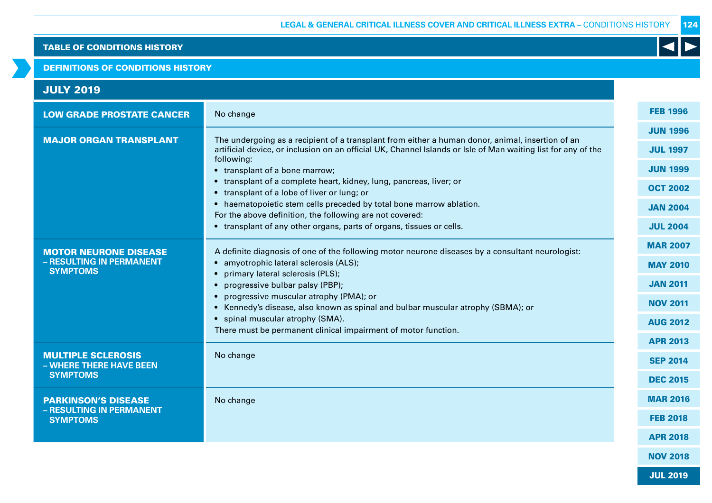#### DEFINITIONS OF CONDITIONS HISTORY

| <b>JULY 2019</b>                                     |                                                                                                                                                                                                                                 |  |                 |
|------------------------------------------------------|---------------------------------------------------------------------------------------------------------------------------------------------------------------------------------------------------------------------------------|--|-----------------|
| <b>LOW GRADE PROSTATE CANCER</b>                     | No change                                                                                                                                                                                                                       |  | <b>FEB 1996</b> |
|                                                      |                                                                                                                                                                                                                                 |  | <b>JUN 1996</b> |
| <b>MAJOR ORGAN TRANSPLANT</b>                        | The undergoing as a recipient of a transplant from either a human donor, animal, insertion of an<br>artificial device, or inclusion on an official UK, Channel Islands or Isle of Man waiting list for any of the<br>following: |  | <b>JUL 1997</b> |
|                                                      | • transplant of a bone marrow;                                                                                                                                                                                                  |  | <b>JUN 1999</b> |
|                                                      | • transplant of a complete heart, kidney, lung, pancreas, liver; or                                                                                                                                                             |  | <b>OCT 2002</b> |
|                                                      | • transplant of a lobe of liver or lung; or<br>• haematopoietic stem cells preceded by total bone marrow ablation.                                                                                                              |  |                 |
|                                                      | For the above definition, the following are not covered:                                                                                                                                                                        |  | <b>JAN 2004</b> |
|                                                      | • transplant of any other organs, parts of organs, tissues or cells.                                                                                                                                                            |  | <b>JUL 2004</b> |
| <b>MOTOR NEURONE DISEASE</b>                         | A definite diagnosis of one of the following motor neurone diseases by a consultant neurologist:<br>• amyotrophic lateral sclerosis (ALS);                                                                                      |  | <b>MAR 2007</b> |
| - RESULTING IN PERMANENT                             |                                                                                                                                                                                                                                 |  | <b>MAY 2010</b> |
| <b>SYMPTOMS</b>                                      | primary lateral sclerosis (PLS);<br>$\bullet$                                                                                                                                                                                   |  | <b>JAN 2011</b> |
|                                                      | progressive bulbar palsy (PBP);<br>progressive muscular atrophy (PMA); or<br>$\bullet$                                                                                                                                          |  |                 |
|                                                      | • Kennedy's disease, also known as spinal and bulbar muscular atrophy (SBMA); or                                                                                                                                                |  | <b>NOV 2011</b> |
|                                                      | • spinal muscular atrophy (SMA).                                                                                                                                                                                                |  | <b>AUG 2012</b> |
|                                                      | There must be permanent clinical impairment of motor function.                                                                                                                                                                  |  |                 |
| <b>MULTIPLE SCLEROSIS</b><br>- WHERE THERE HAVE BEEN | No change                                                                                                                                                                                                                       |  | <b>SEP 2014</b> |
| <b>SYMPTOMS</b>                                      |                                                                                                                                                                                                                                 |  | <b>DEC 2015</b> |
| <b>PARKINSON'S DISEASE</b>                           | No change                                                                                                                                                                                                                       |  | <b>MAR 2016</b> |
| - RESULTING IN PERMANENT<br><b>SYMPTOMS</b>          |                                                                                                                                                                                                                                 |  | <b>FEB 2018</b> |
|                                                      |                                                                                                                                                                                                                                 |  | <b>APR 2018</b> |
|                                                      |                                                                                                                                                                                                                                 |  | <b>NOV 2018</b> |

K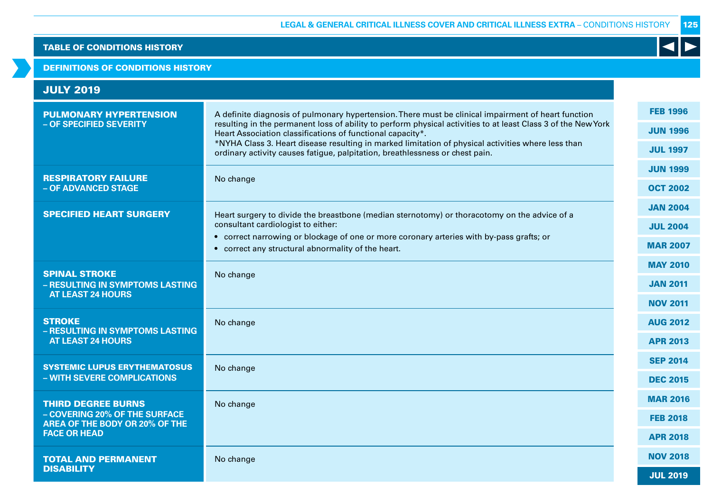### DEFINITIONS OF CONDITIONS HISTORY

| <b>JULY 2019</b>                                                                                                           |                                                                                                                                                                                                                                                                                                                                                                                                                                                                          |                                                       |
|----------------------------------------------------------------------------------------------------------------------------|--------------------------------------------------------------------------------------------------------------------------------------------------------------------------------------------------------------------------------------------------------------------------------------------------------------------------------------------------------------------------------------------------------------------------------------------------------------------------|-------------------------------------------------------|
| <b>PULMONARY HYPERTENSION</b><br>- OF SPECIFIED SEVERITY                                                                   | A definite diagnosis of pulmonary hypertension. There must be clinical impairment of heart function<br>resulting in the permanent loss of ability to perform physical activities to at least Class 3 of the New York<br>Heart Association classifications of functional capacity*.<br>*NYHA Class 3. Heart disease resulting in marked limitation of physical activities where less than<br>ordinary activity causes fatigue, palpitation, breathlessness or chest pain. | <b>FEB 1996</b><br><b>JUN 1996</b><br><b>JUL 1997</b> |
| <b>RESPIRATORY FAILURE</b><br>- OF ADVANCED STAGE                                                                          | No change                                                                                                                                                                                                                                                                                                                                                                                                                                                                | <b>JUN 1999</b><br><b>OCT 2002</b>                    |
| <b>SPECIFIED HEART SURGERY</b>                                                                                             | Heart surgery to divide the breastbone (median sternotomy) or thoracotomy on the advice of a<br>consultant cardiologist to either:<br>• correct narrowing or blockage of one or more coronary arteries with by-pass grafts; or<br>• correct any structural abnormality of the heart.                                                                                                                                                                                     | <b>JAN 2004</b><br><b>JUL 2004</b><br><b>MAR 2007</b> |
| <b>SPINAL STROKE</b><br>- RESULTING IN SYMPTOMS LASTING<br><b>AT LEAST 24 HOURS</b>                                        | No change                                                                                                                                                                                                                                                                                                                                                                                                                                                                | <b>MAY 2010</b><br><b>JAN 2011</b><br><b>NOV 2011</b> |
| <b>STROKE</b><br>- RESULTING IN SYMPTOMS LASTING<br><b>AT LEAST 24 HOURS</b>                                               | No change                                                                                                                                                                                                                                                                                                                                                                                                                                                                | <b>AUG 2012</b><br><b>APR 2013</b>                    |
| <b>SYSTEMIC LUPUS ERYTHEMATOSUS</b><br>- WITH SEVERE COMPLICATIONS                                                         | No change                                                                                                                                                                                                                                                                                                                                                                                                                                                                | <b>SEP 2014</b><br><b>DEC 2015</b>                    |
| <b>THIRD DEGREE BURNS</b><br>- COVERING 20% OF THE SURFACE<br><b>AREA OF THE BODY OR 20% OF THE</b><br><b>FACE OR HEAD</b> | No change                                                                                                                                                                                                                                                                                                                                                                                                                                                                | <b>MAR 2016</b><br><b>FEB 2018</b><br><b>APR 2018</b> |
| <b>TOTAL AND PERMANENT</b><br><b>DISABILITY</b>                                                                            | No change                                                                                                                                                                                                                                                                                                                                                                                                                                                                | <b>NOV 2018</b><br><b>JUL 2019</b>                    |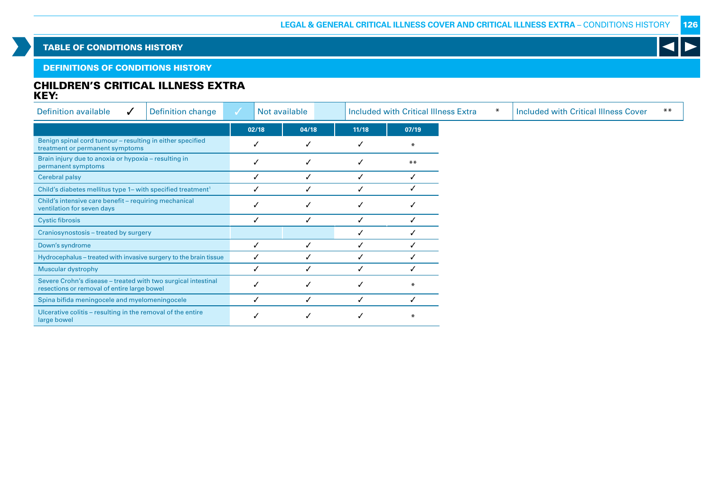K

### TABLE OF CONDITIONS HISTORY

### DEFINITIONS OF CONDITIONS HISTORY

### CHILDREN'S CRITICAL ILLNESS EXTRA KEY:

| Definition available<br>$\checkmark$                                                                         | <b>Definition change</b> |       | Not available |       |  |        |  |  | <b>Included with Critical Illness Extra</b> |  |  | <b>Included with Critical Illness Cover</b> | $***$ |  |
|--------------------------------------------------------------------------------------------------------------|--------------------------|-------|---------------|-------|--|--------|--|--|---------------------------------------------|--|--|---------------------------------------------|-------|--|
|                                                                                                              |                          | 02/18 | 04/18         | 11/18 |  | 07/19  |  |  |                                             |  |  |                                             |       |  |
| Benign spinal cord tumour - resulting in either specified<br>treatment or permanent symptoms                 |                          |       | ✓             | ✓     |  | $\ast$ |  |  |                                             |  |  |                                             |       |  |
| Brain injury due to anoxia or hypoxia - resulting in<br>permanent symptoms                                   |                          |       | ✓             | ✓     |  | $***$  |  |  |                                             |  |  |                                             |       |  |
| Cerebral palsy                                                                                               |                          |       |               | ✓     |  |        |  |  |                                             |  |  |                                             |       |  |
| Child's diabetes mellitus type 1– with specified treatment <sup>1</sup>                                      |                          |       |               | ✓     |  |        |  |  |                                             |  |  |                                             |       |  |
| Child's intensive care benefit - requiring mechanical<br>ventilation for seven days                          |                          |       | ✓             | ✓     |  |        |  |  |                                             |  |  |                                             |       |  |
| <b>Cystic fibrosis</b>                                                                                       |                          |       |               |       |  |        |  |  |                                             |  |  |                                             |       |  |
| Craniosynostosis - treated by surgery                                                                        |                          |       |               |       |  |        |  |  |                                             |  |  |                                             |       |  |
| Down's syndrome                                                                                              |                          |       |               |       |  |        |  |  |                                             |  |  |                                             |       |  |
| Hydrocephalus - treated with invasive surgery to the brain tissue                                            |                          |       |               |       |  |        |  |  |                                             |  |  |                                             |       |  |
| <b>Muscular dystrophy</b>                                                                                    |                          |       |               |       |  |        |  |  |                                             |  |  |                                             |       |  |
| Severe Crohn's disease - treated with two surgical intestinal<br>resections or removal of entire large bowel |                          |       |               | √     |  |        |  |  |                                             |  |  |                                             |       |  |
| Spina bifida meningocele and myelomeningocele                                                                |                          |       | ✓             | ✓     |  | ✓      |  |  |                                             |  |  |                                             |       |  |
| Ulcerative colitis - resulting in the removal of the entire<br>large bowel                                   |                          |       |               |       |  | $\ast$ |  |  |                                             |  |  |                                             |       |  |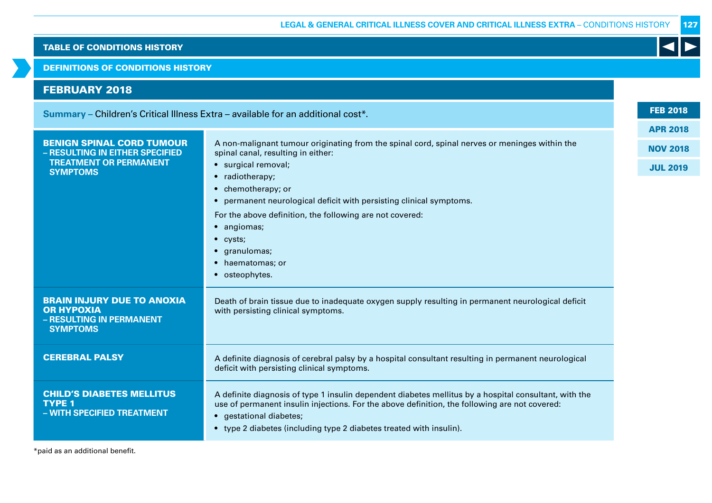DEFINITIONS OF CONDITIONS HISTORY

# EEDDIJADV 2010

| I LDIVAILI 4VIV                                                                                                         |                                                                                                                                                                                                                                                                                                                                                                                                                                  |  |  |  |  |
|-------------------------------------------------------------------------------------------------------------------------|----------------------------------------------------------------------------------------------------------------------------------------------------------------------------------------------------------------------------------------------------------------------------------------------------------------------------------------------------------------------------------------------------------------------------------|--|--|--|--|
| Summary – Children's Critical Illness Extra – available for an additional cost*.                                        |                                                                                                                                                                                                                                                                                                                                                                                                                                  |  |  |  |  |
| <b>BENIGN SPINAL CORD TUMOUR</b><br>- RESULTING IN EITHER SPECIFIED<br><b>TREATMENT OR PERMANENT</b><br><b>SYMPTOMS</b> | A non-malignant tumour originating from the spinal cord, spinal nerves or meninges within the<br>spinal canal, resulting in either:<br>· surgical removal;<br>• radiotherapy;<br>• chemotherapy; or<br>• permanent neurological deficit with persisting clinical symptoms.<br>For the above definition, the following are not covered:<br>• angiomas;<br>$\bullet$ cysts;<br>• granulomas;<br>• haematomas; or<br>• osteophytes. |  |  |  |  |
| <b>BRAIN INJURY DUE TO ANOXIA</b><br><b>OR HYPOXIA</b><br>- RESULTING IN PERMANENT<br><b>SYMPTOMS</b>                   | Death of brain tissue due to inadequate oxygen supply resulting in permanent neurological deficit<br>with persisting clinical symptoms.                                                                                                                                                                                                                                                                                          |  |  |  |  |
| <b>CEREBRAL PALSY</b>                                                                                                   | A definite diagnosis of cerebral palsy by a hospital consultant resulting in permanent neurological<br>deficit with persisting clinical symptoms.                                                                                                                                                                                                                                                                                |  |  |  |  |
|                                                                                                                         |                                                                                                                                                                                                                                                                                                                                                                                                                                  |  |  |  |  |

TYPE 1 **– WITH SPECIFIED TREATMENT**

CHILD'S DIABETES MELLITUS

- A definite diagnosis of type 1 insulin dependent diabetes mellitus by a hospital consultant, with the use of permanent insulin injections. For the above definition, the following are not covered:
- gestational diabetes;
- type 2 diabetes (including type 2 diabetes treated with insulin).

\*paid as an additional benefit.

FEB 2018

APR 2018

NOV 2018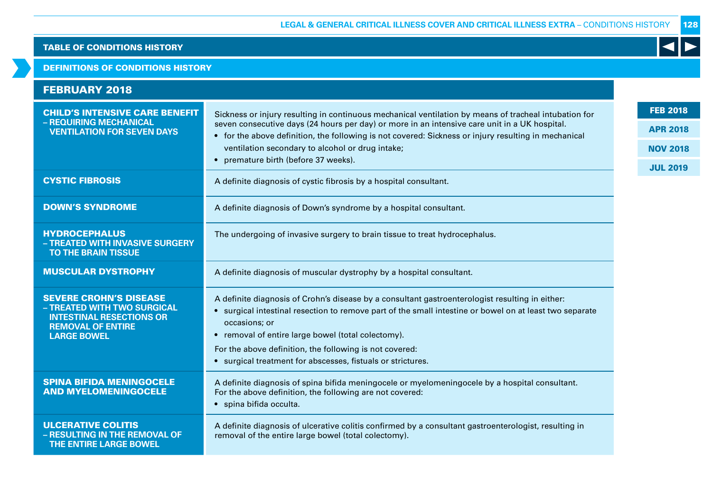K

### TABLE OF CONDITIONS HISTORY

#### DEFINITIONS OF CONDITIONS HISTORY

| <b>FEBRUARY 2018</b>                                                                                                                              |                                                                                                                                                                                                                                                                                                                                                                                                           |                                    |  |  |  |
|---------------------------------------------------------------------------------------------------------------------------------------------------|-----------------------------------------------------------------------------------------------------------------------------------------------------------------------------------------------------------------------------------------------------------------------------------------------------------------------------------------------------------------------------------------------------------|------------------------------------|--|--|--|
| <b>CHILD'S INTENSIVE CARE BENEFIT</b><br>- REQUIRING MECHANICAL<br><b>VENTILATION FOR SEVEN DAYS</b>                                              | Sickness or injury resulting in continuous mechanical ventilation by means of tracheal intubation for<br>seven consecutive days (24 hours per day) or more in an intensive care unit in a UK hospital.<br>• for the above definition, the following is not covered: Sickness or injury resulting in mechanical                                                                                            |                                    |  |  |  |
|                                                                                                                                                   | ventilation secondary to alcohol or drug intake;<br>• premature birth (before 37 weeks).                                                                                                                                                                                                                                                                                                                  | <b>NOV 2018</b><br><b>JUL 2019</b> |  |  |  |
| <b>CYSTIC FIBROSIS</b>                                                                                                                            | A definite diagnosis of cystic fibrosis by a hospital consultant.                                                                                                                                                                                                                                                                                                                                         |                                    |  |  |  |
| <b>DOWN'S SYNDROME</b>                                                                                                                            | A definite diagnosis of Down's syndrome by a hospital consultant.                                                                                                                                                                                                                                                                                                                                         |                                    |  |  |  |
| <b>HYDROCEPHALUS</b><br>- TREATED WITH INVASIVE SURGERY<br><b>TO THE BRAIN TISSUE</b>                                                             | The undergoing of invasive surgery to brain tissue to treat hydrocephalus.                                                                                                                                                                                                                                                                                                                                |                                    |  |  |  |
| <b>MUSCULAR DYSTROPHY</b>                                                                                                                         | A definite diagnosis of muscular dystrophy by a hospital consultant.                                                                                                                                                                                                                                                                                                                                      |                                    |  |  |  |
| <b>SEVERE CROHN'S DISEASE</b><br>- TREATED WITH TWO SURGICAL<br><b>INTESTINAL RESECTIONS OR</b><br><b>REMOVAL OF ENTIRE</b><br><b>LARGE BOWEL</b> | A definite diagnosis of Crohn's disease by a consultant gastroenterologist resulting in either:<br>surgical intestinal resection to remove part of the small intestine or bowel on at least two separate<br>occasions; or<br>• removal of entire large bowel (total colectomy).<br>For the above definition, the following is not covered:<br>• surgical treatment for abscesses, fistuals or strictures. |                                    |  |  |  |
| <b>SPINA BIFIDA MENINGOCELE</b><br><b>AND MYELOMENINGOCELE</b>                                                                                    | A definite diagnosis of spina bifida meningocele or myelomeningocele by a hospital consultant.<br>For the above definition, the following are not covered:<br>· spina bifida occulta.                                                                                                                                                                                                                     |                                    |  |  |  |
| <b>ULCERATIVE COLITIS</b><br>- RESULTING IN THE REMOVAL OF<br><b>THE ENTIRE LARGE BOWEL</b>                                                       | A definite diagnosis of ulcerative colitis confirmed by a consultant gastroenterologist, resulting in<br>removal of the entire large bowel (total colectomy).                                                                                                                                                                                                                                             |                                    |  |  |  |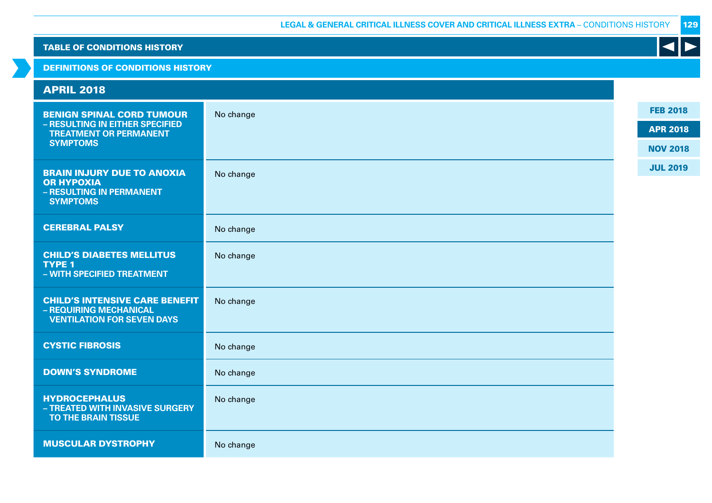| <b>TABLE OF CONDITIONS HISTORY</b>                                                                                      |           |                                                       |
|-------------------------------------------------------------------------------------------------------------------------|-----------|-------------------------------------------------------|
| <b>DEFINITIONS OF CONDITIONS HISTORY</b>                                                                                |           |                                                       |
| <b>APRIL 2018</b>                                                                                                       |           |                                                       |
| <b>BENIGN SPINAL CORD TUMOUR</b><br>- RESULTING IN EITHER SPECIFIED<br><b>TREATMENT OR PERMANENT</b><br><b>SYMPTOMS</b> | No change | <b>FEB 2018</b><br><b>APR 2018</b><br><b>NOV 2018</b> |
| <b>BRAIN INJURY DUE TO ANOXIA</b><br><b>OR HYPOXIA</b><br>- RESULTING IN PERMANENT<br><b>SYMPTOMS</b>                   | No change | <b>JUL 2019</b>                                       |
| <b>CEREBRAL PALSY</b>                                                                                                   | No change |                                                       |
| <b>CHILD'S DIABETES MELLITUS</b><br><b>TYPE 1</b><br>- WITH SPECIFIED TREATMENT                                         | No change |                                                       |
| <b>CHILD'S INTENSIVE CARE BENEFIT</b><br>- REQUIRING MECHANICAL<br><b>VENTILATION FOR SEVEN DAYS</b>                    | No change |                                                       |
| <b>CYSTIC FIBROSIS</b>                                                                                                  | No change |                                                       |
| <b>DOWN'S SYNDROME</b>                                                                                                  | No change |                                                       |
| <b>HYDROCEPHALUS</b><br>- TREATED WITH INVASIVE SURGERY<br>TO THE BRAIN TISSUE                                          | No change |                                                       |
| <b>MUSCULAR DYSTROPHY</b>                                                                                               | No change |                                                       |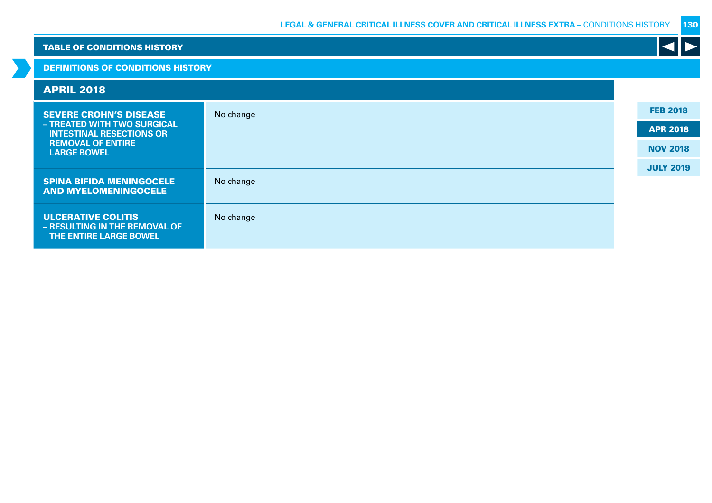| <b>TABLE OF CONDITIONS HISTORY</b>                             |                                          |                  |  |  |
|----------------------------------------------------------------|------------------------------------------|------------------|--|--|
|                                                                | <b>DEFINITIONS OF CONDITIONS HISTORY</b> |                  |  |  |
| <b>APRIL 2018</b>                                              |                                          |                  |  |  |
| <b>SEVERE CROHN'S DISEASE</b>                                  | No change                                | <b>FEB 2018</b>  |  |  |
| - TREATED WITH TWO SURGICAL<br><b>INTESTINAL RESECTIONS OR</b> |                                          | <b>APR 2018</b>  |  |  |
| <b>REMOVAL OF ENTIRE</b><br><b>LARGE BOWEL</b>                 |                                          | <b>NOV 2018</b>  |  |  |
|                                                                |                                          | <b>JULY 2019</b> |  |  |
| <b>SPINA BIFIDA MENINGOCELE</b><br><b>AND MYELOMENINGOCELE</b> | No change                                |                  |  |  |
| <b>ULCERATIVE COLITIS</b>                                      | No change                                |                  |  |  |
| - RESULTING IN THE REMOVAL OF<br>THE ENTIRE LARGE BOWEL        |                                          |                  |  |  |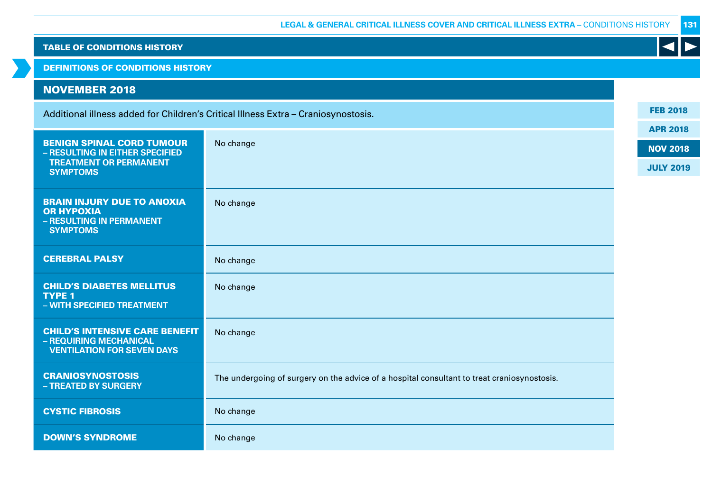| <b>TABLE OF CONDITIONS HISTORY</b>                                  |                                                                                             |                  |  |  |  |  |  |
|---------------------------------------------------------------------|---------------------------------------------------------------------------------------------|------------------|--|--|--|--|--|
| <b>DEFINITIONS OF CONDITIONS HISTORY</b>                            |                                                                                             |                  |  |  |  |  |  |
| <b>NOVEMBER 2018</b>                                                |                                                                                             |                  |  |  |  |  |  |
|                                                                     | Additional illness added for Children's Critical Illness Extra - Craniosynostosis.          | <b>FEB 2018</b>  |  |  |  |  |  |
|                                                                     |                                                                                             | <b>APR 2018</b>  |  |  |  |  |  |
| <b>BENIGN SPINAL CORD TUMOUR</b><br>- RESULTING IN EITHER SPECIFIED | No change                                                                                   | <b>NOV 2018</b>  |  |  |  |  |  |
| <b>TREATMENT OR PERMANENT</b><br><b>SYMPTOMS</b>                    |                                                                                             | <b>JULY 2019</b> |  |  |  |  |  |
| <b>BRAIN INJURY DUE TO ANOXIA</b>                                   |                                                                                             |                  |  |  |  |  |  |
| <b>OR HYPOXIA</b>                                                   | No change                                                                                   |                  |  |  |  |  |  |
| - RESULTING IN PERMANENT<br><b>SYMPTOMS</b>                         |                                                                                             |                  |  |  |  |  |  |
| <b>CEREBRAL PALSY</b>                                               | No change                                                                                   |                  |  |  |  |  |  |
|                                                                     |                                                                                             |                  |  |  |  |  |  |
| <b>CHILD'S DIABETES MELLITUS</b><br><b>TYPE 1</b>                   | No change                                                                                   |                  |  |  |  |  |  |
| - WITH SPECIFIED TREATMENT                                          |                                                                                             |                  |  |  |  |  |  |
| <b>CHILD'S INTENSIVE CARE BENEFIT</b>                               | No change                                                                                   |                  |  |  |  |  |  |
| - REQUIRING MECHANICAL<br><b>VENTILATION FOR SEVEN DAYS</b>         |                                                                                             |                  |  |  |  |  |  |
| <b>CRANIOSYNOSTOSIS</b>                                             | The undergoing of surgery on the advice of a hospital consultant to treat craniosynostosis. |                  |  |  |  |  |  |
| - TREATED BY SURGERY                                                |                                                                                             |                  |  |  |  |  |  |
| <b>CYSTIC FIBROSIS</b>                                              | No change                                                                                   |                  |  |  |  |  |  |
| <b>DOWN'S SYNDROME</b>                                              | No change                                                                                   |                  |  |  |  |  |  |

 $\rightarrow$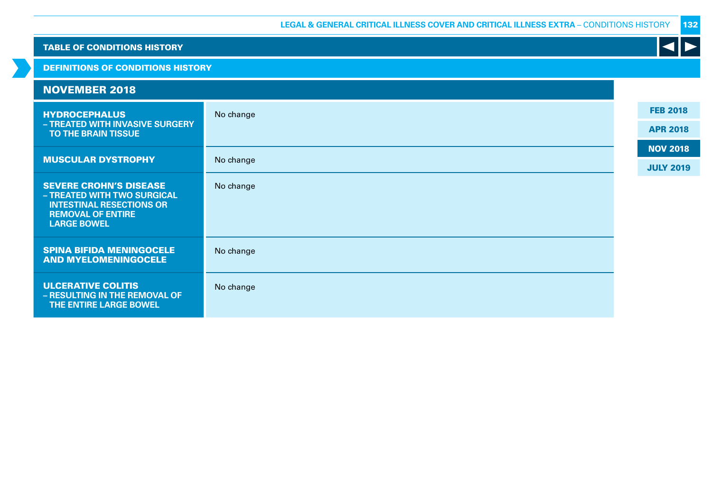| <b>TABLE OF CONDITIONS HISTORY</b>                                                                                                                |           |  |                  |
|---------------------------------------------------------------------------------------------------------------------------------------------------|-----------|--|------------------|
| <b>DEFINITIONS OF CONDITIONS HISTORY</b>                                                                                                          |           |  |                  |
| <b>NOVEMBER 2018</b>                                                                                                                              |           |  |                  |
| <b>HYDROCEPHALUS</b>                                                                                                                              | No change |  | <b>FEB 2018</b>  |
| - TREATED WITH INVASIVE SURGERY<br>TO THE BRAIN TISSUE                                                                                            |           |  | <b>APR 2018</b>  |
| <b>MUSCULAR DYSTROPHY</b>                                                                                                                         | No change |  | <b>NOV 2018</b>  |
|                                                                                                                                                   |           |  | <b>JULY 2019</b> |
| <b>SEVERE CROHN'S DISEASE</b><br>- TREATED WITH TWO SURGICAL<br><b>INTESTINAL RESECTIONS OR</b><br><b>REMOVAL OF ENTIRE</b><br><b>LARGE BOWEL</b> | No change |  |                  |
| <b>SPINA BIFIDA MENINGOCELE</b><br><b>AND MYELOMENINGOCELE</b>                                                                                    | No change |  |                  |
| <b>ULCERATIVE COLITIS</b><br>- RESULTING IN THE REMOVAL OF<br>THE ENTIRE LARGE BOWEL                                                              | No change |  |                  |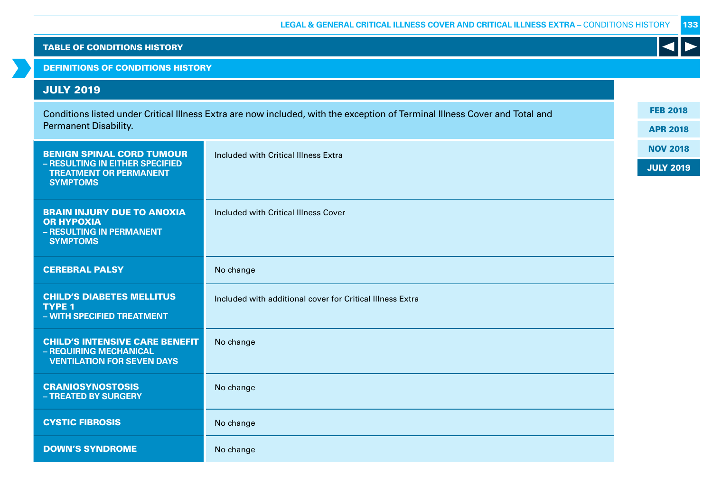DEFINITIONS OF CONDITIONS HISTORY

# JULY 2019

| Conditions listed under Critical Illness Extra are now included, with the exception of Terminal Illness Cover and Total and<br>Permanent Disability. |                                                           |  |
|------------------------------------------------------------------------------------------------------------------------------------------------------|-----------------------------------------------------------|--|
| <b>BENIGN SPINAL CORD TUMOUR</b><br>- RESULTING IN EITHER SPECIFIED<br><b>TREATMENT OR PERMANENT</b><br><b>SYMPTOMS</b>                              | Included with Critical Illness Extra                      |  |
| <b>BRAIN INJURY DUE TO ANOXIA</b><br><b>OR HYPOXIA</b><br>- RESULTING IN PERMANENT<br><b>SYMPTOMS</b>                                                | Included with Critical Illness Cover                      |  |
| <b>CEREBRAL PALSY</b>                                                                                                                                | No change                                                 |  |
| <b>CHILD'S DIABETES MELLITUS</b><br><b>TYPE 1</b><br>- WITH SPECIFIED TREATMENT                                                                      | Included with additional cover for Critical Illness Extra |  |
| <b>CHILD'S INTENSIVE CARE BENEFIT</b><br>- REQUIRING MECHANICAL<br><b>VENTILATION FOR SEVEN DAYS</b>                                                 | No change                                                 |  |
| <b>CRANIOSYNOSTOSIS</b><br>- TREATED BY SURGERY                                                                                                      | No change                                                 |  |
| <b>CYSTIC FIBROSIS</b>                                                                                                                               | No change                                                 |  |
| <b>DOWN'S SYNDROME</b>                                                                                                                               | No change                                                 |  |

FEB 2018

K

APR 2018

NOV 2018

JULY 2019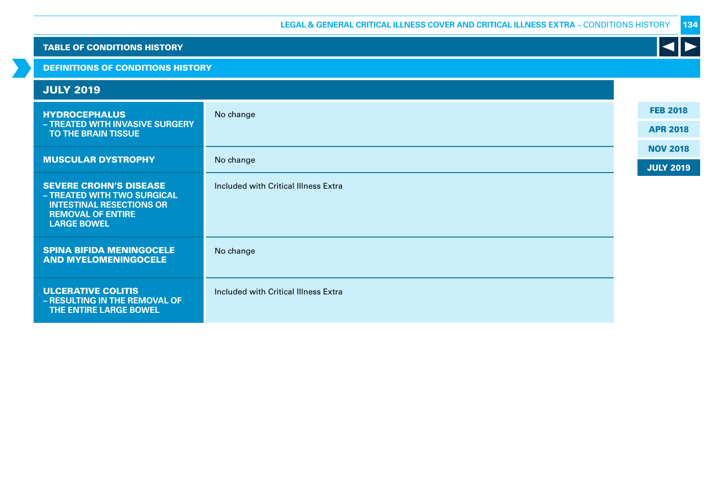| <b>TABLE OF CONDITIONS HISTORY</b>                                                                                                                |                                      |                  |
|---------------------------------------------------------------------------------------------------------------------------------------------------|--------------------------------------|------------------|
| <b>DEFINITIONS OF CONDITIONS HISTORY</b>                                                                                                          |                                      |                  |
| <b>JULY 2019</b>                                                                                                                                  |                                      |                  |
| <b>HYDROCEPHALUS</b>                                                                                                                              | No change                            | <b>FEB 2018</b>  |
| - TREATED WITH INVASIVE SURGERY<br>TO THE BRAIN TISSUE                                                                                            |                                      | <b>APR 2018</b>  |
| <b>MUSCULAR DYSTROPHY</b>                                                                                                                         | No change                            | <b>NOV 2018</b>  |
|                                                                                                                                                   |                                      | <b>JULY 2019</b> |
| <b>SEVERE CROHN'S DISEASE</b><br>- TREATED WITH TWO SURGICAL<br><b>INTESTINAL RESECTIONS OR</b><br><b>REMOVAL OF ENTIRE</b><br><b>LARGE BOWEL</b> | Included with Critical Illness Extra |                  |
| <b>SPINA BIFIDA MENINGOCELE</b><br><b>AND MYELOMENINGOCELE</b>                                                                                    | No change                            |                  |
| <b>ULCERATIVE COLITIS</b><br>- RESULTING IN THE REMOVAL OF<br>THE ENTIRE LARGE BOWEL                                                              | Included with Critical Illness Extra |                  |